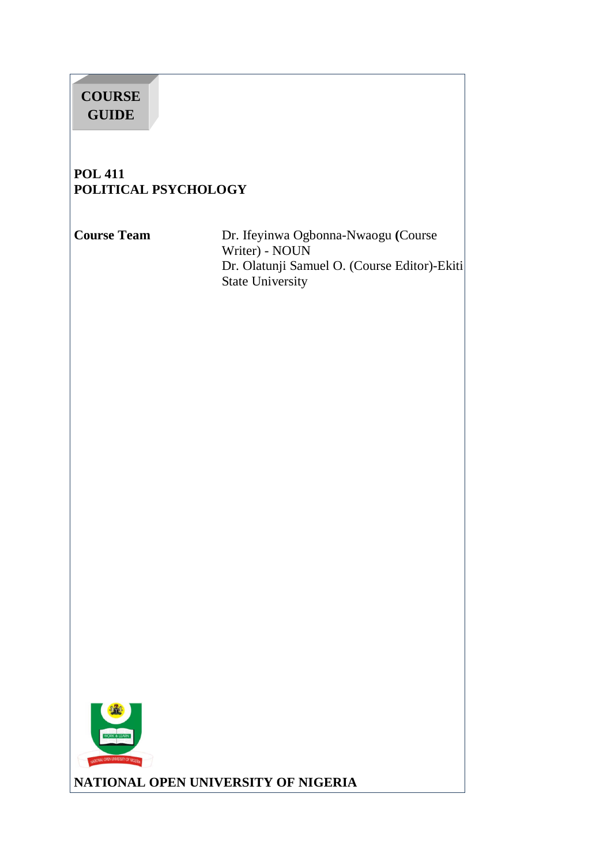# **COURSE GUIDE**

## **POL 411 POLITICAL PSYCHOLOGY**

**Course Team** Dr. Ifeyinwa Ogbonna-Nwaogu **(**Course Writer) - NOUN Dr. Olatunji Samuel O. (Course Editor)-Ekiti State University



**NATIONAL OPEN UNIVERSITY OF NIGERIA**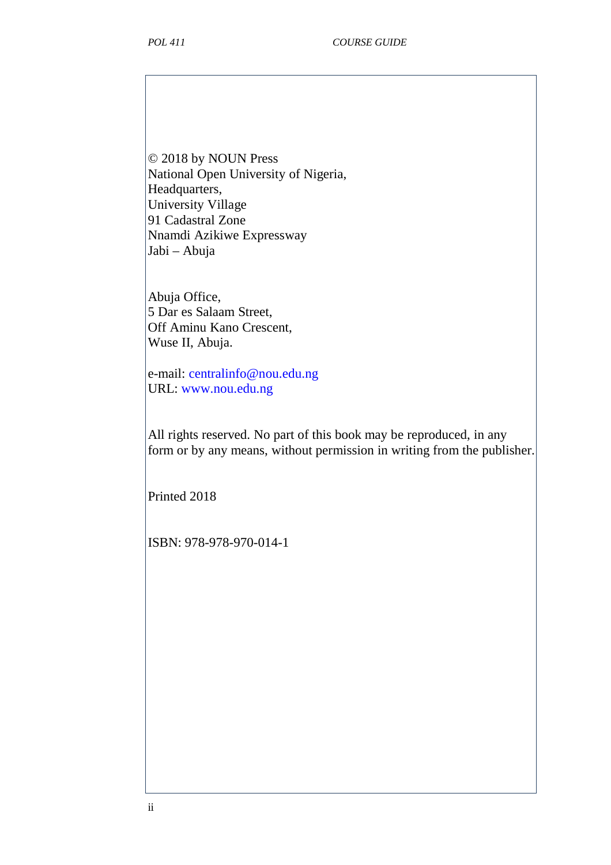© 2018 by NOUN Press National Open University of Nigeria, Headquarters, University Village 91 Cadastral Zone Nnamdi Azikiwe Expressway Jabi – Abuja

Abuja Office, 5 Dar es Salaam Street, Off Aminu Kano Crescent, Wuse II, Abuja.

e-mail: centralinfo@nou.edu.ng URL: www.nou.edu.ng

All rights reserved. No part of this book may be reproduced, in any form or by any means, without permission in writing from the publisher.

Printed 2018

ISBN: 978-978-970-014-1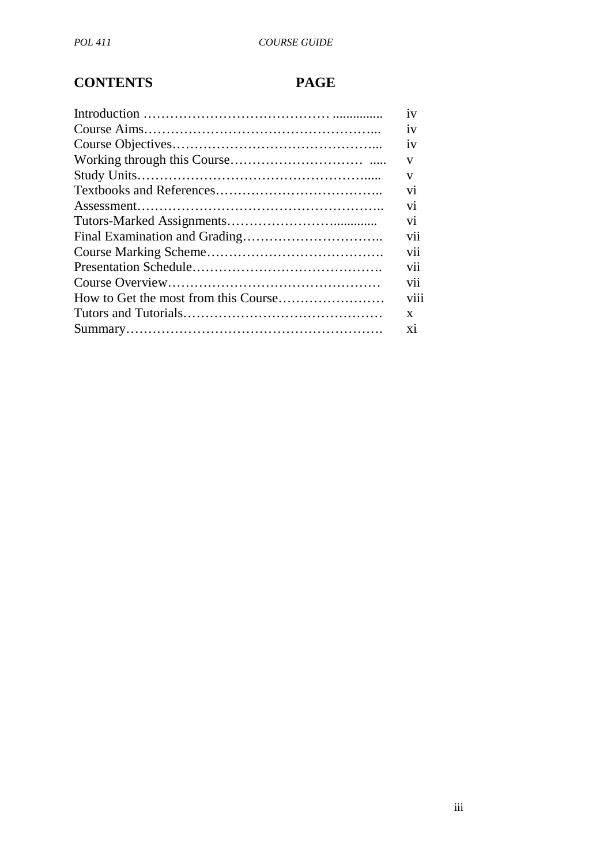# **CONTENTS PAGE**

| 1V             |
|----------------|
| 1V             |
| iv             |
| V              |
| V              |
| V <sub>1</sub> |
| V1             |
| V1             |
| V11            |
| V11            |
| V11            |
| vii            |
| V111           |
| X              |
| X1             |
|                |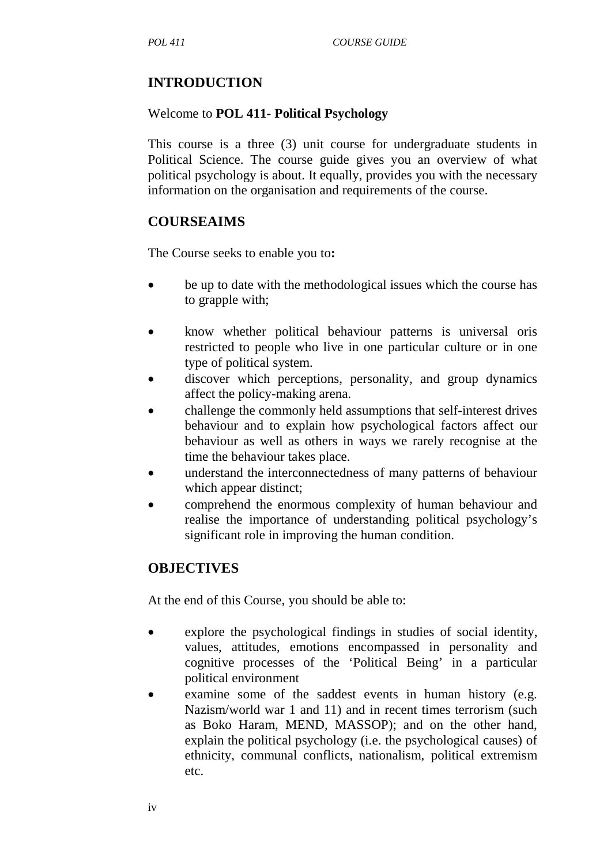## **INTRODUCTION**

### Welcome to **POL 411- Political Psychology**

This course is a three (3) unit course for undergraduate students in Political Science. The course guide gives you an overview of what political psychology is about. It equally, provides you with the necessary information on the organisation and requirements of the course.

### **COURSEAIMS**

The Course seeks to enable you to**:** 

- be up to date with the methodological issues which the course has to grapple with;
- know whether political behaviour patterns is universal oris restricted to people who live in one particular culture or in one type of political system.
- discover which perceptions, personality, and group dynamics affect the policy-making arena.
- challenge the commonly held assumptions that self-interest drives behaviour and to explain how psychological factors affect our behaviour as well as others in ways we rarely recognise at the time the behaviour takes place.
- understand the interconnectedness of many patterns of behaviour which appear distinct;
- comprehend the enormous complexity of human behaviour and realise the importance of understanding political psychology's significant role in improving the human condition.

### **OBJECTIVES**

At the end of this Course, you should be able to:

- explore the psychological findings in studies of social identity, values, attitudes, emotions encompassed in personality and cognitive processes of the 'Political Being' in a particular political environment
- examine some of the saddest events in human history (e.g. Nazism/world war 1 and 11) and in recent times terrorism (such as Boko Haram, MEND, MASSOP); and on the other hand, explain the political psychology (i.e. the psychological causes) of ethnicity, communal conflicts, nationalism, political extremism etc.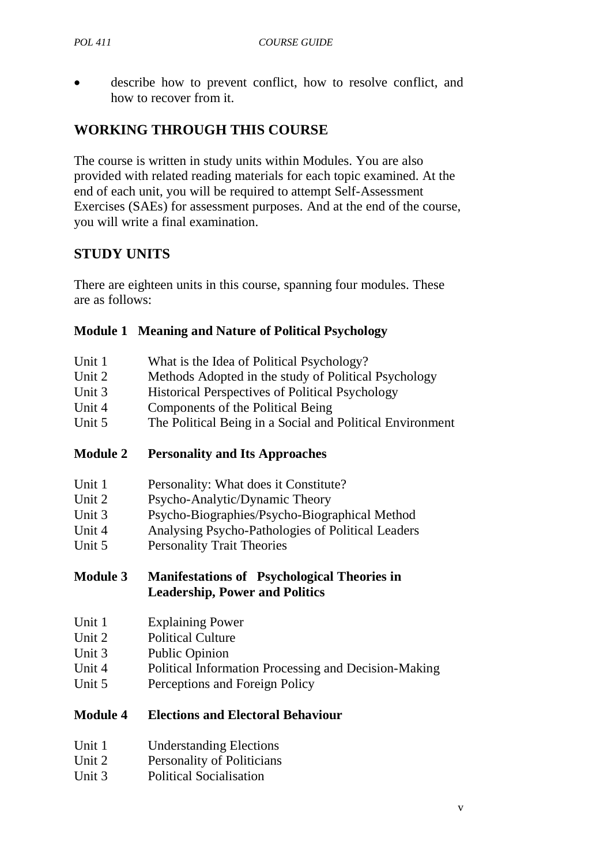• describe how to prevent conflict, how to resolve conflict, and how to recover from it.

## **WORKING THROUGH THIS COURSE**

The course is written in study units within Modules. You are also provided with related reading materials for each topic examined. At the end of each unit, you will be required to attempt Self-Assessment Exercises (SAEs) for assessment purposes. And at the end of the course, you will write a final examination.

## **STUDY UNITS**

There are eighteen units in this course, spanning four modules. These are as follows:

#### **Module 1 Meaning and Nature of Political Psychology**

| What is the Idea of Political Psychology?                 |
|-----------------------------------------------------------|
| Methods Adopted in the study of Political Psychology      |
| <b>Historical Perspectives of Political Psychology</b>    |
| Components of the Political Being                         |
| The Political Being in a Social and Political Environment |
|                                                           |

#### **Module 2 Personality and Its Approaches**

- Unit 2 Psycho-Analytic/Dynamic Theory
- Unit 3 Psycho-Biographies/Psycho-Biographical Method
- Unit 4 Analysing Psycho-Pathologies of Political Leaders
- Unit 5 Personality Trait Theories

**Module 3 Manifestations of Psychological Theories in Leadership, Power and Politics** 

- Unit 1 Explaining Power
- Unit 2 Political Culture
- Unit 3 Public Opinion
- Unit 4 Political Information Processing and Decision-Making
- Unit 5 Perceptions and Foreign Policy

#### **Module 4 Elections and Electoral Behaviour**

- Unit 1 Understanding Elections
- Unit 2 Personality of Politicians
- Unit 3 Political Socialisation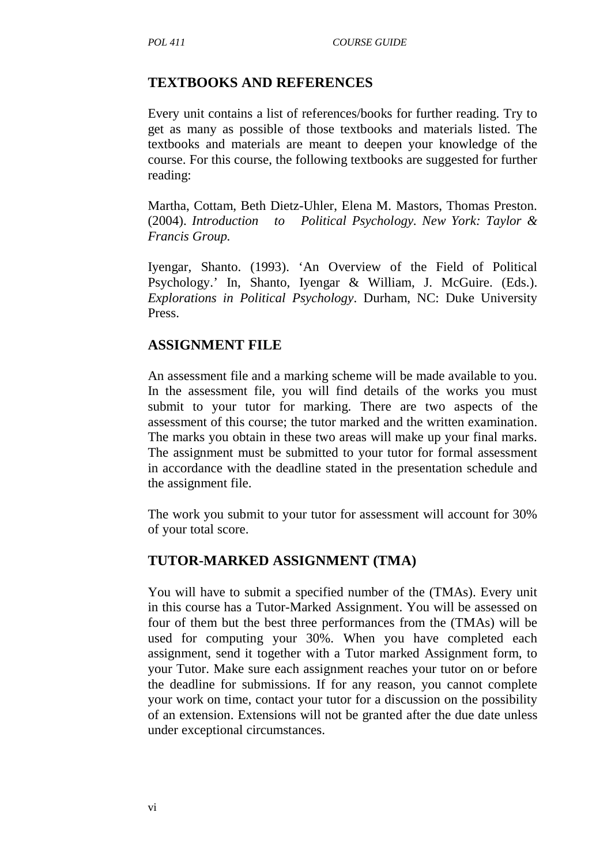#### **TEXTBOOKS AND REFERENCES**

Every unit contains a list of references/books for further reading. Try to get as many as possible of those textbooks and materials listed. The textbooks and materials are meant to deepen your knowledge of the course. For this course, the following textbooks are suggested for further reading:

Martha, Cottam, Beth Dietz-Uhler, Elena M. Mastors, Thomas Preston. (2004). *Introduction to Political Psychology. New York: Taylor & Francis Group.* 

Iyengar, Shanto. (1993). 'An Overview of the Field of Political Psychology.' In, Shanto, Iyengar & William, J. McGuire. (Eds.). *Explorations in Political Psychology*. Durham, NC: Duke University Press.

#### **ASSIGNMENT FILE**

An assessment file and a marking scheme will be made available to you. In the assessment file, you will find details of the works you must submit to your tutor for marking. There are two aspects of the assessment of this course; the tutor marked and the written examination. The marks you obtain in these two areas will make up your final marks. The assignment must be submitted to your tutor for formal assessment in accordance with the deadline stated in the presentation schedule and the assignment file.

The work you submit to your tutor for assessment will account for 30% of your total score.

#### **TUTOR-MARKED ASSIGNMENT (TMA)**

You will have to submit a specified number of the (TMAs). Every unit in this course has a Tutor-Marked Assignment. You will be assessed on four of them but the best three performances from the (TMAs) will be used for computing your 30%. When you have completed each assignment, send it together with a Tutor marked Assignment form, to your Tutor. Make sure each assignment reaches your tutor on or before the deadline for submissions. If for any reason, you cannot complete your work on time, contact your tutor for a discussion on the possibility of an extension. Extensions will not be granted after the due date unless under exceptional circumstances.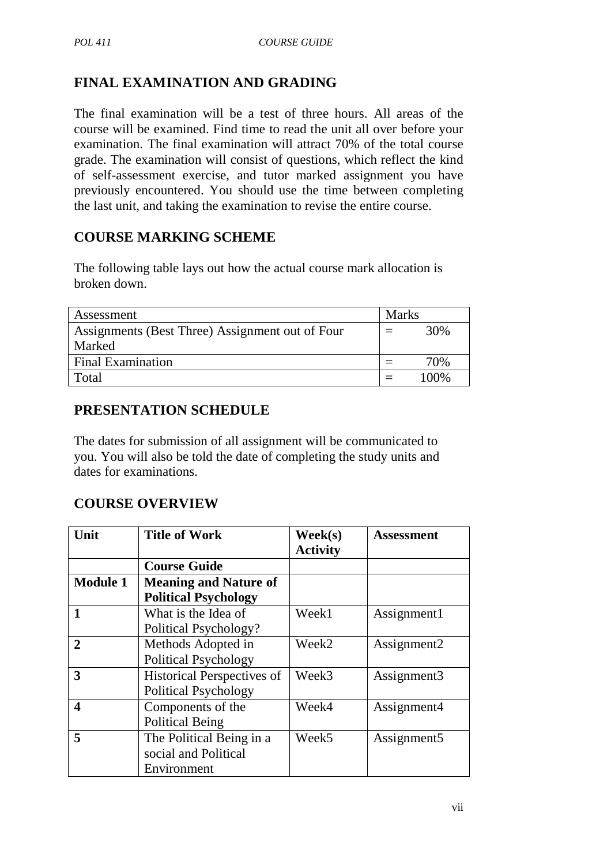## **FINAL EXAMINATION AND GRADING**

The final examination will be a test of three hours. All areas of the course will be examined. Find time to read the unit all over before your examination. The final examination will attract 70% of the total course grade. The examination will consist of questions, which reflect the kind of self-assessment exercise, and tutor marked assignment you have previously encountered. You should use the time between completing the last unit, and taking the examination to revise the entire course.

## **COURSE MARKING SCHEME**

The following table lays out how the actual course mark allocation is broken down.

| Assessment                                      | <b>Marks</b> |      |
|-------------------------------------------------|--------------|------|
| Assignments (Best Three) Assignment out of Four |              | 30%  |
| Marked                                          |              |      |
| <b>Final Examination</b>                        |              | 70%  |
| Total                                           |              | 100% |

## **PRESENTATION SCHEDULE**

The dates for submission of all assignment will be communicated to you. You will also be told the date of completing the study units and dates for examinations.

### **COURSE OVERVIEW**

| Unit            | <b>Title of Work</b>              | $\textbf{Week}(s)$ | <b>Assessment</b> |
|-----------------|-----------------------------------|--------------------|-------------------|
|                 |                                   | <b>Activity</b>    |                   |
|                 | <b>Course Guide</b>               |                    |                   |
| <b>Module 1</b> | <b>Meaning and Nature of</b>      |                    |                   |
|                 | <b>Political Psychology</b>       |                    |                   |
| 1               | What is the Idea of               | Week1              | Assignment1       |
|                 | Political Psychology?             |                    |                   |
| $\mathbf{2}$    | Methods Adopted in                | Week <sub>2</sub>  | Assignment2       |
|                 | <b>Political Psychology</b>       |                    |                   |
| 3               | <b>Historical Perspectives of</b> | Week3              | Assignment3       |
|                 | <b>Political Psychology</b>       |                    |                   |
| 4               | Components of the                 | Week4              | Assignment4       |
|                 | <b>Political Being</b>            |                    |                   |
| 5               | The Political Being in a          | Week <sub>5</sub>  | Assignment5       |
|                 | social and Political              |                    |                   |
|                 | Environment                       |                    |                   |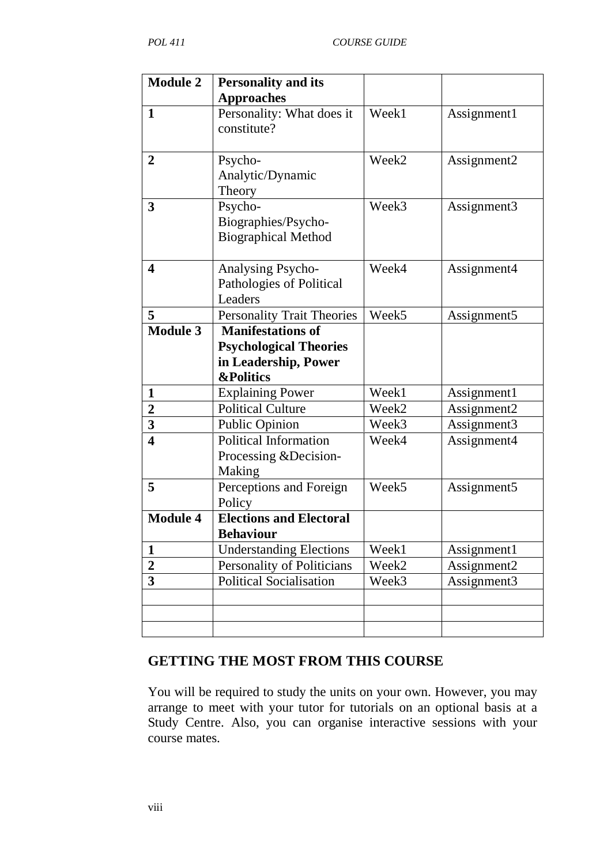| <b>Module 2</b>         | <b>Personality and its</b>                         |                   |                         |
|-------------------------|----------------------------------------------------|-------------------|-------------------------|
|                         | <b>Approaches</b>                                  |                   |                         |
| 1                       | Personality: What does it<br>constitute?           | Week1             | Assignment1             |
|                         |                                                    |                   |                         |
| $\overline{2}$          | Psycho-                                            | Week <sub>2</sub> | Assignment2             |
|                         | Analytic/Dynamic<br>Theory                         |                   |                         |
| 3                       | Psycho-                                            | Week3             | Assignment3             |
|                         | Biographies/Psycho-<br><b>Biographical Method</b>  |                   |                         |
|                         |                                                    |                   |                         |
| 4                       | Analysing Psycho-                                  | Week4             | Assignment4             |
|                         | Pathologies of Political<br>Leaders                |                   |                         |
| 5                       | <b>Personality Trait Theories</b>                  | Week5             | Assignment <sub>5</sub> |
| Module 3                | <b>Manifestations of</b>                           |                   |                         |
|                         | <b>Psychological Theories</b>                      |                   |                         |
|                         | in Leadership, Power                               |                   |                         |
|                         | <b>&amp;Politics</b>                               |                   |                         |
| $\mathbf{1}$            | <b>Explaining Power</b>                            | Week1             | Assignment1             |
| $\overline{2}$          | <b>Political Culture</b>                           | Week2             | Assignment2             |
| 3                       | Public Opinion                                     | Week3             | Assignment3             |
| $\overline{\mathbf{4}}$ | <b>Political Information</b>                       | Week4             | Assignment4             |
|                         | Processing & Decision-                             |                   |                         |
|                         | Making                                             |                   |                         |
| 5                       | Perceptions and Foreign                            | Week <sub>5</sub> | Assignment <sub>5</sub> |
|                         | Policy                                             |                   |                         |
| <b>Module 4</b>         | <b>Elections and Electoral</b><br><b>Behaviour</b> |                   |                         |
| 1                       | <b>Understanding Elections</b>                     | Week1             | Assignment1             |
| $\overline{2}$          | Personality of Politicians                         | Week2             | Assignment2             |
| 3                       | <b>Political Socialisation</b>                     | Week3             | Assignment3             |
|                         |                                                    |                   |                         |
|                         |                                                    |                   |                         |
|                         |                                                    |                   |                         |
|                         |                                                    |                   |                         |

## **GETTING THE MOST FROM THIS COURSE**

You will be required to study the units on your own. However, you may arrange to meet with your tutor for tutorials on an optional basis at a Study Centre. Also, you can organise interactive sessions with your course mates.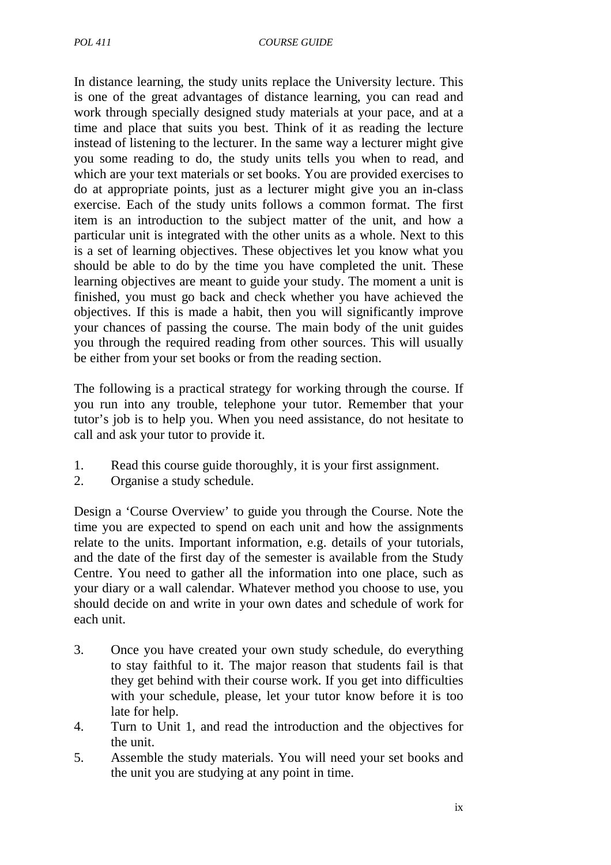In distance learning, the study units replace the University lecture. This is one of the great advantages of distance learning, you can read and work through specially designed study materials at your pace, and at a time and place that suits you best. Think of it as reading the lecture instead of listening to the lecturer. In the same way a lecturer might give you some reading to do, the study units tells you when to read, and which are your text materials or set books. You are provided exercises to do at appropriate points, just as a lecturer might give you an in-class exercise. Each of the study units follows a common format. The first item is an introduction to the subject matter of the unit, and how a particular unit is integrated with the other units as a whole. Next to this is a set of learning objectives. These objectives let you know what you should be able to do by the time you have completed the unit. These learning objectives are meant to guide your study. The moment a unit is finished, you must go back and check whether you have achieved the objectives. If this is made a habit, then you will significantly improve your chances of passing the course. The main body of the unit guides you through the required reading from other sources. This will usually be either from your set books or from the reading section.

The following is a practical strategy for working through the course. If you run into any trouble, telephone your tutor. Remember that your tutor's job is to help you. When you need assistance, do not hesitate to call and ask your tutor to provide it.

- 1. Read this course guide thoroughly, it is your first assignment.
- 2. Organise a study schedule.

Design a 'Course Overview' to guide you through the Course. Note the time you are expected to spend on each unit and how the assignments relate to the units. Important information, e.g. details of your tutorials, and the date of the first day of the semester is available from the Study Centre. You need to gather all the information into one place, such as your diary or a wall calendar. Whatever method you choose to use, you should decide on and write in your own dates and schedule of work for each unit.

- 3. Once you have created your own study schedule, do everything to stay faithful to it. The major reason that students fail is that they get behind with their course work. If you get into difficulties with your schedule, please, let your tutor know before it is too late for help.
- 4. Turn to Unit 1, and read the introduction and the objectives for the unit.
- 5. Assemble the study materials. You will need your set books and the unit you are studying at any point in time.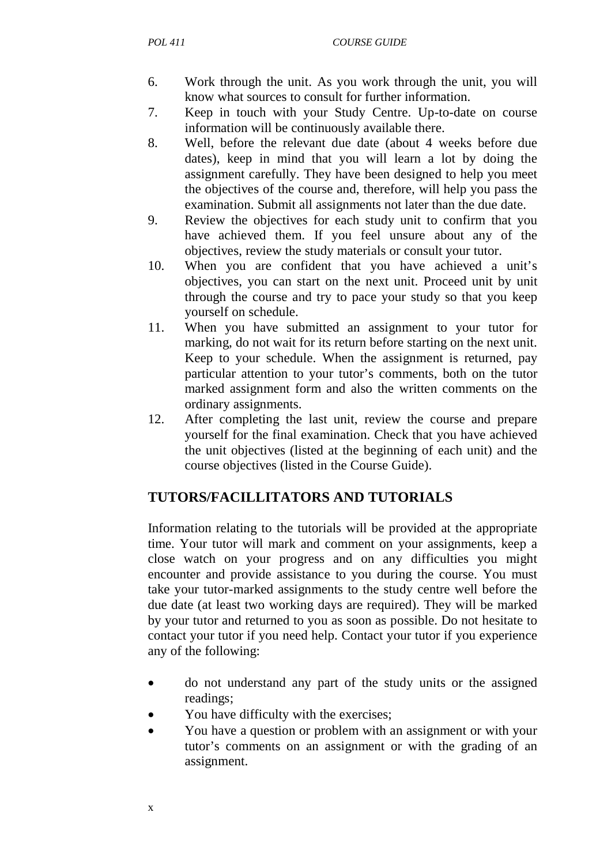- 6. Work through the unit. As you work through the unit, you will know what sources to consult for further information.
- 7. Keep in touch with your Study Centre. Up-to-date on course information will be continuously available there.
- 8. Well, before the relevant due date (about 4 weeks before due dates), keep in mind that you will learn a lot by doing the assignment carefully. They have been designed to help you meet the objectives of the course and, therefore, will help you pass the examination. Submit all assignments not later than the due date.
- 9. Review the objectives for each study unit to confirm that you have achieved them. If you feel unsure about any of the objectives, review the study materials or consult your tutor.
- 10. When you are confident that you have achieved a unit's objectives, you can start on the next unit. Proceed unit by unit through the course and try to pace your study so that you keep yourself on schedule.
- 11. When you have submitted an assignment to your tutor for marking, do not wait for its return before starting on the next unit. Keep to your schedule. When the assignment is returned, pay particular attention to your tutor's comments, both on the tutor marked assignment form and also the written comments on the ordinary assignments.
- 12. After completing the last unit, review the course and prepare yourself for the final examination. Check that you have achieved the unit objectives (listed at the beginning of each unit) and the course objectives (listed in the Course Guide).

### **TUTORS/FACILLITATORS AND TUTORIALS**

Information relating to the tutorials will be provided at the appropriate time. Your tutor will mark and comment on your assignments, keep a close watch on your progress and on any difficulties you might encounter and provide assistance to you during the course. You must take your tutor-marked assignments to the study centre well before the due date (at least two working days are required). They will be marked by your tutor and returned to you as soon as possible. Do not hesitate to contact your tutor if you need help. Contact your tutor if you experience any of the following:

- do not understand any part of the study units or the assigned readings;
- You have difficulty with the exercises;
- You have a question or problem with an assignment or with your tutor's comments on an assignment or with the grading of an assignment.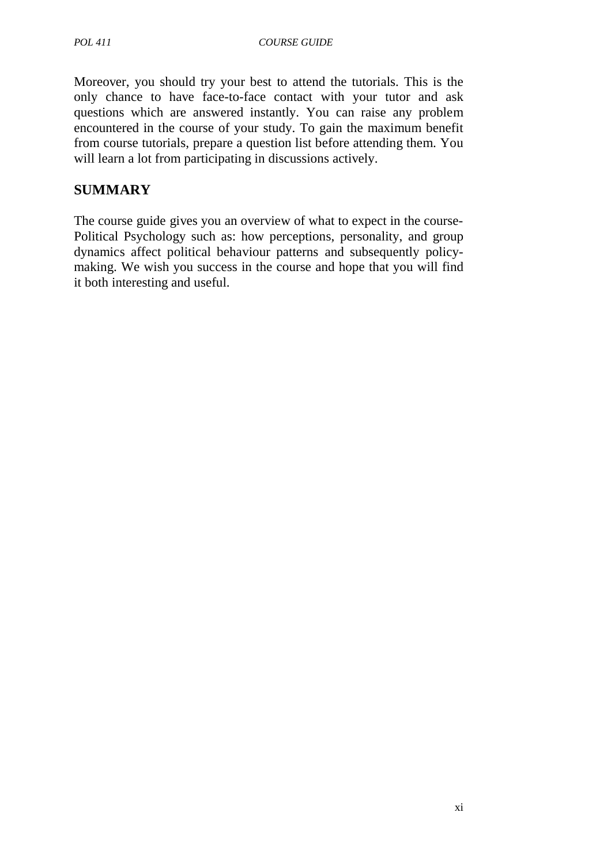Moreover, you should try your best to attend the tutorials. This is the only chance to have face-to-face contact with your tutor and ask questions which are answered instantly. You can raise any problem encountered in the course of your study. To gain the maximum benefit from course tutorials, prepare a question list before attending them. You will learn a lot from participating in discussions actively.

## **SUMMARY**

The course guide gives you an overview of what to expect in the course-Political Psychology such as: how perceptions, personality, and group dynamics affect political behaviour patterns and subsequently policymaking. We wish you success in the course and hope that you will find it both interesting and useful.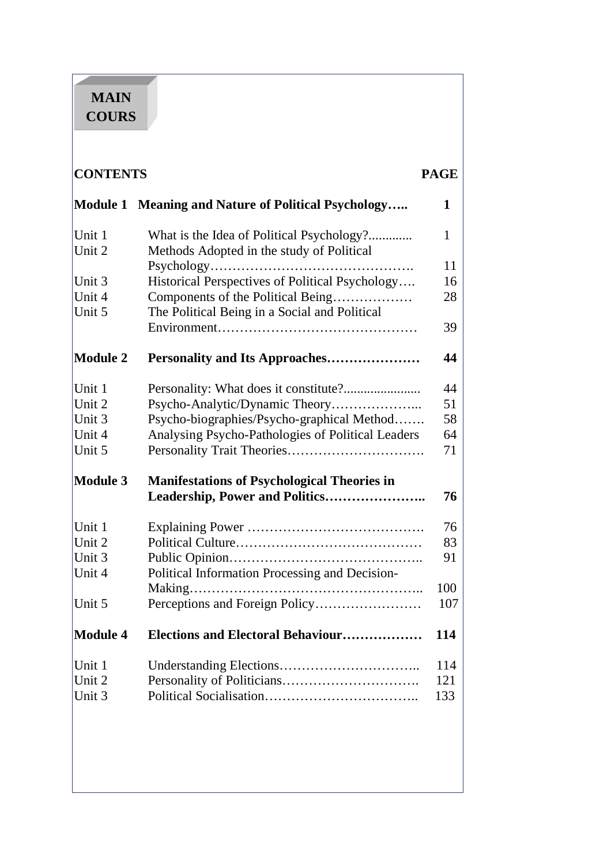# **MAIN COURS**

|                                                                   |                                                                                        | <b>PAGE</b> |
|-------------------------------------------------------------------|----------------------------------------------------------------------------------------|-------------|
| <b>Module 1</b>                                                   | <b>Meaning and Nature of Political Psychology</b>                                      | 1           |
| Unit 1<br>Unit 2                                                  | What is the Idea of Political Psychology?<br>Methods Adopted in the study of Political | 1           |
|                                                                   |                                                                                        | 11          |
| Unit 3                                                            | Historical Perspectives of Political Psychology                                        | 16          |
| Unit 4                                                            | Components of the Political Being                                                      | 28          |
| Unit 5                                                            | The Political Being in a Social and Political                                          |             |
|                                                                   |                                                                                        | 39          |
| <b>Module 2</b>                                                   |                                                                                        | 44          |
| Unit 1                                                            |                                                                                        | 44          |
| Unit 2                                                            | Psycho-Analytic/Dynamic Theory                                                         | 51          |
| Unit 3                                                            | Psycho-biographies/Psycho-graphical Method                                             | 58          |
| Unit 4                                                            | Analysing Psycho-Pathologies of Political Leaders                                      | 64          |
| Unit 5                                                            |                                                                                        | 71          |
| <b>Module 3</b>                                                   | <b>Manifestations of Psychological Theories in</b>                                     | 76          |
| Unit 1                                                            |                                                                                        | 76          |
|                                                                   |                                                                                        | 83          |
|                                                                   |                                                                                        | 91          |
|                                                                   |                                                                                        |             |
|                                                                   |                                                                                        | 100         |
| Unit 5                                                            | Perceptions and Foreign Policy                                                         | 107         |
|                                                                   | <b>Elections and Electoral Behaviour</b>                                               | 114         |
|                                                                   |                                                                                        | 114         |
|                                                                   |                                                                                        | 121         |
| Unit 3                                                            |                                                                                        | 133         |
| Unit 2<br>Unit 3<br>Unit 4<br><b>Module 4</b><br>Unit 1<br>Unit 2 | Political Information Processing and Decision-                                         |             |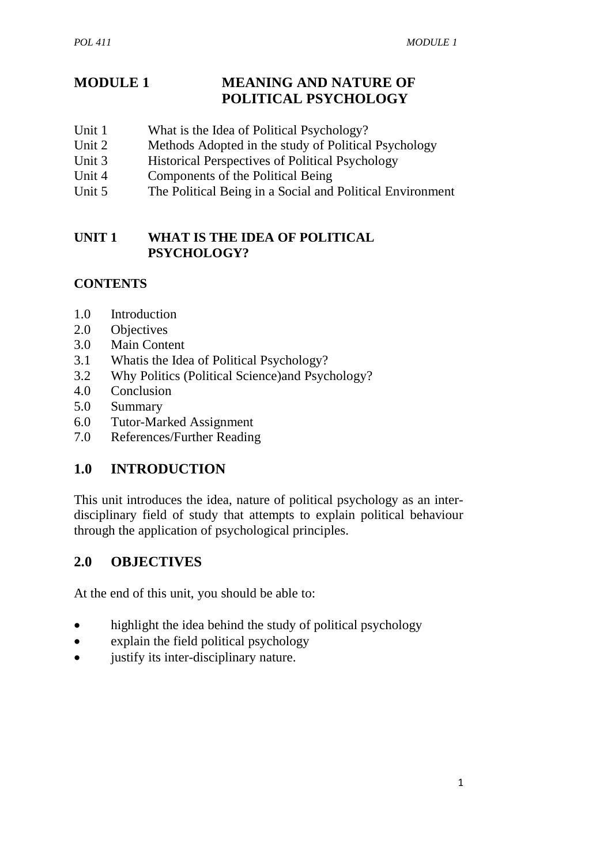## **MODULE 1 MEANING AND NATURE OF POLITICAL PSYCHOLOGY**

- Unit 1 What is the Idea of Political Psychology?
- Unit 2 Methods Adopted in the study of Political Psychology
- Unit 3 Historical Perspectives of Political Psychology
- Unit 4 Components of the Political Being
- Unit 5 The Political Being in a Social and Political Environment

#### **UNIT 1 WHAT IS THE IDEA OF POLITICAL PSYCHOLOGY?**

## **CONTENTS**

- 1.0 Introduction
- 2.0 Objectives
- 3.0 Main Content
- 3.1 Whatis the Idea of Political Psychology?
- 3.2 Why Politics (Political Science)and Psychology?
- 4.0 Conclusion
- 5.0 Summary
- 6.0 Tutor-Marked Assignment
- 7.0 References/Further Reading

## **1.0 INTRODUCTION**

This unit introduces the idea, nature of political psychology as an interdisciplinary field of study that attempts to explain political behaviour through the application of psychological principles.

## **2.0 OBJECTIVES**

At the end of this unit, you should be able to:

- highlight the idea behind the study of political psychology
- explain the field political psychology
- justify its inter-disciplinary nature.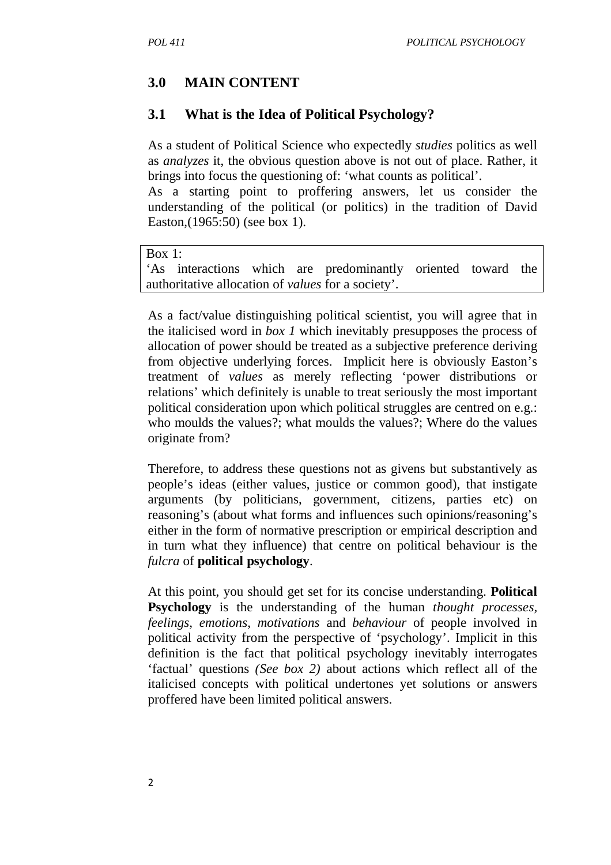## **3.0 MAIN CONTENT**

### **3.1 What is the Idea of Political Psychology?**

As a student of Political Science who expectedly *studies* politics as well as *analyzes* it, the obvious question above is not out of place. Rather, it brings into focus the questioning of: 'what counts as political'.

As a starting point to proffering answers, let us consider the understanding of the political (or politics) in the tradition of David Easton,(1965:50) (see box 1).

```
Box 1:
```
'As interactions which are predominantly oriented toward the authoritative allocation of *values* for a society'.

As a fact/value distinguishing political scientist, you will agree that in the italicised word in *box 1* which inevitably presupposes the process of allocation of power should be treated as a subjective preference deriving from objective underlying forces. Implicit here is obviously Easton's treatment of *values* as merely reflecting 'power distributions or relations' which definitely is unable to treat seriously the most important political consideration upon which political struggles are centred on e.g.: who moulds the values?; what moulds the values?; Where do the values originate from?

Therefore, to address these questions not as givens but substantively as people's ideas (either values, justice or common good), that instigate arguments (by politicians, government, citizens, parties etc) on reasoning's (about what forms and influences such opinions/reasoning's either in the form of normative prescription or empirical description and in turn what they influence) that centre on political behaviour is the *fulcra* of **political psychology**.

At this point, you should get set for its concise understanding. **Political Psychology** is the understanding of the human *thought processes, feelings, emotions*, *motivations* and *behaviour* of people involved in political activity from the perspective of 'psychology'. Implicit in this definition is the fact that political psychology inevitably interrogates 'factual' questions *(See box 2)* about actions which reflect all of the italicised concepts with political undertones yet solutions or answers proffered have been limited political answers.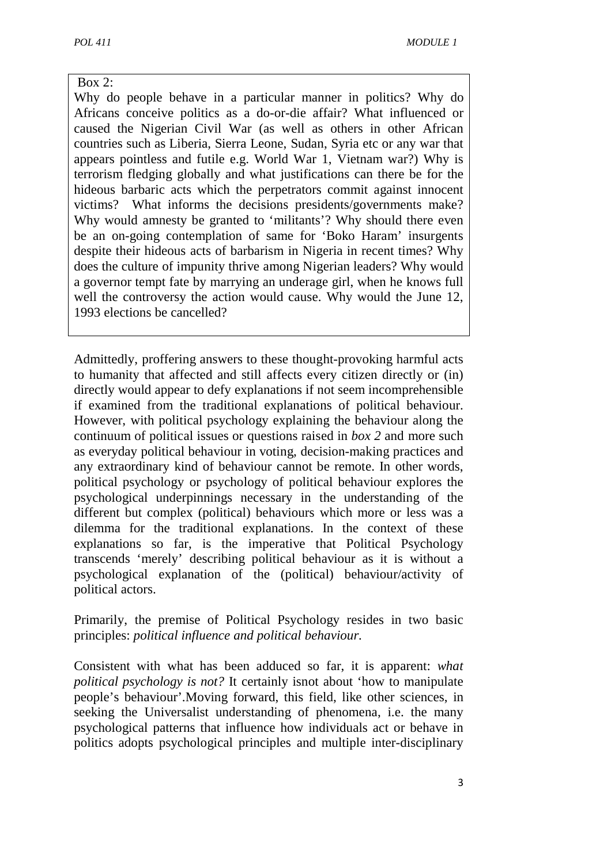#### Box 2:

Why do people behave in a particular manner in politics? Why do Africans conceive politics as a do-or-die affair? What influenced or caused the Nigerian Civil War (as well as others in other African countries such as Liberia, Sierra Leone, Sudan, Syria etc or any war that appears pointless and futile e.g. World War 1, Vietnam war?) Why is terrorism fledging globally and what justifications can there be for the hideous barbaric acts which the perpetrators commit against innocent victims? What informs the decisions presidents/governments make? Why would amnesty be granted to 'militants'? Why should there even be an on-going contemplation of same for 'Boko Haram' insurgents despite their hideous acts of barbarism in Nigeria in recent times? Why does the culture of impunity thrive among Nigerian leaders? Why would a governor tempt fate by marrying an underage girl, when he knows full well the controversy the action would cause. Why would the June 12, 1993 elections be cancelled?

Admittedly, proffering answers to these thought-provoking harmful acts to humanity that affected and still affects every citizen directly or (in) directly would appear to defy explanations if not seem incomprehensible if examined from the traditional explanations of political behaviour. However, with political psychology explaining the behaviour along the continuum of political issues or questions raised in *box 2* and more such as everyday political behaviour in voting, decision-making practices and any extraordinary kind of behaviour cannot be remote. In other words, political psychology or psychology of political behaviour explores the psychological underpinnings necessary in the understanding of the different but complex (political) behaviours which more or less was a dilemma for the traditional explanations. In the context of these explanations so far, is the imperative that Political Psychology transcends 'merely' describing political behaviour as it is without a psychological explanation of the (political) behaviour/activity of political actors.

Primarily, the premise of Political Psychology resides in two basic principles: *political influence and political behaviour.*

Consistent with what has been adduced so far, it is apparent: *what political psychology is not?* It certainly isnot about 'how to manipulate people's behaviour'.Moving forward, this field, like other sciences, in seeking the Universalist understanding of phenomena, i.e. the many psychological patterns that influence how individuals act or behave in politics adopts psychological principles and multiple inter-disciplinary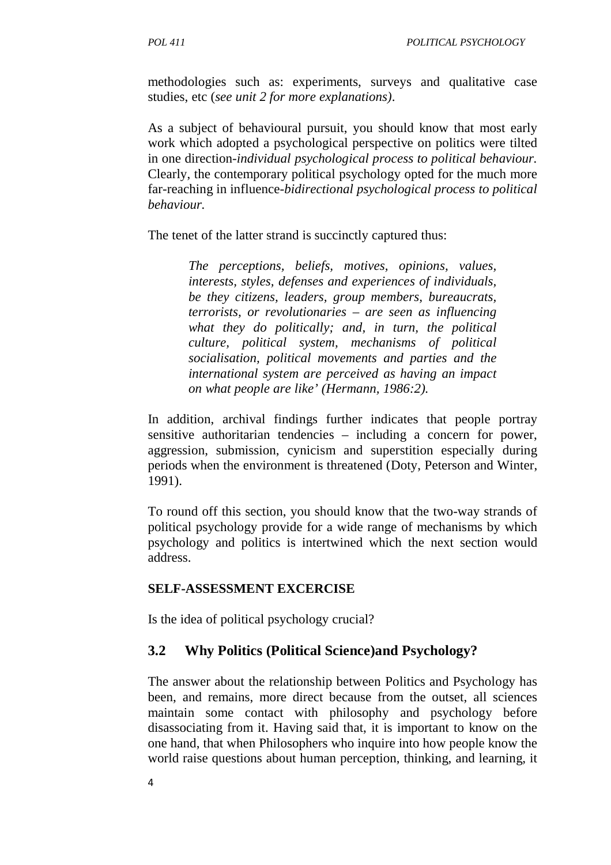methodologies such as: experiments, surveys and qualitative case studies, etc (*see unit 2 for more explanations)*.

As a subject of behavioural pursuit, you should know that most early work which adopted a psychological perspective on politics were tilted in one direction-*individual psychological process to political behaviour.*  Clearly, the contemporary political psychology opted for the much more far-reaching in influence-*bidirectional psychological process to political behaviour.*

The tenet of the latter strand is succinctly captured thus:

*The perceptions, beliefs, motives, opinions, values, interests, styles, defenses and experiences of individuals, be they citizens, leaders, group members, bureaucrats, terrorists, or revolutionaries – are seen as influencing what they do politically; and, in turn, the political culture, political system, mechanisms of political socialisation, political movements and parties and the international system are perceived as having an impact on what people are like' (Hermann, 1986:2).* 

In addition, archival findings further indicates that people portray sensitive authoritarian tendencies – including a concern for power, aggression, submission, cynicism and superstition especially during periods when the environment is threatened (Doty, Peterson and Winter, 1991).

To round off this section, you should know that the two-way strands of political psychology provide for a wide range of mechanisms by which psychology and politics is intertwined which the next section would address.

#### **SELF-ASSESSMENT EXCERCISE**

Is the idea of political psychology crucial?

#### **3.2 Why Politics (Political Science)and Psychology?**

The answer about the relationship between Politics and Psychology has been, and remains, more direct because from the outset, all sciences maintain some contact with philosophy and psychology before disassociating from it. Having said that, it is important to know on the one hand, that when Philosophers who inquire into how people know the world raise questions about human perception, thinking, and learning, it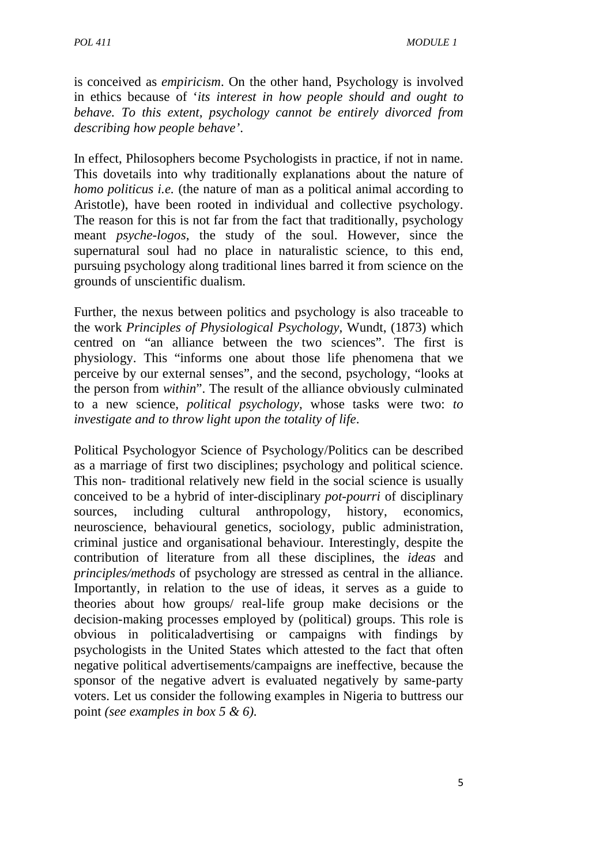is conceived as *empiricism*. On the other hand, Psychology is involved in ethics because of '*its interest in how people should and ought to behave. To this extent, psychology cannot be entirely divorced from describing how people behave'*.

In effect, Philosophers become Psychologists in practice, if not in name. This dovetails into why traditionally explanations about the nature of *homo politicus i.e.* (the nature of man as a political animal according to Aristotle), have been rooted in individual and collective psychology. The reason for this is not far from the fact that traditionally, psychology meant *psyche-logos*, the study of the soul. However, since the supernatural soul had no place in naturalistic science, to this end, pursuing psychology along traditional lines barred it from science on the grounds of unscientific dualism.

Further, the nexus between politics and psychology is also traceable to the work *Principles of Physiological Psychology,* Wundt, (1873) which centred on "an alliance between the two sciences". The first is physiology. This "informs one about those life phenomena that we perceive by our external senses", and the second, psychology, "looks at the person from *within*". The result of the alliance obviously culminated to a new science, *political psychology*, whose tasks were two: *to investigate and to throw light upon the totality of life*.

Political Psychologyor Science of Psychology/Politics can be described as a marriage of first two disciplines; psychology and political science. This non- traditional relatively new field in the social science is usually conceived to be a hybrid of inter-disciplinary *pot-pourri* of disciplinary sources, including cultural anthropology, history, economics, neuroscience, behavioural genetics, sociology, public administration, criminal justice and organisational behaviour. Interestingly, despite the contribution of literature from all these disciplines, the *ideas* and *principles/methods* of psychology are stressed as central in the alliance. Importantly, in relation to the use of ideas, it serves as a guide to theories about how groups/ real-life group make decisions or the decision-making processes employed by (political) groups. This role is obvious in politicaladvertising or campaigns with findings by psychologists in the United States which attested to the fact that often negative political advertisements/campaigns are ineffective, because the sponsor of the negative advert is evaluated negatively by same-party voters. Let us consider the following examples in Nigeria to buttress our point *(see examples in box 5 & 6).*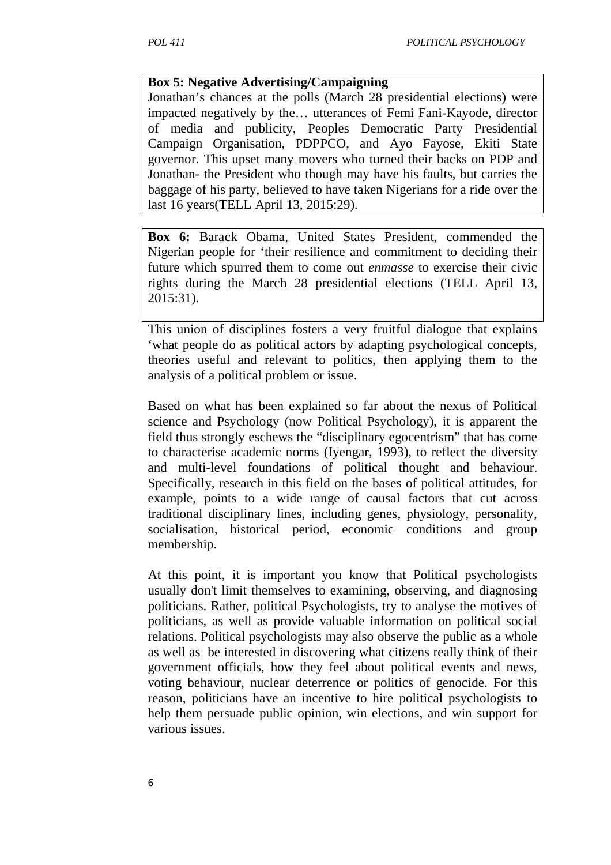#### **Box 5: Negative Advertising/Campaigning**

Jonathan's chances at the polls (March 28 presidential elections) were impacted negatively by the… utterances of Femi Fani-Kayode, director of media and publicity, Peoples Democratic Party Presidential Campaign Organisation, PDPPCO, and Ayo Fayose, Ekiti State governor. This upset many movers who turned their backs on PDP and Jonathan- the President who though may have his faults, but carries the baggage of his party, believed to have taken Nigerians for a ride over the last 16 years(TELL April 13, 2015:29).

**Box 6:** Barack Obama, United States President, commended the Nigerian people for 'their resilience and commitment to deciding their future which spurred them to come out *enmasse* to exercise their civic rights during the March 28 presidential elections (TELL April 13, 2015:31).

This union of disciplines fosters a very fruitful dialogue that explains 'what people do as political actors by adapting psychological concepts, theories useful and relevant to politics, then applying them to the analysis of a political problem or issue.

Based on what has been explained so far about the nexus of Political science and Psychology (now Political Psychology), it is apparent the field thus strongly eschews the "disciplinary egocentrism" that has come to characterise academic norms (Iyengar, 1993), to reflect the diversity and multi-level foundations of political thought and behaviour. Specifically, research in this field on the bases of political attitudes, for example, points to a wide range of causal factors that cut across traditional disciplinary lines, including genes, physiology, personality, socialisation, historical period, economic conditions and group membership.

At this point, it is important you know that Political psychologists usually don't limit themselves to examining, observing, and diagnosing politicians. Rather, political Psychologists, try to analyse the motives of politicians, as well as provide valuable information on political social relations. Political psychologists may also observe the public as a whole as well as be interested in discovering what citizens really think of their government officials, how they feel about political events and news, voting behaviour, nuclear deterrence or politics of genocide. For this reason, politicians have an incentive to hire political psychologists to help them persuade public opinion, win elections, and win support for various issues.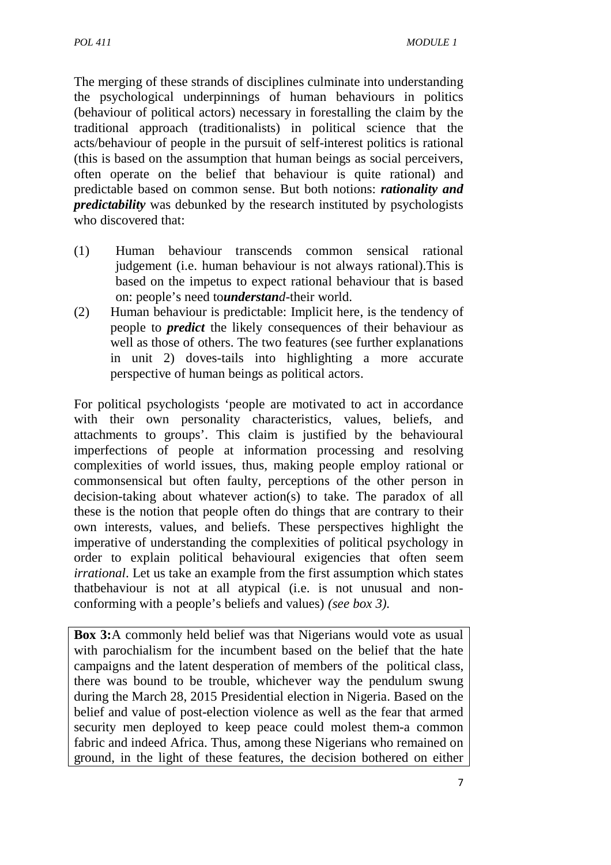The merging of these strands of disciplines culminate into understanding the psychological underpinnings of human behaviours in politics (behaviour of political actors) necessary in forestalling the claim by the traditional approach (traditionalists) in political science that the acts/behaviour of people in the pursuit of self-interest politics is rational (this is based on the assumption that human beings as social perceivers, often operate on the belief that behaviour is quite rational) and predictable based on common sense. But both notions: *rationality and predictability* was debunked by the research instituted by psychologists who discovered that:

- (1) Human behaviour transcends common sensical rational judgement (i.e. human behaviour is not always rational).This is based on the impetus to expect rational behaviour that is based on: people's need to*understand*-their world.
- (2) Human behaviour is predictable: Implicit here, is the tendency of people to *predict* the likely consequences of their behaviour as well as those of others. The two features (see further explanations in unit 2) doves-tails into highlighting a more accurate perspective of human beings as political actors.

For political psychologists 'people are motivated to act in accordance with their own personality characteristics, values, beliefs, and attachments to groups'. This claim is justified by the behavioural imperfections of people at information processing and resolving complexities of world issues, thus, making people employ rational or commonsensical but often faulty, perceptions of the other person in decision-taking about whatever action(s) to take. The paradox of all these is the notion that people often do things that are contrary to their own interests, values, and beliefs. These perspectives highlight the imperative of understanding the complexities of political psychology in order to explain political behavioural exigencies that often seem *irrational*. Let us take an example from the first assumption which states thatbehaviour is not at all atypical (i.e. is not unusual and nonconforming with a people's beliefs and values) *(see box 3).* 

**Box 3:**A commonly held belief was that Nigerians would vote as usual with parochialism for the incumbent based on the belief that the hate campaigns and the latent desperation of members of the political class, there was bound to be trouble, whichever way the pendulum swung during the March 28, 2015 Presidential election in Nigeria. Based on the belief and value of post-election violence as well as the fear that armed security men deployed to keep peace could molest them-a common fabric and indeed Africa. Thus, among these Nigerians who remained on ground, in the light of these features, the decision bothered on either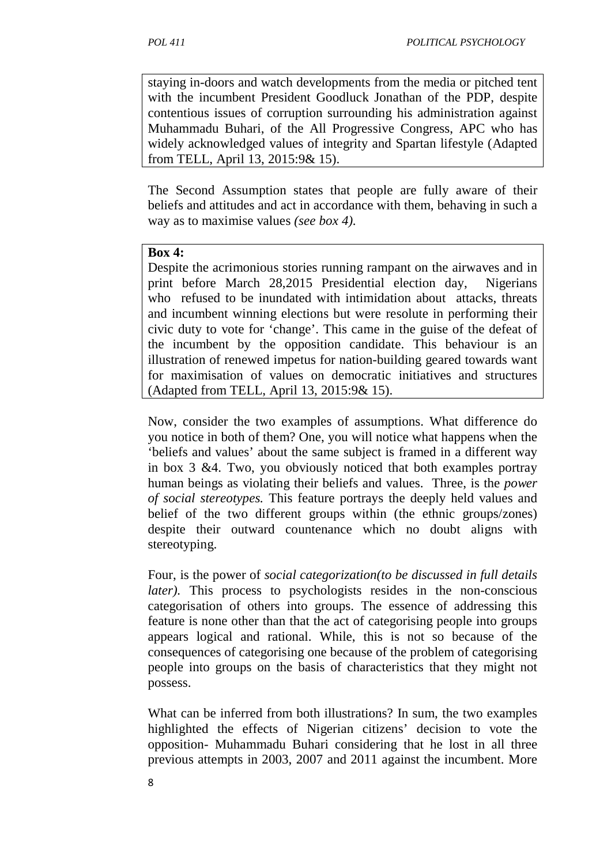staying in-doors and watch developments from the media or pitched tent with the incumbent President Goodluck Jonathan of the PDP, despite contentious issues of corruption surrounding his administration against Muhammadu Buhari, of the All Progressive Congress, APC who has widely acknowledged values of integrity and Spartan lifestyle (Adapted from TELL, April 13, 2015:9& 15).

The Second Assumption states that people are fully aware of their beliefs and attitudes and act in accordance with them, behaving in such a way as to maximise values *(see box 4).*

#### **Box 4:**

Despite the acrimonious stories running rampant on the airwaves and in print before March 28,2015 Presidential election day, Nigerians who refused to be inundated with intimidation about attacks, threats and incumbent winning elections but were resolute in performing their civic duty to vote for 'change'. This came in the guise of the defeat of the incumbent by the opposition candidate. This behaviour is an illustration of renewed impetus for nation-building geared towards want for maximisation of values on democratic initiatives and structures (Adapted from TELL, April 13, 2015:9& 15).

Now, consider the two examples of assumptions. What difference do you notice in both of them? One, you will notice what happens when the 'beliefs and values' about the same subject is framed in a different way in box 3 &4. Two, you obviously noticed that both examples portray human beings as violating their beliefs and values. Three, is the *power of social stereotypes.* This feature portrays the deeply held values and belief of the two different groups within (the ethnic groups/zones) despite their outward countenance which no doubt aligns with stereotyping.

Four, is the power of *social categorization(to be discussed in full details later*). This process to psychologists resides in the non-conscious categorisation of others into groups. The essence of addressing this feature is none other than that the act of categorising people into groups appears logical and rational. While, this is not so because of the consequences of categorising one because of the problem of categorising people into groups on the basis of characteristics that they might not possess.

What can be inferred from both illustrations? In sum, the two examples highlighted the effects of Nigerian citizens' decision to vote the opposition- Muhammadu Buhari considering that he lost in all three previous attempts in 2003, 2007 and 2011 against the incumbent. More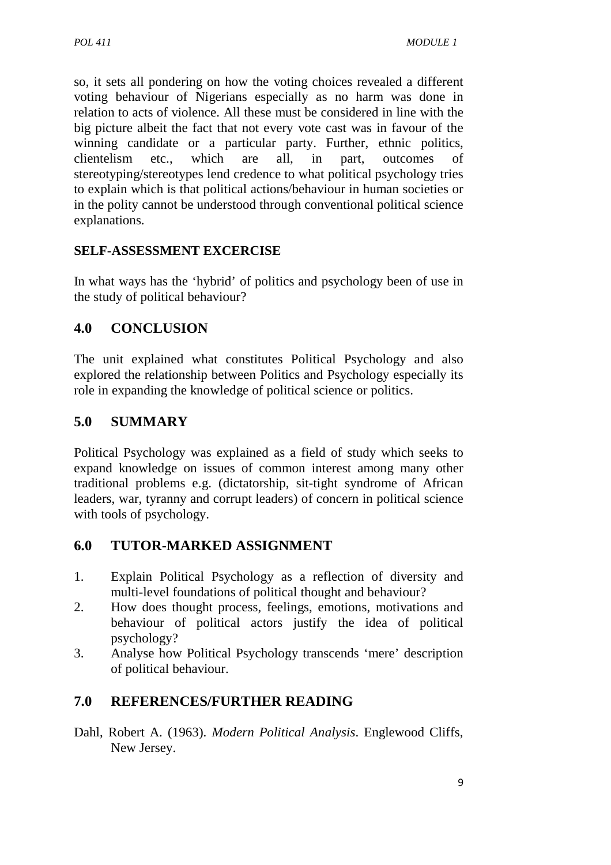so, it sets all pondering on how the voting choices revealed a different voting behaviour of Nigerians especially as no harm was done in relation to acts of violence. All these must be considered in line with the big picture albeit the fact that not every vote cast was in favour of the winning candidate or a particular party. Further, ethnic politics, clientelism etc., which are all, in part, outcomes of stereotyping/stereotypes lend credence to what political psychology tries to explain which is that political actions/behaviour in human societies or in the polity cannot be understood through conventional political science explanations.

#### **SELF-ASSESSMENT EXCERCISE**

In what ways has the 'hybrid' of politics and psychology been of use in the study of political behaviour?

## **4.0 CONCLUSION**

The unit explained what constitutes Political Psychology and also explored the relationship between Politics and Psychology especially its role in expanding the knowledge of political science or politics.

## **5.0 SUMMARY**

Political Psychology was explained as a field of study which seeks to expand knowledge on issues of common interest among many other traditional problems e.g. (dictatorship, sit-tight syndrome of African leaders, war, tyranny and corrupt leaders) of concern in political science with tools of psychology.

### **6.0 TUTOR-MARKED ASSIGNMENT**

- 1. Explain Political Psychology as a reflection of diversity and multi-level foundations of political thought and behaviour?
- 2. How does thought process, feelings, emotions, motivations and behaviour of political actors justify the idea of political psychology?
- 3. Analyse how Political Psychology transcends 'mere' description of political behaviour.

## **7.0 REFERENCES/FURTHER READING**

Dahl, Robert A. (1963). *Modern Political Analysis*. Englewood Cliffs, New Jersey.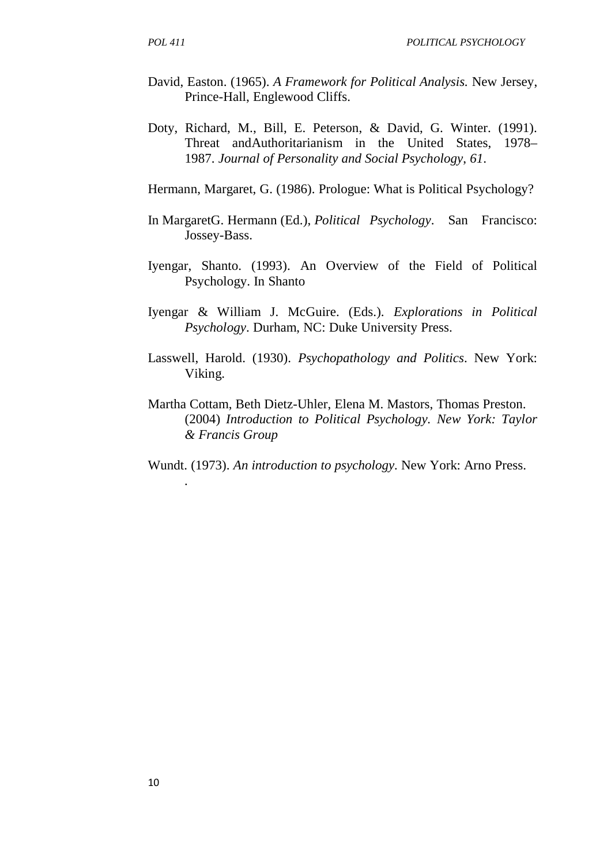- David, Easton. (1965). *A Framework for Political Analysis.* New Jersey, Prince-Hall, Englewood Cliffs.
- Doty, Richard, M., Bill, E. Peterson, & David, G. Winter. (1991). Threat andAuthoritarianism in the United States, 1978– 1987. *Journal of Personality and Social Psychology*, *61*.

Hermann, Margaret, G. (1986). Prologue: What is Political Psychology?

- In MargaretG. Hermann (Ed.), *Political Psychology*. San Francisco: Jossey-Bass.
- Iyengar, Shanto. (1993). An Overview of the Field of Political Psychology. In Shanto
- Iyengar & William J. McGuire. (Eds.). *Explorations in Political Psychology*. Durham, NC: Duke University Press.
- Lasswell, Harold. (1930). *Psychopathology and Politics*. New York: Viking.
- Martha Cottam, Beth Dietz-Uhler, Elena M. Mastors, Thomas Preston. (2004) *Introduction to Political Psychology. New York: Taylor & Francis Group*
- Wundt. (1973). *An introduction to psychology.* New York: Arno Press.

*.*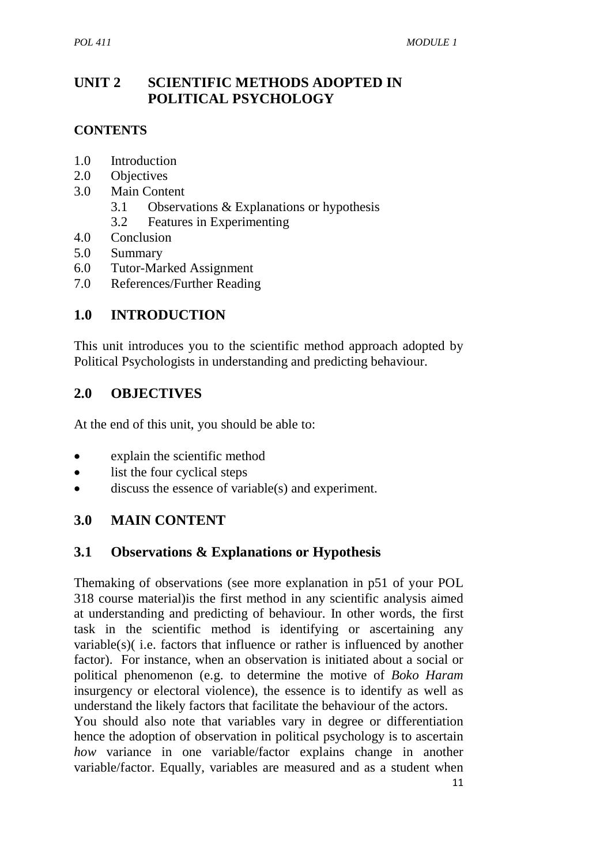## **UNIT 2 SCIENTIFIC METHODS ADOPTED IN POLITICAL PSYCHOLOGY**

### **CONTENTS**

- 1.0 Introduction
- 2.0 Objectives
- 3.0 Main Content
	- 3.1 Observations & Explanations or hypothesis
	- 3.2 Features in Experimenting
- 4.0 Conclusion
- 5.0 Summary
- 6.0 Tutor-Marked Assignment
- 7.0 References/Further Reading

## **1.0 INTRODUCTION**

This unit introduces you to the scientific method approach adopted by Political Psychologists in understanding and predicting behaviour.

## **2.0 OBJECTIVES**

At the end of this unit, you should be able to:

- explain the scientific method
- list the four cyclical steps
- discuss the essence of variable(s) and experiment.

## **3.0 MAIN CONTENT**

### **3.1 Observations & Explanations or Hypothesis**

Themaking of observations (see more explanation in p51 of your POL 318 course material)is the first method in any scientific analysis aimed at understanding and predicting of behaviour. In other words, the first task in the scientific method is identifying or ascertaining any variable(s)( i.e. factors that influence or rather is influenced by another factor). For instance, when an observation is initiated about a social or political phenomenon (e.g. to determine the motive of *Boko Haram* insurgency or electoral violence), the essence is to identify as well as understand the likely factors that facilitate the behaviour of the actors.

You should also note that variables vary in degree or differentiation hence the adoption of observation in political psychology is to ascertain *how* variance in one variable/factor explains change in another variable/factor. Equally, variables are measured and as a student when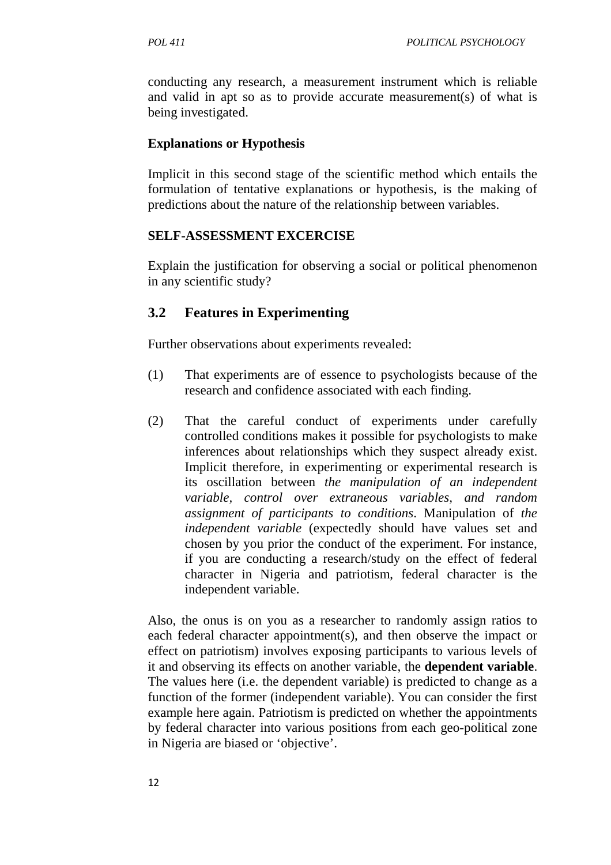conducting any research, a measurement instrument which is reliable and valid in apt so as to provide accurate measurement(s) of what is being investigated.

#### **Explanations or Hypothesis**

Implicit in this second stage of the scientific method which entails the formulation of tentative explanations or hypothesis, is the making of predictions about the nature of the relationship between variables.

#### **SELF-ASSESSMENT EXCERCISE**

Explain the justification for observing a social or political phenomenon in any scientific study?

## **3.2 Features in Experimenting**

Further observations about experiments revealed:

- (1) That experiments are of essence to psychologists because of the research and confidence associated with each finding.
- (2) That the careful conduct of experiments under carefully controlled conditions makes it possible for psychologists to make inferences about relationships which they suspect already exist. Implicit therefore, in experimenting or experimental research is its oscillation between *the manipulation of an independent variable, control over extraneous variables, and random assignment of participants to conditions*. Manipulation of *the independent variable* (expectedly should have values set and chosen by you prior the conduct of the experiment. For instance, if you are conducting a research/study on the effect of federal character in Nigeria and patriotism, federal character is the independent variable.

Also, the onus is on you as a researcher to randomly assign ratios to each federal character appointment(s), and then observe the impact or effect on patriotism) involves exposing participants to various levels of it and observing its effects on another variable, the **dependent variable**. The values here (i.e. the dependent variable) is predicted to change as a function of the former (independent variable). You can consider the first example here again. Patriotism is predicted on whether the appointments by federal character into various positions from each geo-political zone in Nigeria are biased or 'objective'.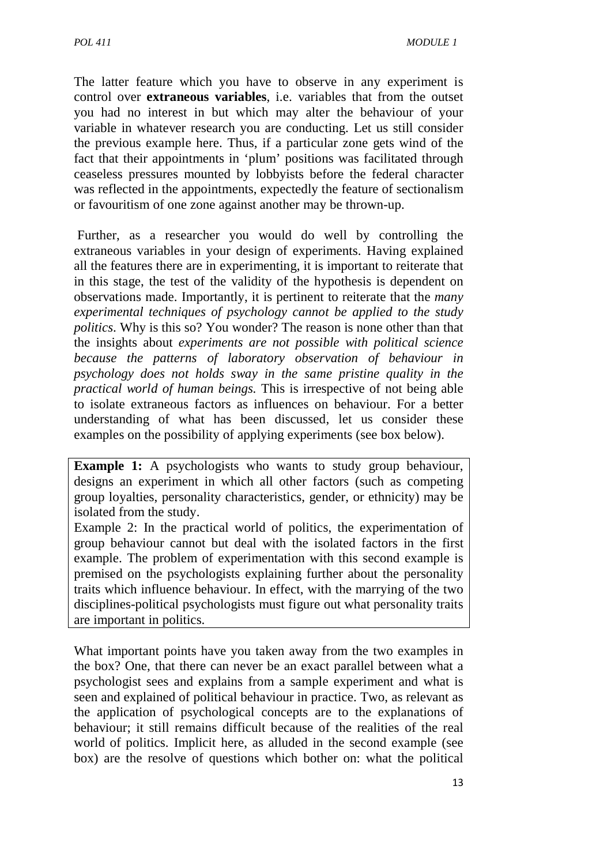The latter feature which you have to observe in any experiment is control over **extraneous variables**, i.e. variables that from the outset you had no interest in but which may alter the behaviour of your variable in whatever research you are conducting. Let us still consider the previous example here. Thus, if a particular zone gets wind of the fact that their appointments in 'plum' positions was facilitated through ceaseless pressures mounted by lobbyists before the federal character was reflected in the appointments, expectedly the feature of sectionalism or favouritism of one zone against another may be thrown-up.

 Further, as a researcher you would do well by controlling the extraneous variables in your design of experiments. Having explained all the features there are in experimenting, it is important to reiterate that in this stage, the test of the validity of the hypothesis is dependent on observations made. Importantly, it is pertinent to reiterate that the *many experimental techniques of psychology cannot be applied to the study politics*. Why is this so? You wonder? The reason is none other than that the insights about *experiments are not possible with political science because the patterns of laboratory observation of behaviour in psychology does not holds sway in the same pristine quality in the practical world of human beings.* This is irrespective of not being able to isolate extraneous factors as influences on behaviour. For a better understanding of what has been discussed, let us consider these examples on the possibility of applying experiments (see box below).

**Example 1:** A psychologists who wants to study group behaviour, designs an experiment in which all other factors (such as competing group loyalties, personality characteristics, gender, or ethnicity) may be isolated from the study.

Example 2: In the practical world of politics, the experimentation of group behaviour cannot but deal with the isolated factors in the first example. The problem of experimentation with this second example is premised on the psychologists explaining further about the personality traits which influence behaviour. In effect, with the marrying of the two disciplines-political psychologists must figure out what personality traits are important in politics.

What important points have you taken away from the two examples in the box? One, that there can never be an exact parallel between what a psychologist sees and explains from a sample experiment and what is seen and explained of political behaviour in practice. Two, as relevant as the application of psychological concepts are to the explanations of behaviour; it still remains difficult because of the realities of the real world of politics. Implicit here, as alluded in the second example (see box) are the resolve of questions which bother on: what the political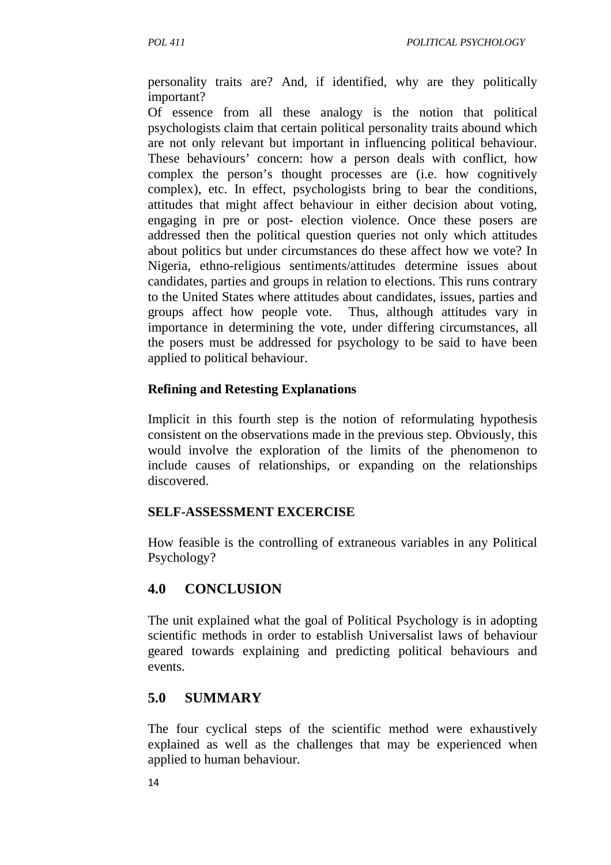personality traits are? And, if identified, why are they politically important?

Of essence from all these analogy is the notion that political psychologists claim that certain political personality traits abound which are not only relevant but important in influencing political behaviour. These behaviours' concern: how a person deals with conflict, how complex the person's thought processes are (i.e. how cognitively complex), etc. In effect, psychologists bring to bear the conditions, attitudes that might affect behaviour in either decision about voting, engaging in pre or post- election violence. Once these posers are addressed then the political question queries not only which attitudes about politics but under circumstances do these affect how we vote? In Nigeria, ethno-religious sentiments/attitudes determine issues about candidates, parties and groups in relation to elections. This runs contrary to the United States where attitudes about candidates, issues, parties and groups affect how people vote. Thus, although attitudes vary in importance in determining the vote, under differing circumstances, all the posers must be addressed for psychology to be said to have been applied to political behaviour.

#### **Refining and Retesting Explanations**

Implicit in this fourth step is the notion of reformulating hypothesis consistent on the observations made in the previous step. Obviously, this would involve the exploration of the limits of the phenomenon to include causes of relationships, or expanding on the relationships discovered.

#### **SELF-ASSESSMENT EXCERCISE**

How feasible is the controlling of extraneous variables in any Political Psychology?

## **4.0 CONCLUSION**

The unit explained what the goal of Political Psychology is in adopting scientific methods in order to establish Universalist laws of behaviour geared towards explaining and predicting political behaviours and events.

### **5.0 SUMMARY**

The four cyclical steps of the scientific method were exhaustively explained as well as the challenges that may be experienced when applied to human behaviour.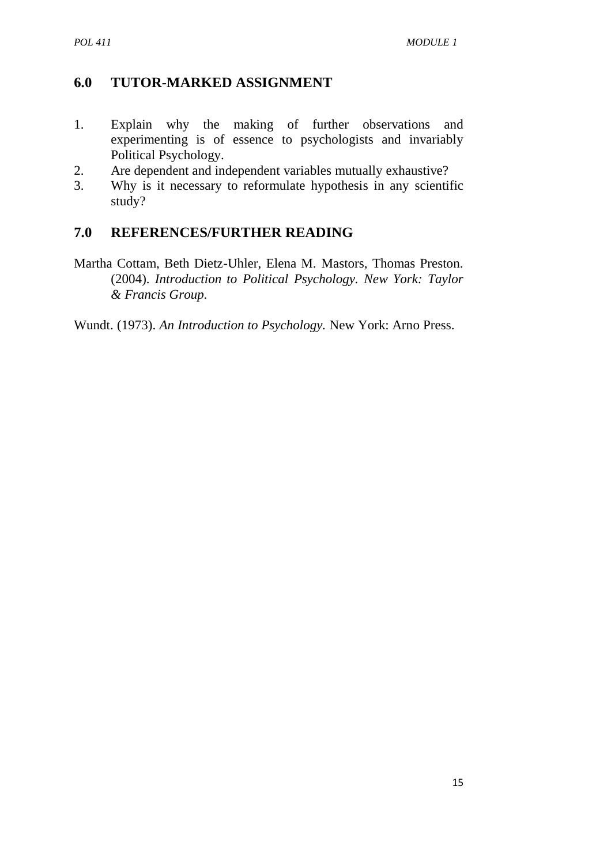## **6.0 TUTOR-MARKED ASSIGNMENT**

- 1. Explain why the making of further observations and experimenting is of essence to psychologists and invariably Political Psychology.
- 2. Are dependent and independent variables mutually exhaustive?
- 3. Why is it necessary to reformulate hypothesis in any scientific study?

### **7.0 REFERENCES/FURTHER READING**

Martha Cottam, Beth Dietz-Uhler, Elena M. Mastors, Thomas Preston. (2004). *Introduction to Political Psychology. New York: Taylor & Francis Group.*

Wundt. (1973). *An Introduction to Psychology.* New York: Arno Press.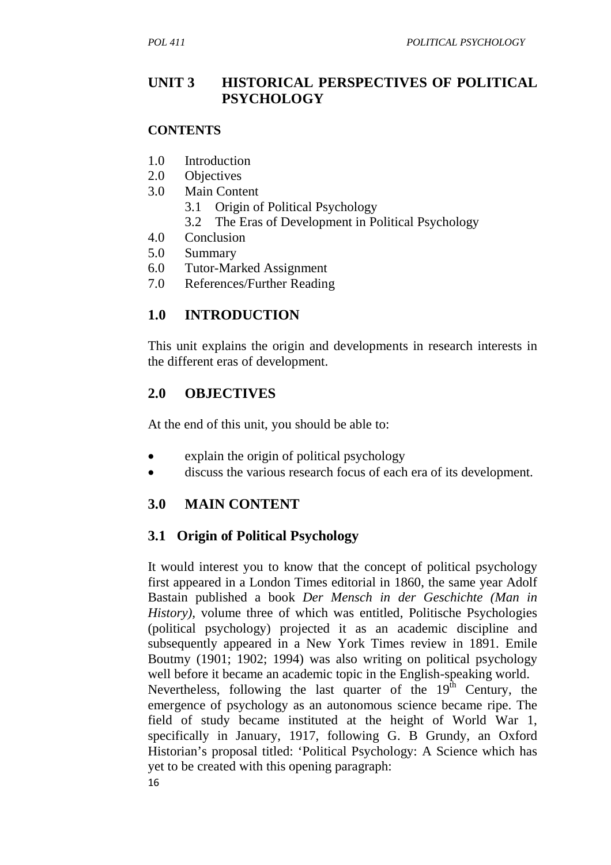## **UNIT 3 HISTORICAL PERSPECTIVES OF POLITICAL PSYCHOLOGY**

#### **CONTENTS**

- 1.0 Introduction
- 2.0 Objectives
- 3.0 Main Content
	- 3.1 Origin of Political Psychology
	- 3.2 The Eras of Development in Political Psychology
- 4.0 Conclusion
- 5.0 Summary
- 6.0 Tutor-Marked Assignment
- 7.0 References/Further Reading

## **1.0 INTRODUCTION**

This unit explains the origin and developments in research interests in the different eras of development.

## **2.0 OBJECTIVES**

At the end of this unit, you should be able to:

- explain the origin of political psychology
- discuss the various research focus of each era of its development.

### **3.0 MAIN CONTENT**

## **3.1 Origin of Political Psychology**

It would interest you to know that the concept of political psychology first appeared in a London Times editorial in 1860, the same year Adolf Bastain published a book *Der Mensch in der Geschichte (Man in History),* volume three of which was entitled, Politische Psychologies (political psychology) projected it as an academic discipline and subsequently appeared in a New York Times review in 1891. Emile Boutmy (1901; 1902; 1994) was also writing on political psychology well before it became an academic topic in the English-speaking world. Nevertheless, following the last quarter of the  $19^{th}$  Century, the emergence of psychology as an autonomous science became ripe. The field of study became instituted at the height of World War 1, specifically in January, 1917, following G. B Grundy, an Oxford Historian's proposal titled: 'Political Psychology: A Science which has yet to be created with this opening paragraph: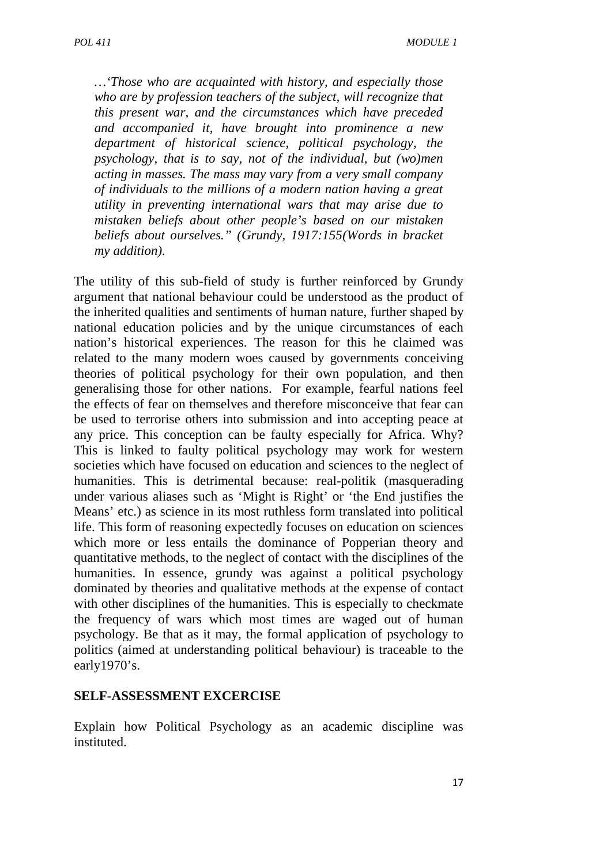*…'Those who are acquainted with history, and especially those who are by profession teachers of the subject, will recognize that this present war, and the circumstances which have preceded and accompanied it, have brought into prominence a new department of historical science, political psychology, the psychology, that is to say, not of the individual, but (wo)men acting in masses. The mass may vary from a very small company of individuals to the millions of a modern nation having a great utility in preventing international wars that may arise due to mistaken beliefs about other people's based on our mistaken beliefs about ourselves." (Grundy, 1917:155(Words in bracket my addition).* 

The utility of this sub-field of study is further reinforced by Grundy argument that national behaviour could be understood as the product of the inherited qualities and sentiments of human nature, further shaped by national education policies and by the unique circumstances of each nation's historical experiences. The reason for this he claimed was related to the many modern woes caused by governments conceiving theories of political psychology for their own population, and then generalising those for other nations. For example, fearful nations feel the effects of fear on themselves and therefore misconceive that fear can be used to terrorise others into submission and into accepting peace at any price. This conception can be faulty especially for Africa. Why? This is linked to faulty political psychology may work for western societies which have focused on education and sciences to the neglect of humanities. This is detrimental because: real-politik (masquerading under various aliases such as 'Might is Right' or 'the End justifies the Means' etc.) as science in its most ruthless form translated into political life. This form of reasoning expectedly focuses on education on sciences which more or less entails the dominance of Popperian theory and quantitative methods, to the neglect of contact with the disciplines of the humanities. In essence, grundy was against a political psychology dominated by theories and qualitative methods at the expense of contact with other disciplines of the humanities. This is especially to checkmate the frequency of wars which most times are waged out of human psychology. Be that as it may, the formal application of psychology to politics (aimed at understanding political behaviour) is traceable to the early1970's.

#### **SELF-ASSESSMENT EXCERCISE**

Explain how Political Psychology as an academic discipline was instituted.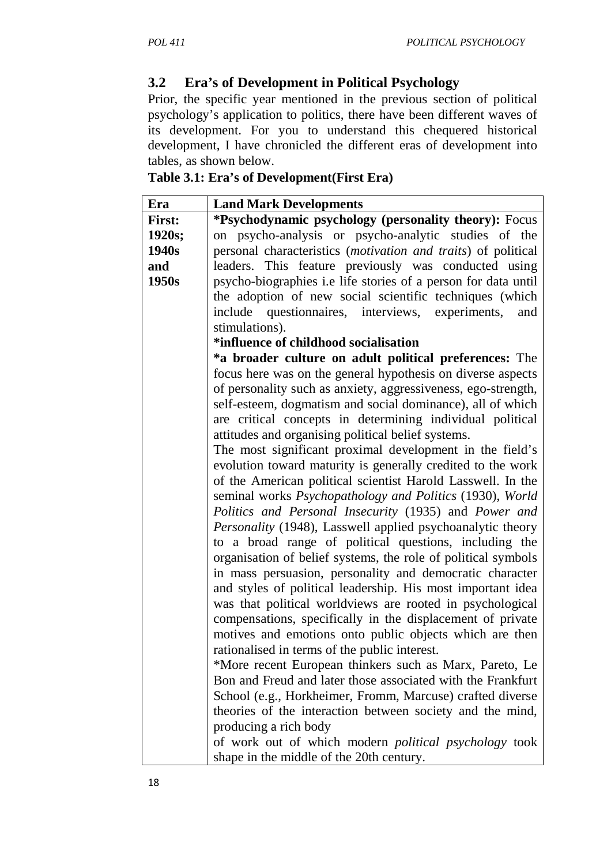## **3.2 Era's of Development in Political Psychology**

Prior, the specific year mentioned in the previous section of political psychology's application to politics, there have been different waves of its development. For you to understand this chequered historical development, I have chronicled the different eras of development into tables, as shown below.

| Table 3.1: Era's of Development(First Era) |  |
|--------------------------------------------|--|
|--------------------------------------------|--|

| Era           | <b>Land Mark Developments</b>                                  |  |
|---------------|----------------------------------------------------------------|--|
| <b>First:</b> | *Psychodynamic psychology (personality theory): Focus          |  |
| 1920s;        | on psycho-analysis or psycho-analytic studies of the           |  |
| 1940s         | personal characteristics (motivation and traits) of political  |  |
| and           | leaders. This feature previously was conducted using           |  |
| 1950s         | psycho-biographies i.e life stories of a person for data until |  |
|               | the adoption of new social scientific techniques (which        |  |
|               | include<br>questionnaires, interviews, experiments,<br>and     |  |
|               | stimulations).                                                 |  |
|               | *influence of childhood socialisation                          |  |
|               | *a broader culture on adult political preferences: The         |  |
|               | focus here was on the general hypothesis on diverse aspects    |  |
|               | of personality such as anxiety, aggressiveness, ego-strength,  |  |
|               | self-esteem, dogmatism and social dominance), all of which     |  |
|               | are critical concepts in determining individual political      |  |
|               | attitudes and organising political belief systems.             |  |
|               | The most significant proximal development in the field's       |  |
|               | evolution toward maturity is generally credited to the work    |  |
|               | of the American political scientist Harold Lasswell. In the    |  |
|               | seminal works Psychopathology and Politics (1930), World       |  |
|               | Politics and Personal Insecurity (1935) and Power and          |  |
|               | Personality (1948), Lasswell applied psychoanalytic theory     |  |
|               | to a broad range of political questions, including the         |  |
|               | organisation of belief systems, the role of political symbols  |  |
|               | in mass persuasion, personality and democratic character       |  |
|               | and styles of political leadership. His most important idea    |  |
|               | was that political worldviews are rooted in psychological      |  |
|               | compensations, specifically in the displacement of private     |  |
|               | motives and emotions onto public objects which are then        |  |
|               | rationalised in terms of the public interest.                  |  |
|               | *More recent European thinkers such as Marx, Pareto, Le        |  |
|               | Bon and Freud and later those associated with the Frankfurt    |  |
|               | School (e.g., Horkheimer, Fromm, Marcuse) crafted diverse      |  |
|               | theories of the interaction between society and the mind,      |  |
|               | producing a rich body                                          |  |
|               | of work out of which modern <i>political psychology</i> took   |  |
|               | shape in the middle of the 20th century.                       |  |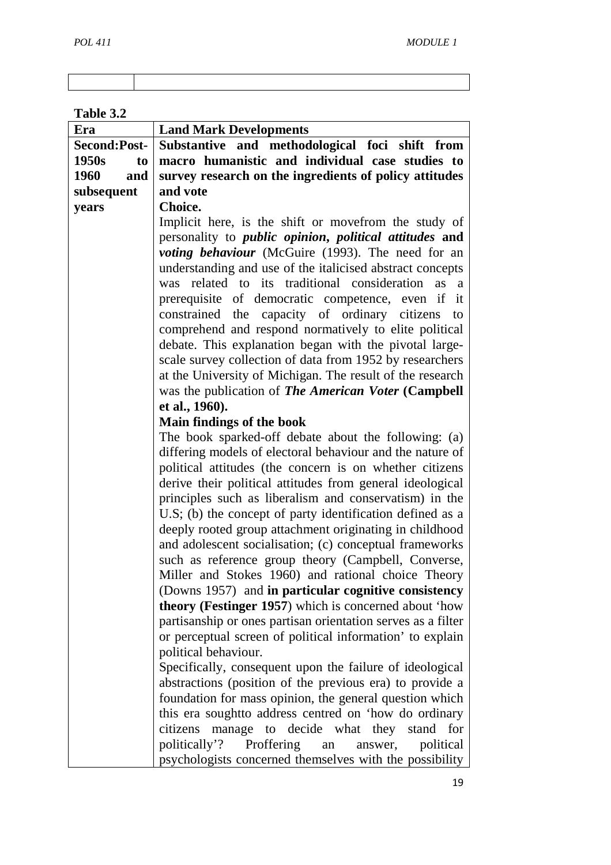## **Table 3.2**

| Era                 | <b>Land Mark Developments</b>                                                                                 |
|---------------------|---------------------------------------------------------------------------------------------------------------|
| <b>Second:Post-</b> | Substantive and methodological foci shift from                                                                |
| 1950s<br>to         | macro humanistic and individual case studies to                                                               |
| 1960<br>and         | survey research on the ingredients of policy attitudes                                                        |
| subsequent          | and vote                                                                                                      |
| years               | Choice.                                                                                                       |
|                     | Implicit here, is the shift or movefrom the study of                                                          |
|                     | personality to <i>public opinion</i> , <i>political attitudes</i> and                                         |
|                     | voting behaviour (McGuire (1993). The need for an                                                             |
|                     | understanding and use of the italicised abstract concepts                                                     |
|                     | was related to its traditional consideration<br>as a                                                          |
|                     | prerequisite of democratic competence, even if it                                                             |
|                     | constrained the capacity of ordinary citizens<br>to                                                           |
|                     | comprehend and respond normatively to elite political                                                         |
|                     | debate. This explanation began with the pivotal large-                                                        |
|                     | scale survey collection of data from 1952 by researchers                                                      |
|                     | at the University of Michigan. The result of the research                                                     |
|                     | was the publication of The American Voter (Campbell                                                           |
|                     | et al., 1960).                                                                                                |
|                     | Main findings of the book                                                                                     |
|                     | The book sparked-off debate about the following: (a)                                                          |
|                     | differing models of electoral behaviour and the nature of                                                     |
|                     | political attitudes (the concern is on whether citizens                                                       |
|                     | derive their political attitudes from general ideological                                                     |
|                     | principles such as liberalism and conservatism) in the                                                        |
|                     | U.S; (b) the concept of party identification defined as a                                                     |
|                     | deeply rooted group attachment originating in childhood                                                       |
|                     | and adolescent socialisation; (c) conceptual frameworks                                                       |
|                     | such as reference group theory (Campbell, Converse,                                                           |
|                     | Miller and Stokes 1960) and rational choice Theory                                                            |
|                     | (Downs 1957) and in particular cognitive consistency<br>theory (Festinger 1957) which is concerned about 'how |
|                     | partisanship or ones partisan orientation serves as a filter                                                  |
|                     | or perceptual screen of political information' to explain                                                     |
|                     | political behaviour.                                                                                          |
|                     | Specifically, consequent upon the failure of ideological                                                      |
|                     | abstractions (position of the previous era) to provide a                                                      |
|                     | foundation for mass opinion, the general question which                                                       |
|                     | this era soughtto address centred on 'how do ordinary                                                         |
|                     | citizens manage to decide what they stand for                                                                 |
|                     | politically'?<br>Proffering<br>political<br>an<br>answer,                                                     |
|                     | psychologists concerned themselves with the possibility                                                       |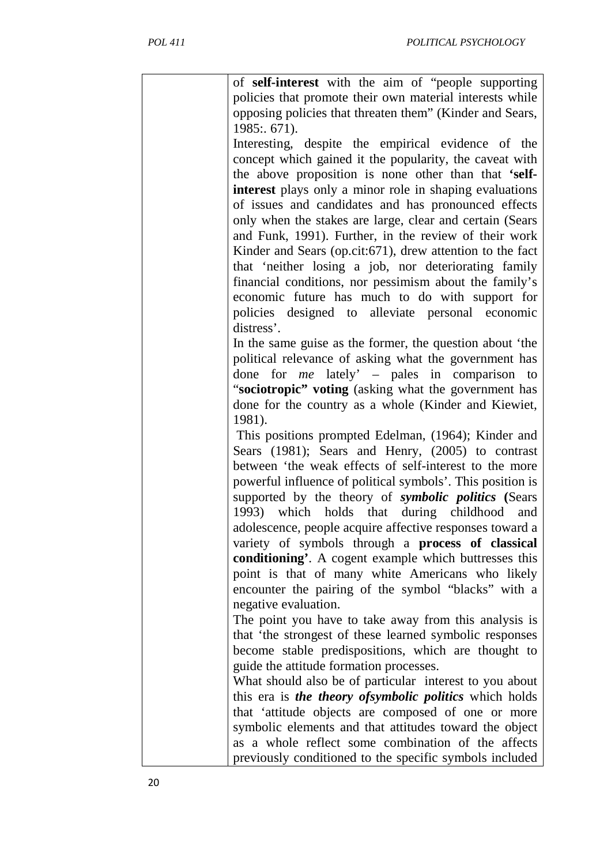| of self-interest with the aim of "people supporting                                                                  |
|----------------------------------------------------------------------------------------------------------------------|
| policies that promote their own material interests while                                                             |
| opposing policies that threaten them" (Kinder and Sears,                                                             |
| 1985: 671).                                                                                                          |
| Interesting, despite the empirical evidence of the                                                                   |
| concept which gained it the popularity, the caveat with                                                              |
| the above proposition is none other than that 'self-                                                                 |
| interest plays only a minor role in shaping evaluations                                                              |
| of issues and candidates and has pronounced effects                                                                  |
| only when the stakes are large, clear and certain (Sears                                                             |
| and Funk, 1991). Further, in the review of their work                                                                |
| Kinder and Sears (op.cit: 671), drew attention to the fact                                                           |
| that 'neither losing a job, nor deteriorating family                                                                 |
| financial conditions, nor pessimism about the family's                                                               |
| economic future has much to do with support for                                                                      |
| policies designed to alleviate personal economic                                                                     |
| distress'.                                                                                                           |
| In the same guise as the former, the question about 'the                                                             |
| political relevance of asking what the government has                                                                |
| done for $me$ lately' – pales in comparison to                                                                       |
| "sociotropic" voting (asking what the government has                                                                 |
| done for the country as a whole (Kinder and Kiewiet,                                                                 |
| 1981).                                                                                                               |
| This positions prompted Edelman, (1964); Kinder and                                                                  |
| Sears (1981); Sears and Henry, (2005) to contrast                                                                    |
| between 'the weak effects of self-interest to the more                                                               |
| powerful influence of political symbols'. This position is                                                           |
| supported by the theory of symbolic politics (Sears                                                                  |
| 1993) which holds that during childhood and                                                                          |
| adolescence, people acquire affective responses toward a<br>variety of symbols through a <b>process of classical</b> |
| conditioning'. A cogent example which buttresses this                                                                |
| point is that of many white Americans who likely                                                                     |
| encounter the pairing of the symbol "blacks" with a                                                                  |
| negative evaluation.                                                                                                 |
| The point you have to take away from this analysis is                                                                |
| that 'the strongest of these learned symbolic responses                                                              |
| become stable predispositions, which are thought to                                                                  |
| guide the attitude formation processes.                                                                              |
| What should also be of particular interest to you about                                                              |
| this era is the theory of symbolic politics which holds                                                              |
| that 'attitude objects are composed of one or more                                                                   |
| symbolic elements and that attitudes toward the object                                                               |
| as a whole reflect some combination of the affects                                                                   |
| previously conditioned to the specific symbols included                                                              |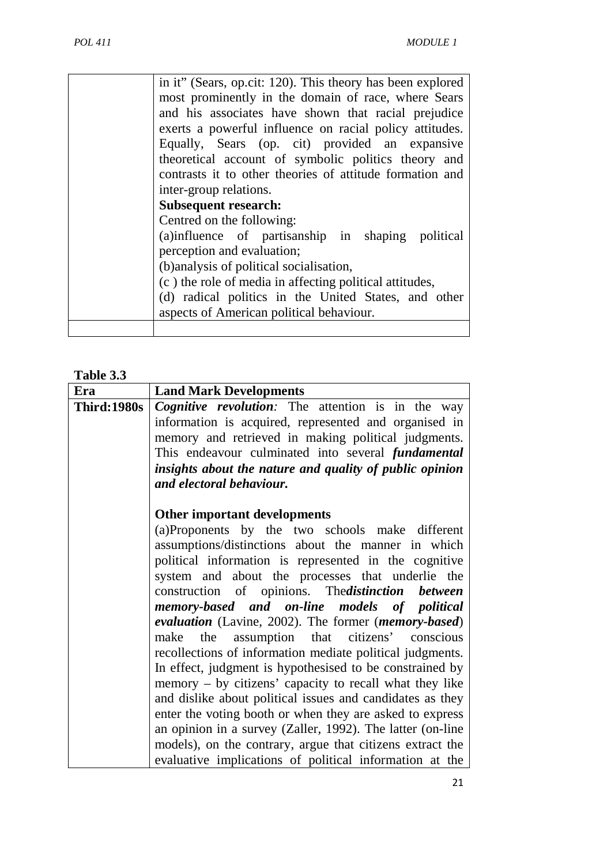| in it" (Sears, op.cit: 120). This theory has been explored<br>most prominently in the domain of race, where Sears<br>and his associates have shown that racial prejudice<br>exerts a powerful influence on racial policy attitudes.<br>Equally, Sears (op. cit) provided an expansive<br>theoretical account of symbolic politics theory and<br>contrasts it to other theories of attitude formation and<br>inter-group relations.<br><b>Subsequent research:</b> |
|-------------------------------------------------------------------------------------------------------------------------------------------------------------------------------------------------------------------------------------------------------------------------------------------------------------------------------------------------------------------------------------------------------------------------------------------------------------------|
| Centred on the following:<br>(a)influence of partisanship in shaping political<br>perception and evaluation;<br>(b) analysis of political socialisation,<br>(c) the role of media in affecting political attitudes,<br>(d) radical politics in the United States, and other<br>aspects of American political behaviour.                                                                                                                                           |

#### **Table 3.3**

| Era                | <b>Land Mark Developments</b>                              |  |
|--------------------|------------------------------------------------------------|--|
| <b>Third:1980s</b> | Cognitive revolution: The attention is in the way          |  |
|                    | information is acquired, represented and organised in      |  |
|                    | memory and retrieved in making political judgments.        |  |
|                    | This endeavour culminated into several fundamental         |  |
|                    | insights about the nature and quality of public opinion    |  |
|                    | and electoral behaviour.                                   |  |
|                    |                                                            |  |
|                    | Other important developments                               |  |
|                    | (a)Proponents by the two schools make different            |  |
|                    | assumptions/distinctions about the manner in which         |  |
|                    | political information is represented in the cognitive      |  |
|                    | system and about the processes that underlie the           |  |
|                    | construction of opinions. The distinction between          |  |
|                    | memory-based and on-line models of political               |  |
|                    | evaluation (Lavine, 2002). The former (memory-based)       |  |
|                    | make the assumption that citizens' conscious               |  |
|                    | recollections of information mediate political judgments.  |  |
|                    | In effect, judgment is hypothesised to be constrained by   |  |
|                    | memory – by citizens' capacity to recall what they like    |  |
|                    | and dislike about political issues and candidates as they  |  |
|                    | enter the voting booth or when they are asked to express   |  |
|                    | an opinion in a survey (Zaller, 1992). The latter (on-line |  |
|                    | models), on the contrary, argue that citizens extract the  |  |
|                    | evaluative implications of political information at the    |  |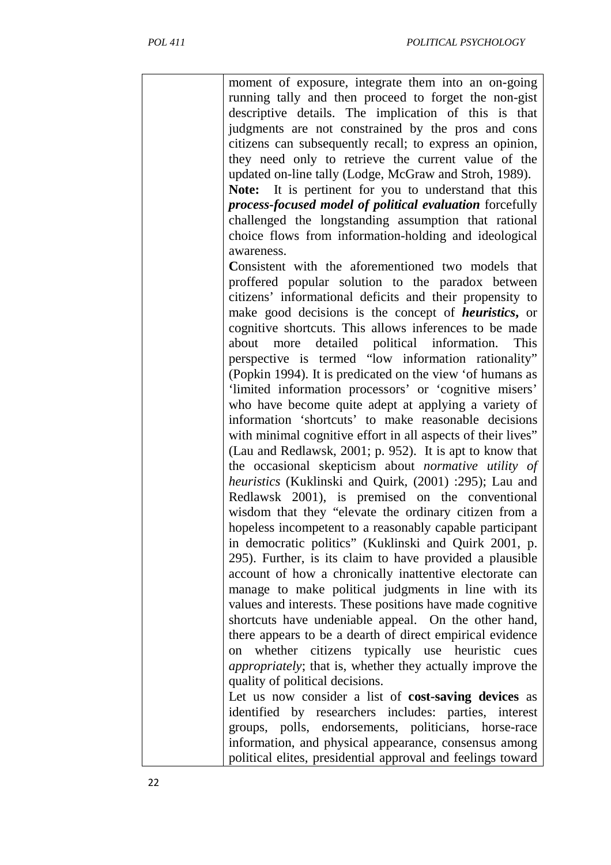| moment of exposure, integrate them into an on-going<br>running tally and then proceed to forget the non-gist<br>descriptive details. The implication of this is that<br>judgments are not constrained by the pros and cons<br>citizens can subsequently recall; to express an opinion,<br>they need only to retrieve the current value of the<br>updated on-line tally (Lodge, McGraw and Stroh, 1989).<br>Note: It is pertinent for you to understand that this<br>process-focused model of political evaluation forcefully<br>challenged the longstanding assumption that rational<br>choice flows from information-holding and ideological |
|-----------------------------------------------------------------------------------------------------------------------------------------------------------------------------------------------------------------------------------------------------------------------------------------------------------------------------------------------------------------------------------------------------------------------------------------------------------------------------------------------------------------------------------------------------------------------------------------------------------------------------------------------|
|                                                                                                                                                                                                                                                                                                                                                                                                                                                                                                                                                                                                                                               |
| awareness.                                                                                                                                                                                                                                                                                                                                                                                                                                                                                                                                                                                                                                    |
| Consistent with the aforementioned two models that<br>proffered popular solution to the paradox between<br>citizens' informational deficits and their propensity to<br>make good decisions is the concept of <i>heuristics</i> , or<br>cognitive shortcuts. This allows inferences to be made                                                                                                                                                                                                                                                                                                                                                 |
| about more detailed political information. This<br>perspective is termed "low information rationality"<br>(Popkin 1994). It is predicated on the view 'of humans as<br>'limited information processors' or 'cognitive misers'<br>who have become quite adept at applying a variety of                                                                                                                                                                                                                                                                                                                                                         |
| information 'shortcuts' to make reasonable decisions<br>with minimal cognitive effort in all aspects of their lives"<br>(Lau and Redlawsk, 2001; p. 952). It is apt to know that<br>the occasional skepticism about normative utility of                                                                                                                                                                                                                                                                                                                                                                                                      |
| heuristics (Kuklinski and Quirk, (2001) :295); Lau and<br>Redlawsk 2001), is premised on the conventional<br>wisdom that they "elevate the ordinary citizen from a                                                                                                                                                                                                                                                                                                                                                                                                                                                                            |
| hopeless incompetent to a reasonably capable participant<br>in democratic politics" (Kuklinski and Quirk 2001, p.<br>295). Further, is its claim to have provided a plausible                                                                                                                                                                                                                                                                                                                                                                                                                                                                 |
| account of how a chronically inattentive electorate can<br>manage to make political judgments in line with its<br>values and interests. These positions have made cognitive                                                                                                                                                                                                                                                                                                                                                                                                                                                                   |
| shortcuts have undeniable appeal. On the other hand,<br>there appears to be a dearth of direct empirical evidence                                                                                                                                                                                                                                                                                                                                                                                                                                                                                                                             |
| whether citizens typically use heuristic cues<br>on<br>appropriately; that is, whether they actually improve the<br>quality of political decisions.                                                                                                                                                                                                                                                                                                                                                                                                                                                                                           |
| Let us now consider a list of cost-saving devices as                                                                                                                                                                                                                                                                                                                                                                                                                                                                                                                                                                                          |
| identified by researchers includes: parties, interest                                                                                                                                                                                                                                                                                                                                                                                                                                                                                                                                                                                         |
| groups, polls, endorsements, politicians, horse-race                                                                                                                                                                                                                                                                                                                                                                                                                                                                                                                                                                                          |
| information, and physical appearance, consensus among                                                                                                                                                                                                                                                                                                                                                                                                                                                                                                                                                                                         |
| political elites, presidential approval and feelings toward                                                                                                                                                                                                                                                                                                                                                                                                                                                                                                                                                                                   |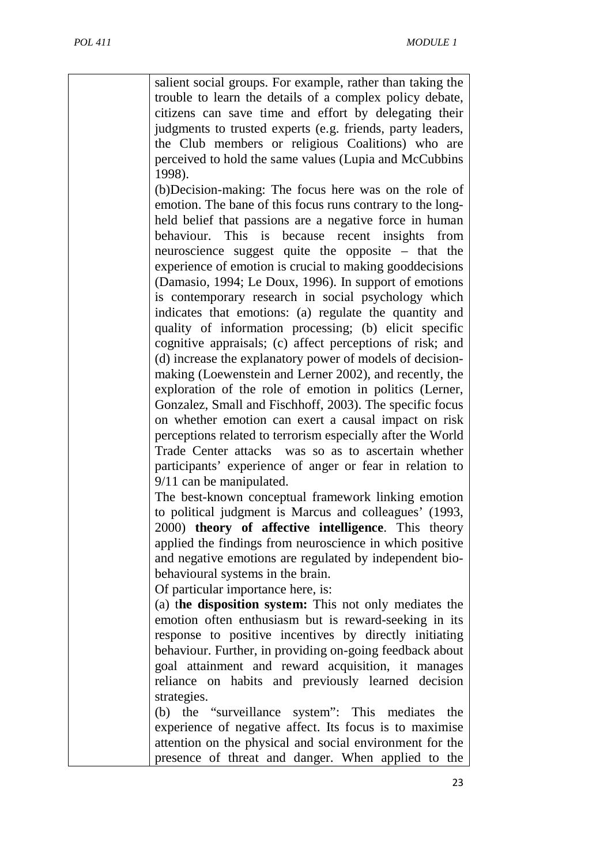salient social groups. For example, rather than taking the trouble to learn the details of a complex policy debate, citizens can save time and effort by delegating their judgments to trusted experts (e.g. friends, party leaders, the Club members or religious Coalitions) who are perceived to hold the same values (Lupia and McCubbins 1998).

(b)Decision-making: The focus here was on the role of emotion. The bane of this focus runs contrary to the longheld belief that passions are a negative force in human behaviour. This is because recent insights from neuroscience suggest quite the opposite – that the experience of emotion is crucial to making gooddecisions (Damasio, 1994; Le Doux, 1996). In support of emotions is contemporary research in social psychology which indicates that emotions: (a) regulate the quantity and quality of information processing; (b) elicit specific cognitive appraisals; (c) affect perceptions of risk; and (d) increase the explanatory power of models of decisionmaking (Loewenstein and Lerner 2002), and recently, the exploration of the role of emotion in politics (Lerner, Gonzalez, Small and Fischhoff, 2003). The specific focus on whether emotion can exert a causal impact on risk perceptions related to terrorism especially after the World Trade Center attacks was so as to ascertain whether participants' experience of anger or fear in relation to 9/11 can be manipulated.

The best-known conceptual framework linking emotion to political judgment is Marcus and colleagues' (1993, 2000) **theory of affective intelligence**. This theory applied the findings from neuroscience in which positive and negative emotions are regulated by independent biobehavioural systems in the brain.

Of particular importance here, is:

(a) t**he disposition system:** This not only mediates the emotion often enthusiasm but is reward-seeking in its response to positive incentives by directly initiating behaviour. Further, in providing on-going feedback about goal attainment and reward acquisition, it manages reliance on habits and previously learned decision strategies.

(b) the "surveillance system": This mediates the experience of negative affect. Its focus is to maximise attention on the physical and social environment for the presence of threat and danger. When applied to the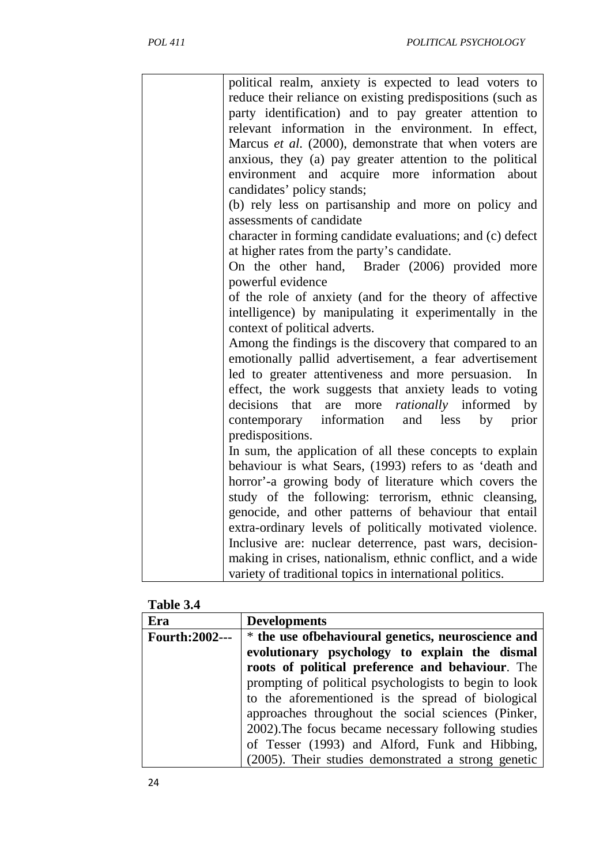|  | political realm, anxiety is expected to lead voters to     |
|--|------------------------------------------------------------|
|  | reduce their reliance on existing predispositions (such as |
|  | party identification) and to pay greater attention to      |
|  | relevant information in the environment. In effect,        |
|  | Marcus et al. (2000), demonstrate that when voters are     |
|  | anxious, they (a) pay greater attention to the political   |
|  | environment and acquire more information about             |
|  | candidates' policy stands;                                 |
|  | (b) rely less on partisanship and more on policy and       |
|  | assessments of candidate                                   |
|  | character in forming candidate evaluations; and (c) defect |
|  | at higher rates from the party's candidate.                |
|  | On the other hand, Brader (2006) provided more             |
|  | powerful evidence                                          |
|  | of the role of anxiety (and for the theory of affective    |
|  | intelligence) by manipulating it experimentally in the     |
|  | context of political adverts.                              |
|  | Among the findings is the discovery that compared to an    |
|  | emotionally pallid advertisement, a fear advertisement     |
|  | led to greater attentiveness and more persuasion.<br>In    |
|  | effect, the work suggests that anxiety leads to voting     |
|  | decisions that are more <i>rationally</i> informed<br>by   |
|  | contemporary information<br>prior<br>and less<br>by        |
|  | predispositions.                                           |
|  | In sum, the application of all these concepts to explain   |
|  | behaviour is what Sears, (1993) refers to as 'death and    |
|  | horror'-a growing body of literature which covers the      |
|  | study of the following: terrorism, ethnic cleansing,       |
|  | genocide, and other patterns of behaviour that entail      |
|  | extra-ordinary levels of politically motivated violence.   |
|  | Inclusive are: nuclear deterrence, past wars, decision-    |
|  | making in crises, nationalism, ethnic conflict, and a wide |
|  | variety of traditional topics in international politics.   |
|  |                                                            |

| <b>Table 3.</b> |  |
|-----------------|--|
|-----------------|--|

| Era                   | <b>Developments</b>                                   |  |
|-----------------------|-------------------------------------------------------|--|
| <b>Fourth:2002---</b> | * the use of behavioural genetics, neuroscience and   |  |
|                       | evolutionary psychology to explain the dismal         |  |
|                       | roots of political preference and behaviour. The      |  |
|                       | prompting of political psychologists to begin to look |  |
|                       | to the aforementioned is the spread of biological     |  |
|                       | approaches throughout the social sciences (Pinker,    |  |
|                       | 2002). The focus became necessary following studies   |  |
|                       | of Tesser (1993) and Alford, Funk and Hibbing,        |  |
|                       | (2005). Their studies demonstrated a strong genetic   |  |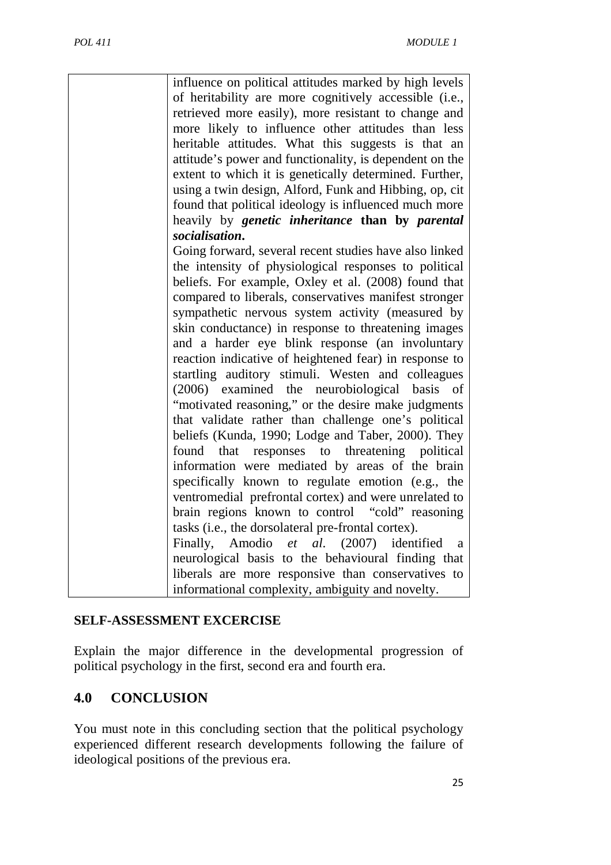| influence on political attitudes marked by high levels<br>of heritability are more cognitively accessible (i.e.,<br>retrieved more easily), more resistant to change and<br>more likely to influence other attitudes than less<br>heritable attitudes. What this suggests is that an<br>attitude's power and functionality, is dependent on the<br>extent to which it is genetically determined. Further,<br>using a twin design, Alford, Funk and Hibbing, op, cit<br>found that political ideology is influenced much more<br>heavily by <i>genetic</i> inheritance than by <i>parental</i> |
|-----------------------------------------------------------------------------------------------------------------------------------------------------------------------------------------------------------------------------------------------------------------------------------------------------------------------------------------------------------------------------------------------------------------------------------------------------------------------------------------------------------------------------------------------------------------------------------------------|
|                                                                                                                                                                                                                                                                                                                                                                                                                                                                                                                                                                                               |
| socialisation.                                                                                                                                                                                                                                                                                                                                                                                                                                                                                                                                                                                |
| Going forward, several recent studies have also linked<br>the intensity of physiological responses to political<br>beliefs. For example, Oxley et al. (2008) found that<br>compared to liberals, conservatives manifest stronger                                                                                                                                                                                                                                                                                                                                                              |
| sympathetic nervous system activity (measured by<br>skin conductance) in response to threatening images<br>and a harder eye blink response (an involuntary                                                                                                                                                                                                                                                                                                                                                                                                                                    |
| reaction indicative of heightened fear) in response to<br>startling auditory stimuli. Westen and colleagues                                                                                                                                                                                                                                                                                                                                                                                                                                                                                   |
| (2006) examined the neurobiological basis of                                                                                                                                                                                                                                                                                                                                                                                                                                                                                                                                                  |
| "motivated reasoning," or the desire make judgments<br>that validate rather than challenge one's political<br>beliefs (Kunda, 1990; Lodge and Taber, 2000). They                                                                                                                                                                                                                                                                                                                                                                                                                              |
|                                                                                                                                                                                                                                                                                                                                                                                                                                                                                                                                                                                               |
| that responses to threatening political<br>found                                                                                                                                                                                                                                                                                                                                                                                                                                                                                                                                              |
| information were mediated by areas of the brain                                                                                                                                                                                                                                                                                                                                                                                                                                                                                                                                               |
| specifically known to regulate emotion (e.g., the                                                                                                                                                                                                                                                                                                                                                                                                                                                                                                                                             |
| ventromedial prefrontal cortex) and were unrelated to                                                                                                                                                                                                                                                                                                                                                                                                                                                                                                                                         |
| brain regions known to control "cold" reasoning                                                                                                                                                                                                                                                                                                                                                                                                                                                                                                                                               |
| tasks (i.e., the dorsolateral pre-frontal cortex).                                                                                                                                                                                                                                                                                                                                                                                                                                                                                                                                            |
| Finally, Amodio et al. (2007) identified<br>a                                                                                                                                                                                                                                                                                                                                                                                                                                                                                                                                                 |
| neurological basis to the behavioural finding that                                                                                                                                                                                                                                                                                                                                                                                                                                                                                                                                            |
| liberals are more responsive than conservatives to                                                                                                                                                                                                                                                                                                                                                                                                                                                                                                                                            |
| informational complexity, ambiguity and novelty.                                                                                                                                                                                                                                                                                                                                                                                                                                                                                                                                              |

### **SELF-ASSESSMENT EXCERCISE**

Explain the major difference in the developmental progression of political psychology in the first, second era and fourth era.

# **4.0 CONCLUSION**

You must note in this concluding section that the political psychology experienced different research developments following the failure of ideological positions of the previous era.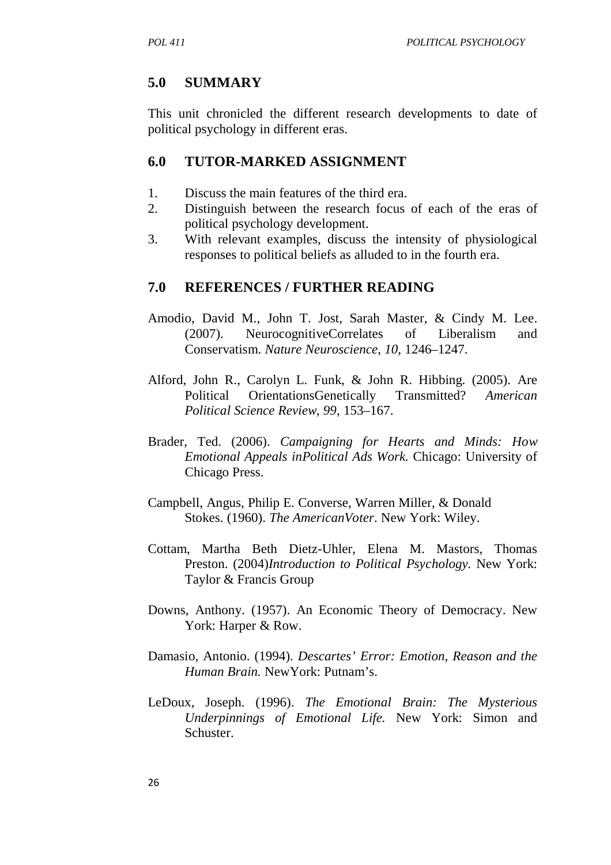# **5.0 SUMMARY**

This unit chronicled the different research developments to date of political psychology in different eras.

### **6.0 TUTOR-MARKED ASSIGNMENT**

- 1. Discuss the main features of the third era.
- 2. Distinguish between the research focus of each of the eras of political psychology development.
- 3. With relevant examples, discuss the intensity of physiological responses to political beliefs as alluded to in the fourth era.

# **7.0 REFERENCES / FURTHER READING**

- Amodio, David M., John T. Jost, Sarah Master, & Cindy M. Lee. (2007). NeurocognitiveCorrelates of Liberalism and Conservatism. *Nature Neuroscience*, *10*, 1246–1247.
- Alford, John R., Carolyn L. Funk, & John R. Hibbing. (2005). Are Political OrientationsGenetically Transmitted? *American Political Science Review*, *99*, 153–167.
- Brader, Ted. (2006). *Campaigning for Hearts and Minds: How Emotional Appeals inPolitical Ads Work.* Chicago: University of Chicago Press.
- Campbell, Angus, Philip E. Converse, Warren Miller, & Donald Stokes. (1960). *The AmericanVoter*. New York: Wiley.
- Cottam, Martha Beth Dietz-Uhler, Elena M. Mastors, Thomas Preston. (2004)*Introduction to Political Psychology.* New York: Taylor & Francis Group
- Downs, Anthony. (1957). An Economic Theory of Democracy. New York: Harper & Row.
- Damasio, Antonio. (1994). *Descartes' Error: Emotion*, *Reason and the Human Brain.* NewYork: Putnam's.
- LeDoux, Joseph. (1996). *The Emotional Brain: The Mysterious Underpinnings of Emotional Life.* New York: Simon and Schuster.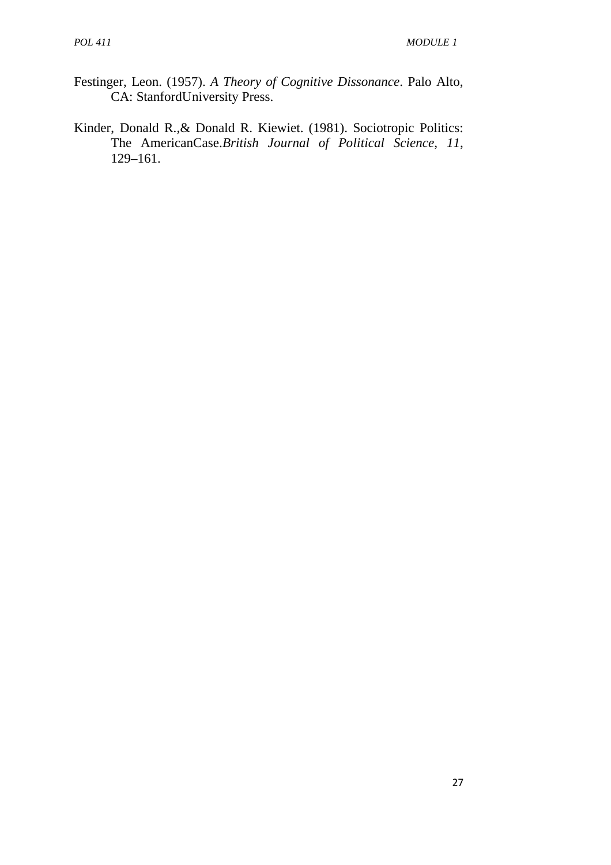- Festinger, Leon. (1957). *A Theory of Cognitive Dissonance*. Palo Alto, CA: StanfordUniversity Press.
- Kinder, Donald R.,& Donald R. Kiewiet. (1981). Sociotropic Politics: The AmericanCase.*British Journal of Political Science*, *11*, 129–161.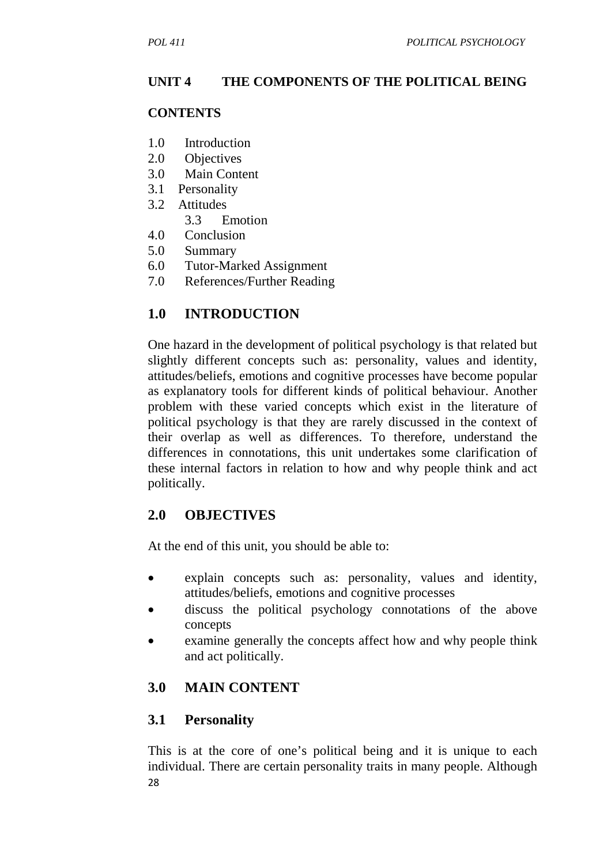### **UNIT 4 THE COMPONENTS OF THE POLITICAL BEING**

### **CONTENTS**

- 1.0 Introduction
- 2.0 Objectives
- 3.0 Main Content
- 3.1 Personality
- 3.2 Attitudes
	- 3.3 Emotion
- 4.0 Conclusion
- 5.0 Summary
- 6.0 Tutor-Marked Assignment
- 7.0 References/Further Reading

# **1.0 INTRODUCTION**

One hazard in the development of political psychology is that related but slightly different concepts such as: personality, values and identity, attitudes/beliefs, emotions and cognitive processes have become popular as explanatory tools for different kinds of political behaviour. Another problem with these varied concepts which exist in the literature of political psychology is that they are rarely discussed in the context of their overlap as well as differences. To therefore, understand the differences in connotations, this unit undertakes some clarification of these internal factors in relation to how and why people think and act politically.

# **2.0 OBJECTIVES**

At the end of this unit, you should be able to:

- explain concepts such as: personality, values and identity, attitudes/beliefs, emotions and cognitive processes
- discuss the political psychology connotations of the above concepts
- examine generally the concepts affect how and why people think and act politically.

# **3.0 MAIN CONTENT**

# **3.1 Personality**

28 This is at the core of one's political being and it is unique to each individual. There are certain personality traits in many people. Although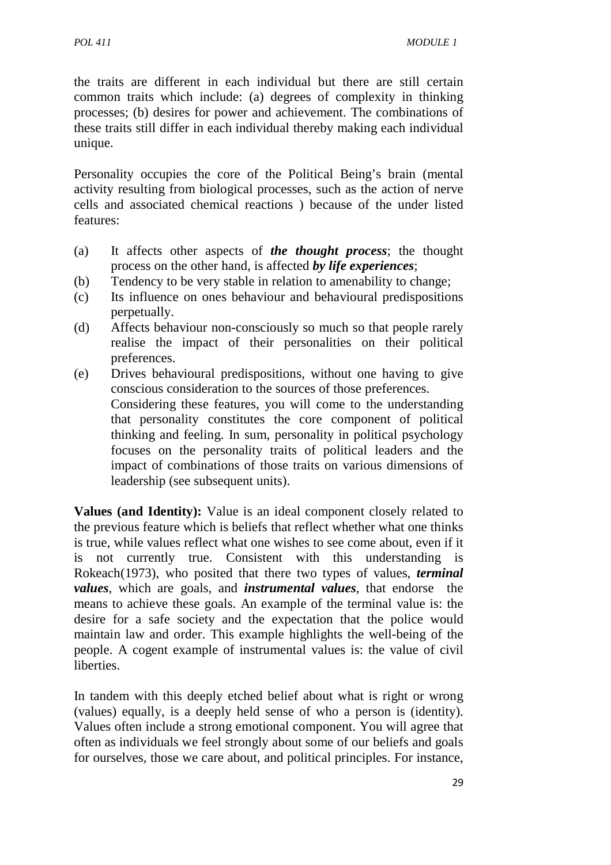the traits are different in each individual but there are still certain common traits which include: (a) degrees of complexity in thinking processes; (b) desires for power and achievement. The combinations of these traits still differ in each individual thereby making each individual unique.

Personality occupies the core of the Political Being's brain (mental activity resulting from biological processes, such as the action of nerve cells and associated chemical reactions ) because of the under listed features:

- (a) It affects other aspects of *the thought process*; the thought process on the other hand, is affected *by life experiences*;
- (b) Tendency to be very stable in relation to amenability to change;
- (c) Its influence on ones behaviour and behavioural predispositions perpetually.
- (d) Affects behaviour non-consciously so much so that people rarely realise the impact of their personalities on their political preferences.
- (e) Drives behavioural predispositions, without one having to give conscious consideration to the sources of those preferences. Considering these features, you will come to the understanding that personality constitutes the core component of political thinking and feeling. In sum, personality in political psychology focuses on the personality traits of political leaders and the impact of combinations of those traits on various dimensions of leadership (see subsequent units).

**Values (and Identity):** Value is an ideal component closely related to the previous feature which is beliefs that reflect whether what one thinks is true, while values reflect what one wishes to see come about, even if it is not currently true. Consistent with this understanding is Rokeach(1973), who posited that there two types of values, *terminal values*, which are goals, and *instrumental values*, that endorse the means to achieve these goals. An example of the terminal value is: the desire for a safe society and the expectation that the police would maintain law and order. This example highlights the well-being of the people. A cogent example of instrumental values is: the value of civil liberties.

In tandem with this deeply etched belief about what is right or wrong (values) equally, is a deeply held sense of who a person is (identity). Values often include a strong emotional component. You will agree that often as individuals we feel strongly about some of our beliefs and goals for ourselves, those we care about, and political principles. For instance,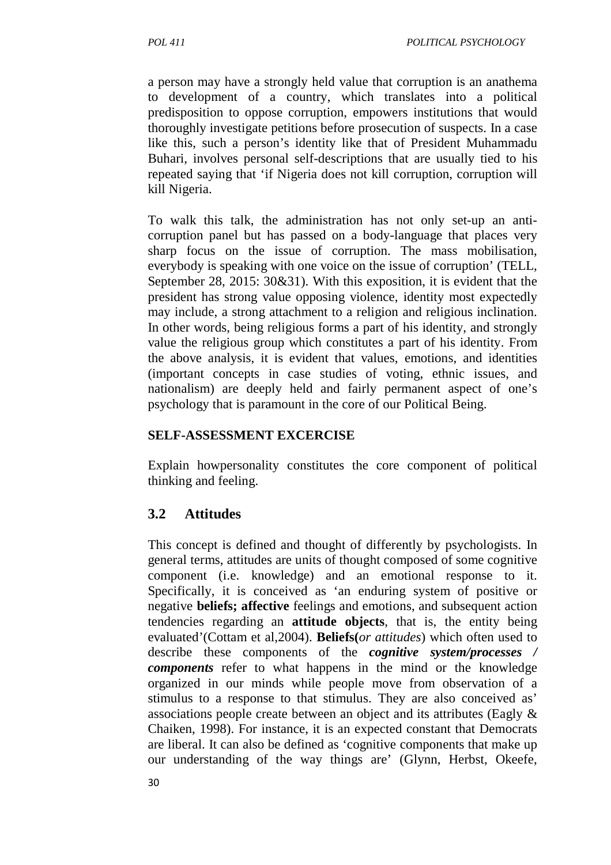a person may have a strongly held value that corruption is an anathema to development of a country, which translates into a political predisposition to oppose corruption, empowers institutions that would thoroughly investigate petitions before prosecution of suspects. In a case like this, such a person's identity like that of President Muhammadu Buhari, involves personal self-descriptions that are usually tied to his repeated saying that 'if Nigeria does not kill corruption, corruption will kill Nigeria.

To walk this talk, the administration has not only set-up an anticorruption panel but has passed on a body-language that places very sharp focus on the issue of corruption. The mass mobilisation, everybody is speaking with one voice on the issue of corruption' (TELL, September 28, 2015: 30&31). With this exposition, it is evident that the president has strong value opposing violence, identity most expectedly may include, a strong attachment to a religion and religious inclination. In other words, being religious forms a part of his identity, and strongly value the religious group which constitutes a part of his identity. From the above analysis, it is evident that values, emotions, and identities (important concepts in case studies of voting, ethnic issues, and nationalism) are deeply held and fairly permanent aspect of one's psychology that is paramount in the core of our Political Being.

### **SELF-ASSESSMENT EXCERCISE**

Explain howpersonality constitutes the core component of political thinking and feeling.

# **3.2 Attitudes**

This concept is defined and thought of differently by psychologists. In general terms, attitudes are units of thought composed of some cognitive component (i.e. knowledge) and an emotional response to it. Specifically, it is conceived as 'an enduring system of positive or negative **beliefs; affective** feelings and emotions, and subsequent action tendencies regarding an **attitude objects**, that is, the entity being evaluated'(Cottam et al,2004). **Beliefs(***or attitudes*) which often used to describe these components of the *cognitive system/processes / components* refer to what happens in the mind or the knowledge organized in our minds while people move from observation of a stimulus to a response to that stimulus. They are also conceived as' associations people create between an object and its attributes (Eagly & Chaiken, 1998). For instance, it is an expected constant that Democrats are liberal. It can also be defined as 'cognitive components that make up our understanding of the way things are' (Glynn, Herbst, Okeefe,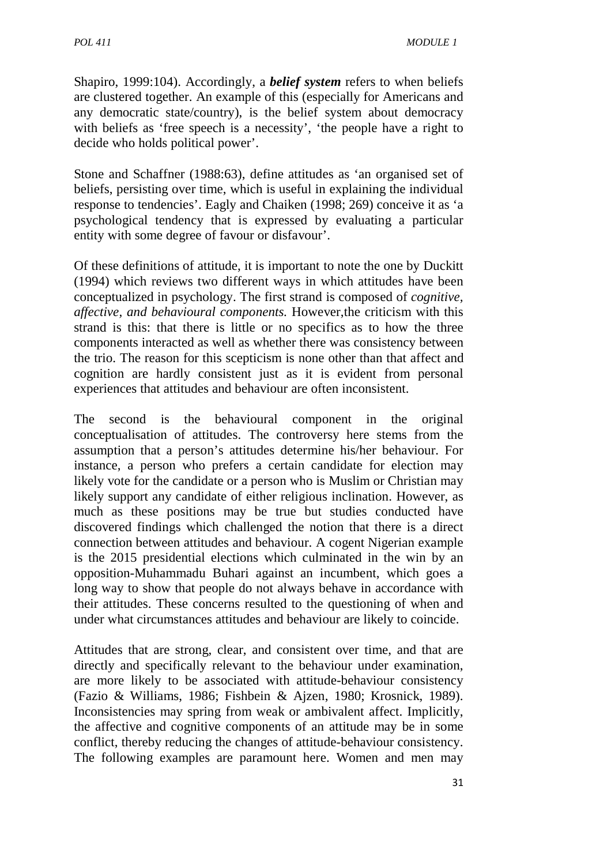Shapiro, 1999:104). Accordingly, a *belief system* refers to when beliefs are clustered together. An example of this (especially for Americans and any democratic state/country), is the belief system about democracy with beliefs as 'free speech is a necessity', 'the people have a right to decide who holds political power'.

Stone and Schaffner (1988:63), define attitudes as 'an organised set of beliefs, persisting over time, which is useful in explaining the individual response to tendencies'. Eagly and Chaiken (1998; 269) conceive it as 'a psychological tendency that is expressed by evaluating a particular entity with some degree of favour or disfavour'.

Of these definitions of attitude, it is important to note the one by Duckitt (1994) which reviews two different ways in which attitudes have been conceptualized in psychology. The first strand is composed of *cognitive, affective, and behavioural components.* However,the criticism with this strand is this: that there is little or no specifics as to how the three components interacted as well as whether there was consistency between the trio. The reason for this scepticism is none other than that affect and cognition are hardly consistent just as it is evident from personal experiences that attitudes and behaviour are often inconsistent.

The second is the behavioural component in the original conceptualisation of attitudes. The controversy here stems from the assumption that a person's attitudes determine his/her behaviour. For instance, a person who prefers a certain candidate for election may likely vote for the candidate or a person who is Muslim or Christian may likely support any candidate of either religious inclination. However, as much as these positions may be true but studies conducted have discovered findings which challenged the notion that there is a direct connection between attitudes and behaviour. A cogent Nigerian example is the 2015 presidential elections which culminated in the win by an opposition-Muhammadu Buhari against an incumbent, which goes a long way to show that people do not always behave in accordance with their attitudes. These concerns resulted to the questioning of when and under what circumstances attitudes and behaviour are likely to coincide.

Attitudes that are strong, clear, and consistent over time, and that are directly and specifically relevant to the behaviour under examination, are more likely to be associated with attitude-behaviour consistency (Fazio & Williams, 1986; Fishbein & Ajzen, 1980; Krosnick, 1989). Inconsistencies may spring from weak or ambivalent affect. Implicitly, the affective and cognitive components of an attitude may be in some conflict, thereby reducing the changes of attitude-behaviour consistency. The following examples are paramount here. Women and men may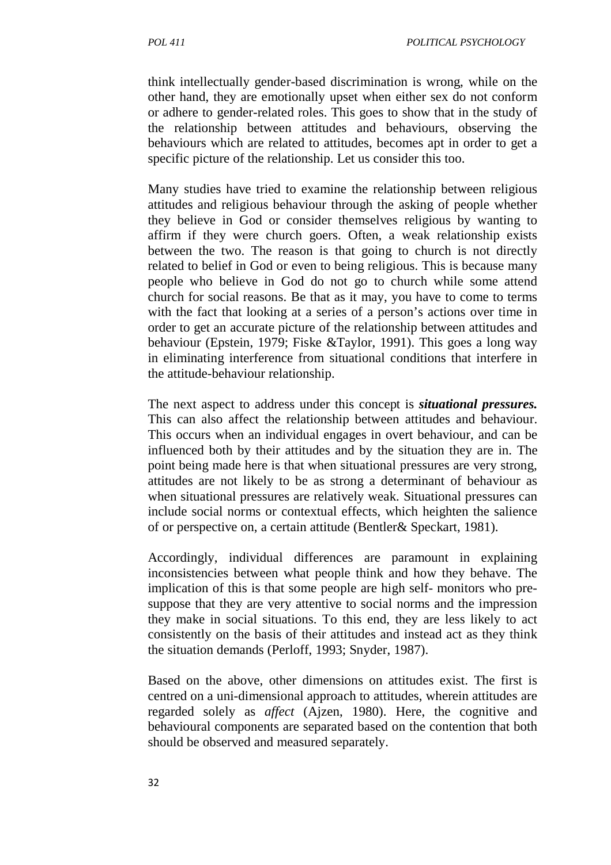think intellectually gender-based discrimination is wrong, while on the other hand, they are emotionally upset when either sex do not conform or adhere to gender-related roles. This goes to show that in the study of the relationship between attitudes and behaviours, observing the behaviours which are related to attitudes, becomes apt in order to get a specific picture of the relationship. Let us consider this too.

Many studies have tried to examine the relationship between religious attitudes and religious behaviour through the asking of people whether they believe in God or consider themselves religious by wanting to affirm if they were church goers. Often, a weak relationship exists between the two. The reason is that going to church is not directly related to belief in God or even to being religious. This is because many people who believe in God do not go to church while some attend church for social reasons. Be that as it may, you have to come to terms with the fact that looking at a series of a person's actions over time in order to get an accurate picture of the relationship between attitudes and behaviour (Epstein, 1979; Fiske &Taylor, 1991). This goes a long way in eliminating interference from situational conditions that interfere in the attitude-behaviour relationship.

The next aspect to address under this concept is *situational pressures.* This can also affect the relationship between attitudes and behaviour. This occurs when an individual engages in overt behaviour, and can be influenced both by their attitudes and by the situation they are in. The point being made here is that when situational pressures are very strong, attitudes are not likely to be as strong a determinant of behaviour as when situational pressures are relatively weak. Situational pressures can include social norms or contextual effects, which heighten the salience of or perspective on, a certain attitude (Bentler& Speckart, 1981).

Accordingly, individual differences are paramount in explaining inconsistencies between what people think and how they behave. The implication of this is that some people are high self- monitors who presuppose that they are very attentive to social norms and the impression they make in social situations. To this end, they are less likely to act consistently on the basis of their attitudes and instead act as they think the situation demands (Perloff, 1993; Snyder, 1987).

Based on the above, other dimensions on attitudes exist. The first is centred on a uni-dimensional approach to attitudes, wherein attitudes are regarded solely as *affect* (Ajzen, 1980). Here, the cognitive and behavioural components are separated based on the contention that both should be observed and measured separately.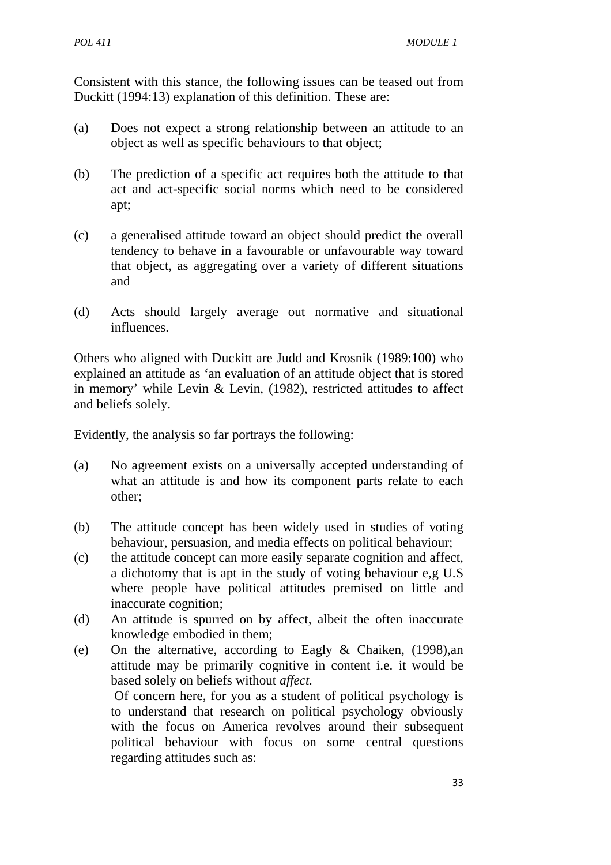Consistent with this stance, the following issues can be teased out from Duckitt (1994:13) explanation of this definition. These are:

- (a) Does not expect a strong relationship between an attitude to an object as well as specific behaviours to that object;
- (b) The prediction of a specific act requires both the attitude to that act and act-specific social norms which need to be considered apt;
- (c) a generalised attitude toward an object should predict the overall tendency to behave in a favourable or unfavourable way toward that object, as aggregating over a variety of different situations and
- (d) Acts should largely average out normative and situational influences.

Others who aligned with Duckitt are Judd and Krosnik (1989:100) who explained an attitude as 'an evaluation of an attitude object that is stored in memory' while Levin & Levin, (1982), restricted attitudes to affect and beliefs solely.

Evidently, the analysis so far portrays the following:

regarding attitudes such as:

- (a) No agreement exists on a universally accepted understanding of what an attitude is and how its component parts relate to each other;
- (b) The attitude concept has been widely used in studies of voting behaviour, persuasion, and media effects on political behaviour;
- (c) the attitude concept can more easily separate cognition and affect, a dichotomy that is apt in the study of voting behaviour e,g U.S where people have political attitudes premised on little and inaccurate cognition;
- (d) An attitude is spurred on by affect, albeit the often inaccurate knowledge embodied in them;
- (e) On the alternative, according to Eagly & Chaiken, (1998),an attitude may be primarily cognitive in content i.e. it would be based solely on beliefs without *affect.* Of concern here, for you as a student of political psychology is to understand that research on political psychology obviously with the focus on America revolves around their subsequent political behaviour with focus on some central questions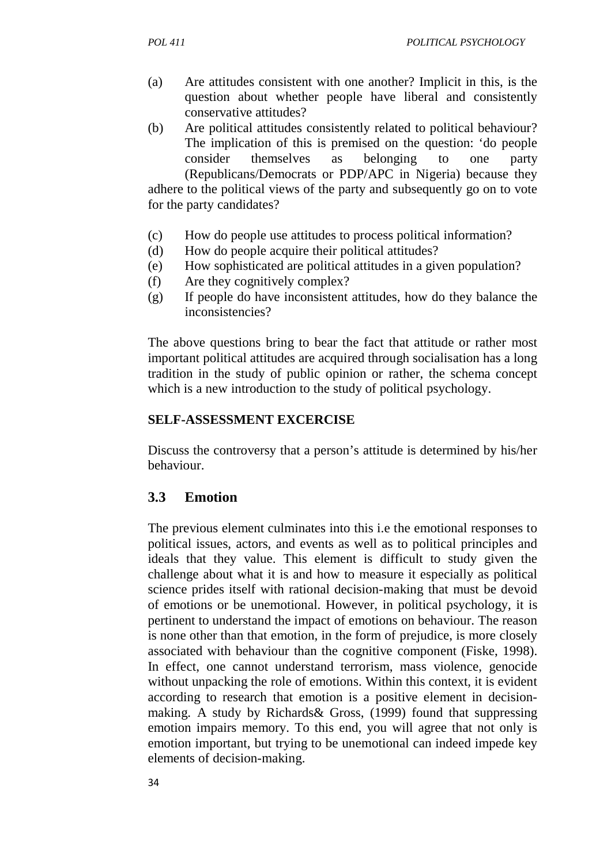- (a) Are attitudes consistent with one another? Implicit in this, is the question about whether people have liberal and consistently conservative attitudes?
- (b) Are political attitudes consistently related to political behaviour? The implication of this is premised on the question: 'do people consider themselves as belonging to one party (Republicans/Democrats or PDP/APC in Nigeria) because they adhere to the political views of the party and subsequently go on to vote for the party candidates?
- (c) How do people use attitudes to process political information?
- (d) How do people acquire their political attitudes?
- (e) How sophisticated are political attitudes in a given population?
- (f) Are they cognitively complex?
- (g) If people do have inconsistent attitudes, how do they balance the inconsistencies?

The above questions bring to bear the fact that attitude or rather most important political attitudes are acquired through socialisation has a long tradition in the study of public opinion or rather, the schema concept which is a new introduction to the study of political psychology.

### **SELF-ASSESSMENT EXCERCISE**

Discuss the controversy that a person's attitude is determined by his/her behaviour.

# **3.3 Emotion**

The previous element culminates into this i.e the emotional responses to political issues, actors, and events as well as to political principles and ideals that they value. This element is difficult to study given the challenge about what it is and how to measure it especially as political science prides itself with rational decision-making that must be devoid of emotions or be unemotional. However, in political psychology, it is pertinent to understand the impact of emotions on behaviour. The reason is none other than that emotion, in the form of prejudice, is more closely associated with behaviour than the cognitive component (Fiske, 1998). In effect, one cannot understand terrorism, mass violence, genocide without unpacking the role of emotions. Within this context, it is evident according to research that emotion is a positive element in decisionmaking. A study by Richards& Gross, (1999) found that suppressing emotion impairs memory. To this end, you will agree that not only is emotion important, but trying to be unemotional can indeed impede key elements of decision-making.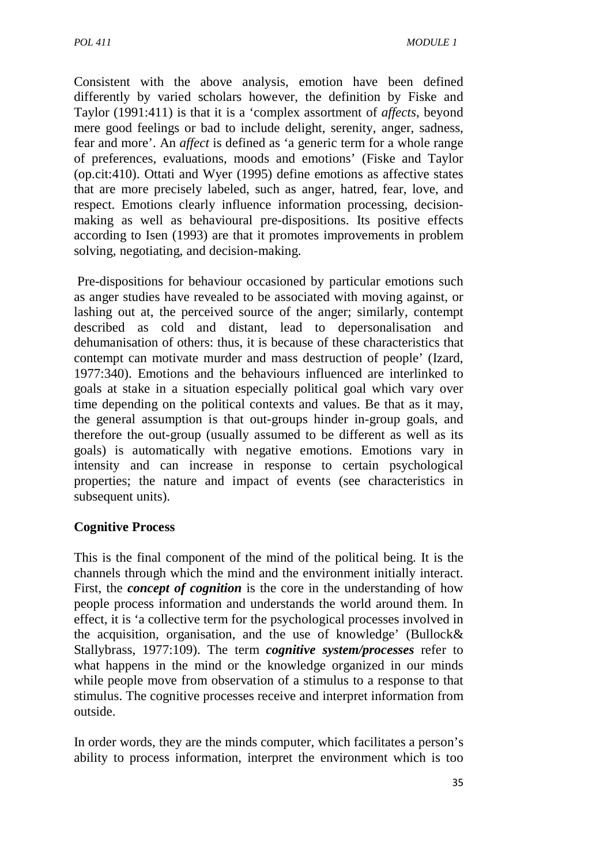Consistent with the above analysis, emotion have been defined differently by varied scholars however, the definition by Fiske and Taylor (1991:411) is that it is a 'complex assortment of *affects*, beyond mere good feelings or bad to include delight, serenity, anger, sadness, fear and more'. An *affect* is defined as 'a generic term for a whole range of preferences, evaluations, moods and emotions' (Fiske and Taylor (op.cit:410). Ottati and Wyer (1995) define emotions as affective states that are more precisely labeled, such as anger, hatred, fear, love, and respect. Emotions clearly influence information processing, decisionmaking as well as behavioural pre-dispositions. Its positive effects according to Isen (1993) are that it promotes improvements in problem solving, negotiating, and decision-making.

 Pre-dispositions for behaviour occasioned by particular emotions such as anger studies have revealed to be associated with moving against, or lashing out at, the perceived source of the anger; similarly, contempt described as cold and distant, lead to depersonalisation and dehumanisation of others: thus, it is because of these characteristics that contempt can motivate murder and mass destruction of people' (Izard, 1977:340). Emotions and the behaviours influenced are interlinked to goals at stake in a situation especially political goal which vary over time depending on the political contexts and values. Be that as it may, the general assumption is that out-groups hinder in-group goals, and therefore the out-group (usually assumed to be different as well as its goals) is automatically with negative emotions. Emotions vary in intensity and can increase in response to certain psychological properties; the nature and impact of events (see characteristics in subsequent units).

### **Cognitive Process**

This is the final component of the mind of the political being. It is the channels through which the mind and the environment initially interact. First, the *concept of cognition* is the core in the understanding of how people process information and understands the world around them. In effect, it is 'a collective term for the psychological processes involved in the acquisition, organisation, and the use of knowledge' (Bullock& Stallybrass, 1977:109). The term *cognitive system/processes* refer to what happens in the mind or the knowledge organized in our minds while people move from observation of a stimulus to a response to that stimulus. The cognitive processes receive and interpret information from outside.

In order words, they are the minds computer, which facilitates a person's ability to process information, interpret the environment which is too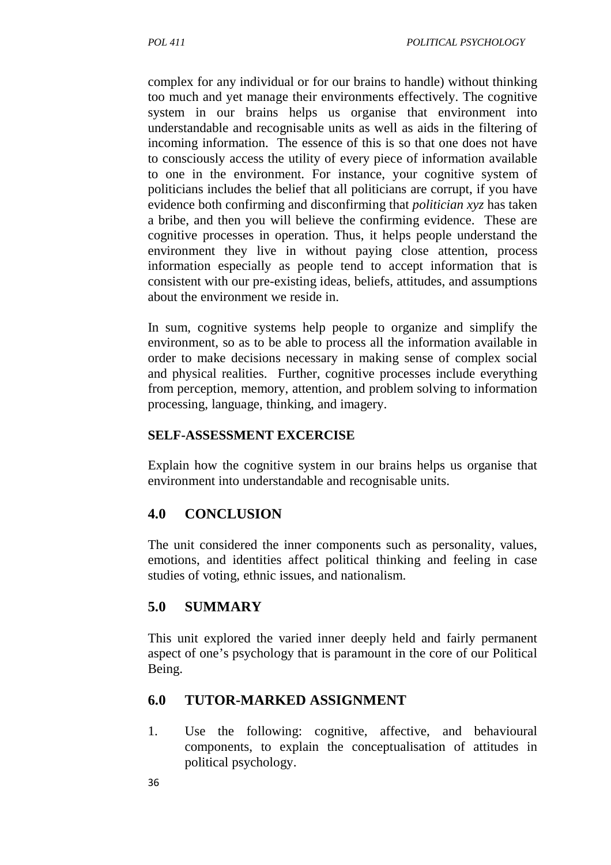complex for any individual or for our brains to handle) without thinking too much and yet manage their environments effectively. The cognitive system in our brains helps us organise that environment into understandable and recognisable units as well as aids in the filtering of incoming information. The essence of this is so that one does not have to consciously access the utility of every piece of information available to one in the environment. For instance, your cognitive system of politicians includes the belief that all politicians are corrupt, if you have evidence both confirming and disconfirming that *politician xyz* has taken a bribe, and then you will believe the confirming evidence. These are cognitive processes in operation. Thus, it helps people understand the environment they live in without paying close attention, process information especially as people tend to accept information that is consistent with our pre-existing ideas, beliefs, attitudes, and assumptions about the environment we reside in.

In sum, cognitive systems help people to organize and simplify the environment, so as to be able to process all the information available in order to make decisions necessary in making sense of complex social and physical realities. Further, cognitive processes include everything from perception, memory, attention, and problem solving to information processing, language, thinking, and imagery.

# **SELF-ASSESSMENT EXCERCISE**

Explain how the cognitive system in our brains helps us organise that environment into understandable and recognisable units.

# **4.0 CONCLUSION**

The unit considered the inner components such as personality, values, emotions, and identities affect political thinking and feeling in case studies of voting, ethnic issues, and nationalism.

# **5.0 SUMMARY**

This unit explored the varied inner deeply held and fairly permanent aspect of one's psychology that is paramount in the core of our Political Being.

# **6.0 TUTOR-MARKED ASSIGNMENT**

1. Use the following: cognitive, affective, and behavioural components, to explain the conceptualisation of attitudes in political psychology.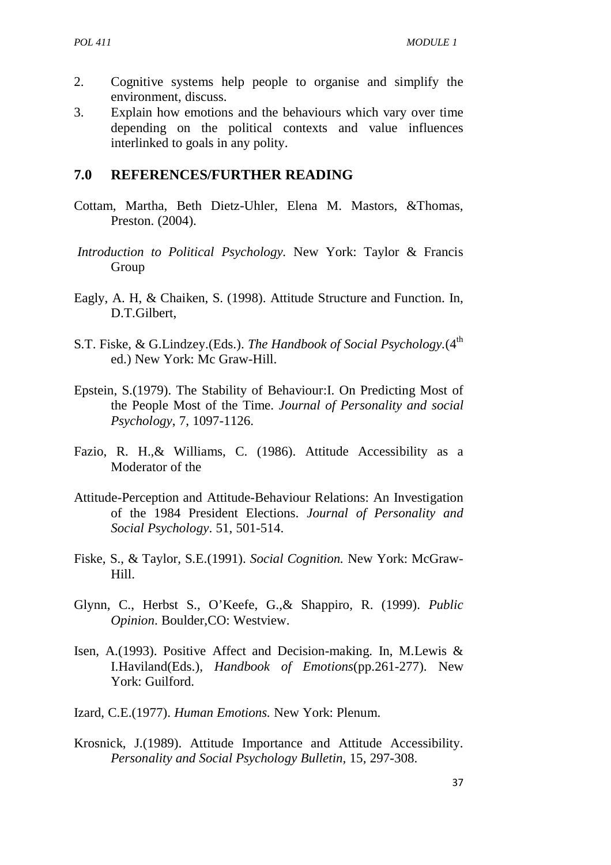- 2. Cognitive systems help people to organise and simplify the environment, discuss.
- 3. Explain how emotions and the behaviours which vary over time depending on the political contexts and value influences interlinked to goals in any polity.

### **7.0 REFERENCES/FURTHER READING**

- Cottam, Martha, Beth Dietz-Uhler, Elena M. Mastors, &Thomas, Preston. (2004).
- *Introduction to Political Psychology.* New York: Taylor & Francis Group
- Eagly, A. H, & Chaiken, S. (1998). Attitude Structure and Function. In, D.T.Gilbert,
- S.T. Fiske, & G.Lindzey.(Eds.). *The Handbook of Social Psychology*.(4<sup>th</sup>) ed.) New York: Mc Graw-Hill.
- Epstein, S.(1979). The Stability of Behaviour:I. On Predicting Most of the People Most of the Time. *Journal of Personality and social Psychology*, 7, 1097-1126.
- Fazio, R. H.,& Williams, C. (1986). Attitude Accessibility as a Moderator of the
- Attitude-Perception and Attitude-Behaviour Relations: An Investigation of the 1984 President Elections. *Journal of Personality and Social Psychology*. 51, 501-514.
- Fiske, S., & Taylor, S.E.(1991). *Social Cognition.* New York: McGraw- Hill.
- Glynn, C., Herbst S., O'Keefe, G.,& Shappiro, R. (1999). *Public Opinion*. Boulder,CO: Westview.
- Isen, A.(1993). Positive Affect and Decision-making. In, M.Lewis & I.Haviland(Eds.), *Handbook of Emotions*(pp.261-277). New York: Guilford.
- Izard, C.E.(1977). *Human Emotions.* New York: Plenum.
- Krosnick, J.(1989). Attitude Importance and Attitude Accessibility. *Personality and Social Psychology Bulletin,* 15, 297-308.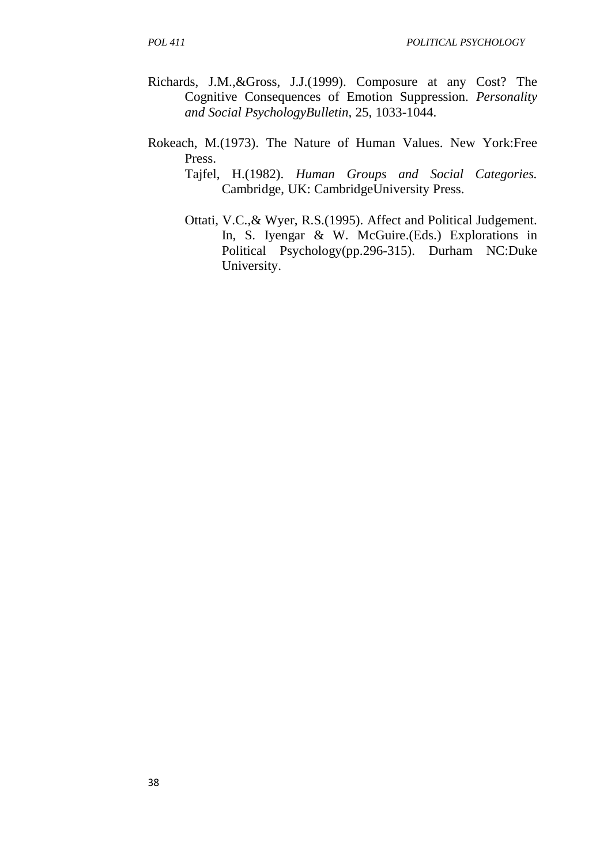- Richards, J.M.,&Gross, J.J.(1999). Composure at any Cost? The Cognitive Consequences of Emotion Suppression. *Personality and Social PsychologyBulletin,* 25, 1033-1044.
- Rokeach, M.(1973). The Nature of Human Values. New York:Free Press.
	- Tajfel, H.(1982). *Human Groups and Social Categories.* Cambridge, UK: CambridgeUniversity Press.
	- Ottati, V.C.,& Wyer, R.S.(1995). Affect and Political Judgement. In, S. Iyengar & W. McGuire.(Eds.) Explorations in Political Psychology(pp.296-315). Durham NC:Duke University.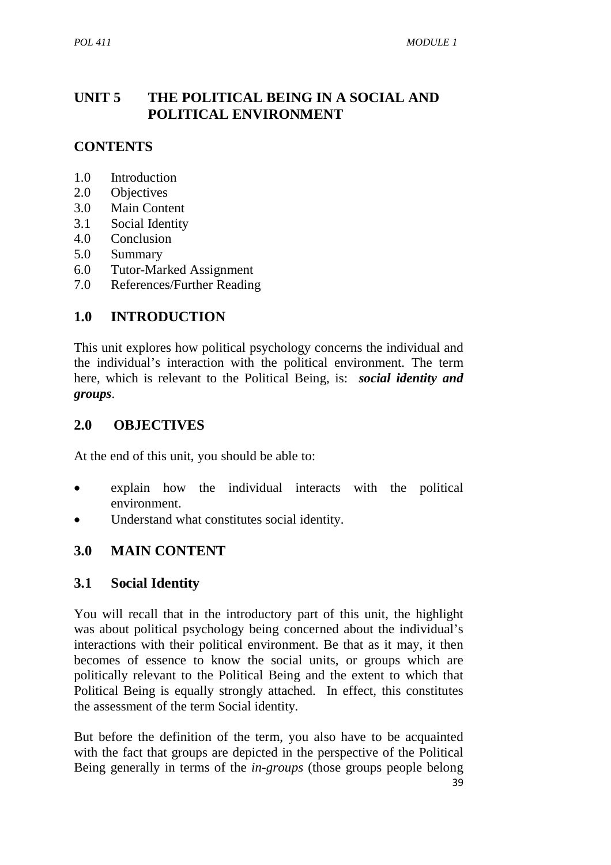# **UNIT 5 THE POLITICAL BEING IN A SOCIAL AND POLITICAL ENVIRONMENT**

# **CONTENTS**

- 1.0 Introduction
- 2.0 Objectives
- 3.0 Main Content
- 3.1 Social Identity
- 4.0 Conclusion
- 5.0 Summary
- 6.0 Tutor-Marked Assignment
- 7.0 References/Further Reading

### **1.0 INTRODUCTION**

This unit explores how political psychology concerns the individual and the individual's interaction with the political environment. The term here, which is relevant to the Political Being, is: *social identity and groups*.

### **2.0 OBJECTIVES**

At the end of this unit, you should be able to:

- explain how the individual interacts with the political environment.
- Understand what constitutes social identity.

# **3.0 MAIN CONTENT**

### **3.1 Social Identity**

You will recall that in the introductory part of this unit, the highlight was about political psychology being concerned about the individual's interactions with their political environment. Be that as it may, it then becomes of essence to know the social units, or groups which are politically relevant to the Political Being and the extent to which that Political Being is equally strongly attached. In effect, this constitutes the assessment of the term Social identity*.* 

But before the definition of the term, you also have to be acquainted with the fact that groups are depicted in the perspective of the Political Being generally in terms of the *in-groups* (those groups people belong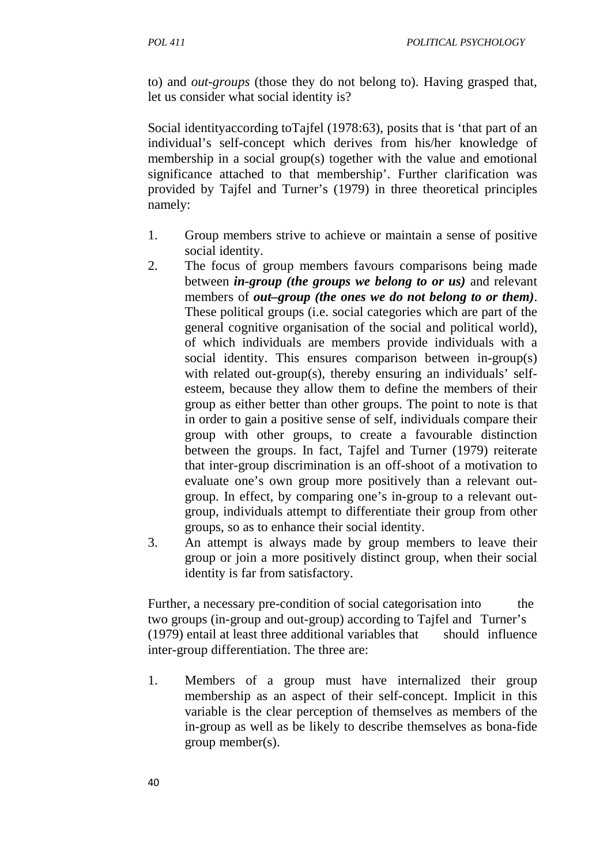to) and *out-groups* (those they do not belong to). Having grasped that, let us consider what social identity is?

Social identityaccording toTajfel (1978:63), posits that is 'that part of an individual's self-concept which derives from his/her knowledge of membership in a social group(s) together with the value and emotional significance attached to that membership'. Further clarification was provided by Tajfel and Turner's (1979) in three theoretical principles namely:

- 1. Group members strive to achieve or maintain a sense of positive social identity.
- 2. The focus of group members favours comparisons being made between *in-group (the groups we belong to or us)* and relevant members of *out–group (the ones we do not belong to or them)*. These political groups (i.e. social categories which are part of the general cognitive organisation of the social and political world), of which individuals are members provide individuals with a social identity. This ensures comparison between in-group(s) with related out-group(s), thereby ensuring an individuals' self esteem, because they allow them to define the members of their group as either better than other groups. The point to note is that in order to gain a positive sense of self, individuals compare their group with other groups, to create a favourable distinction between the groups. In fact, Tajfel and Turner (1979) reiterate that inter-group discrimination is an off-shoot of a motivation to evaluate one's own group more positively than a relevant out group. In effect, by comparing one's in-group to a relevant out group, individuals attempt to differentiate their group from other groups, so as to enhance their social identity.
- 3. An attempt is always made by group members to leave their group or join a more positively distinct group, when their social identity is far from satisfactory.

Further, a necessary pre-condition of social categorisation into the two groups (in-group and out-group) according to Tajfel and Turner's (1979) entail at least three additional variables that should influence inter-group differentiation. The three are:

1. Members of a group must have internalized their group membership as an aspect of their self-concept. Implicit in this variable is the clear perception of themselves as members of the in-group as well as be likely to describe themselves as bona-fide group member(s).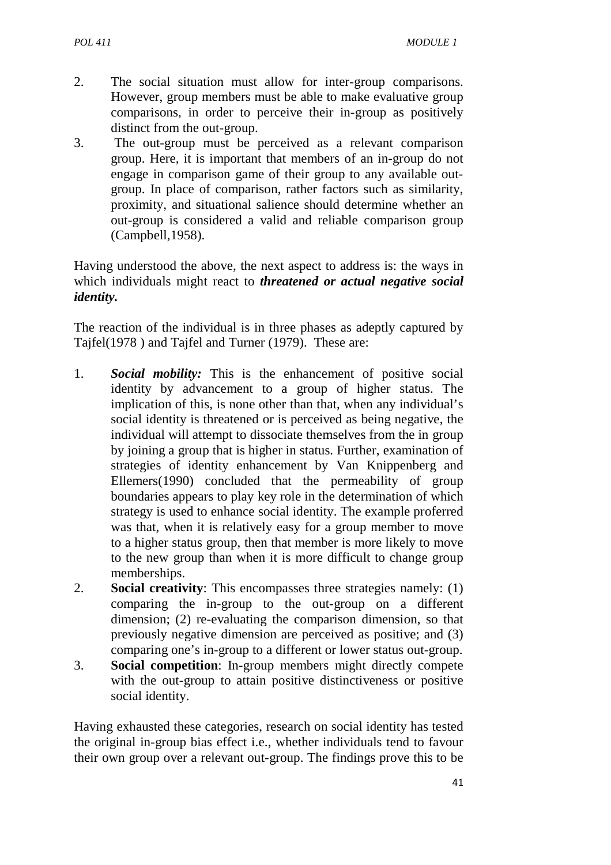- 2. The social situation must allow for inter-group comparisons. However, group members must be able to make evaluative group comparisons, in order to perceive their in-group as positively distinct from the out-group.
- 3. The out-group must be perceived as a relevant comparison group. Here, it is important that members of an in-group do not engage in comparison game of their group to any available outgroup. In place of comparison, rather factors such as similarity, proximity, and situational salience should determine whether an out-group is considered a valid and reliable comparison group (Campbell,1958).

Having understood the above, the next aspect to address is: the ways in which individuals might react to *threatened or actual negative social identity.* 

The reaction of the individual is in three phases as adeptly captured by Tajfel(1978 ) and Tajfel and Turner (1979). These are:

- 1. *Social mobility:* This is the enhancement of positive social identity by advancement to a group of higher status. The implication of this, is none other than that, when any individual's social identity is threatened or is perceived as being negative, the individual will attempt to dissociate themselves from the in group by joining a group that is higher in status. Further, examination of strategies of identity enhancement by Van Knippenberg and Ellemers(1990) concluded that the permeability of group boundaries appears to play key role in the determination of which strategy is used to enhance social identity. The example proferred was that, when it is relatively easy for a group member to move to a higher status group, then that member is more likely to move to the new group than when it is more difficult to change group memberships.
- 2. **Social creativity**: This encompasses three strategies namely: (1) comparing the in-group to the out-group on a different dimension; (2) re-evaluating the comparison dimension, so that previously negative dimension are perceived as positive; and (3) comparing one's in-group to a different or lower status out-group.
- 3. **Social competition**: In-group members might directly compete with the out-group to attain positive distinctiveness or positive social identity.

Having exhausted these categories, research on social identity has tested the original in-group bias effect i.e., whether individuals tend to favour their own group over a relevant out-group. The findings prove this to be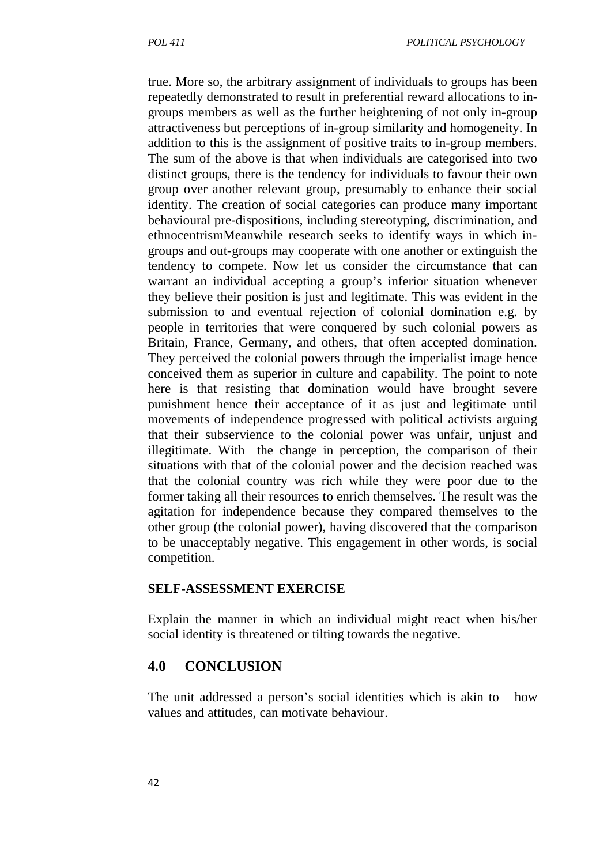true. More so, the arbitrary assignment of individuals to groups has been repeatedly demonstrated to result in preferential reward allocations to ingroups members as well as the further heightening of not only in-group attractiveness but perceptions of in-group similarity and homogeneity. In addition to this is the assignment of positive traits to in-group members. The sum of the above is that when individuals are categorised into two distinct groups, there is the tendency for individuals to favour their own group over another relevant group, presumably to enhance their social identity. The creation of social categories can produce many important behavioural pre-dispositions, including stereotyping, discrimination, and ethnocentrismMeanwhile research seeks to identify ways in which ingroups and out-groups may cooperate with one another or extinguish the tendency to compete. Now let us consider the circumstance that can warrant an individual accepting a group's inferior situation whenever they believe their position is just and legitimate. This was evident in the submission to and eventual rejection of colonial domination e.g. by people in territories that were conquered by such colonial powers as Britain, France, Germany, and others, that often accepted domination. They perceived the colonial powers through the imperialist image hence conceived them as superior in culture and capability. The point to note here is that resisting that domination would have brought severe punishment hence their acceptance of it as just and legitimate until movements of independence progressed with political activists arguing that their subservience to the colonial power was unfair, unjust and illegitimate. With the change in perception, the comparison of their situations with that of the colonial power and the decision reached was that the colonial country was rich while they were poor due to the former taking all their resources to enrich themselves. The result was the agitation for independence because they compared themselves to the other group (the colonial power), having discovered that the comparison to be unacceptably negative. This engagement in other words, is social competition.

#### **SELF-ASSESSMENT EXERCISE**

Explain the manner in which an individual might react when his/her social identity is threatened or tilting towards the negative.

### **4.0 CONCLUSION**

The unit addressed a person's social identities which is akin to how values and attitudes, can motivate behaviour.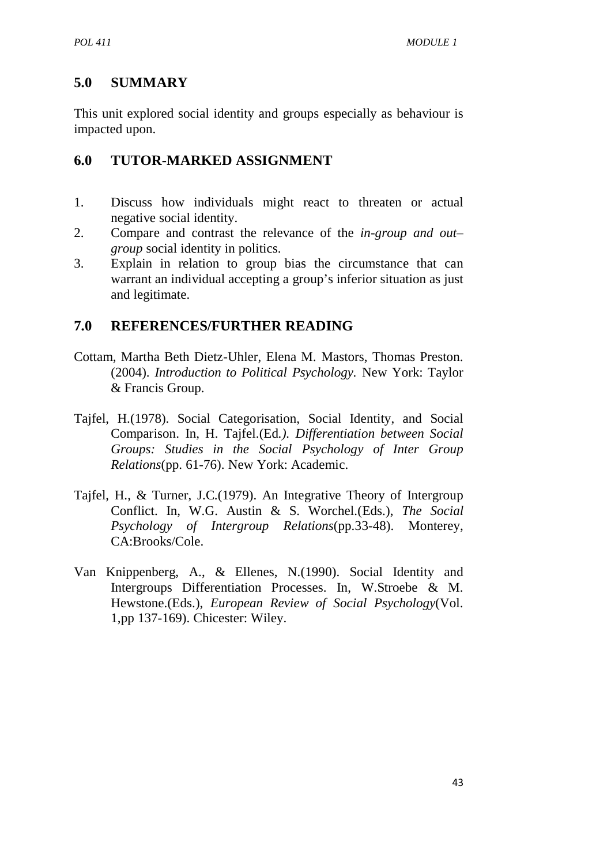# **5.0 SUMMARY**

This unit explored social identity and groups especially as behaviour is impacted upon.

# **6.0 TUTOR-MARKED ASSIGNMENT**

- 1. Discuss how individuals might react to threaten or actual negative social identity.
- 2. Compare and contrast the relevance of the *in-group and out– group* social identity in politics.
- 3. Explain in relation to group bias the circumstance that can warrant an individual accepting a group's inferior situation as just and legitimate.

# **7.0 REFERENCES/FURTHER READING**

- Cottam, Martha Beth Dietz-Uhler, Elena M. Mastors, Thomas Preston. (2004). *Introduction to Political Psychology.* New York: Taylor & Francis Group.
- Tajfel, H.(1978). Social Categorisation, Social Identity, and Social Comparison. In, H. Tajfel.(Ed*.). Differentiation between Social Groups: Studies in the Social Psychology of Inter Group Relations*(pp. 61-76). New York: Academic.
- Tajfel, H., & Turner, J.C.(1979). An Integrative Theory of Intergroup Conflict. In, W.G. Austin & S. Worchel.(Eds.), *The Social Psychology of Intergroup Relations*(pp.33-48). Monterey, CA:Brooks/Cole.
- Van Knippenberg, A., & Ellenes, N.(1990). Social Identity and Intergroups Differentiation Processes. In, W.Stroebe & M. Hewstone.(Eds.), *European Review of Social Psychology*(Vol. 1,pp 137-169). Chicester: Wiley.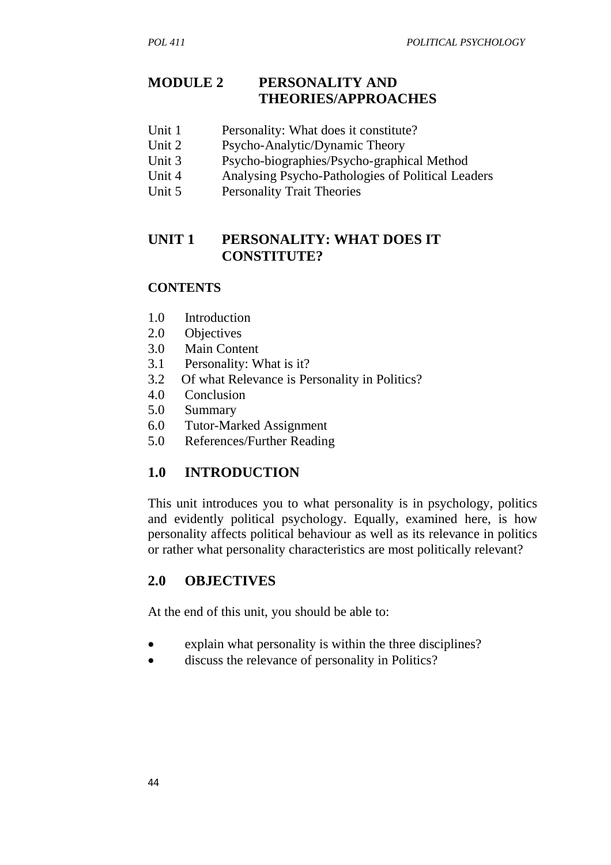# **MODULE 2 PERSONALITY AND THEORIES/APPROACHES**

- Unit 1 Personality: What does it constitute?
- Unit 2 Psycho-Analytic/Dynamic Theory
- Unit 3 Psycho-biographies/Psycho-graphical Method
- Unit 4 Analysing Psycho-Pathologies of Political Leaders
- Unit 5 Personality Trait Theories

# **UNIT 1 PERSONALITY: WHAT DOES IT CONSTITUTE?**

### **CONTENTS**

- 1.0 Introduction
- 2.0 Objectives
- 3.0 Main Content
- 3.1 Personality: What is it?
- 3.2 Of what Relevance is Personality in Politics?
- 4.0 Conclusion
- 5.0 Summary
- 6.0 Tutor-Marked Assignment
- 5.0 References/Further Reading

# **1.0 INTRODUCTION**

This unit introduces you to what personality is in psychology, politics and evidently political psychology. Equally, examined here, is how personality affects political behaviour as well as its relevance in politics or rather what personality characteristics are most politically relevant?

# **2.0 OBJECTIVES**

At the end of this unit, you should be able to:

- explain what personality is within the three disciplines?
- discuss the relevance of personality in Politics?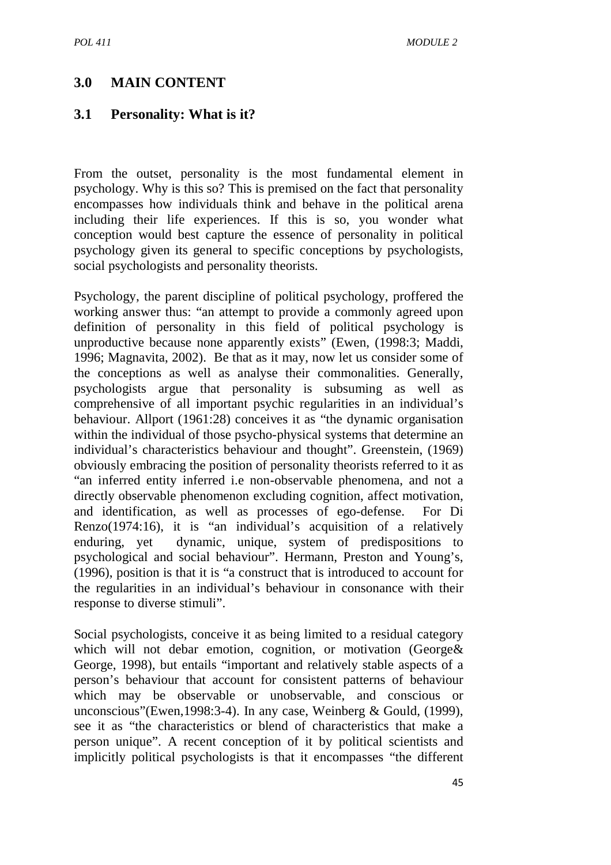# **3.0 MAIN CONTENT**

### **3.1 Personality: What is it?**

From the outset, personality is the most fundamental element in psychology. Why is this so? This is premised on the fact that personality encompasses how individuals think and behave in the political arena including their life experiences. If this is so, you wonder what conception would best capture the essence of personality in political psychology given its general to specific conceptions by psychologists, social psychologists and personality theorists.

Psychology, the parent discipline of political psychology, proffered the working answer thus: "an attempt to provide a commonly agreed upon definition of personality in this field of political psychology is unproductive because none apparently exists" (Ewen, (1998:3; Maddi, 1996; Magnavita, 2002). Be that as it may, now let us consider some of the conceptions as well as analyse their commonalities. Generally, psychologists argue that personality is subsuming as well as comprehensive of all important psychic regularities in an individual's behaviour. Allport (1961:28) conceives it as "the dynamic organisation within the individual of those psycho-physical systems that determine an individual's characteristics behaviour and thought". Greenstein, (1969) obviously embracing the position of personality theorists referred to it as "an inferred entity inferred i.e non-observable phenomena, and not a directly observable phenomenon excluding cognition, affect motivation, and identification, as well as processes of ego-defense. For Di Renzo(1974:16), it is "an individual's acquisition of a relatively enduring, yet dynamic, unique, system of predispositions to psychological and social behaviour". Hermann, Preston and Young's, (1996), position is that it is "a construct that is introduced to account for the regularities in an individual's behaviour in consonance with their response to diverse stimuli".

Social psychologists, conceive it as being limited to a residual category which will not debar emotion, cognition, or motivation (George & George, 1998), but entails "important and relatively stable aspects of a person's behaviour that account for consistent patterns of behaviour which may be observable or unobservable, and conscious or unconscious"(Ewen,1998:3-4). In any case, Weinberg & Gould, (1999), see it as "the characteristics or blend of characteristics that make a person unique". A recent conception of it by political scientists and implicitly political psychologists is that it encompasses "the different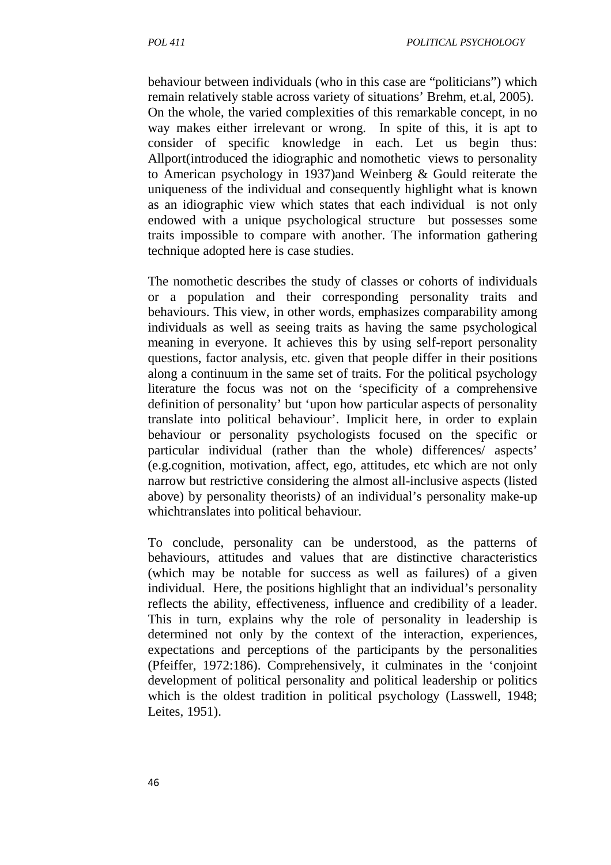behaviour between individuals (who in this case are "politicians") which remain relatively stable across variety of situations' Brehm, et.al, 2005). On the whole, the varied complexities of this remarkable concept, in no way makes either irrelevant or wrong. In spite of this, it is apt to consider of specific knowledge in each. Let us begin thus: Allport(introduced the idiographic and nomothetic views to personality to American psychology in 1937)and Weinberg & Gould reiterate the uniqueness of the individual and consequently highlight what is known as an idiographic view which states that each individual is not only endowed with a unique psychological structure but possesses some traits impossible to compare with another. The information gathering technique adopted here is case studies.

The nomothetic describes the study of classes or cohorts of individuals or a population and their corresponding personality traits and behaviours. This view, in other words, emphasizes comparability among individuals as well as seeing traits as having the same psychological meaning in everyone. It achieves this by using self-report personality questions, factor analysis, etc. given that people differ in their positions along a continuum in the same set of traits. For the political psychology literature the focus was not on the 'specificity of a comprehensive definition of personality' but 'upon how particular aspects of personality translate into political behaviour'. Implicit here, in order to explain behaviour or personality psychologists focused on the specific or particular individual (rather than the whole) differences/ aspects' (e.g.cognition, motivation, affect, ego, attitudes, etc which are not only narrow but restrictive considering the almost all-inclusive aspects (listed above) by personality theorists*)* of an individual's personality make-up whichtranslates into political behaviour*.*

To conclude, personality can be understood, as the patterns of behaviours, attitudes and values that are distinctive characteristics (which may be notable for success as well as failures) of a given individual. Here, the positions highlight that an individual's personality reflects the ability, effectiveness, influence and credibility of a leader. This in turn, explains why the role of personality in leadership is determined not only by the context of the interaction, experiences, expectations and perceptions of the participants by the personalities (Pfeiffer, 1972:186). Comprehensively, it culminates in the 'conjoint development of political personality and political leadership or politics which is the oldest tradition in political psychology (Lasswell, 1948; Leites, 1951).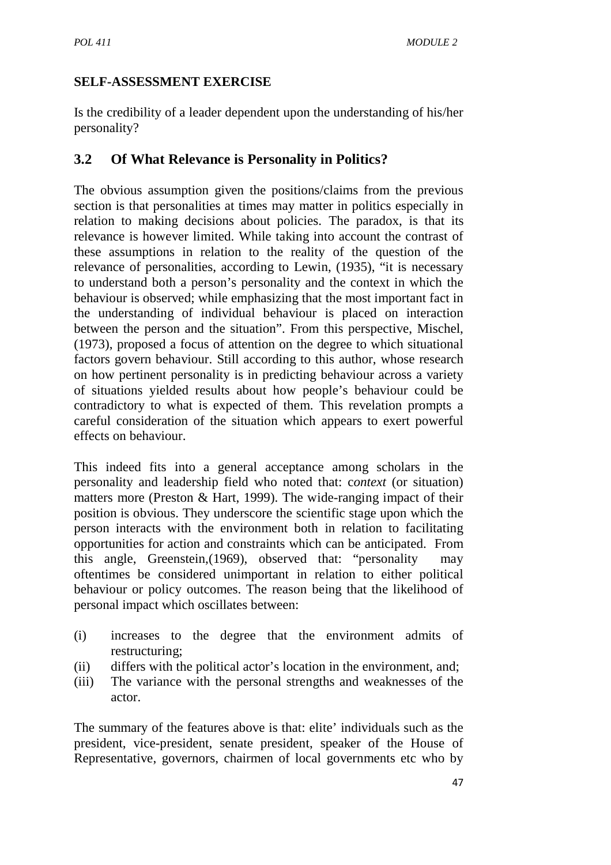# **SELF-ASSESSMENT EXERCISE**

Is the credibility of a leader dependent upon the understanding of his/her personality?

# **3.2 Of What Relevance is Personality in Politics?**

The obvious assumption given the positions/claims from the previous section is that personalities at times may matter in politics especially in relation to making decisions about policies. The paradox, is that its relevance is however limited. While taking into account the contrast of these assumptions in relation to the reality of the question of the relevance of personalities, according to Lewin, (1935), "it is necessary to understand both a person's personality and the context in which the behaviour is observed; while emphasizing that the most important fact in the understanding of individual behaviour is placed on interaction between the person and the situation". From this perspective, Mischel, (1973), proposed a focus of attention on the degree to which situational factors govern behaviour. Still according to this author, whose research on how pertinent personality is in predicting behaviour across a variety of situations yielded results about how people's behaviour could be contradictory to what is expected of them. This revelation prompts a careful consideration of the situation which appears to exert powerful effects on behaviour.

This indeed fits into a general acceptance among scholars in the personality and leadership field who noted that: c*ontext* (or situation) matters more (Preston & Hart, 1999). The wide-ranging impact of their position is obvious. They underscore the scientific stage upon which the person interacts with the environment both in relation to facilitating opportunities for action and constraints which can be anticipated. From this angle, Greenstein,(1969), observed that: "personality may oftentimes be considered unimportant in relation to either political behaviour or policy outcomes. The reason being that the likelihood of personal impact which oscillates between:

- (i) increases to the degree that the environment admits of restructuring;
- (ii) differs with the political actor's location in the environment, and;
- (iii) The variance with the personal strengths and weaknesses of the actor.

The summary of the features above is that: elite' individuals such as the president, vice-president, senate president, speaker of the House of Representative, governors, chairmen of local governments etc who by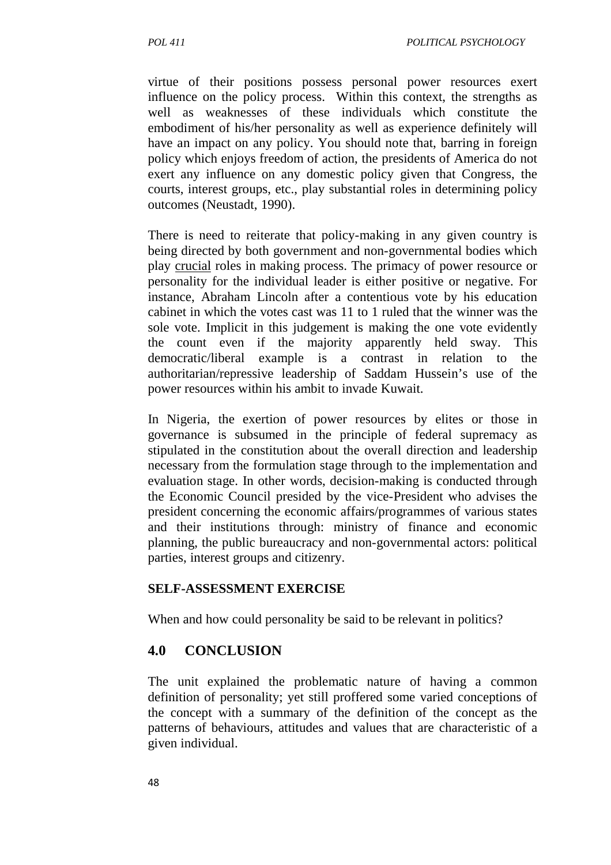virtue of their positions possess personal power resources exert influence on the policy process. Within this context, the strengths as well as weaknesses of these individuals which constitute the embodiment of his/her personality as well as experience definitely will have an impact on any policy. You should note that, barring in foreign policy which enjoys freedom of action, the presidents of America do not exert any influence on any domestic policy given that Congress, the courts, interest groups, etc., play substantial roles in determining policy outcomes (Neustadt, 1990).

There is need to reiterate that policy-making in any given country is being directed by both government and non-governmental bodies which play crucial roles in making process. The primacy of power resource or personality for the individual leader is either positive or negative. For instance, Abraham Lincoln after a contentious vote by his education cabinet in which the votes cast was 11 to 1 ruled that the winner was the sole vote. Implicit in this judgement is making the one vote evidently the count even if the majority apparently held sway. This democratic/liberal example is a contrast in relation to the authoritarian/repressive leadership of Saddam Hussein's use of the power resources within his ambit to invade Kuwait.

In Nigeria, the exertion of power resources by elites or those in governance is subsumed in the principle of federal supremacy as stipulated in the constitution about the overall direction and leadership necessary from the formulation stage through to the implementation and evaluation stage. In other words, decision-making is conducted through the Economic Council presided by the vice-President who advises the president concerning the economic affairs/programmes of various states and their institutions through: ministry of finance and economic planning, the public bureaucracy and non-governmental actors: political parties, interest groups and citizenry.

#### **SELF-ASSESSMENT EXERCISE**

When and how could personality be said to be relevant in politics?

### **4.0 CONCLUSION**

The unit explained the problematic nature of having a common definition of personality; yet still proffered some varied conceptions of the concept with a summary of the definition of the concept as the patterns of behaviours, attitudes and values that are characteristic of a given individual.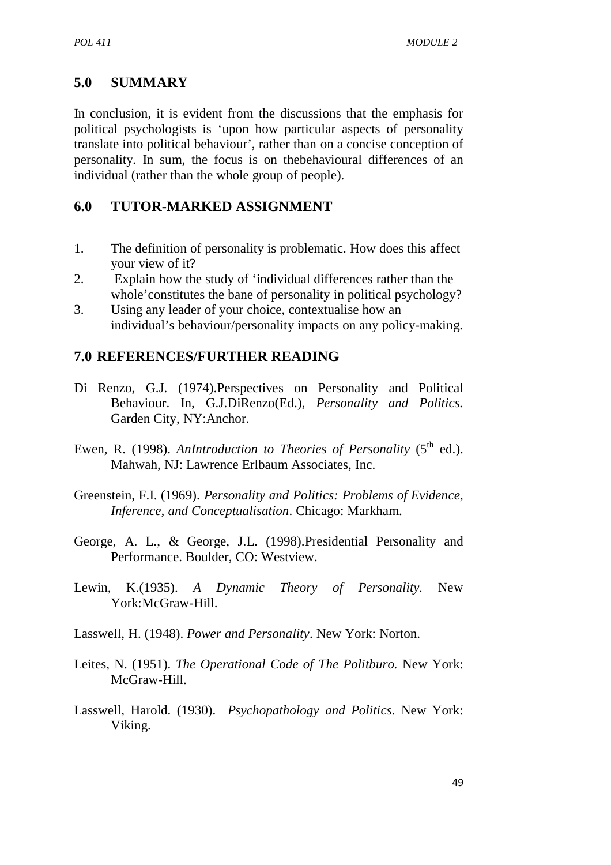### **5.0 SUMMARY**

In conclusion, it is evident from the discussions that the emphasis for political psychologists is 'upon how particular aspects of personality translate into political behaviour', rather than on a concise conception of personality*.* In sum, the focus is on thebehavioural differences of an individual (rather than the whole group of people).

### **6.0 TUTOR-MARKED ASSIGNMENT**

- 1. The definition of personality is problematic. How does this affect your view of it?
- 2. Explain how the study of 'individual differences rather than the whole'constitutes the bane of personality in political psychology?
- 3. Using any leader of your choice, contextualise how an individual's behaviour/personality impacts on any policy-making.

### **7.0 REFERENCES/FURTHER READING**

- Di Renzo, G.J. (1974).Perspectives on Personality and Political Behaviour. In, G.J.DiRenzo(Ed.), *Personality and Politics.* Garden City, NY:Anchor.
- Ewen, R. (1998). *AnIntroduction to Theories of Personality* (5<sup>th</sup> ed.). Mahwah, NJ: Lawrence Erlbaum Associates, Inc.
- Greenstein, F.I. (1969). *Personality and Politics: Problems of Evidence, Inference, and Conceptualisation*. Chicago: Markham.
- George, A. L., & George, J.L. (1998).Presidential Personality and Performance. Boulder, CO: Westview.
- Lewin, K.(1935). *A Dynamic Theory of Personality.* New York:McGraw-Hill.
- Lasswell, H. (1948). *Power and Personality*. New York: Norton.
- Leites, N. (1951). *The Operational Code of The Politburo.* New York: McGraw-Hill.
- Lasswell, Harold. (1930). *Psychopathology and Politics*. New York: Viking.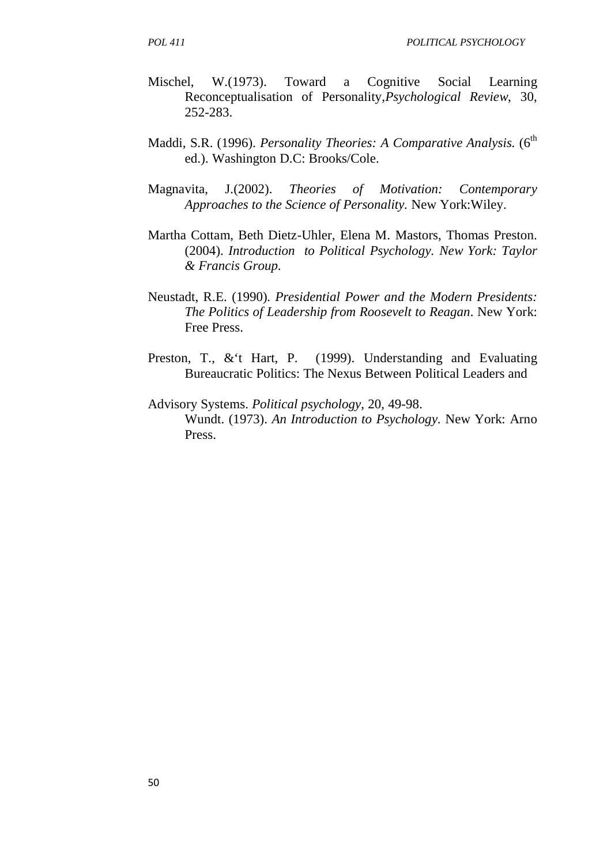- Mischel, W.(1973). Toward a Cognitive Social Learning Reconceptualisation of Personality*,Psychological Review*, 30, 252-283.
- Maddi, S.R. (1996). *Personality Theories: A Comparative Analysis.* (6<sup>th</sup> ed.). Washington D.C: Brooks/Cole.
- Magnavita, J.(2002). *Theories of Motivation: Contemporary Approaches to the Science of Personality.* New York:Wiley.
- Martha Cottam, Beth Dietz-Uhler, Elena M. Mastors, Thomas Preston. (2004). *Introduction to Political Psychology. New York: Taylor & Francis Group.*
- Neustadt, R.E. (1990). *Presidential Power and the Modern Presidents: The Politics of Leadership from Roosevelt to Reagan*. New York: Free Press.
- Preston, T., & t Hart, P. (1999). Understanding and Evaluating Bureaucratic Politics: The Nexus Between Political Leaders and
- Advisory Systems. *Political psychology*, 20, 49-98. Wundt. (1973). *An Introduction to Psychology.* New York: Arno Press.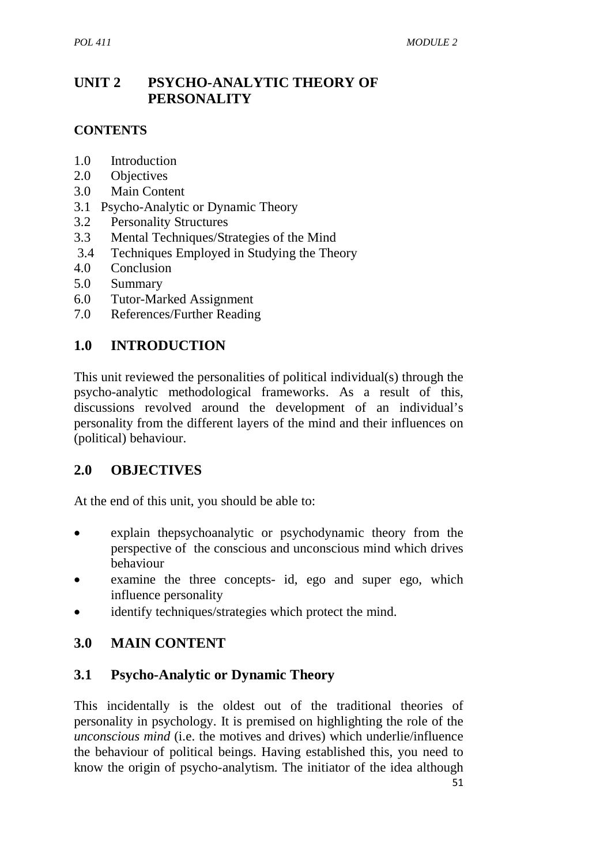# **UNIT 2 PSYCHO-ANALYTIC THEORY OF PERSONALITY**

### **CONTENTS**

- 1.0 Introduction
- 2.0 Objectives
- 3.0 Main Content
- 3.1 Psycho-Analytic or Dynamic Theory
- 3.2 Personality Structures
- 3.3 Mental Techniques/Strategies of the Mind
- 3.4 Techniques Employed in Studying the Theory
- 4.0 Conclusion
- 5.0 Summary
- 6.0 Tutor-Marked Assignment
- 7.0 References/Further Reading

# **1.0 INTRODUCTION**

This unit reviewed the personalities of political individual(s) through the psycho-analytic methodological frameworks. As a result of this, discussions revolved around the development of an individual's personality from the different layers of the mind and their influences on (political) behaviour.

# **2.0 OBJECTIVES**

At the end of this unit, you should be able to:

- explain thepsychoanalytic or psychodynamic theory from the perspective of the conscious and unconscious mind which drives behaviour
- examine the three concepts- id, ego and super ego, which influence personality
- identify techniques/strategies which protect the mind.

# **3.0 MAIN CONTENT**

# **3.1 Psycho-Analytic or Dynamic Theory**

This incidentally is the oldest out of the traditional theories of personality in psychology. It is premised on highlighting the role of the *unconscious mind* (i.e. the motives and drives) which underlie/influence the behaviour of political beings. Having established this, you need to know the origin of psycho-analytism. The initiator of the idea although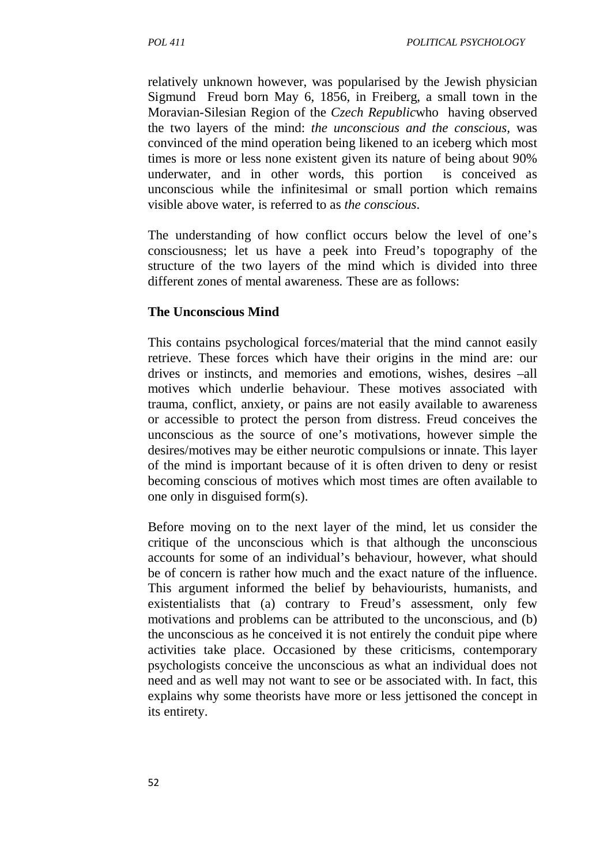relatively unknown however, was popularised by the Jewish physician Sigmund Freud born May 6, 1856, in Freiberg, a small town in the Moravian-Silesian Region of the *Czech Republic*who having observed the two layers of the mind: *the unconscious and the conscious,* was convinced of the mind operation being likened to an iceberg which most times is more or less none existent given its nature of being about 90% underwater, and in other words, this portion is conceived as unconscious while the infinitesimal or small portion which remains visible above water, is referred to as *the conscious*.

The understanding of how conflict occurs below the level of one's consciousness; let us have a peek into Freud's topography of the structure of the two layers of the mind which is divided into three different zones of mental awareness*.* These are as follows:

### **The Unconscious Mind**

This contains psychological forces/material that the mind cannot easily retrieve. These forces which have their origins in the mind are: our drives or instincts, and memories and emotions, wishes, desires –all motives which underlie behaviour. These motives associated with trauma, conflict, anxiety, or pains are not easily available to awareness or accessible to protect the person from distress. Freud conceives the unconscious as the source of one's motivations, however simple the desires/motives may be either neurotic compulsions or innate. This layer of the mind is important because of it is often driven to deny or resist becoming conscious of motives which most times are often available to one only in disguised form(s).

Before moving on to the next layer of the mind, let us consider the critique of the unconscious which is that although the unconscious accounts for some of an individual's behaviour, however, what should be of concern is rather how much and the exact nature of the influence. This argument informed the belief by behaviourists, humanists, and existentialists that (a) contrary to Freud's assessment, only few motivations and problems can be attributed to the unconscious, and (b) the unconscious as he conceived it is not entirely the conduit pipe where activities take place. Occasioned by these criticisms, contemporary psychologists conceive the unconscious as what an individual does not need and as well may not want to see or be associated with. In fact, this explains why some theorists have more or less jettisoned the concept in its entirety.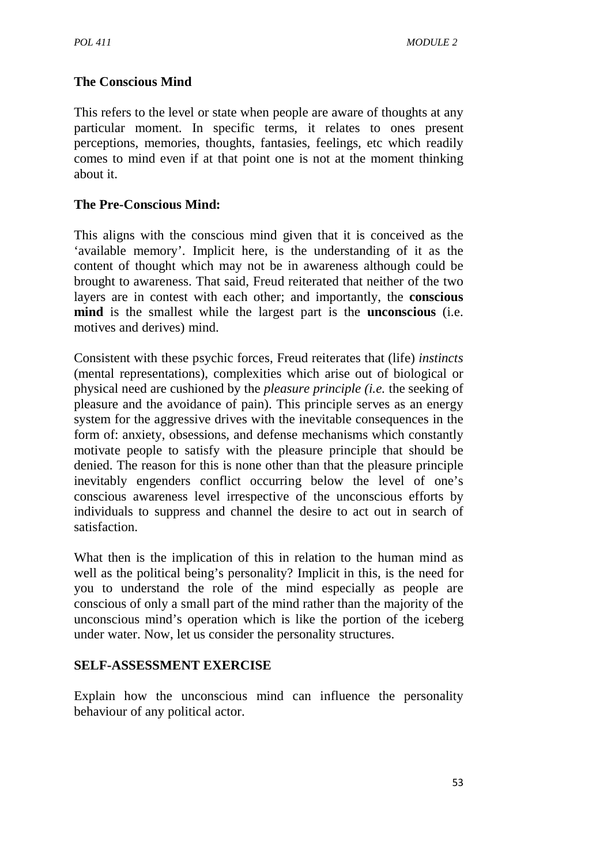### **The Conscious Mind**

This refers to the level or state when people are aware of thoughts at any particular moment. In specific terms, it relates to ones present perceptions, memories, thoughts, fantasies, feelings, etc which readily comes to mind even if at that point one is not at the moment thinking about it.

### **The Pre-Conscious Mind:**

This aligns with the conscious mind given that it is conceived as the 'available memory'. Implicit here, is the understanding of it as the content of thought which may not be in awareness although could be brought to awareness. That said, Freud reiterated that neither of the two layers are in contest with each other; and importantly, the **conscious mind** is the smallest while the largest part is the **unconscious** (i.e. motives and derives) mind.

Consistent with these psychic forces, Freud reiterates that (life) *instincts*  (mental representations), complexities which arise out of biological or physical need are cushioned by the *pleasure principle (i.e.* the seeking of pleasure and the avoidance of pain). This principle serves as an energy system for the aggressive drives with the inevitable consequences in the form of: anxiety, obsessions, and defense mechanisms which constantly motivate people to satisfy with the pleasure principle that should be denied. The reason for this is none other than that the pleasure principle inevitably engenders conflict occurring below the level of one's conscious awareness level irrespective of the unconscious efforts by individuals to suppress and channel the desire to act out in search of satisfaction.

What then is the implication of this in relation to the human mind as well as the political being's personality? Implicit in this, is the need for you to understand the role of the mind especially as people are conscious of only a small part of the mind rather than the majority of the unconscious mind's operation which is like the portion of the iceberg under water. Now, let us consider the personality structures.

### **SELF-ASSESSMENT EXERCISE**

Explain how the unconscious mind can influence the personality behaviour of any political actor.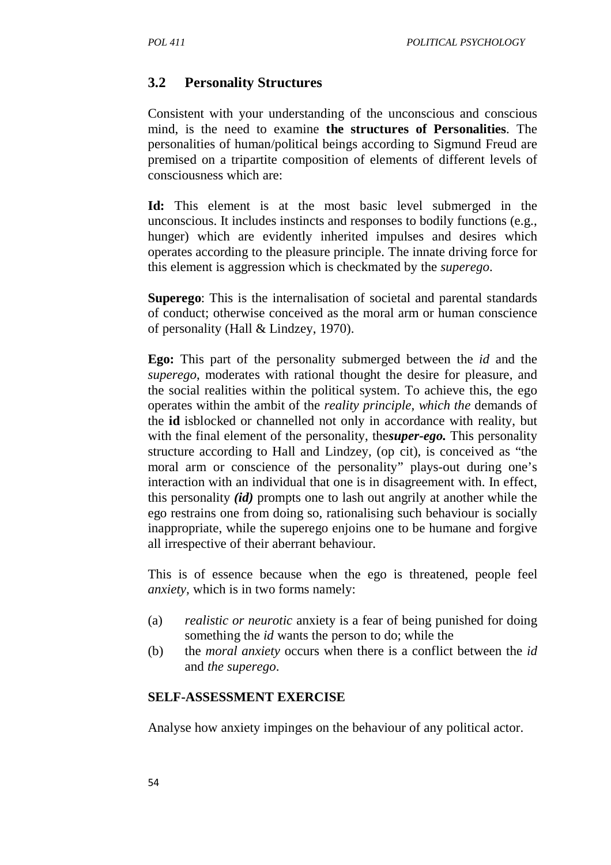### **3.2 Personality Structures**

Consistent with your understanding of the unconscious and conscious mind, is the need to examine **the structures of Personalities**. The personalities of human/political beings according to Sigmund Freud are premised on a tripartite composition of elements of different levels of consciousness which are:

**Id:** This element is at the most basic level submerged in the unconscious. It includes instincts and responses to bodily functions (e.g., hunger) which are evidently inherited impulses and desires which operates according to the pleasure principle. The innate driving force for this element is aggression which is checkmated by the *superego*.

**Superego**: This is the internalisation of societal and parental standards of conduct; otherwise conceived as the moral arm or human conscience of personality (Hall & Lindzey, 1970).

**Ego:** This part of the personality submerged between the *id* and the *superego*, moderates with rational thought the desire for pleasure, and the social realities within the political system. To achieve this, the ego operates within the ambit of the *reality principle, which the* demands of the **id** isblocked or channelled not only in accordance with reality, but with the final element of the personality, the*super-ego.* This personality structure according to Hall and Lindzey, (op cit), is conceived as "the moral arm or conscience of the personality" plays-out during one's interaction with an individual that one is in disagreement with. In effect, this personality *(id)* prompts one to lash out angrily at another while the ego restrains one from doing so, rationalising such behaviour is socially inappropriate, while the superego enjoins one to be humane and forgive all irrespective of their aberrant behaviour.

This is of essence because when the ego is threatened, people feel *anxiety,* which is in two forms namely:

- (a) *realistic or neurotic* anxiety is a fear of being punished for doing something the *id* wants the person to do; while the
- (b) the *moral anxiety* occurs when there is a conflict between the *id*  and *the superego*.

#### **SELF-ASSESSMENT EXERCISE**

Analyse how anxiety impinges on the behaviour of any political actor.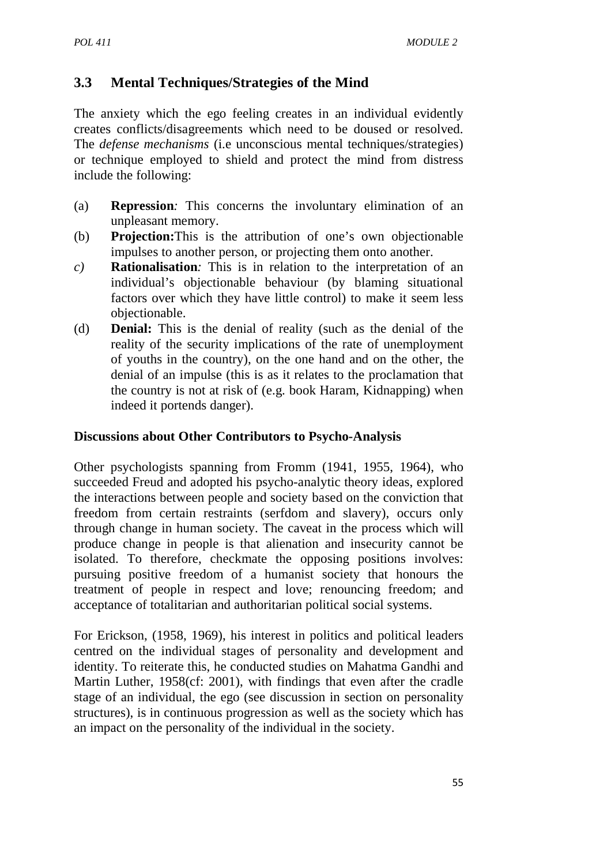# **3.3 Mental Techniques/Strategies of the Mind**

The anxiety which the ego feeling creates in an individual evidently creates conflicts/disagreements which need to be doused or resolved. The *defense mechanisms* (i.e unconscious mental techniques/strategies) or technique employed to shield and protect the mind from distress include the following:

- (a) **Repression***:* This concerns the involuntary elimination of an unpleasant memory.
- (b) **Projection:**This is the attribution of one's own objectionable impulses to another person, or projecting them onto another.
- *c)* **Rationalisation***:* This is in relation to the interpretation of an individual's objectionable behaviour (by blaming situational factors over which they have little control) to make it seem less objectionable.
- (d) **Denial:** This is the denial of reality (such as the denial of the reality of the security implications of the rate of unemployment of youths in the country), on the one hand and on the other, the denial of an impulse (this is as it relates to the proclamation that the country is not at risk of (e.g. book Haram, Kidnapping) when indeed it portends danger).

### **Discussions about Other Contributors to Psycho-Analysis**

Other psychologists spanning from Fromm (1941, 1955, 1964), who succeeded Freud and adopted his psycho-analytic theory ideas, explored the interactions between people and society based on the conviction that freedom from certain restraints (serfdom and slavery), occurs only through change in human society. The caveat in the process which will produce change in people is that alienation and insecurity cannot be isolated. To therefore, checkmate the opposing positions involves: pursuing positive freedom of a humanist society that honours the treatment of people in respect and love; renouncing freedom; and acceptance of totalitarian and authoritarian political social systems.

For Erickson, (1958, 1969), his interest in politics and political leaders centred on the individual stages of personality and development and identity. To reiterate this, he conducted studies on Mahatma Gandhi and Martin Luther, 1958(cf: 2001), with findings that even after the cradle stage of an individual, the ego (see discussion in section on personality structures), is in continuous progression as well as the society which has an impact on the personality of the individual in the society.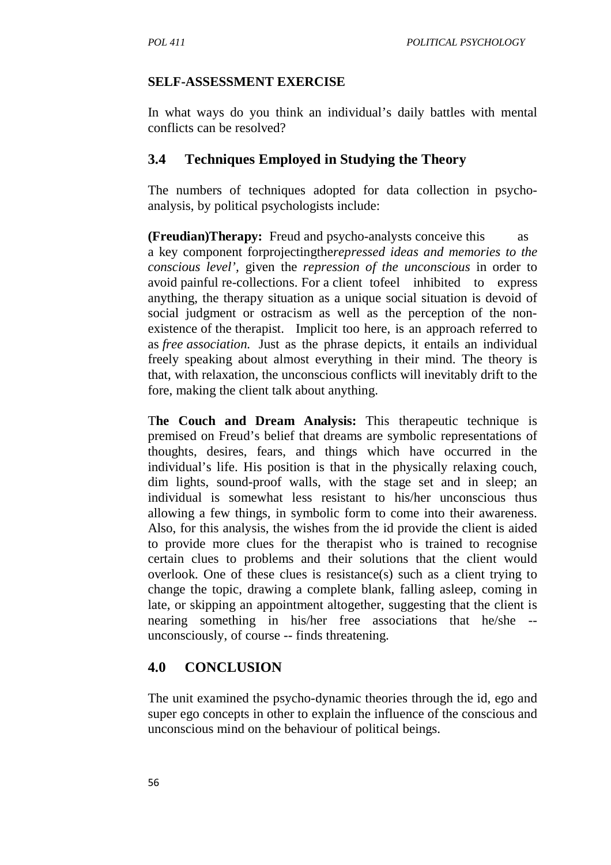### **SELF-ASSESSMENT EXERCISE**

In what ways do you think an individual's daily battles with mental conflicts can be resolved?

# **3.4 Techniques Employed in Studying the Theory**

The numbers of techniques adopted for data collection in psychoanalysis, by political psychologists include:

**(Freudian)Therapy:** Freud and psycho-analysts conceive this as a key component forprojectingthe*repressed ideas and memories to the conscious level',* given the *repression of the unconscious* in order to avoid painful re-collections. For a client tofeel inhibited to express anything, the therapy situation as a unique social situation is devoid of social judgment or ostracism as well as the perception of the nonexistence of the therapist. Implicit too here, is an approach referred to as *free association.* Just as the phrase depicts, it entails an individual freely speaking about almost everything in their mind. The theory is that, with relaxation, the unconscious conflicts will inevitably drift to the fore, making the client talk about anything.

T**he Couch and Dream Analysis:** This therapeutic technique is premised on Freud's belief that dreams are symbolic representations of thoughts, desires, fears, and things which have occurred in the individual's life. His position is that in the physically relaxing couch, dim lights, sound-proof walls, with the stage set and in sleep; an individual is somewhat less resistant to his/her unconscious thus allowing a few things, in symbolic form to come into their awareness. Also, for this analysis, the wishes from the id provide the client is aided to provide more clues for the therapist who is trained to recognise certain clues to problems and their solutions that the client would overlook. One of these clues is resistance(s) such as a client trying to change the topic, drawing a complete blank, falling asleep, coming in late, or skipping an appointment altogether, suggesting that the client is nearing something in his/her free associations that he/she - unconsciously, of course -- finds threatening.

# **4.0 CONCLUSION**

The unit examined the psycho-dynamic theories through the id, ego and super ego concepts in other to explain the influence of the conscious and unconscious mind on the behaviour of political beings.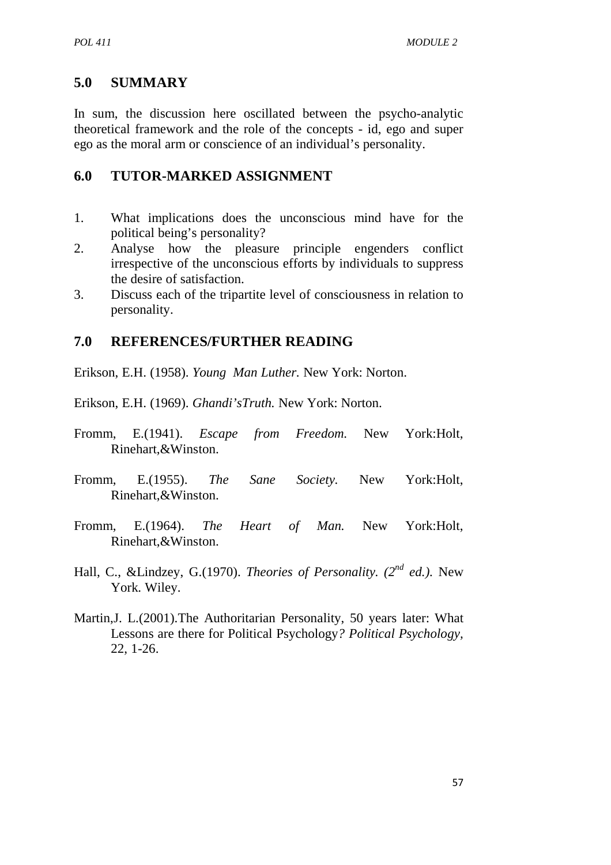# **5.0 SUMMARY**

In sum, the discussion here oscillated between the psycho-analytic theoretical framework and the role of the concepts - id, ego and super ego as the moral arm or conscience of an individual's personality.

# **6.0 TUTOR-MARKED ASSIGNMENT**

- 1. What implications does the unconscious mind have for the political being's personality?
- 2. Analyse how the pleasure principle engenders conflict irrespective of the unconscious efforts by individuals to suppress the desire of satisfaction.
- 3. Discuss each of the tripartite level of consciousness in relation to personality.

# **7.0 REFERENCES/FURTHER READING**

Erikson, E.H. (1958). *Young Man Luther.* New York: Norton.

Erikson, E.H. (1969). *Ghandi'sTruth.* New York: Norton.

- Fromm, E.(1941). *Escape from Freedom.* New York:Holt, Rinehart,&Winston.
- Fromm, E.(1955). *The Sane Society.* New York:Holt, Rinehart,&Winston.
- Fromm, E.(1964). *The Heart of Man.* New York:Holt, Rinehart,&Winston.
- Hall, C., &Lindzey, G.(1970). *Theories of Personality. (2nd ed.).* New York. Wiley.
- Martin,J. L.(2001).The Authoritarian Personality, 50 years later: What Lessons are there for Political Psychology*? Political Psychology,*  22, 1-26.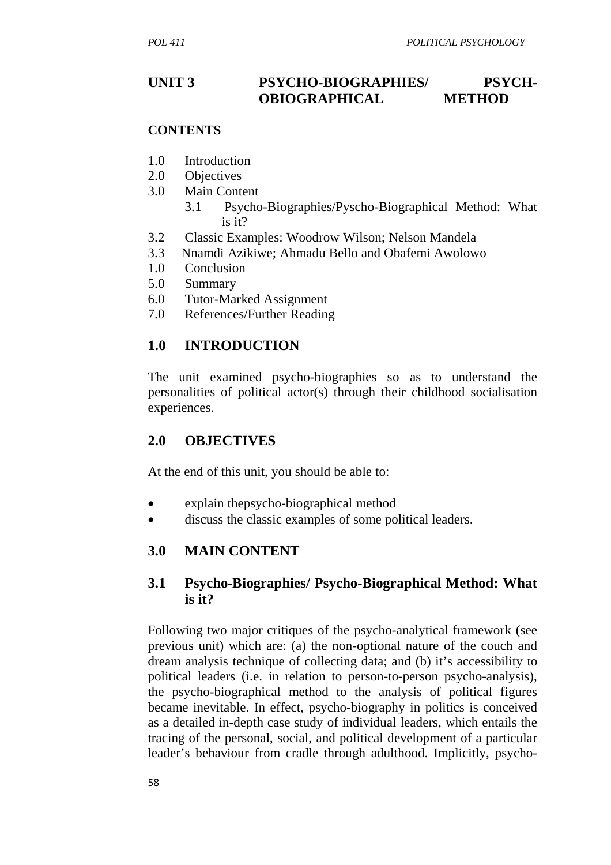# UNIT 3 **PSYCHO-BIOGRAPHIES/** PSYCH-**OBIOGRAPHICAL METHOD**

### **CONTENTS**

- 1.0 Introduction
- 2.0 Objectives
- 3.0 Main Content
	- 3.1 Psycho-Biographies/Pyscho-Biographical Method: What is it?
- 3.2 Classic Examples: Woodrow Wilson; Nelson Mandela
- 3.3 Nnamdi Azikiwe; Ahmadu Bello and Obafemi Awolowo
- 1.0 Conclusion
- 5.0 Summary
- 6.0 Tutor-Marked Assignment
- 7.0 References/Further Reading

### **1.0 INTRODUCTION**

The unit examined psycho-biographies so as to understand the personalities of political actor(s) through their childhood socialisation experiences.

### **2.0 OBJECTIVES**

At the end of this unit, you should be able to:

- explain thepsycho-biographical method
- discuss the classic examples of some political leaders.

### **3.0 MAIN CONTENT**

### **3.1 Psycho-Biographies/ Psycho-Biographical Method: What is it?**

Following two major critiques of the psycho-analytical framework (see previous unit) which are: (a) the non-optional nature of the couch and dream analysis technique of collecting data; and (b) it's accessibility to political leaders (i.e. in relation to person-to-person psycho-analysis), the psycho-biographical method to the analysis of political figures became inevitable. In effect, psycho-biography in politics is conceived as a detailed in-depth case study of individual leaders, which entails the tracing of the personal, social, and political development of a particular leader's behaviour from cradle through adulthood. Implicitly, psycho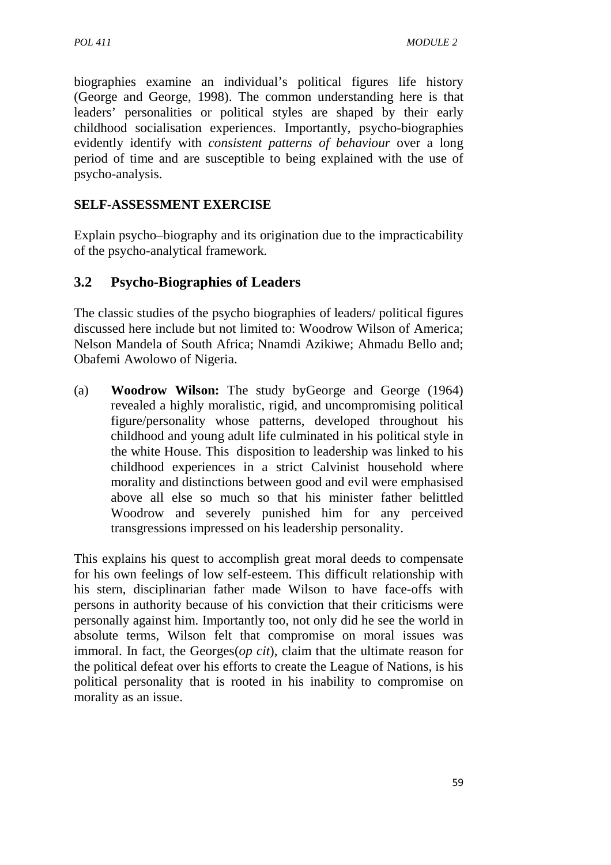biographies examine an individual's political figures life history (George and George, 1998). The common understanding here is that leaders' personalities or political styles are shaped by their early childhood socialisation experiences. Importantly, psycho-biographies evidently identify with *consistent patterns of behaviour* over a long period of time and are susceptible to being explained with the use of psycho-analysis.

### **SELF-ASSESSMENT EXERCISE**

Explain psycho–biography and its origination due to the impracticability of the psycho-analytical framework.

### **3.2 Psycho-Biographies of Leaders**

The classic studies of the psycho biographies of leaders/ political figures discussed here include but not limited to: Woodrow Wilson of America; Nelson Mandela of South Africa; Nnamdi Azikiwe; Ahmadu Bello and; Obafemi Awolowo of Nigeria.

(a) **Woodrow Wilson:** The study byGeorge and George (1964) revealed a highly moralistic, rigid, and uncompromising political figure/personality whose patterns, developed throughout his childhood and young adult life culminated in his political style in the white House. This disposition to leadership was linked to his childhood experiences in a strict Calvinist household where morality and distinctions between good and evil were emphasised above all else so much so that his minister father belittled Woodrow and severely punished him for any perceived transgressions impressed on his leadership personality.

This explains his quest to accomplish great moral deeds to compensate for his own feelings of low self-esteem. This difficult relationship with his stern, disciplinarian father made Wilson to have face-offs with persons in authority because of his conviction that their criticisms were personally against him. Importantly too, not only did he see the world in absolute terms, Wilson felt that compromise on moral issues was immoral. In fact, the Georges(*op cit*), claim that the ultimate reason for the political defeat over his efforts to create the League of Nations, is his political personality that is rooted in his inability to compromise on morality as an issue.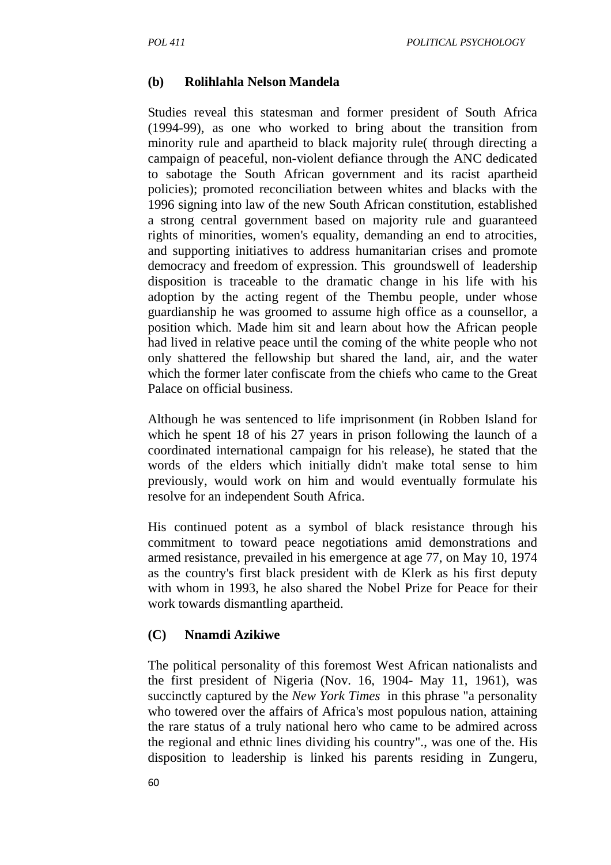### **(b) Rolihlahla Nelson Mandela**

Studies reveal this statesman and former president of South Africa (1994-99), as one who worked to bring about the transition from minority rule and apartheid to black majority rule( through directing a campaign of peaceful, non-violent defiance through the ANC dedicated to sabotage the South African government and its racist apartheid policies); promoted reconciliation between whites and blacks with the 1996 signing into law of the new South African constitution, established a strong central government based on majority rule and guaranteed rights of minorities, women's equality, demanding an end to atrocities, and supporting initiatives to address humanitarian crises and promote democracy and freedom of expression. This groundswell of leadership disposition is traceable to the dramatic change in his life with his adoption by the acting regent of the Thembu people, under whose guardianship he was groomed to assume high office as a counsellor, a position which. Made him sit and learn about how the African people had lived in relative peace until the coming of the white people who not only shattered the fellowship but shared the land, air, and the water which the former later confiscate from the chiefs who came to the Great Palace on official business.

Although he was sentenced to life imprisonment (in Robben Island for which he spent 18 of his 27 years in prison following the launch of a coordinated international campaign for his release), he stated that the words of the elders which initially didn't make total sense to him previously, would work on him and would eventually formulate his resolve for an independent South Africa.

His continued potent as a symbol of black resistance through his commitment to toward peace negotiations amid demonstrations and armed resistance, prevailed in his emergence at age 77, on May 10, 1974 as the country's first black president with de Klerk as his first deputy with whom in 1993, he also shared the Nobel Prize for Peace for their work towards dismantling apartheid.

### **(C) Nnamdi Azikiwe**

The political personality of this foremost West African nationalists and the first president of Nigeria (Nov. 16, 1904- May 11, 1961), was succinctly captured by the *New York Times* in this phrase "a personality who towered over the affairs of Africa's most populous nation, attaining the rare status of a truly national hero who came to be admired across the regional and ethnic lines dividing his country"., was one of the. His disposition to leadership is linked his parents residing in Zungeru,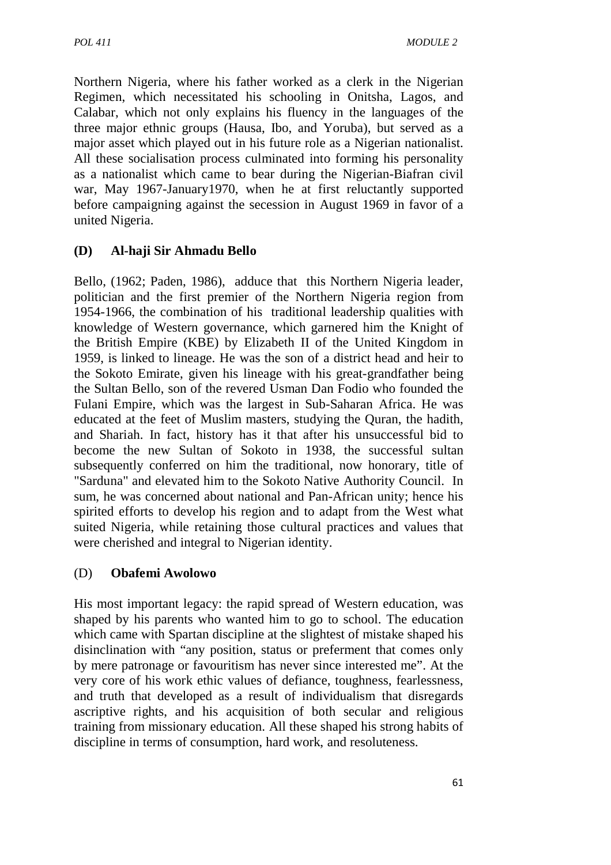Northern Nigeria, where his father worked as a clerk in the Nigerian Regimen, which necessitated his schooling in Onitsha, Lagos, and Calabar, which not only explains his fluency in the languages of the three major ethnic groups (Hausa, Ibo, and Yoruba), but served as a major asset which played out in his future role as a Nigerian nationalist. All these socialisation process culminated into forming his personality as a nationalist which came to bear during the Nigerian-Biafran civil war, May 1967-January1970, when he at first reluctantly supported before campaigning against the secession in August 1969 in favor of a united Nigeria.

## **(D) Al-haji Sir Ahmadu Bello**

Bello, (1962; Paden, 1986), adduce that this Northern Nigeria leader, politician and the first premier of the Northern Nigeria region from 1954-1966, the combination of his traditional leadership qualities with knowledge of Western governance, which garnered him the Knight of the British Empire (KBE) by Elizabeth II of the United Kingdom in 1959, is linked to lineage. He was the son of a district head and heir to the Sokoto Emirate, given his lineage with his great-grandfather being the Sultan Bello, son of the revered Usman Dan Fodio who founded the Fulani Empire, which was the largest in Sub-Saharan Africa. He was educated at the feet of Muslim masters, studying the Quran, the hadith, and Shariah. In fact, history has it that after his unsuccessful bid to become the new Sultan of Sokoto in 1938, the successful sultan subsequently conferred on him the traditional, now honorary, title of "Sarduna" and elevated him to the Sokoto Native Authority Council. In sum, he was concerned about national and Pan-African unity; hence his spirited efforts to develop his region and to adapt from the West what suited Nigeria, while retaining those cultural practices and values that were cherished and integral to Nigerian identity.

### (D) **Obafemi Awolowo**

His most important legacy: the rapid spread of Western education, was shaped by his parents who wanted him to go to school. The education which came with Spartan discipline at the slightest of mistake shaped his disinclination with "any position, status or preferment that comes only by mere patronage or favouritism has never since interested me". At the very core of his work ethic values of defiance, toughness, fearlessness, and truth that developed as a result of individualism that disregards ascriptive rights, and his acquisition of both secular and religious training from missionary education. All these shaped his strong habits of discipline in terms of consumption, hard work, and resoluteness.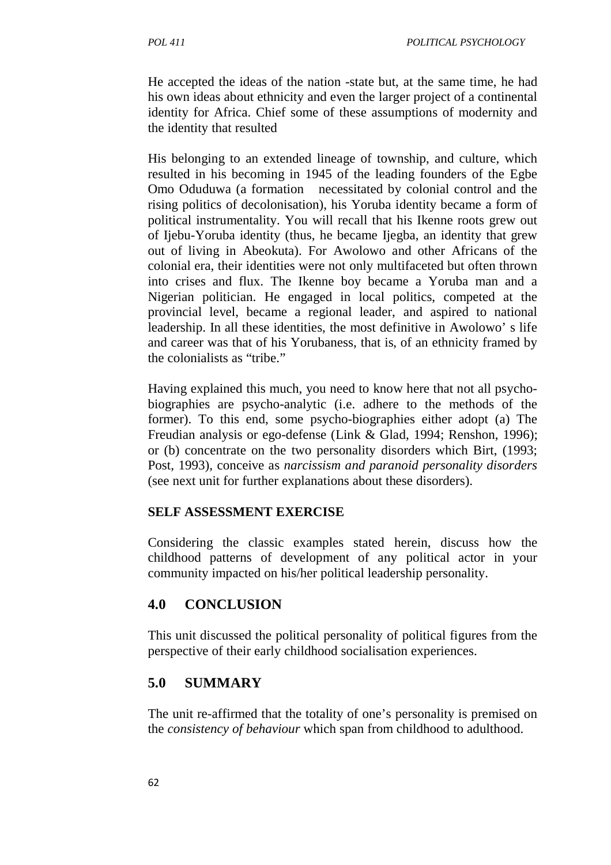He accepted the ideas of the nation -state but, at the same time, he had his own ideas about ethnicity and even the larger project of a continental identity for Africa. Chief some of these assumptions of modernity and the identity that resulted

His belonging to an extended lineage of township, and culture, which resulted in his becoming in 1945 of the leading founders of the Egbe Omo Oduduwa (a formation necessitated by colonial control and the rising politics of decolonisation), his Yoruba identity became a form of political instrumentality. You will recall that his Ikenne roots grew out of Ijebu-Yoruba identity (thus, he became Ijegba, an identity that grew out of living in Abeokuta). For Awolowo and other Africans of the colonial era, their identities were not only multifaceted but often thrown into crises and flux. The Ikenne boy became a Yoruba man and a Nigerian politician. He engaged in local politics, competed at the provincial level, became a regional leader, and aspired to national leadership. In all these identities, the most definitive in Awolowo' s life and career was that of his Yorubaness, that is, of an ethnicity framed by the colonialists as "tribe."

Having explained this much, you need to know here that not all psychobiographies are psycho-analytic (i.e. adhere to the methods of the former). To this end, some psycho-biographies either adopt (a) The Freudian analysis or ego-defense (Link & Glad, 1994; Renshon, 1996); or (b) concentrate on the two personality disorders which Birt, (1993; Post, 1993), conceive as *narcissism and paranoid personality disorders*  (see next unit for further explanations about these disorders).

### **SELF ASSESSMENT EXERCISE**

Considering the classic examples stated herein, discuss how the childhood patterns of development of any political actor in your community impacted on his/her political leadership personality.

## **4.0 CONCLUSION**

This unit discussed the political personality of political figures from the perspective of their early childhood socialisation experiences.

## **5.0 SUMMARY**

The unit re-affirmed that the totality of one's personality is premised on the *consistency of behaviour* which span from childhood to adulthood.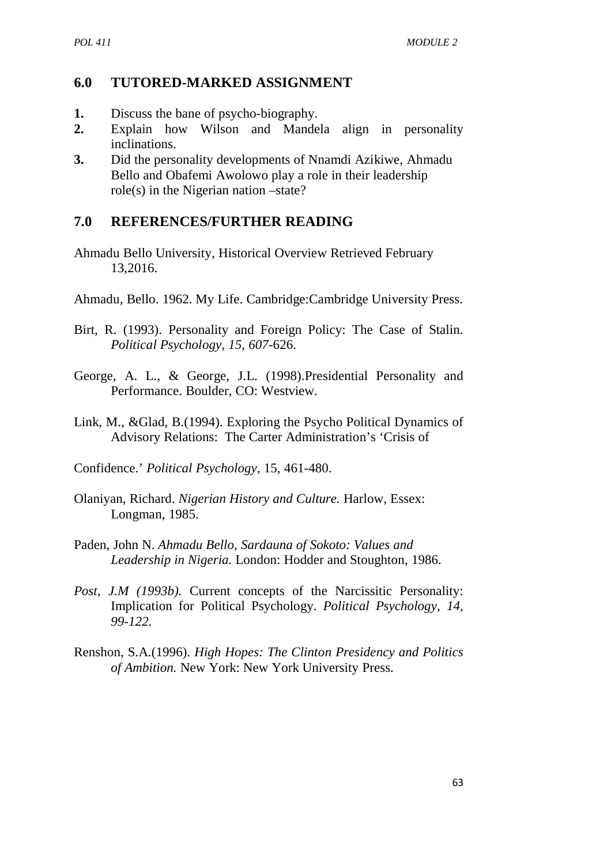## **6.0 TUTORED-MARKED ASSIGNMENT**

- **1.** Discuss the bane of psycho-biography.
- **2.** Explain how Wilson and Mandela align in personality inclinations.
- **3.** Did the personality developments of Nnamdi Azikiwe, Ahmadu Bello and Obafemi Awolowo play a role in their leadership role(s) in the Nigerian nation –state?

# **7.0 REFERENCES/FURTHER READING**

- Ahmadu Bello University, Historical Overview Retrieved February 13,2016.
- Ahmadu, Bello. 1962. My Life. Cambridge:Cambridge University Press.
- Birt, R. (1993). Personality and Foreign Policy: The Case of Stalin. *Political Psychology, 15, 607*-626.
- George, A. L., & George, J.L. (1998).Presidential Personality and Performance. Boulder, CO: Westview.
- Link, M., &Glad, B.(1994). Exploring the Psycho Political Dynamics of Advisory Relations: The Carter Administration's 'Crisis of
- Confidence.' *Political Psychology*, 15, 461-480.
- Olaniyan, Richard. *Nigerian History and Culture.* Harlow, Essex: Longman, 1985.
- Paden, John N. *Ahmadu Bello, Sardauna of Sokoto: Values and Leadership in Nigeria.* London: Hodder and Stoughton, 1986.
- *Post, J.M (1993b).* Current concepts of the Narcissitic Personality: Implication for Political Psychology. *Political Psychology, 14, 99-122.*
- Renshon, S.A.(1996). *High Hopes: The Clinton Presidency and Politics of Ambition.* New York: New York University Press.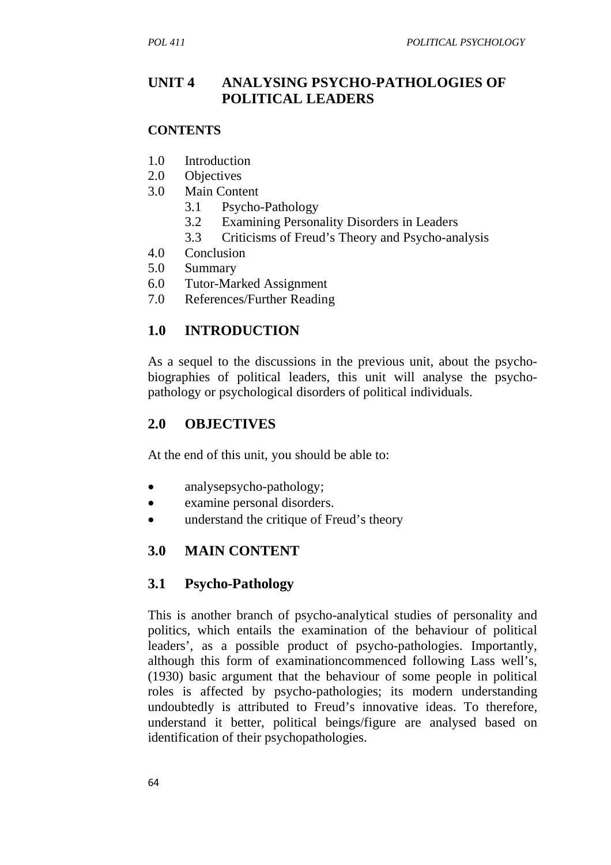## **UNIT 4 ANALYSING PSYCHO-PATHOLOGIES OF POLITICAL LEADERS**

### **CONTENTS**

- 1.0 Introduction
- 2.0 Objectives
- 3.0 Main Content
	- 3.1 Psycho-Pathology
	- 3.2 Examining Personality Disorders in Leaders
	- 3.3 Criticisms of Freud's Theory and Psycho-analysis
- 4.0 Conclusion
- 5.0 Summary
- 6.0 Tutor-Marked Assignment
- 7.0 References/Further Reading

# **1.0 INTRODUCTION**

As a sequel to the discussions in the previous unit, about the psychobiographies of political leaders, this unit will analyse the psychopathology or psychological disorders of political individuals.

# **2.0 OBJECTIVES**

At the end of this unit, you should be able to:

- analysepsycho-pathology;
- examine personal disorders.
- understand the critique of Freud's theory

# **3.0 MAIN CONTENT**

## **3.1 Psycho-Pathology**

This is another branch of psycho-analytical studies of personality and politics, which entails the examination of the behaviour of political leaders', as a possible product of psycho-pathologies. Importantly, although this form of examinationcommenced following Lass well's, (1930) basic argument that the behaviour of some people in political roles is affected by psycho-pathologies; its modern understanding undoubtedly is attributed to Freud's innovative ideas. To therefore, understand it better, political beings/figure are analysed based on identification of their psychopathologies.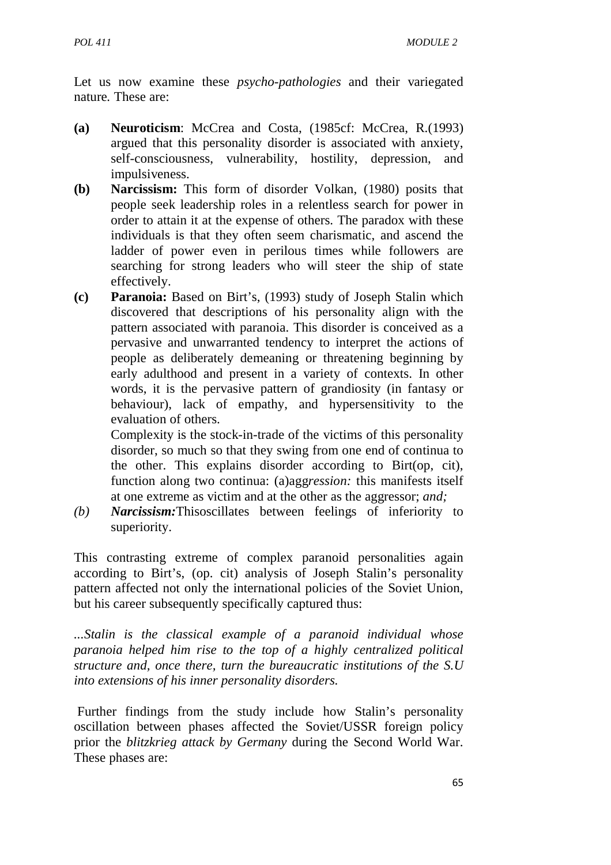Let us now examine these *psycho-pathologies* and their variegated nature*.* These are:

- **(a) Neuroticism**: McCrea and Costa, (1985cf: McCrea, R.(1993) argued that this personality disorder is associated with anxiety, self-consciousness, vulnerability, hostility, depression, and impulsiveness.
- **(b) Narcissism:** This form of disorder Volkan, (1980) posits that people seek leadership roles in a relentless search for power in order to attain it at the expense of others. The paradox with these individuals is that they often seem charismatic, and ascend the ladder of power even in perilous times while followers are searching for strong leaders who will steer the ship of state effectively.
- **(c) Paranoia:** Based on Birt's, (1993) study of Joseph Stalin which discovered that descriptions of his personality align with the pattern associated with paranoia. This disorder is conceived as a pervasive and unwarranted tendency to interpret the actions of people as deliberately demeaning or threatening beginning by early adulthood and present in a variety of contexts. In other words, it is the pervasive pattern of grandiosity (in fantasy or behaviour), lack of empathy, and hypersensitivity to the evaluation of others.

 Complexity is the stock-in-trade of the victims of this personality disorder, so much so that they swing from one end of continua to the other. This explains disorder according to Birt(op, cit), function along two continua: (a)agg*ression:* this manifests itself at one extreme as victim and at the other as the aggressor; *and;* 

*(b) Narcissism:*Thisoscillates between feelings of inferiority to superiority.

This contrasting extreme of complex paranoid personalities again according to Birt's, (op. cit) analysis of Joseph Stalin's personality pattern affected not only the international policies of the Soviet Union, but his career subsequently specifically captured thus:

*...Stalin is the classical example of a paranoid individual whose paranoia helped him rise to the top of a highly centralized political structure and, once there, turn the bureaucratic institutions of the S.U into extensions of his inner personality disorders.* 

 Further findings from the study include how Stalin's personality oscillation between phases affected the Soviet/USSR foreign policy prior the *blitzkrieg attack by Germany* during the Second World War. These phases are: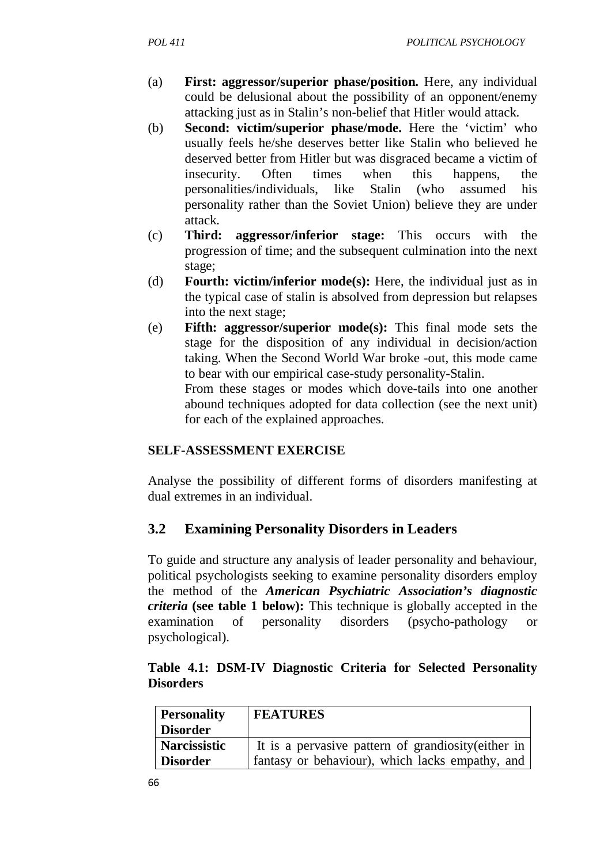- (a) **First: aggressor/superior phase/position.** Here, any individual could be delusional about the possibility of an opponent/enemy attacking just as in Stalin's non-belief that Hitler would attack.
- (b) **Second: victim/superior phase/mode.** Here the 'victim' who usually feels he/she deserves better like Stalin who believed he deserved better from Hitler but was disgraced became a victim of insecurity. Often times when this happens, the personalities/individuals, like Stalin (who assumed his personality rather than the Soviet Union) believe they are under attack.
- (c) **Third: aggressor/inferior stage:** This occurs with the progression of time; and the subsequent culmination into the next stage;
- (d) **Fourth: victim/inferior mode(s):** Here, the individual just as in the typical case of stalin is absolved from depression but relapses into the next stage;
- (e) **Fifth: aggressor/superior mode(s):** This final mode sets the stage for the disposition of any individual in decision/action taking. When the Second World War broke -out, this mode came to bear with our empirical case-study personality-Stalin.

 From these stages or modes which dove-tails into one another abound techniques adopted for data collection (see the next unit) for each of the explained approaches.

### **SELF-ASSESSMENT EXERCISE**

Analyse the possibility of different forms of disorders manifesting at dual extremes in an individual.

## **3.2 Examining Personality Disorders in Leaders**

To guide and structure any analysis of leader personality and behaviour, political psychologists seeking to examine personality disorders employ the method of the *American Psychiatric Association's diagnostic criteria* **(see table 1 below):** This technique is globally accepted in the examination of personality disorders (psycho-pathology or psychological).

|                  |  |  | Table 4.1: DSM-IV Diagnostic Criteria for Selected Personality |
|------------------|--|--|----------------------------------------------------------------|
| <b>Disorders</b> |  |  |                                                                |

| <b>Personality</b>  | <b>FEATURES</b>                                     |
|---------------------|-----------------------------------------------------|
| <b>Disorder</b>     |                                                     |
| <b>Narcissistic</b> | It is a pervasive pattern of grandiosity (either in |
| <b>Disorder</b>     | fantasy or behaviour), which lacks empathy, and     |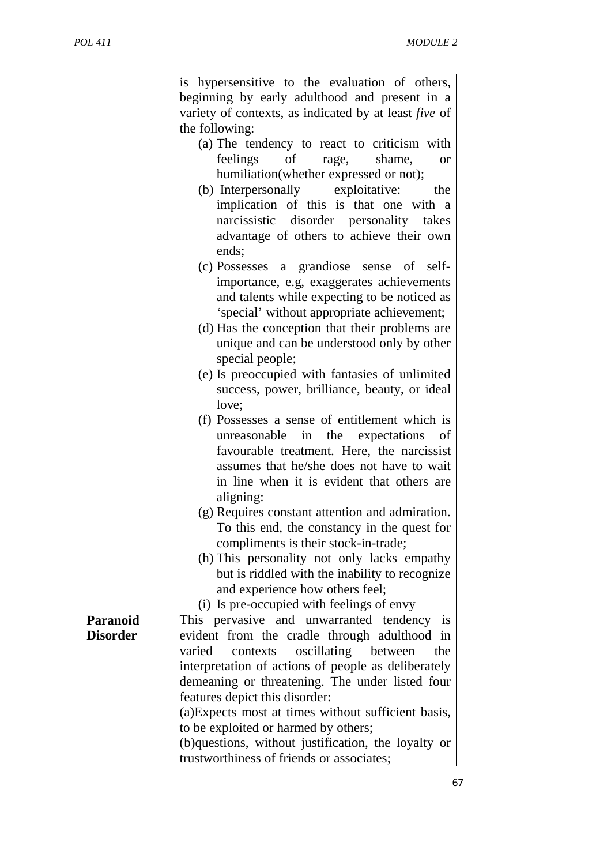|                 | is hypersensitive to the evaluation of others,        |
|-----------------|-------------------------------------------------------|
|                 | beginning by early adulthood and present in a         |
|                 | variety of contexts, as indicated by at least five of |
|                 | the following:                                        |
|                 | (a) The tendency to react to criticism with           |
|                 | feelings<br>$\sigma$<br>shame,<br>rage,<br><b>or</b>  |
|                 |                                                       |
|                 | humiliation(whether expressed or not);                |
|                 | (b) Interpersonally exploitative:<br>the              |
|                 | implication of this is that one with a                |
|                 | narcissistic disorder personality takes               |
|                 | advantage of others to achieve their own              |
|                 | ends;                                                 |
|                 | (c) Possesses a grandiose sense of self-              |
|                 | importance, e.g, exaggerates achievements             |
|                 |                                                       |
|                 | and talents while expecting to be noticed as          |
|                 | 'special' without appropriate achievement;            |
|                 | (d) Has the conception that their problems are        |
|                 | unique and can be understood only by other            |
|                 | special people;                                       |
|                 | (e) Is preoccupied with fantasies of unlimited        |
|                 | success, power, brilliance, beauty, or ideal          |
|                 | love;                                                 |
|                 | (f) Possesses a sense of entitlement which is         |
|                 | unreasonable in the expectations<br>of                |
|                 | favourable treatment. Here, the narcissist            |
|                 |                                                       |
|                 | assumes that he/she does not have to wait             |
|                 | in line when it is evident that others are            |
|                 | aligning:                                             |
|                 | (g) Requires constant attention and admiration.       |
|                 | To this end, the constancy in the quest for           |
|                 | compliments is their stock-in-trade;                  |
|                 | (h) This personality not only lacks empathy           |
|                 | but is riddled with the inability to recognize        |
|                 | and experience how others feel;                       |
|                 | (i) Is pre-occupied with feelings of envy             |
| Paranoid        | This pervasive and unwarranted tendency<br>is         |
|                 |                                                       |
| <b>Disorder</b> | evident from the cradle through adulthood in          |
|                 | oscillating between<br>varied<br>contexts<br>the      |
|                 | interpretation of actions of people as deliberately   |
|                 | demeaning or threatening. The under listed four       |
|                 | features depict this disorder:                        |
|                 | (a) Expects most at times without sufficient basis,   |
|                 | to be exploited or harmed by others;                  |
|                 | (b)questions, without justification, the loyalty or   |
|                 | trustworthiness of friends or associates;             |
|                 |                                                       |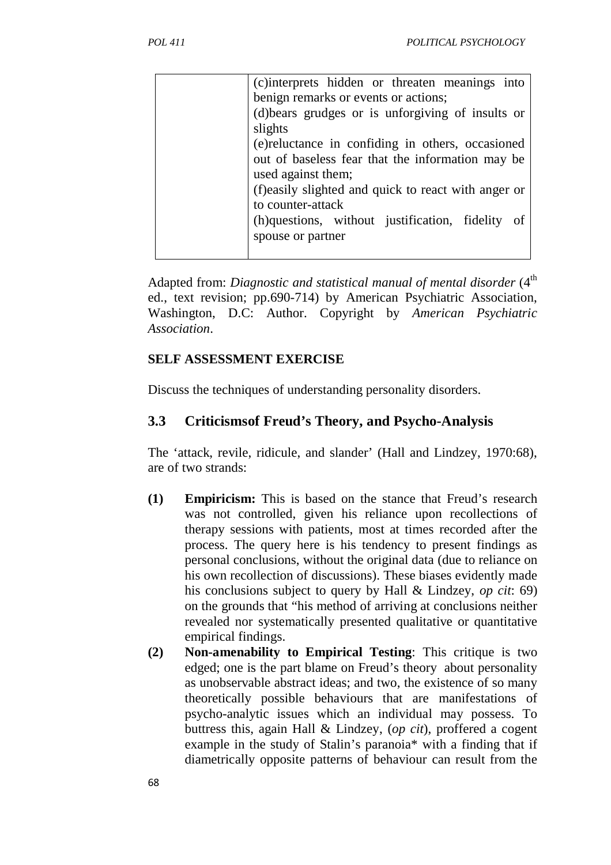| (c) interprets hidden or threaten meanings into     |
|-----------------------------------------------------|
| benign remarks or events or actions;                |
| (d) bears grudges or is unforgiving of insults or   |
| slights                                             |
| (e) reluctance in confiding in others, occasioned   |
| out of baseless fear that the information may be    |
| used against them;                                  |
| (f)easily slighted and quick to react with anger or |
| to counter-attack                                   |
| (h)questions, without justification, fidelity of    |
| spouse or partner                                   |
|                                                     |

Adapted from: *Diagnostic and statistical manual of mental disorder* (4<sup>th</sup>) ed., text revision; pp.690-714) by American Psychiatric Association, Washington, D.C: Author. Copyright by *American Psychiatric Association*.

## **SELF ASSESSMENT EXERCISE**

Discuss the techniques of understanding personality disorders.

### **3.3 Criticismsof Freud's Theory, and Psycho-Analysis**

The 'attack, revile, ridicule, and slander' (Hall and Lindzey, 1970:68), are of two strands:

- **(1) Empiricism:** This is based on the stance that Freud's research was not controlled, given his reliance upon recollections of therapy sessions with patients, most at times recorded after the process. The query here is his tendency to present findings as personal conclusions, without the original data (due to reliance on his own recollection of discussions). These biases evidently made his conclusions subject to query by Hall & Lindzey, *op cit*: 69) on the grounds that "his method of arriving at conclusions neither revealed nor systematically presented qualitative or quantitative empirical findings.
- **(2) Non-amenability to Empirical Testing**: This critique is two edged; one is the part blame on Freud's theory about personality as unobservable abstract ideas; and two, the existence of so many theoretically possible behaviours that are manifestations of psycho-analytic issues which an individual may possess. To buttress this, again Hall & Lindzey, (*op cit*), proffered a cogent example in the study of Stalin's paranoia\* with a finding that if diametrically opposite patterns of behaviour can result from the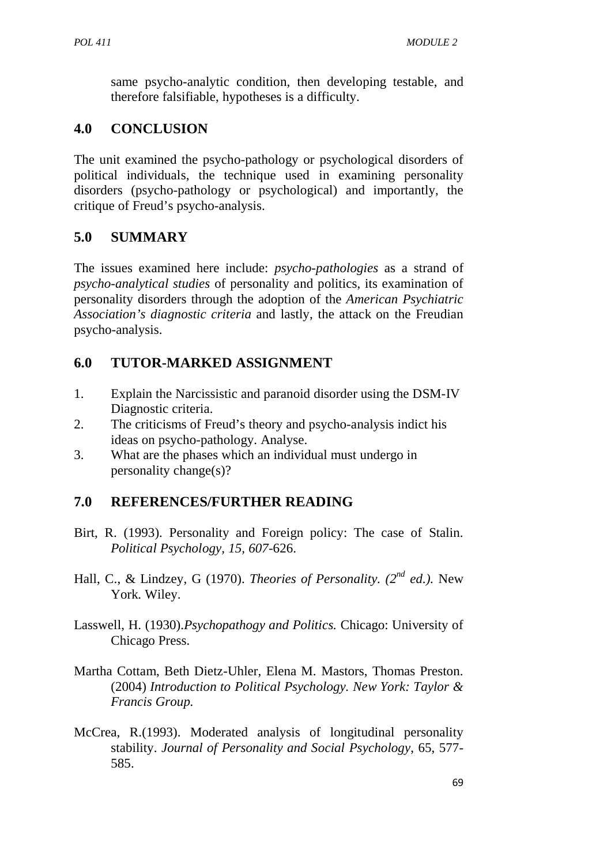same psycho-analytic condition, then developing testable, and therefore falsifiable, hypotheses is a difficulty.

# **4.0 CONCLUSION**

The unit examined the psycho-pathology or psychological disorders of political individuals, the technique used in examining personality disorders (psycho-pathology or psychological) and importantly, the critique of Freud's psycho-analysis.

# **5.0 SUMMARY**

The issues examined here include: *psycho-pathologies* as a strand of *psycho-analytical studies* of personality and politics, its examination of personality disorders through the adoption of the *American Psychiatric Association's diagnostic criteria* and lastly, the attack on the Freudian psycho-analysis.

# **6.0 TUTOR-MARKED ASSIGNMENT**

- 1. Explain the Narcissistic and paranoid disorder using the DSM-IV Diagnostic criteria.
- 2. The criticisms of Freud's theory and psycho-analysis indict his ideas on psycho-pathology. Analyse.
- 3. What are the phases which an individual must undergo in personality change(s)?

# **7.0 REFERENCES/FURTHER READING**

- Birt, R. (1993). Personality and Foreign policy: The case of Stalin. *Political Psychology, 15, 607*-626.
- Hall, C., & Lindzey, G (1970). *Theories of Personality. (2nd ed.).* New York. Wiley.
- Lasswell, H. (1930).*Psychopathogy and Politics.* Chicago: University of Chicago Press.
- Martha Cottam, Beth Dietz-Uhler, Elena M. Mastors, Thomas Preston. (2004) *Introduction to Political Psychology. New York: Taylor & Francis Group.*
- McCrea, R.(1993). Moderated analysis of longitudinal personality stability. *Journal of Personality and Social Psychology*, 65, 577- 585.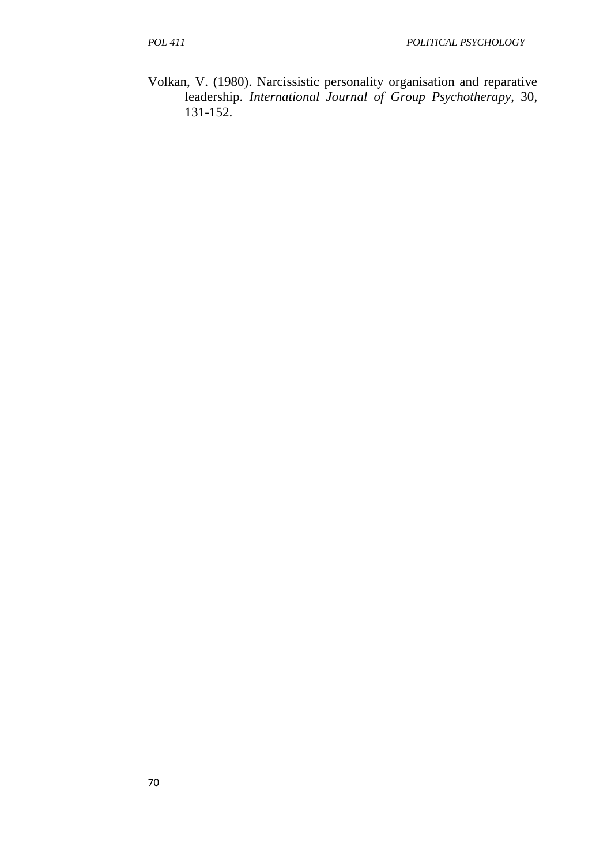Volkan, V. (1980). Narcissistic personality organisation and reparative leadership. *International Journal of Group Psychotherapy*, 30, 131-152.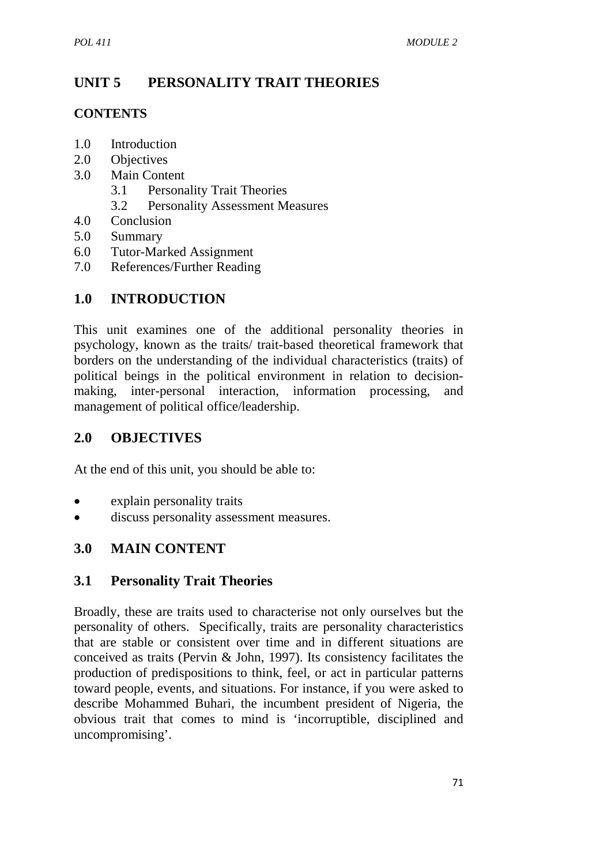# **UNIT 5 PERSONALITY TRAIT THEORIES**

## **CONTENTS**

- 1.0 Introduction
- 2.0 Objectives
- 3.0 Main Content
	- 3.1 Personality Trait Theories
	- 3.2 Personality Assessment Measures
- 4.0 Conclusion
- 5.0 Summary
- 6.0 Tutor-Marked Assignment
- 7.0 References/Further Reading

# **1.0 INTRODUCTION**

This unit examines one of the additional personality theories in psychology, known as the traits/ trait-based theoretical framework that borders on the understanding of the individual characteristics (traits) of political beings in the political environment in relation to decisionmaking, inter-personal interaction, information processing, and management of political office/leadership.

## **2.0 OBJECTIVES**

At the end of this unit, you should be able to:

- explain personality traits
- discuss personality assessment measures.

# **3.0 MAIN CONTENT**

## **3.1 Personality Trait Theories**

Broadly, these are traits used to characterise not only ourselves but the personality of others. Specifically, traits are personality characteristics that are stable or consistent over time and in different situations are conceived as traits (Pervin & John, 1997). Its consistency facilitates the production of predispositions to think, feel, or act in particular patterns toward people, events, and situations. For instance, if you were asked to describe Mohammed Buhari, the incumbent president of Nigeria, the obvious trait that comes to mind is 'incorruptible, disciplined and uncompromising'.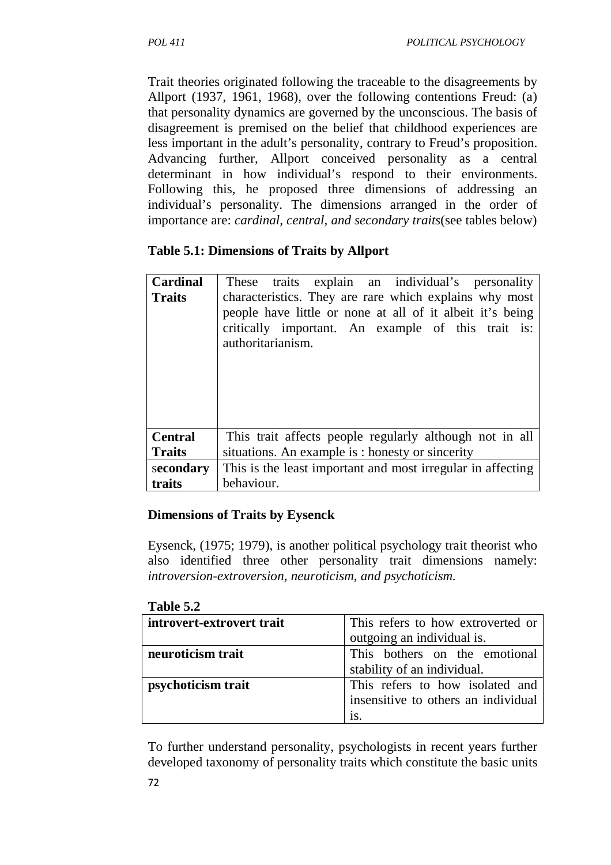Trait theories originated following the traceable to the disagreements by Allport (1937, 1961, 1968), over the following contentions Freud: (a) that personality dynamics are governed by the unconscious. The basis of disagreement is premised on the belief that childhood experiences are less important in the adult's personality, contrary to Freud's proposition. Advancing further, Allport conceived personality as a central determinant in how individual's respond to their environments. Following this, he proposed three dimensions of addressing an individual's personality. The dimensions arranged in the order of importance are: *cardinal, central, and secondary traits*(see tables below)

## **Table 5.1: Dimensions of Traits by Allport**

| Cardinal       | These traits explain an individual's personality                                                                                                                                               |
|----------------|------------------------------------------------------------------------------------------------------------------------------------------------------------------------------------------------|
| <b>Traits</b>  | characteristics. They are rare which explains why most<br>people have little or none at all of it albeit it's being<br>critically important. An example of this trait is:<br>authoritarianism. |
| <b>Central</b> | This trait affects people regularly although not in all                                                                                                                                        |
| <b>Traits</b>  | situations. An example is : honesty or sincerity                                                                                                                                               |
| secondary      | This is the least important and most irregular in affecting                                                                                                                                    |
| traits         | behaviour.                                                                                                                                                                                     |

### **Dimensions of Traits by Eysenck**

Eysenck, (1975; 1979), is another political psychology trait theorist who also identified three other personality trait dimensions namely: *introversion-extroversion, neuroticism, and psychoticism.* 

| 1 ame 9.4                 |                                     |  |
|---------------------------|-------------------------------------|--|
| introvert-extrovert trait | This refers to how extroverted or   |  |
|                           | outgoing an individual is.          |  |
| neuroticism trait         | This bothers on the emotional       |  |
|                           | stability of an individual.         |  |
| psychoticism trait        | This refers to how isolated and     |  |
|                           | insensitive to others an individual |  |
|                           | is.                                 |  |

### **Table 5.2**

To further understand personality, psychologists in recent years further developed taxonomy of personality traits which constitute the basic units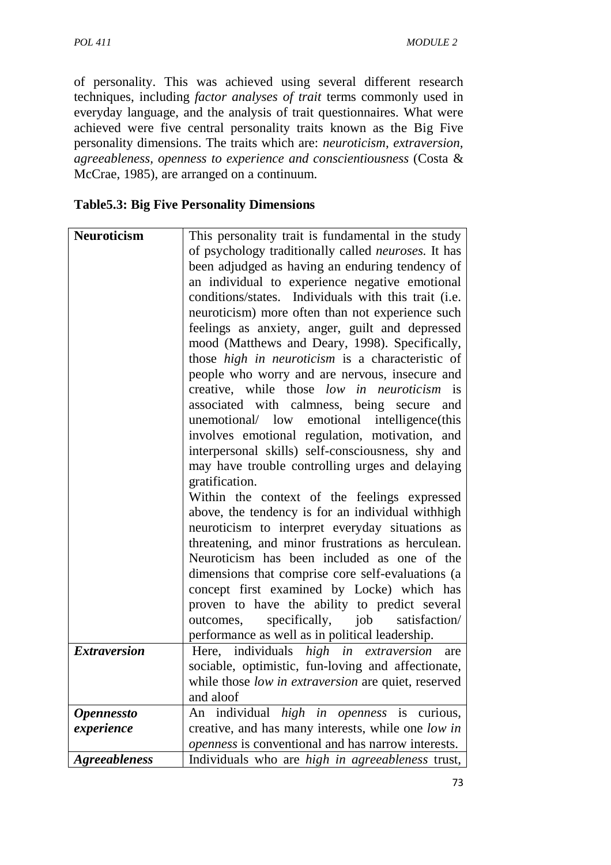of personality. This was achieved using several different research techniques, including *factor analyses of trait* terms commonly used in everyday language, and the analysis of trait questionnaires. What were achieved were five central personality traits known as the Big Five personality dimensions. The traits which are: *neuroticism, extraversion, agreeableness, openness to experience and conscientiousness* (Costa & McCrae, 1985), are arranged on a continuum.

### **Table5.3: Big Five Personality Dimensions**

| <b>Neuroticism</b>       | This personality trait is fundamental in the study          |
|--------------------------|-------------------------------------------------------------|
|                          | of psychology traditionally called <i>neuroses</i> . It has |
|                          | been adjudged as having an enduring tendency of             |
|                          | an individual to experience negative emotional              |
|                          | conditions/states. Individuals with this trait (i.e.        |
|                          | neuroticism) more often than not experience such            |
|                          | feelings as anxiety, anger, guilt and depressed             |
|                          | mood (Matthews and Deary, 1998). Specifically,              |
|                          | those high in neuroticism is a characteristic of            |
|                          | people who worry and are nervous, insecure and              |
|                          | creative, while those low in neuroticism is                 |
|                          | associated with calmness, being secure<br>and               |
|                          | unemotional/ low emotional intelligence(this                |
|                          | involves emotional regulation, motivation, and              |
|                          | interpersonal skills) self-consciousness, shy and           |
|                          | may have trouble controlling urges and delaying             |
|                          | gratification.                                              |
|                          | Within the context of the feelings expressed                |
|                          | above, the tendency is for an individual withhigh           |
|                          | neuroticism to interpret everyday situations as             |
|                          | threatening, and minor frustrations as herculean.           |
|                          | Neuroticism has been included as one of the                 |
|                          | dimensions that comprise core self-evaluations (a           |
|                          | concept first examined by Locke) which has                  |
|                          | proven to have the ability to predict several               |
|                          | specifically, job<br>outcomes,<br>satisfaction/             |
|                          | performance as well as in political leadership.             |
| <b>Extraversion</b>      | Here, individuals <i>high</i> in extraversion<br>are        |
|                          | sociable, optimistic, fun-loving and affectionate,          |
|                          | while those low in extraversion are quiet, reserved         |
|                          | and aloof                                                   |
| <i><b>Opennessto</b></i> | An individual <i>high in openness</i> is curious,           |
| experience               | creative, and has many interests, while one low in          |
|                          | openness is conventional and has narrow interests.          |
| <b>Agreeableness</b>     | Individuals who are high in agreeableness trust,            |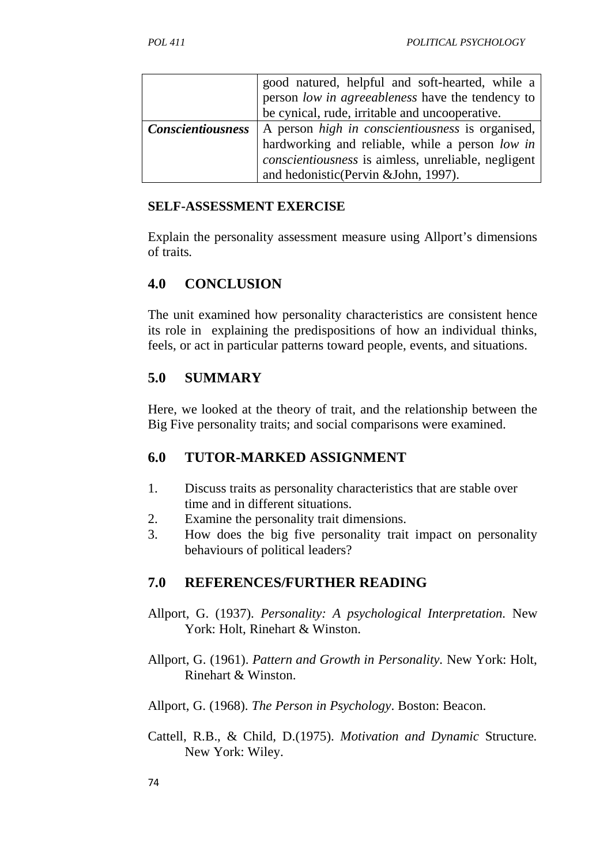|                   | good natured, helpful and soft-hearted, while a<br>person low in agreeableness have the tendency to                                                                                               |
|-------------------|---------------------------------------------------------------------------------------------------------------------------------------------------------------------------------------------------|
|                   | be cynical, rude, irritable and uncooperative.                                                                                                                                                    |
| Conscientiousness | A person high in conscientiousness is organised,<br>hardworking and reliable, while a person low in<br>conscientiousness is aimless, unreliable, negligent<br>and hedonistic(Pervin &John, 1997). |

#### **SELF-ASSESSMENT EXERCISE**

Explain the personality assessment measure using Allport's dimensions of traits*.*

### **4.0 CONCLUSION**

The unit examined how personality characteristics are consistent hence its role in explaining the predispositions of how an individual thinks, feels, or act in particular patterns toward people, events, and situations.

## **5.0 SUMMARY**

Here, we looked at the theory of trait, and the relationship between the Big Five personality traits; and social comparisons were examined.

## **6.0 TUTOR-MARKED ASSIGNMENT**

- 1. Discuss traits as personality characteristics that are stable over time and in different situations.
- 2. Examine the personality trait dimensions.
- 3. How does the big five personality trait impact on personality behaviours of political leaders?

### **7.0 REFERENCES/FURTHER READING**

- Allport, G. (1937). *Personality: A psychological Interpretation.* New York: Holt, Rinehart & Winston.
- Allport, G. (1961). *Pattern and Growth in Personality.* New York: Holt, Rinehart & Winston.

Allport, G. (1968). *The Person in Psychology*. Boston: Beacon.

Cattell, R.B., & Child, D.(1975). *Motivation and Dynamic* Structure*.* New York: Wiley.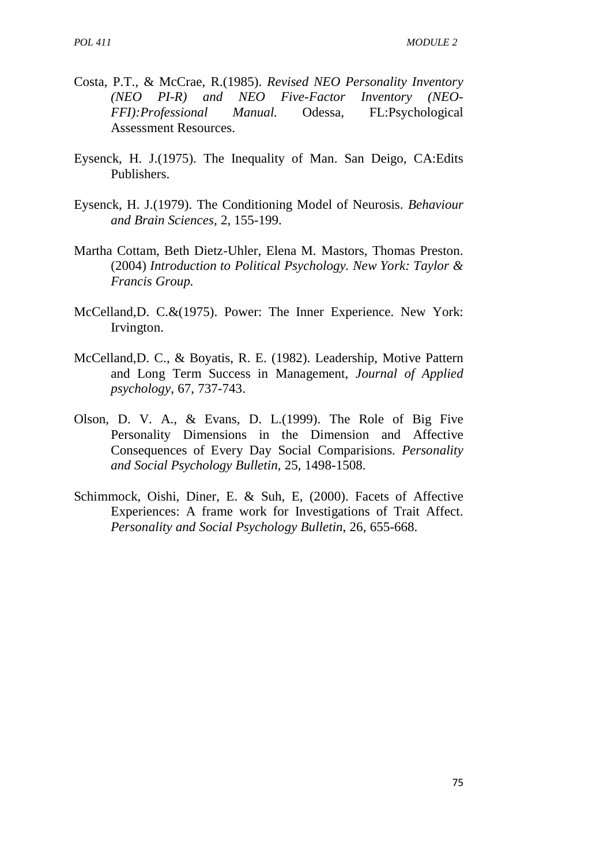- Costa, P.T., & McCrae, R.(1985). *Revised NEO Personality Inventory (NEO PI-R) and NEO Five-Factor Inventory (NEO- FFI):Professional Manual.* Odessa, FL:Psychological Assessment Resources.
- Eysenck, H. J.(1975). The Inequality of Man. San Deigo, CA:Edits Publishers.
- Eysenck, H. J.(1979). The Conditioning Model of Neurosis. *Behaviour and Brain Sciences,* 2, 155-199.
- Martha Cottam, Beth Dietz-Uhler, Elena M. Mastors, Thomas Preston. (2004) *Introduction to Political Psychology. New York: Taylor & Francis Group.*
- McCelland,D. C.&(1975). Power: The Inner Experience. New York: Irvington.
- McCelland,D. C., & Boyatis, R. E. (1982). Leadership, Motive Pattern and Long Term Success in Management, *Journal of Applied psychology*, 67, 737-743.
- Olson, D. V. A., & Evans, D. L.(1999). The Role of Big Five Personality Dimensions in the Dimension and Affective Consequences of Every Day Social Comparisions. *Personality and Social Psychology Bulletin,* 25, 1498-1508.
- Schimmock, Oishi, Diner, E. & Suh, E, (2000). Facets of Affective Experiences: A frame work for Investigations of Trait Affect. *Personality and Social Psychology Bulletin*, 26, 655-668.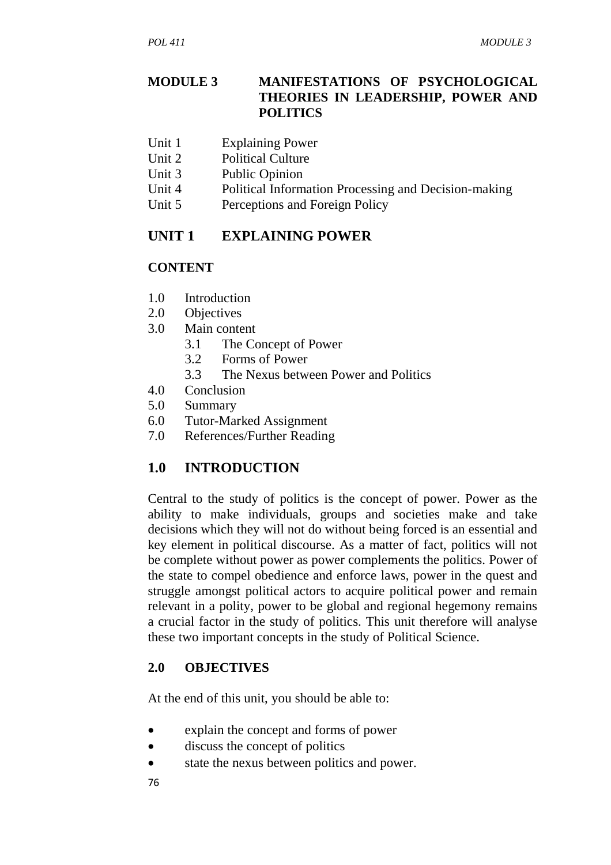### **MODULE 3 MANIFESTATIONS OF PSYCHOLOGICAL THEORIES IN LEADERSHIP, POWER AND POLITICS**

- Unit 1 Explaining Power
- Unit 2 Political Culture
- Unit 3 Public Opinion
- Unit 4 Political Information Processing and Decision-making
- Unit 5 Perceptions and Foreign Policy

# **UNIT 1 EXPLAINING POWER**

# **CONTENT**

- 1.0 Introduction
- 2.0 Objectives
- 3.0 Main content
	- 3.1 The Concept of Power
	- 3.2 Forms of Power
	- 3.3 The Nexus between Power and Politics
- 4.0 Conclusion
- 5.0 Summary
- 6.0 Tutor-Marked Assignment
- 7.0 References/Further Reading

# **1.0 INTRODUCTION**

Central to the study of politics is the concept of power. Power as the ability to make individuals, groups and societies make and take decisions which they will not do without being forced is an essential and key element in political discourse. As a matter of fact, politics will not be complete without power as power complements the politics. Power of the state to compel obedience and enforce laws, power in the quest and struggle amongst political actors to acquire political power and remain relevant in a polity, power to be global and regional hegemony remains a crucial factor in the study of politics. This unit therefore will analyse these two important concepts in the study of Political Science.

## **2.0 OBJECTIVES**

At the end of this unit, you should be able to:

- explain the concept and forms of power
- discuss the concept of politics
- state the nexus between politics and power.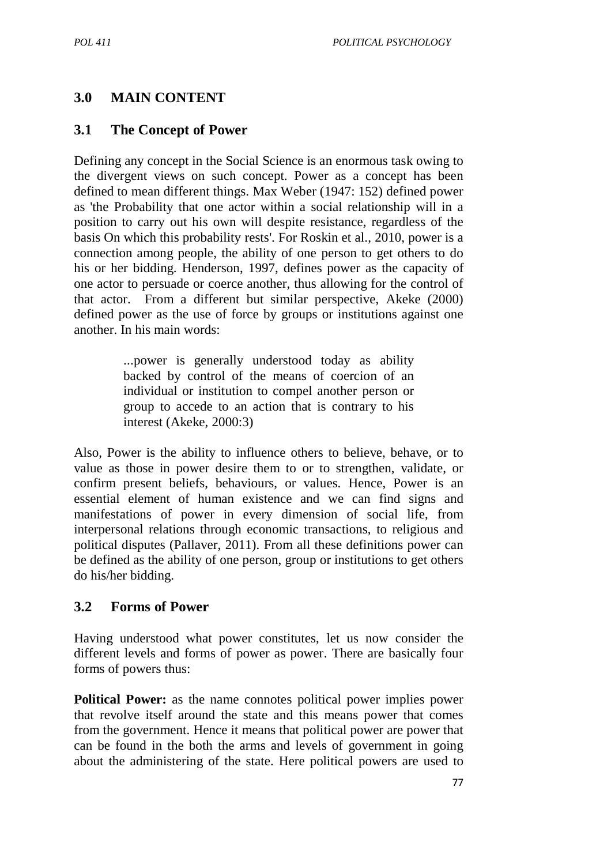# **3.0 MAIN CONTENT**

### **3.1 The Concept of Power**

Defining any concept in the Social Science is an enormous task owing to the divergent views on such concept. Power as a concept has been defined to mean different things. Max Weber (1947: 152) defined power as 'the Probability that one actor within a social relationship will in a position to carry out his own will despite resistance, regardless of the basis On which this probability rests'. For Roskin et al., 2010, power is a connection among people, the ability of one person to get others to do his or her bidding. Henderson, 1997, defines power as the capacity of one actor to persuade or coerce another, thus allowing for the control of that actor. From a different but similar perspective, Akeke (2000) defined power as the use of force by groups or institutions against one another. In his main words:

> ...power is generally understood today as ability backed by control of the means of coercion of an individual or institution to compel another person or group to accede to an action that is contrary to his interest (Akeke, 2000:3)

Also, Power is the ability to influence others to believe, behave, or to value as those in power desire them to or to strengthen, validate, or confirm present beliefs, behaviours, or values. Hence, Power is an essential element of human existence and we can find signs and manifestations of power in every dimension of social life, from interpersonal relations through economic transactions, to religious and political disputes (Pallaver, 2011). From all these definitions power can be defined as the ability of one person, group or institutions to get others do his/her bidding.

### **3.2 Forms of Power**

Having understood what power constitutes, let us now consider the different levels and forms of power as power. There are basically four forms of powers thus:

**Political Power:** as the name connotes political power implies power that revolve itself around the state and this means power that comes from the government. Hence it means that political power are power that can be found in the both the arms and levels of government in going about the administering of the state. Here political powers are used to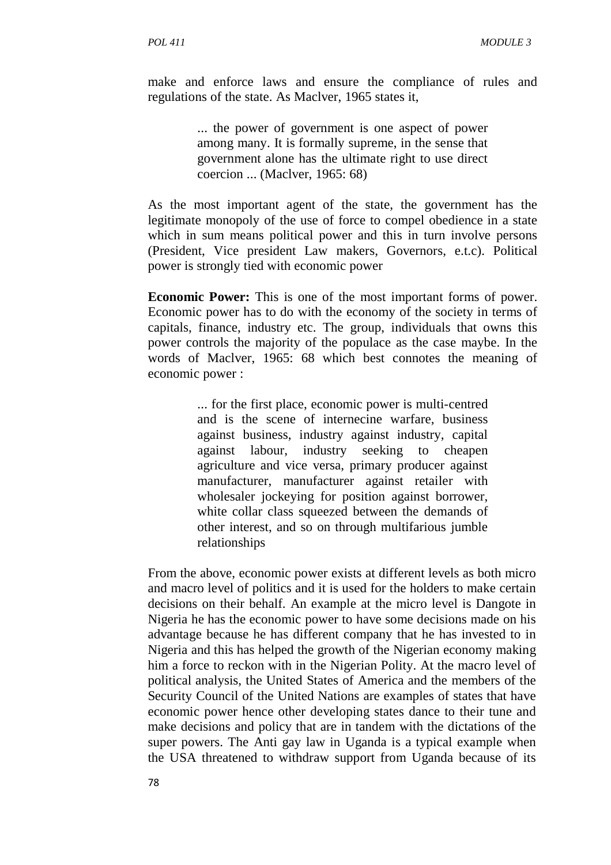make and enforce laws and ensure the compliance of rules and regulations of the state. As Maclver, 1965 states it,

> ... the power of government is one aspect of power among many. It is formally supreme, in the sense that government alone has the ultimate right to use direct coercion ... (Maclver, 1965: 68)

As the most important agent of the state, the government has the legitimate monopoly of the use of force to compel obedience in a state which in sum means political power and this in turn involve persons (President, Vice president Law makers, Governors, e.t.c). Political power is strongly tied with economic power

**Economic Power:** This is one of the most important forms of power. Economic power has to do with the economy of the society in terms of capitals, finance, industry etc. The group, individuals that owns this power controls the majority of the populace as the case maybe. In the words of Maclver, 1965: 68 which best connotes the meaning of economic power :

> ... for the first place, economic power is multi-centred and is the scene of internecine warfare, business against business, industry against industry, capital against labour, industry seeking to cheapen agriculture and vice versa, primary producer against manufacturer, manufacturer against retailer with wholesaler jockeying for position against borrower, white collar class squeezed between the demands of other interest, and so on through multifarious jumble relationships

From the above, economic power exists at different levels as both micro and macro level of politics and it is used for the holders to make certain decisions on their behalf. An example at the micro level is Dangote in Nigeria he has the economic power to have some decisions made on his advantage because he has different company that he has invested to in Nigeria and this has helped the growth of the Nigerian economy making him a force to reckon with in the Nigerian Polity. At the macro level of political analysis, the United States of America and the members of the Security Council of the United Nations are examples of states that have economic power hence other developing states dance to their tune and make decisions and policy that are in tandem with the dictations of the super powers. The Anti gay law in Uganda is a typical example when the USA threatened to withdraw support from Uganda because of its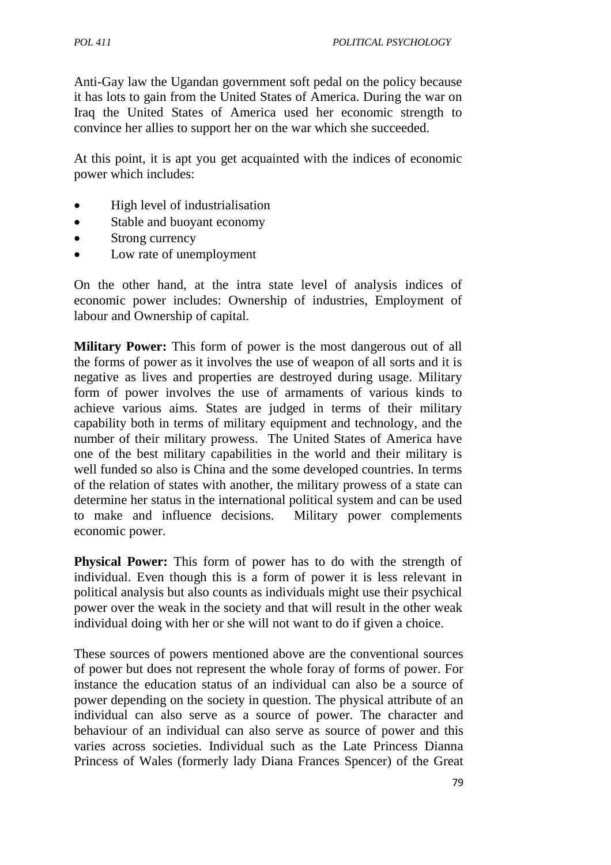Anti-Gay law the Ugandan government soft pedal on the policy because it has lots to gain from the United States of America. During the war on Iraq the United States of America used her economic strength to convince her allies to support her on the war which she succeeded.

At this point, it is apt you get acquainted with the indices of economic power which includes:

- High level of industrialisation
- Stable and buoyant economy
- Strong currency
- Low rate of unemployment

On the other hand, at the intra state level of analysis indices of economic power includes: Ownership of industries, Employment of labour and Ownership of capital.

**Military Power:** This form of power is the most dangerous out of all the forms of power as it involves the use of weapon of all sorts and it is negative as lives and properties are destroyed during usage. Military form of power involves the use of armaments of various kinds to achieve various aims. States are judged in terms of their military capability both in terms of military equipment and technology, and the number of their military prowess. The United States of America have one of the best military capabilities in the world and their military is well funded so also is China and the some developed countries. In terms of the relation of states with another, the military prowess of a state can determine her status in the international political system and can be used to make and influence decisions. Military power complements economic power.

**Physical Power:** This form of power has to do with the strength of individual. Even though this is a form of power it is less relevant in political analysis but also counts as individuals might use their psychical power over the weak in the society and that will result in the other weak individual doing with her or she will not want to do if given a choice.

These sources of powers mentioned above are the conventional sources of power but does not represent the whole foray of forms of power. For instance the education status of an individual can also be a source of power depending on the society in question. The physical attribute of an individual can also serve as a source of power. The character and behaviour of an individual can also serve as source of power and this varies across societies. Individual such as the Late Princess Dianna Princess of Wales (formerly lady Diana Frances Spencer) of the Great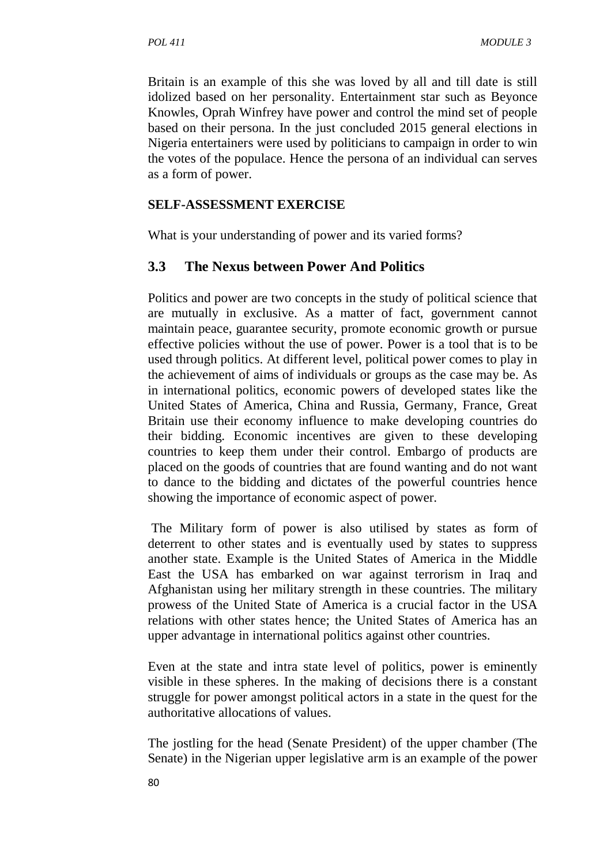Britain is an example of this she was loved by all and till date is still idolized based on her personality. Entertainment star such as Beyonce Knowles, Oprah Winfrey have power and control the mind set of people based on their persona. In the just concluded 2015 general elections in Nigeria entertainers were used by politicians to campaign in order to win the votes of the populace. Hence the persona of an individual can serves as a form of power.

#### **SELF-ASSESSMENT EXERCISE**

What is your understanding of power and its varied forms?

### **3.3 The Nexus between Power And Politics**

Politics and power are two concepts in the study of political science that are mutually in exclusive. As a matter of fact, government cannot maintain peace, guarantee security, promote economic growth or pursue effective policies without the use of power. Power is a tool that is to be used through politics. At different level, political power comes to play in the achievement of aims of individuals or groups as the case may be. As in international politics, economic powers of developed states like the United States of America, China and Russia, Germany, France, Great Britain use their economy influence to make developing countries do their bidding. Economic incentives are given to these developing countries to keep them under their control. Embargo of products are placed on the goods of countries that are found wanting and do not want to dance to the bidding and dictates of the powerful countries hence showing the importance of economic aspect of power.

 The Military form of power is also utilised by states as form of deterrent to other states and is eventually used by states to suppress another state. Example is the United States of America in the Middle East the USA has embarked on war against terrorism in Iraq and Afghanistan using her military strength in these countries. The military prowess of the United State of America is a crucial factor in the USA relations with other states hence; the United States of America has an upper advantage in international politics against other countries.

Even at the state and intra state level of politics, power is eminently visible in these spheres. In the making of decisions there is a constant struggle for power amongst political actors in a state in the quest for the authoritative allocations of values.

The jostling for the head (Senate President) of the upper chamber (The Senate) in the Nigerian upper legislative arm is an example of the power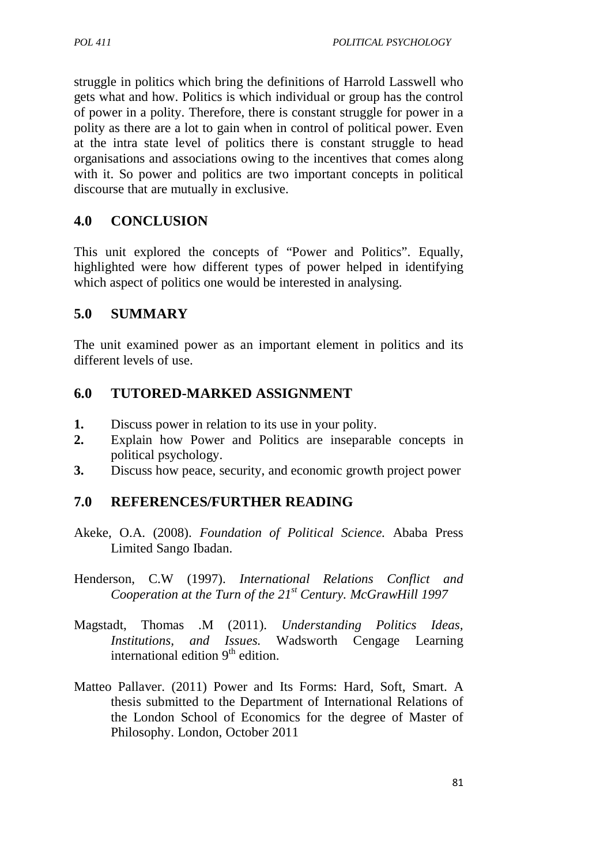struggle in politics which bring the definitions of Harrold Lasswell who gets what and how. Politics is which individual or group has the control of power in a polity. Therefore, there is constant struggle for power in a polity as there are a lot to gain when in control of political power. Even at the intra state level of politics there is constant struggle to head organisations and associations owing to the incentives that comes along with it. So power and politics are two important concepts in political discourse that are mutually in exclusive.

# **4.0 CONCLUSION**

This unit explored the concepts of "Power and Politics". Equally, highlighted were how different types of power helped in identifying which aspect of politics one would be interested in analysing.

## **5.0 SUMMARY**

The unit examined power as an important element in politics and its different levels of use.

# **6.0 TUTORED-MARKED ASSIGNMENT**

- **1.** Discuss power in relation to its use in your polity.
- **2.** Explain how Power and Politics are inseparable concepts in political psychology.
- **3.** Discuss how peace, security, and economic growth project power

## **7.0 REFERENCES/FURTHER READING**

- Akeke, O.A. (2008). *Foundation of Political Science.* Ababa Press Limited Sango Ibadan.
- Henderson, C.W (1997). *International Relations Conflict and Cooperation at the Turn of the 21st Century. McGrawHill 1997*
- Magstadt, Thomas .M (2011). *Understanding Politics Ideas, Institutions, and Issues.* Wadsworth Cengage Learning international edition  $9<sup>th</sup>$  edition.
- Matteo Pallaver. (2011) Power and Its Forms: Hard, Soft, Smart. A thesis submitted to the Department of International Relations of the London School of Economics for the degree of Master of Philosophy. London, October 2011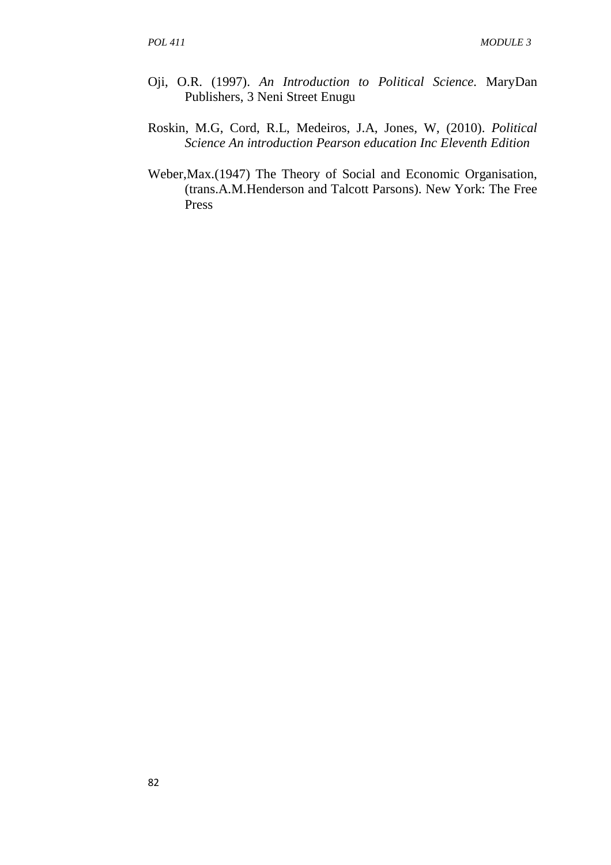- Oji, O.R. (1997). *An Introduction to Political Science.* MaryDan Publishers, 3 Neni Street Enugu
- Roskin, M.G, Cord, R.L, Medeiros, J.A, Jones, W, (2010). *Political Science An introduction Pearson education Inc Eleventh Edition*
- Weber,Max.(1947) The Theory of Social and Economic Organisation, (trans.A.M.Henderson and Talcott Parsons). New York: The Free Press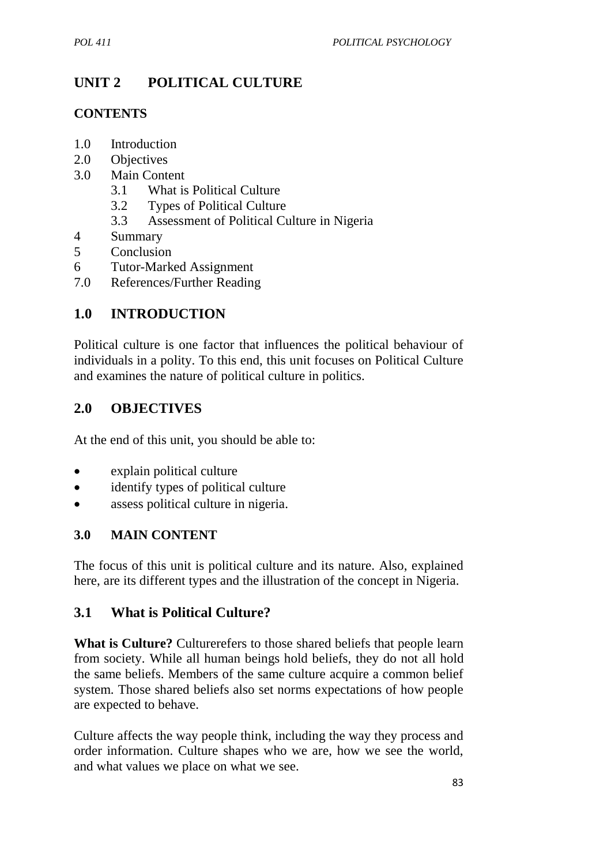# **UNIT 2 POLITICAL CULTURE**

## **CONTENTS**

- 1.0 Introduction
- 2.0 Objectives
- 3.0 Main Content
	- 3.1 What is Political Culture
	- 3.2 Types of Political Culture
	- 3.3 Assessment of Political Culture in Nigeria
- 4 Summary
- 5 Conclusion
- 6 Tutor-Marked Assignment
- 7.0 References/Further Reading

# **1.0 INTRODUCTION**

Political culture is one factor that influences the political behaviour of individuals in a polity. To this end, this unit focuses on Political Culture and examines the nature of political culture in politics.

## **2.0 OBJECTIVES**

At the end of this unit, you should be able to:

- explain political culture
- identify types of political culture
- assess political culture in nigeria.

### **3.0 MAIN CONTENT**

The focus of this unit is political culture and its nature. Also, explained here, are its different types and the illustration of the concept in Nigeria.

## **3.1 What is Political Culture?**

**What is Culture?** Culturerefers to those shared beliefs that people learn from society. While all human beings hold beliefs, they do not all hold the same beliefs. Members of the same culture acquire a common belief system. Those shared beliefs also set norms expectations of how people are expected to behave.

Culture affects the way people think, including the way they process and order information. Culture shapes who we are, how we see the world, and what values we place on what we see.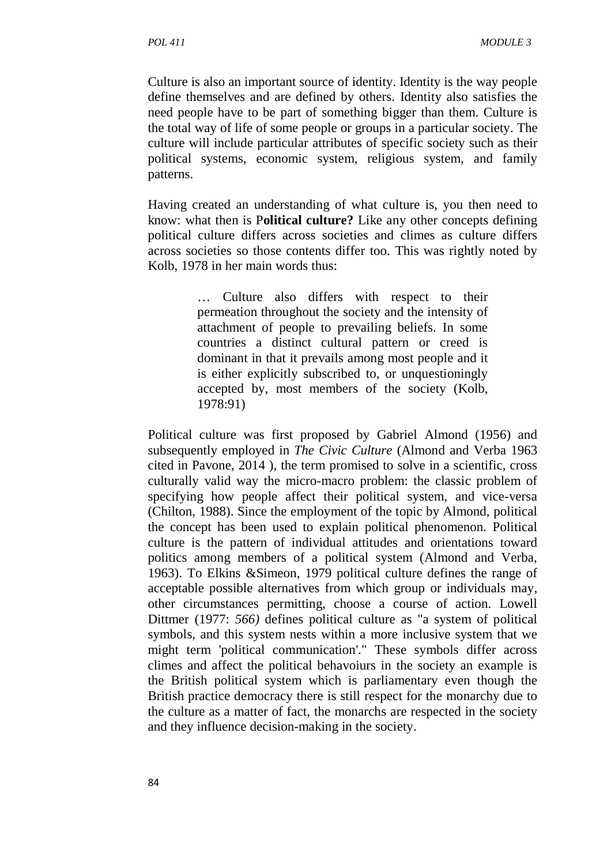Culture is also an important source of identity. Identity is the way people define themselves and are defined by others. Identity also satisfies the need people have to be part of something bigger than them. Culture is the total way of life of some people or groups in a particular society. The culture will include particular attributes of specific society such as their political systems, economic system, religious system, and family patterns.

Having created an understanding of what culture is, you then need to know: what then is P**olitical culture?** Like any other concepts defining political culture differs across societies and climes as culture differs across societies so those contents differ too. This was rightly noted by Kolb, 1978 in her main words thus:

> … Culture also differs with respect to their permeation throughout the society and the intensity of attachment of people to prevailing beliefs. In some countries a distinct cultural pattern or creed is dominant in that it prevails among most people and it is either explicitly subscribed to, or unquestioningly accepted by, most members of the society (Kolb, 1978:91)

Political culture was first proposed by Gabriel Almond (1956) and subsequently employed in *The Civic Culture* (Almond and Verba 1963 cited in Pavone, 2014 ), the term promised to solve in a scientific, cross culturally valid way the micro-macro problem: the classic problem of specifying how people affect their political system, and vice-versa (Chilton, 1988). Since the employment of the topic by Almond, political the concept has been used to explain political phenomenon. Political culture is the pattern of individual attitudes and orientations toward politics among members of a political system (Almond and Verba, 1963). To Elkins &Simeon, 1979 political culture defines the range of acceptable possible alternatives from which group or individuals may, other circumstances permitting, choose a course of action. Lowell Dittmer (1977: *566)* defines political culture as "a system of political symbols, and this system nests within a more inclusive system that we might term 'political communication'." These symbols differ across climes and affect the political behavoiurs in the society an example is the British political system which is parliamentary even though the British practice democracy there is still respect for the monarchy due to the culture as a matter of fact, the monarchs are respected in the society and they influence decision-making in the society.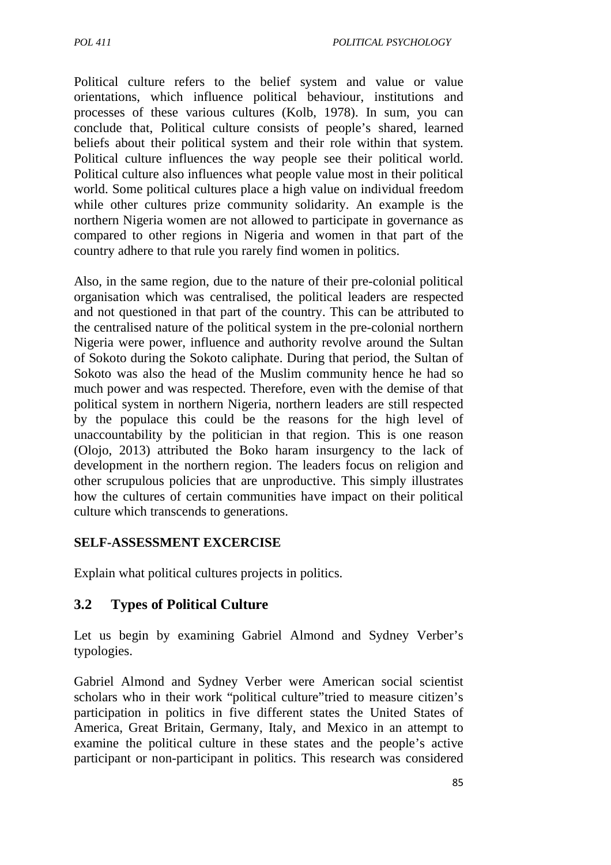Political culture refers to the belief system and value or value orientations, which influence political behaviour, institutions and processes of these various cultures (Kolb, 1978). In sum, you can conclude that, Political culture consists of people's shared, learned beliefs about their political system and their role within that system. Political culture influences the way people see their political world. Political culture also influences what people value most in their political world. Some political cultures place a high value on individual freedom while other cultures prize community solidarity. An example is the northern Nigeria women are not allowed to participate in governance as compared to other regions in Nigeria and women in that part of the country adhere to that rule you rarely find women in politics.

Also, in the same region, due to the nature of their pre-colonial political organisation which was centralised, the political leaders are respected and not questioned in that part of the country. This can be attributed to the centralised nature of the political system in the pre-colonial northern Nigeria were power, influence and authority revolve around the Sultan of Sokoto during the Sokoto caliphate. During that period, the Sultan of Sokoto was also the head of the Muslim community hence he had so much power and was respected. Therefore, even with the demise of that political system in northern Nigeria, northern leaders are still respected by the populace this could be the reasons for the high level of unaccountability by the politician in that region. This is one reason (Olojo, 2013) attributed the Boko haram insurgency to the lack of development in the northern region. The leaders focus on religion and other scrupulous policies that are unproductive. This simply illustrates how the cultures of certain communities have impact on their political culture which transcends to generations.

### **SELF-ASSESSMENT EXCERCISE**

Explain what political cultures projects in politics.

### **3.2 Types of Political Culture**

Let us begin by examining Gabriel Almond and Sydney Verber's typologies.

Gabriel Almond and Sydney Verber were American social scientist scholars who in their work "political culture"tried to measure citizen's participation in politics in five different states the United States of America, Great Britain, Germany, Italy, and Mexico in an attempt to examine the political culture in these states and the people's active participant or non-participant in politics. This research was considered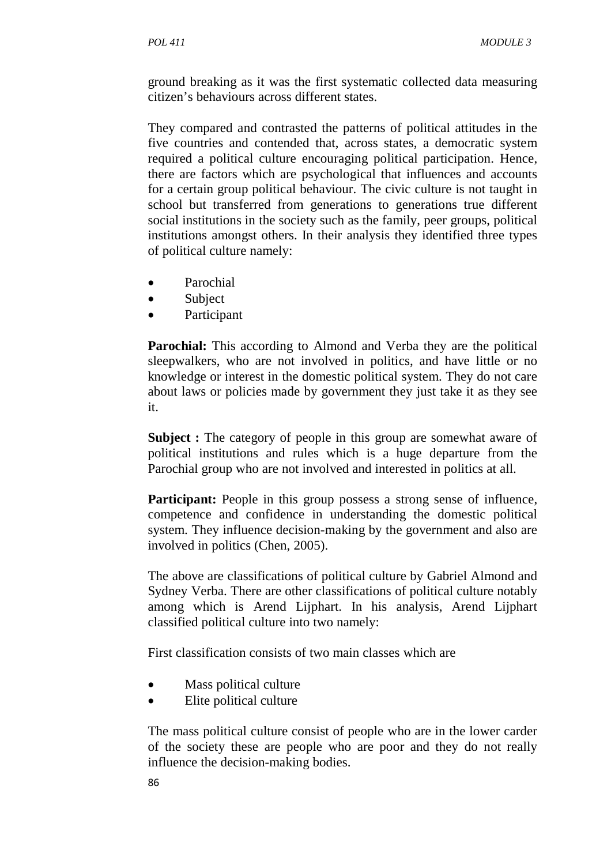ground breaking as it was the first systematic collected data measuring citizen's behaviours across different states.

They compared and contrasted the patterns of political attitudes in the five countries and contended that, across states, a democratic system required a political culture encouraging political participation. Hence, there are factors which are psychological that influences and accounts for a certain group political behaviour. The civic culture is not taught in school but transferred from generations to generations true different social institutions in the society such as the family, peer groups, political institutions amongst others. In their analysis they identified three types of political culture namely:

- Parochial
- Subject
- **Participant**

**Parochial:** This according to Almond and Verba they are the political sleepwalkers, who are not involved in politics, and have little or no knowledge or interest in the domestic political system. They do not care about laws or policies made by government they just take it as they see it.

**Subject :** The category of people in this group are somewhat aware of political institutions and rules which is a huge departure from the Parochial group who are not involved and interested in politics at all.

**Participant:** People in this group possess a strong sense of influence, competence and confidence in understanding the domestic political system. They influence decision-making by the government and also are involved in politics (Chen, 2005).

The above are classifications of political culture by Gabriel Almond and Sydney Verba. There are other classifications of political culture notably among which is Arend Lijphart. In his analysis, Arend Lijphart classified political culture into two namely:

First classification consists of two main classes which are

- Mass political culture
- Elite political culture

The mass political culture consist of people who are in the lower carder of the society these are people who are poor and they do not really influence the decision-making bodies.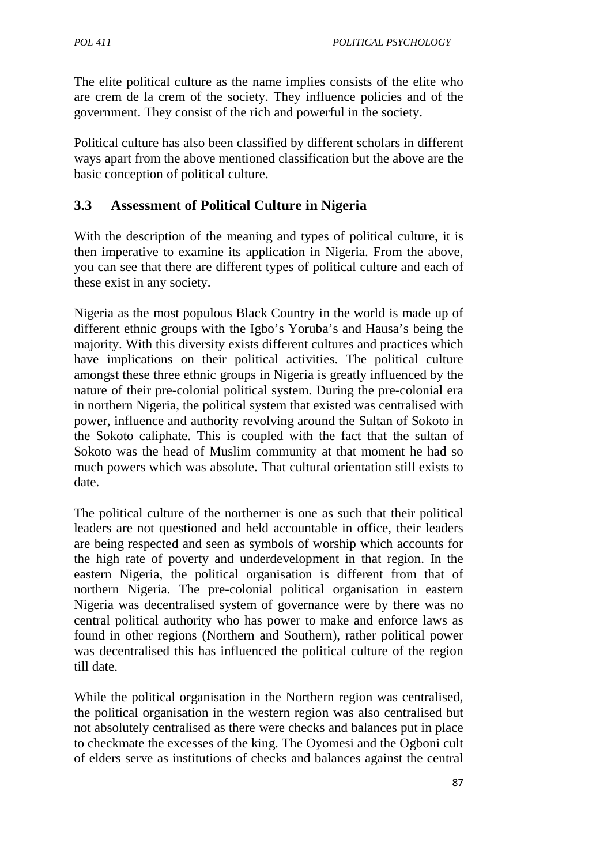The elite political culture as the name implies consists of the elite who are crem de la crem of the society. They influence policies and of the government. They consist of the rich and powerful in the society.

Political culture has also been classified by different scholars in different ways apart from the above mentioned classification but the above are the basic conception of political culture.

# **3.3 Assessment of Political Culture in Nigeria**

With the description of the meaning and types of political culture, it is then imperative to examine its application in Nigeria. From the above, you can see that there are different types of political culture and each of these exist in any society.

Nigeria as the most populous Black Country in the world is made up of different ethnic groups with the Igbo's Yoruba's and Hausa's being the majority. With this diversity exists different cultures and practices which have implications on their political activities. The political culture amongst these three ethnic groups in Nigeria is greatly influenced by the nature of their pre-colonial political system. During the pre-colonial era in northern Nigeria, the political system that existed was centralised with power, influence and authority revolving around the Sultan of Sokoto in the Sokoto caliphate. This is coupled with the fact that the sultan of Sokoto was the head of Muslim community at that moment he had so much powers which was absolute. That cultural orientation still exists to date.

The political culture of the northerner is one as such that their political leaders are not questioned and held accountable in office, their leaders are being respected and seen as symbols of worship which accounts for the high rate of poverty and underdevelopment in that region. In the eastern Nigeria, the political organisation is different from that of northern Nigeria. The pre-colonial political organisation in eastern Nigeria was decentralised system of governance were by there was no central political authority who has power to make and enforce laws as found in other regions (Northern and Southern), rather political power was decentralised this has influenced the political culture of the region till date.

While the political organisation in the Northern region was centralised, the political organisation in the western region was also centralised but not absolutely centralised as there were checks and balances put in place to checkmate the excesses of the king. The Oyomesi and the Ogboni cult of elders serve as institutions of checks and balances against the central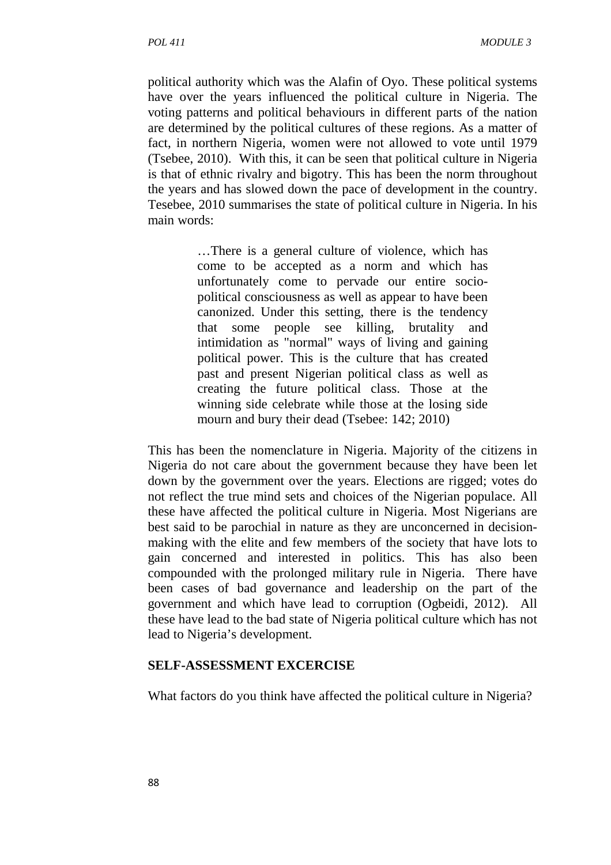political authority which was the Alafin of Oyo. These political systems have over the years influenced the political culture in Nigeria. The voting patterns and political behaviours in different parts of the nation are determined by the political cultures of these regions. As a matter of fact, in northern Nigeria, women were not allowed to vote until 1979 (Tsebee, 2010). With this, it can be seen that political culture in Nigeria is that of ethnic rivalry and bigotry. This has been the norm throughout the years and has slowed down the pace of development in the country. Tesebee, 2010 summarises the state of political culture in Nigeria. In his main words:

> …There is a general culture of violence, which has come to be accepted as a norm and which has unfortunately come to pervade our entire sociopolitical consciousness as well as appear to have been canonized. Under this setting, there is the tendency that some people see killing, brutality and intimidation as "normal" ways of living and gaining political power. This is the culture that has created past and present Nigerian political class as well as creating the future political class. Those at the winning side celebrate while those at the losing side mourn and bury their dead (Tsebee: 142; 2010)

This has been the nomenclature in Nigeria. Majority of the citizens in Nigeria do not care about the government because they have been let down by the government over the years. Elections are rigged; votes do not reflect the true mind sets and choices of the Nigerian populace. All these have affected the political culture in Nigeria. Most Nigerians are best said to be parochial in nature as they are unconcerned in decisionmaking with the elite and few members of the society that have lots to gain concerned and interested in politics. This has also been compounded with the prolonged military rule in Nigeria. There have been cases of bad governance and leadership on the part of the government and which have lead to corruption (Ogbeidi, 2012). All these have lead to the bad state of Nigeria political culture which has not lead to Nigeria's development.

#### **SELF-ASSESSMENT EXCERCISE**

What factors do you think have affected the political culture in Nigeria?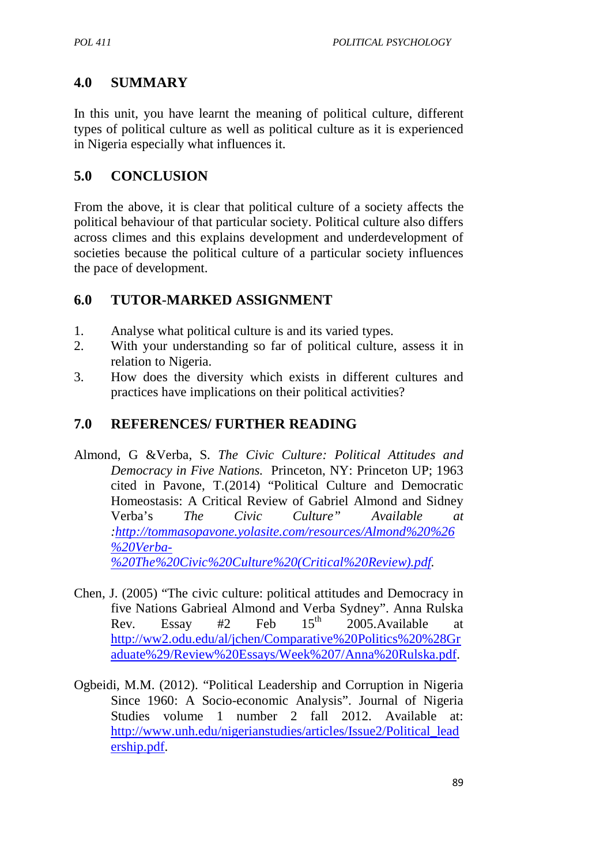# **4.0 SUMMARY**

In this unit, you have learnt the meaning of political culture, different types of political culture as well as political culture as it is experienced in Nigeria especially what influences it.

## **5.0 CONCLUSION**

From the above, it is clear that political culture of a society affects the political behaviour of that particular society. Political culture also differs across climes and this explains development and underdevelopment of societies because the political culture of a particular society influences the pace of development.

# **6.0 TUTOR**-**MARKED ASSIGNMENT**

- 1. Analyse what political culture is and its varied types.
- 2. With your understanding so far of political culture, assess it in relation to Nigeria.
- 3. How does the diversity which exists in different cultures and practices have implications on their political activities?

# **7.0 REFERENCES/ FURTHER READING**

- Almond, G &Verba, S. *The Civic Culture: Political Attitudes and Democracy in Five Nations.* Princeton, NY: Princeton UP; 1963 cited in Pavone, T.(2014) "Political Culture and Democratic Homeostasis: A Critical Review of Gabriel Almond and Sidney Verba's *The Civic Culture" Available at :http://tommasopavone.yolasite.com/resources/Almond%20%26 %20Verba- %20The%20Civic%20Culture%20(Critical%20Review).pdf.*
- Chen, J. (2005) "The civic culture: political attitudes and Democracy in five Nations Gabrieal Almond and Verba Sydney". Anna Rulska Rev. Essay #2 Feb  $15<sup>th</sup>$  2005. Available at http://ww2.odu.edu/al/jchen/Comparative%20Politics%20%28Gr aduate%29/Review%20Essays/Week%207/Anna%20Rulska.pdf.
- Ogbeidi, M.M. (2012). "Political Leadership and Corruption in Nigeria Since 1960: A Socio-economic Analysis". Journal of Nigeria Studies volume 1 number 2 fall 2012. Available at: http://www.unh.edu/nigerianstudies/articles/Issue2/Political\_lead ership.pdf.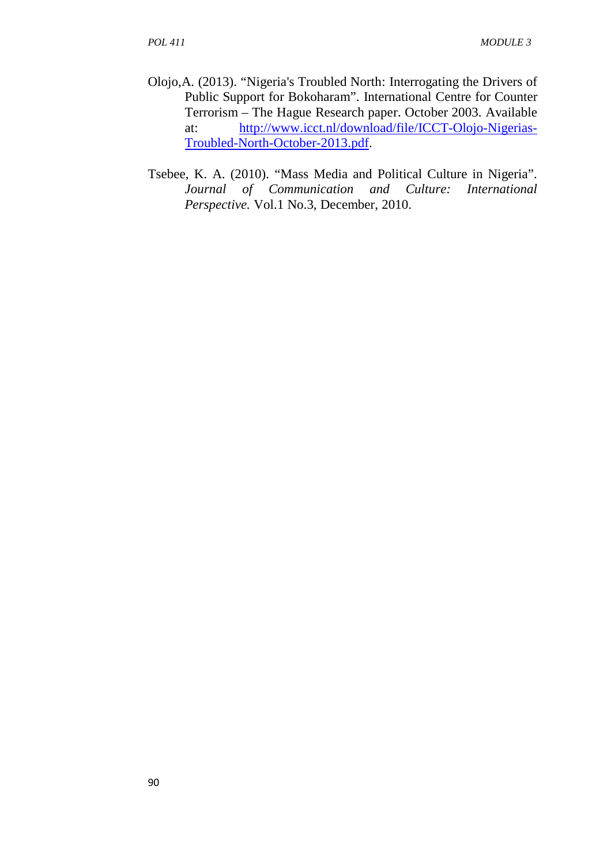- Olojo,A. (2013). "Nigeria's Troubled North: Interrogating the Drivers of Public Support for Bokoharam". International Centre for Counter Terrorism – The Hague Research paper. October 2003. Available at: http://www.icct.nl/download/file/ICCT-Olojo-Nigerias-Troubled-North-October-2013.pdf.
- Tsebee, K. A. (2010). "Mass Media and Political Culture in Nigeria". *Journal of Communication and Culture: International Perspective.* Vol.1 No.3, December, 2010.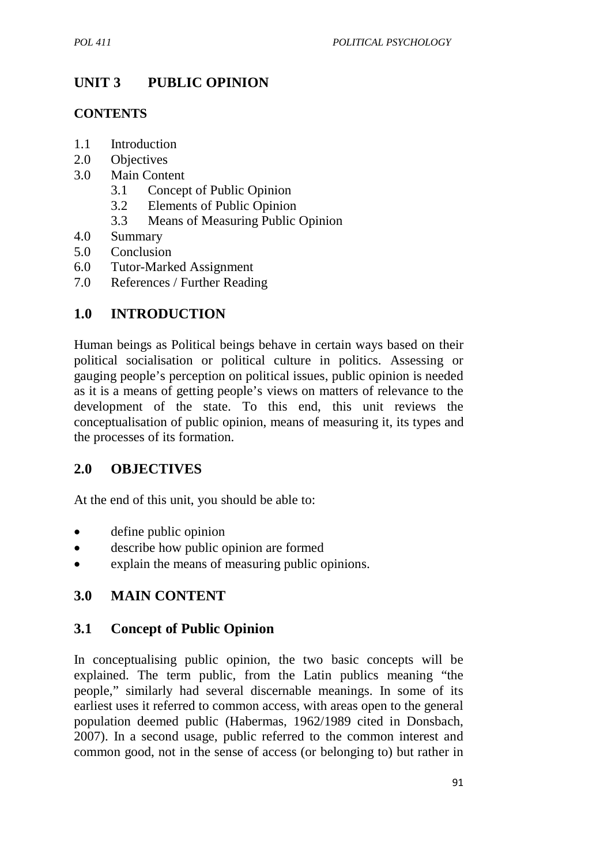# **UNIT 3 PUBLIC OPINION**

## **CONTENTS**

- 1.1 Introduction
- 2.0 Objectives
- 3.0 Main Content
	- 3.1 Concept of Public Opinion
	- 3.2 Elements of Public Opinion
	- 3.3 Means of Measuring Public Opinion
- 4.0 Summary
- 5.0 Conclusion
- 6.0 Tutor-Marked Assignment
- 7.0 References / Further Reading

# **1.0 INTRODUCTION**

Human beings as Political beings behave in certain ways based on their political socialisation or political culture in politics. Assessing or gauging people's perception on political issues, public opinion is needed as it is a means of getting people's views on matters of relevance to the development of the state. To this end, this unit reviews the conceptualisation of public opinion, means of measuring it, its types and the processes of its formation.

## **2.0 OBJECTIVES**

At the end of this unit, you should be able to:

- define public opinion
- describe how public opinion are formed
- explain the means of measuring public opinions.

# **3.0 MAIN CONTENT**

## **3.1 Concept of Public Opinion**

In conceptualising public opinion, the two basic concepts will be explained. The term public, from the Latin publics meaning "the people," similarly had several discernable meanings. In some of its earliest uses it referred to common access, with areas open to the general population deemed public (Habermas, 1962/1989 cited in Donsbach, 2007). In a second usage, public referred to the common interest and common good, not in the sense of access (or belonging to) but rather in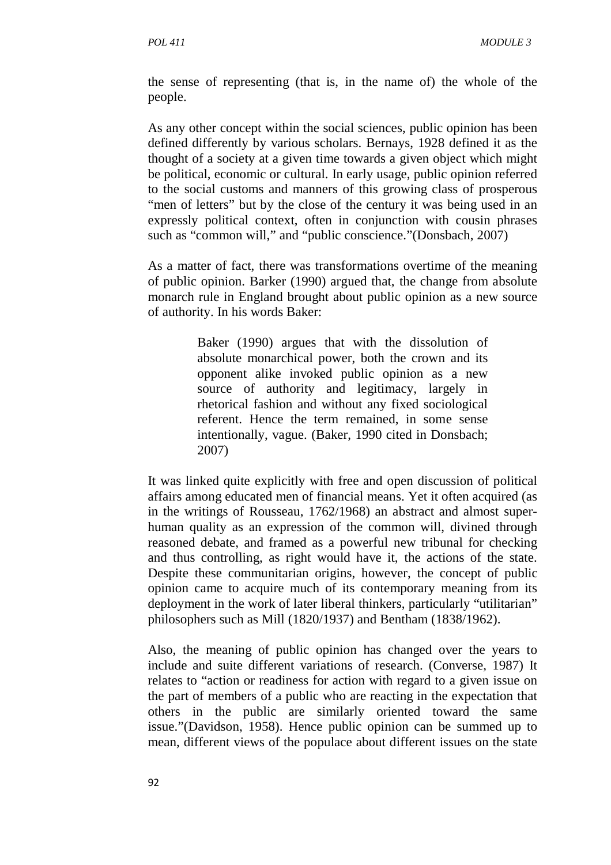the sense of representing (that is, in the name of) the whole of the people.

As any other concept within the social sciences, public opinion has been defined differently by various scholars. Bernays, 1928 defined it as the thought of a society at a given time towards a given object which might be political, economic or cultural. In early usage, public opinion referred to the social customs and manners of this growing class of prosperous "men of letters" but by the close of the century it was being used in an expressly political context, often in conjunction with cousin phrases such as "common will," and "public conscience."(Donsbach, 2007)

As a matter of fact, there was transformations overtime of the meaning of public opinion. Barker (1990) argued that, the change from absolute monarch rule in England brought about public opinion as a new source of authority. In his words Baker:

> Baker (1990) argues that with the dissolution of absolute monarchical power, both the crown and its opponent alike invoked public opinion as a new source of authority and legitimacy, largely in rhetorical fashion and without any fixed sociological referent. Hence the term remained, in some sense intentionally, vague. (Baker, 1990 cited in Donsbach; 2007)

It was linked quite explicitly with free and open discussion of political affairs among educated men of financial means. Yet it often acquired (as in the writings of Rousseau, 1762/1968) an abstract and almost superhuman quality as an expression of the common will, divined through reasoned debate, and framed as a powerful new tribunal for checking and thus controlling, as right would have it, the actions of the state. Despite these communitarian origins, however, the concept of public opinion came to acquire much of its contemporary meaning from its deployment in the work of later liberal thinkers, particularly "utilitarian" philosophers such as Mill (1820/1937) and Bentham (1838/1962).

Also, the meaning of public opinion has changed over the years to include and suite different variations of research. (Converse, 1987) It relates to "action or readiness for action with regard to a given issue on the part of members of a public who are reacting in the expectation that others in the public are similarly oriented toward the same issue."(Davidson, 1958). Hence public opinion can be summed up to mean, different views of the populace about different issues on the state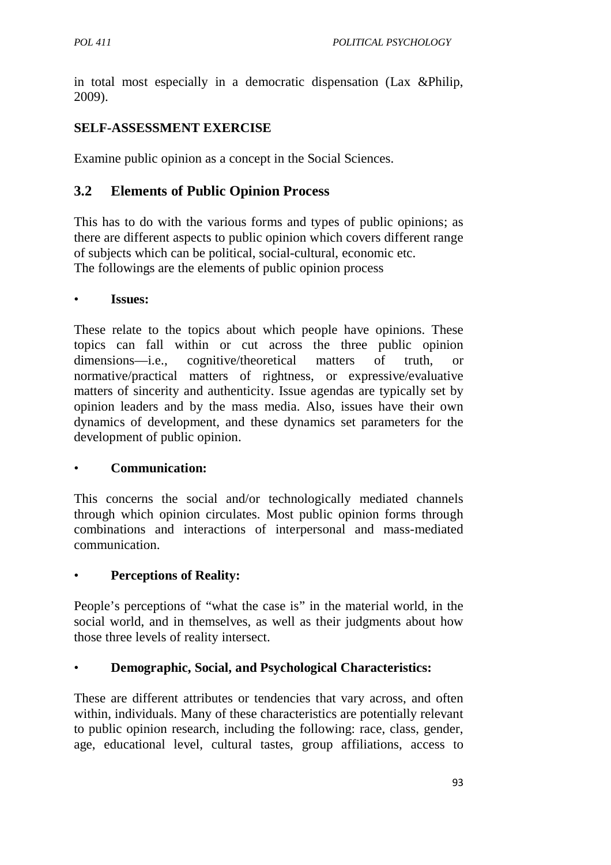in total most especially in a democratic dispensation (Lax &Philip, 2009).

### **SELF-ASSESSMENT EXERCISE**

Examine public opinion as a concept in the Social Sciences.

### **3.2 Elements of Public Opinion Process**

This has to do with the various forms and types of public opinions; as there are different aspects to public opinion which covers different range of subjects which can be political, social-cultural, economic etc. The followings are the elements of public opinion process

#### • **Issues:**

These relate to the topics about which people have opinions. These topics can fall within or cut across the three public opinion dimensions—i.e., cognitive/theoretical matters of truth, or normative/practical matters of rightness, or expressive/evaluative matters of sincerity and authenticity. Issue agendas are typically set by opinion leaders and by the mass media. Also, issues have their own dynamics of development, and these dynamics set parameters for the development of public opinion.

#### • **Communication:**

This concerns the social and/or technologically mediated channels through which opinion circulates. Most public opinion forms through combinations and interactions of interpersonal and mass-mediated communication.

### • **Perceptions of Reality:**

People's perceptions of "what the case is" in the material world, in the social world, and in themselves, as well as their judgments about how those three levels of reality intersect.

### • **Demographic, Social, and Psychological Characteristics:**

These are different attributes or tendencies that vary across, and often within, individuals. Many of these characteristics are potentially relevant to public opinion research, including the following: race, class, gender, age, educational level, cultural tastes, group affiliations, access to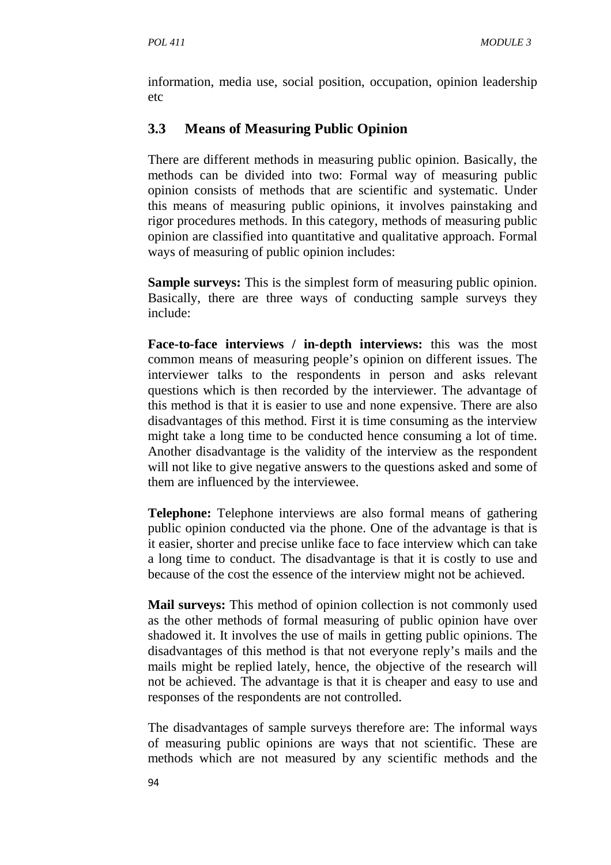information, media use, social position, occupation, opinion leadership etc

### **3.3 Means of Measuring Public Opinion**

There are different methods in measuring public opinion. Basically, the methods can be divided into two: Formal way of measuring public opinion consists of methods that are scientific and systematic. Under this means of measuring public opinions, it involves painstaking and rigor procedures methods. In this category, methods of measuring public opinion are classified into quantitative and qualitative approach. Formal ways of measuring of public opinion includes:

**Sample surveys:** This is the simplest form of measuring public opinion. Basically, there are three ways of conducting sample surveys they include:

**Face-to-face interviews / in-depth interviews:** this was the most common means of measuring people's opinion on different issues. The interviewer talks to the respondents in person and asks relevant questions which is then recorded by the interviewer. The advantage of this method is that it is easier to use and none expensive. There are also disadvantages of this method. First it is time consuming as the interview might take a long time to be conducted hence consuming a lot of time. Another disadvantage is the validity of the interview as the respondent will not like to give negative answers to the questions asked and some of them are influenced by the interviewee.

**Telephone:** Telephone interviews are also formal means of gathering public opinion conducted via the phone. One of the advantage is that is it easier, shorter and precise unlike face to face interview which can take a long time to conduct. The disadvantage is that it is costly to use and because of the cost the essence of the interview might not be achieved.

**Mail surveys:** This method of opinion collection is not commonly used as the other methods of formal measuring of public opinion have over shadowed it. It involves the use of mails in getting public opinions. The disadvantages of this method is that not everyone reply's mails and the mails might be replied lately, hence, the objective of the research will not be achieved. The advantage is that it is cheaper and easy to use and responses of the respondents are not controlled.

The disadvantages of sample surveys therefore are: The informal ways of measuring public opinions are ways that not scientific. These are methods which are not measured by any scientific methods and the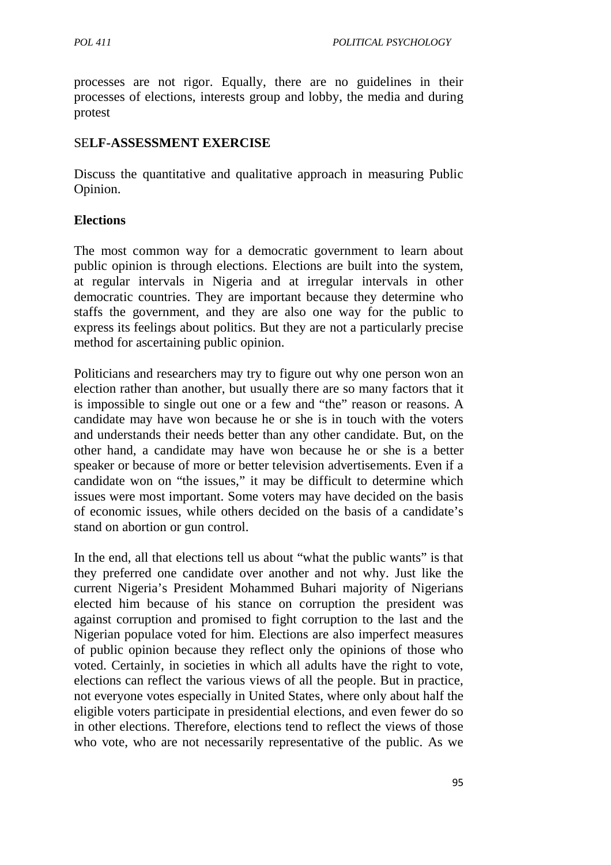processes are not rigor. Equally, there are no guidelines in their processes of elections, interests group and lobby, the media and during protest

### SE**LF-ASSESSMENT EXERCISE**

Discuss the quantitative and qualitative approach in measuring Public Opinion.

### **Elections**

The most common way for a democratic government to learn about public opinion is through elections. Elections are built into the system, at regular intervals in Nigeria and at irregular intervals in other democratic countries. They are important because they determine who staffs the government, and they are also one way for the public to express its feelings about politics. But they are not a particularly precise method for ascertaining public opinion.

Politicians and researchers may try to figure out why one person won an election rather than another, but usually there are so many factors that it is impossible to single out one or a few and "the" reason or reasons. A candidate may have won because he or she is in touch with the voters and understands their needs better than any other candidate. But, on the other hand, a candidate may have won because he or she is a better speaker or because of more or better television advertisements. Even if a candidate won on "the issues," it may be difficult to determine which issues were most important. Some voters may have decided on the basis of economic issues, while others decided on the basis of a candidate's stand on abortion or gun control.

In the end, all that elections tell us about "what the public wants" is that they preferred one candidate over another and not why. Just like the current Nigeria's President Mohammed Buhari majority of Nigerians elected him because of his stance on corruption the president was against corruption and promised to fight corruption to the last and the Nigerian populace voted for him. Elections are also imperfect measures of public opinion because they reflect only the opinions of those who voted. Certainly, in societies in which all adults have the right to vote, elections can reflect the various views of all the people. But in practice, not everyone votes especially in United States, where only about half the eligible voters participate in presidential elections, and even fewer do so in other elections. Therefore, elections tend to reflect the views of those who vote, who are not necessarily representative of the public. As we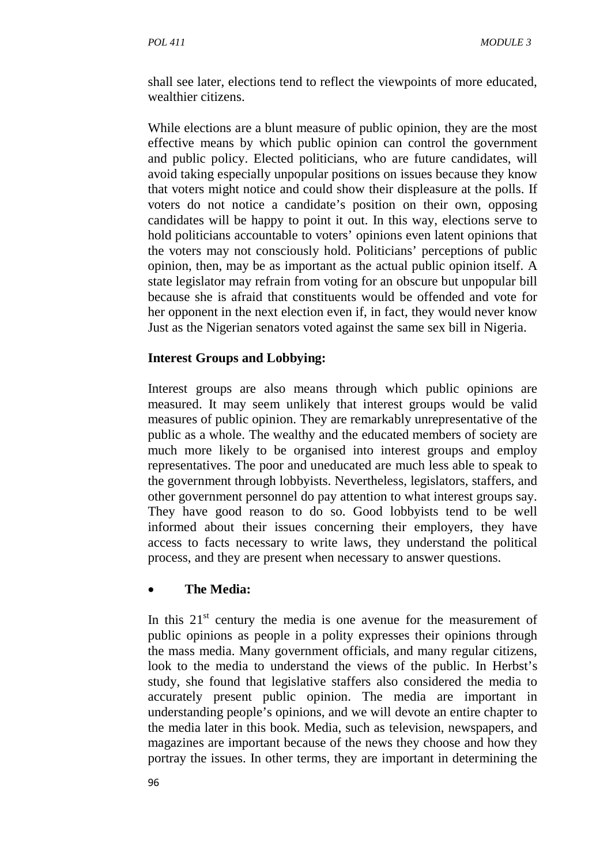shall see later, elections tend to reflect the viewpoints of more educated, wealthier citizens.

While elections are a blunt measure of public opinion, they are the most effective means by which public opinion can control the government and public policy. Elected politicians, who are future candidates, will avoid taking especially unpopular positions on issues because they know that voters might notice and could show their displeasure at the polls. If voters do not notice a candidate's position on their own, opposing candidates will be happy to point it out. In this way, elections serve to hold politicians accountable to voters' opinions even latent opinions that the voters may not consciously hold. Politicians' perceptions of public opinion, then, may be as important as the actual public opinion itself. A state legislator may refrain from voting for an obscure but unpopular bill because she is afraid that constituents would be offended and vote for her opponent in the next election even if, in fact, they would never know Just as the Nigerian senators voted against the same sex bill in Nigeria.

### **Interest Groups and Lobbying:**

Interest groups are also means through which public opinions are measured. It may seem unlikely that interest groups would be valid measures of public opinion. They are remarkably unrepresentative of the public as a whole. The wealthy and the educated members of society are much more likely to be organised into interest groups and employ representatives. The poor and uneducated are much less able to speak to the government through lobbyists. Nevertheless, legislators, staffers, and other government personnel do pay attention to what interest groups say. They have good reason to do so. Good lobbyists tend to be well informed about their issues concerning their employers, they have access to facts necessary to write laws, they understand the political process, and they are present when necessary to answer questions.

### • **The Media:**

In this  $21<sup>st</sup>$  century the media is one avenue for the measurement of public opinions as people in a polity expresses their opinions through the mass media. Many government officials, and many regular citizens, look to the media to understand the views of the public. In Herbst's study, she found that legislative staffers also considered the media to accurately present public opinion. The media are important in understanding people's opinions, and we will devote an entire chapter to the media later in this book. Media, such as television, newspapers, and magazines are important because of the news they choose and how they portray the issues. In other terms, they are important in determining the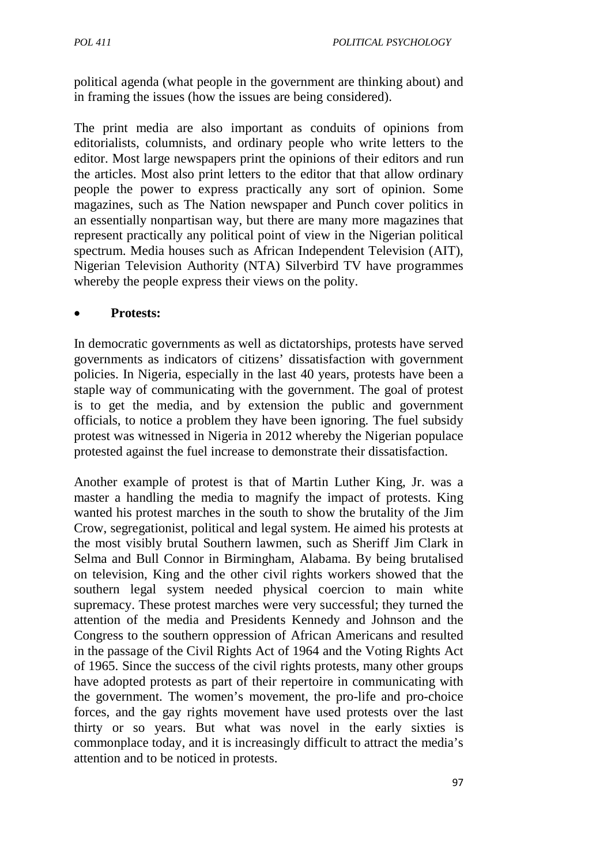political agenda (what people in the government are thinking about) and in framing the issues (how the issues are being considered).

The print media are also important as conduits of opinions from editorialists, columnists, and ordinary people who write letters to the editor. Most large newspapers print the opinions of their editors and run the articles. Most also print letters to the editor that that allow ordinary people the power to express practically any sort of opinion. Some magazines, such as The Nation newspaper and Punch cover politics in an essentially nonpartisan way, but there are many more magazines that represent practically any political point of view in the Nigerian political spectrum. Media houses such as African Independent Television (AIT), Nigerian Television Authority (NTA) Silverbird TV have programmes whereby the people express their views on the polity.

#### • **Protests:**

In democratic governments as well as dictatorships, protests have served governments as indicators of citizens' dissatisfaction with government policies. In Nigeria, especially in the last 40 years, protests have been a staple way of communicating with the government. The goal of protest is to get the media, and by extension the public and government officials, to notice a problem they have been ignoring. The fuel subsidy protest was witnessed in Nigeria in 2012 whereby the Nigerian populace protested against the fuel increase to demonstrate their dissatisfaction.

Another example of protest is that of Martin Luther King, Jr. was a master a handling the media to magnify the impact of protests. King wanted his protest marches in the south to show the brutality of the Jim Crow, segregationist, political and legal system. He aimed his protests at the most visibly brutal Southern lawmen, such as Sheriff Jim Clark in Selma and Bull Connor in Birmingham, Alabama. By being brutalised on television, King and the other civil rights workers showed that the southern legal system needed physical coercion to main white supremacy. These protest marches were very successful; they turned the attention of the media and Presidents Kennedy and Johnson and the Congress to the southern oppression of African Americans and resulted in the passage of the Civil Rights Act of 1964 and the Voting Rights Act of 1965. Since the success of the civil rights protests, many other groups have adopted protests as part of their repertoire in communicating with the government. The women's movement, the pro-life and pro-choice forces, and the gay rights movement have used protests over the last thirty or so years. But what was novel in the early sixties is commonplace today, and it is increasingly difficult to attract the media's attention and to be noticed in protests.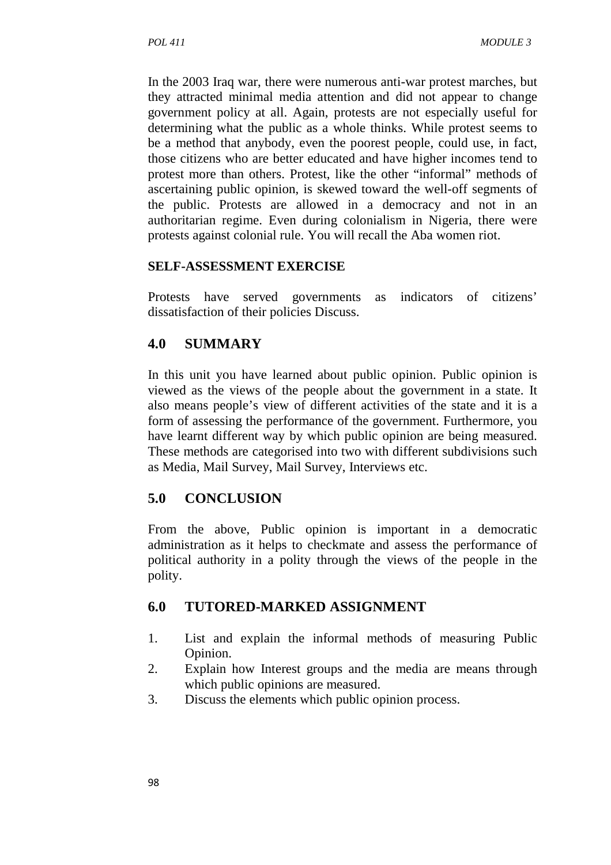In the 2003 Iraq war, there were numerous anti-war protest marches, but they attracted minimal media attention and did not appear to change government policy at all. Again, protests are not especially useful for determining what the public as a whole thinks. While protest seems to be a method that anybody, even the poorest people, could use, in fact, those citizens who are better educated and have higher incomes tend to protest more than others. Protest, like the other "informal" methods of ascertaining public opinion, is skewed toward the well-off segments of the public. Protests are allowed in a democracy and not in an authoritarian regime. Even during colonialism in Nigeria, there were protests against colonial rule. You will recall the Aba women riot.

#### **SELF-ASSESSMENT EXERCISE**

Protests have served governments as indicators of citizens' dissatisfaction of their policies Discuss.

## **4.0 SUMMARY**

In this unit you have learned about public opinion. Public opinion is viewed as the views of the people about the government in a state. It also means people's view of different activities of the state and it is a form of assessing the performance of the government. Furthermore, you have learnt different way by which public opinion are being measured. These methods are categorised into two with different subdivisions such as Media, Mail Survey, Mail Survey, Interviews etc.

## **5.0 CONCLUSION**

From the above, Public opinion is important in a democratic administration as it helps to checkmate and assess the performance of political authority in a polity through the views of the people in the polity.

## **6.0 TUTORED-MARKED ASSIGNMENT**

- 1. List and explain the informal methods of measuring Public Opinion.
- 2. Explain how Interest groups and the media are means through which public opinions are measured.
- 3. Discuss the elements which public opinion process.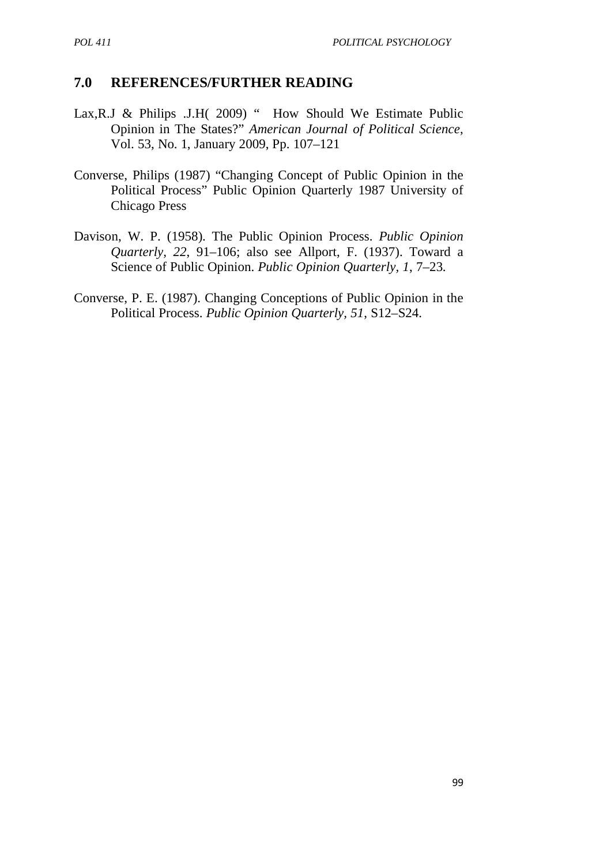## **7.0 REFERENCES/FURTHER READING**

- Lax, R.J & Philips .J.H( 2009) " How Should We Estimate Public Opinion in The States?" *American Journal of Political Science*, Vol. 53, No. 1, January 2009, Pp. 107–121
- Converse, Philips (1987) "Changing Concept of Public Opinion in the Political Process" Public Opinion Quarterly 1987 University of Chicago Press
- Davison, W. P. (1958). The Public Opinion Process. *Public Opinion Quarterly, 22*, 91–106; also see Allport, F. (1937). Toward a Science of Public Opinion. *Public Opinion Quarterly, 1*, 7–23.
- Converse, P. E. (1987). Changing Conceptions of Public Opinion in the Political Process. *Public Opinion Quarterly, 51*, S12–S24.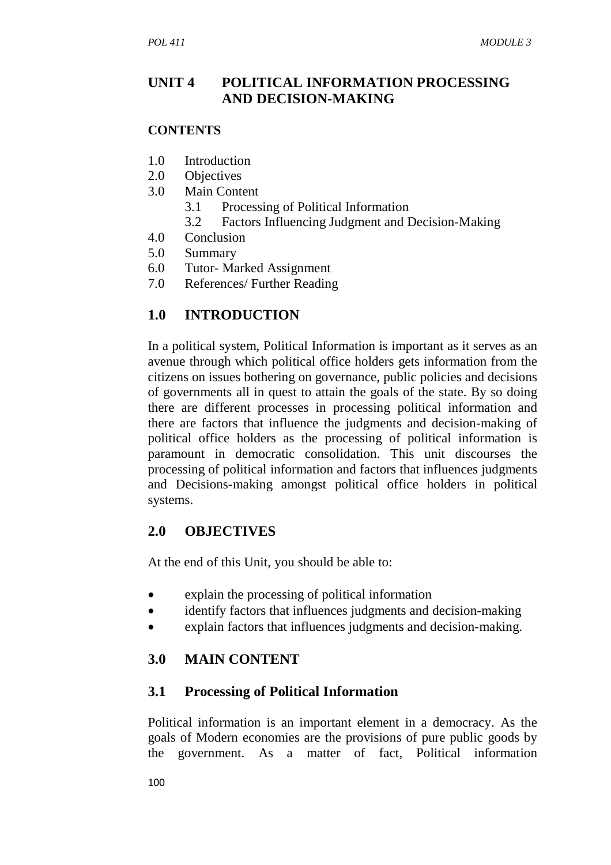## **UNIT 4 POLITICAL INFORMATION PROCESSING AND DECISION-MAKING**

#### **CONTENTS**

- 1.0 Introduction
- 2.0 Objectives
- 3.0 Main Content
	- 3.1 Processing of Political Information
	- 3.2 Factors Influencing Judgment and Decision-Making
- 4.0 Conclusion
- 5.0 Summary
- 6.0 Tutor- Marked Assignment
- 7.0 References/ Further Reading

## **1.0 INTRODUCTION**

In a political system, Political Information is important as it serves as an avenue through which political office holders gets information from the citizens on issues bothering on governance, public policies and decisions of governments all in quest to attain the goals of the state. By so doing there are different processes in processing political information and there are factors that influence the judgments and decision-making of political office holders as the processing of political information is paramount in democratic consolidation. This unit discourses the processing of political information and factors that influences judgments and Decisions-making amongst political office holders in political systems.

## **2.0 OBJECTIVES**

At the end of this Unit, you should be able to:

- explain the processing of political information
- identify factors that influences judgments and decision-making
- explain factors that influences judgments and decision-making.

# **3.0 MAIN CONTENT**

## **3.1 Processing of Political Information**

Political information is an important element in a democracy. As the goals of Modern economies are the provisions of pure public goods by the government. As a matter of fact, Political information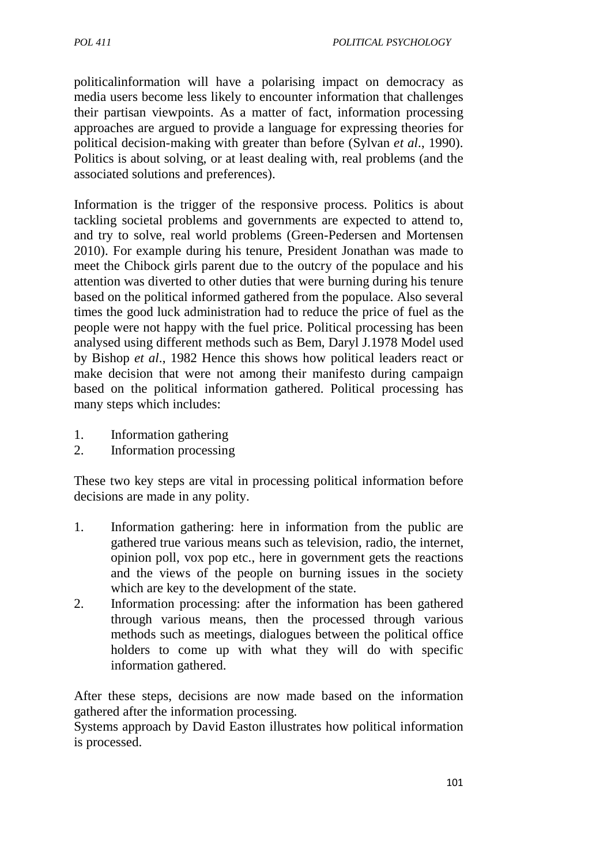politicalinformation will have a polarising impact on democracy as media users become less likely to encounter information that challenges their partisan viewpoints. As a matter of fact, information processing approaches are argued to provide a language for expressing theories for political decision-making with greater than before (Sylvan *et al*., 1990). Politics is about solving, or at least dealing with, real problems (and the associated solutions and preferences).

Information is the trigger of the responsive process. Politics is about tackling societal problems and governments are expected to attend to, and try to solve, real world problems (Green-Pedersen and Mortensen 2010). For example during his tenure, President Jonathan was made to meet the Chibock girls parent due to the outcry of the populace and his attention was diverted to other duties that were burning during his tenure based on the political informed gathered from the populace. Also several times the good luck administration had to reduce the price of fuel as the people were not happy with the fuel price. Political processing has been analysed using different methods such as Bem, Daryl J.1978 Model used by Bishop *et al*., 1982 Hence this shows how political leaders react or make decision that were not among their manifesto during campaign based on the political information gathered. Political processing has many steps which includes:

- 1. Information gathering
- 2. Information processing

These two key steps are vital in processing political information before decisions are made in any polity.

- 1. Information gathering: here in information from the public are gathered true various means such as television, radio, the internet, opinion poll, vox pop etc., here in government gets the reactions and the views of the people on burning issues in the society which are key to the development of the state.
- 2. Information processing: after the information has been gathered through various means, then the processed through various methods such as meetings, dialogues between the political office holders to come up with what they will do with specific information gathered.

After these steps, decisions are now made based on the information gathered after the information processing.

Systems approach by David Easton illustrates how political information is processed.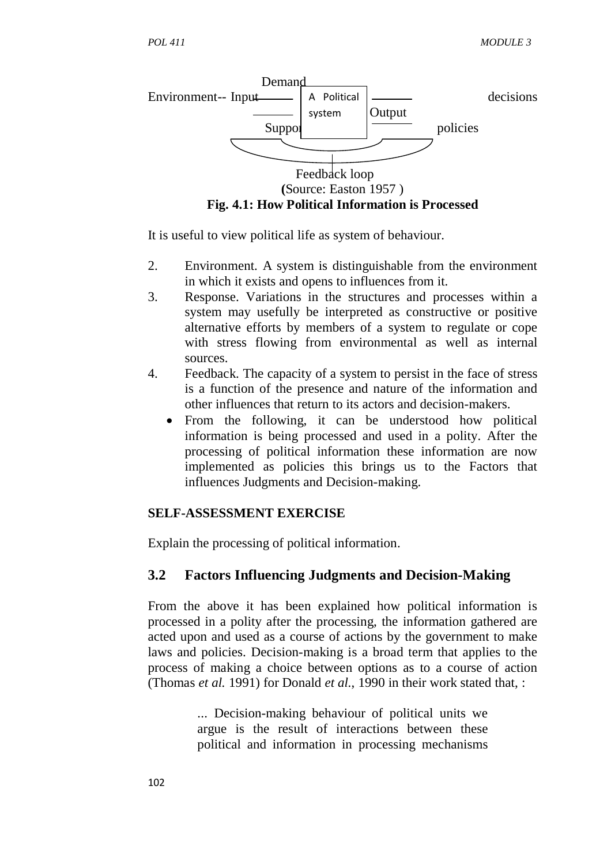

It is useful to view political life as system of behaviour.

- 2. Environment. A system is distinguishable from the environment in which it exists and opens to influences from it.
- 3. Response. Variations in the structures and processes within a system may usefully be interpreted as constructive or positive alternative efforts by members of a system to regulate or cope with stress flowing from environmental as well as internal sources.
- 4. Feedback. The capacity of a system to persist in the face of stress is a function of the presence and nature of the information and other influences that return to its actors and decision-makers.
	- From the following, it can be understood how political information is being processed and used in a polity. After the processing of political information these information are now implemented as policies this brings us to the Factors that influences Judgments and Decision-making.

#### **SELF-ASSESSMENT EXERCISE**

Explain the processing of political information.

### **3.2 Factors Influencing Judgments and Decision-Making**

From the above it has been explained how political information is processed in a polity after the processing, the information gathered are acted upon and used as a course of actions by the government to make laws and policies. Decision-making is a broad term that applies to the process of making a choice between options as to a course of action (Thomas *et al.* 1991) for Donald *et al.*, 1990 in their work stated that, :

> ... Decision-making behaviour of political units we argue is the result of interactions between these political and information in processing mechanisms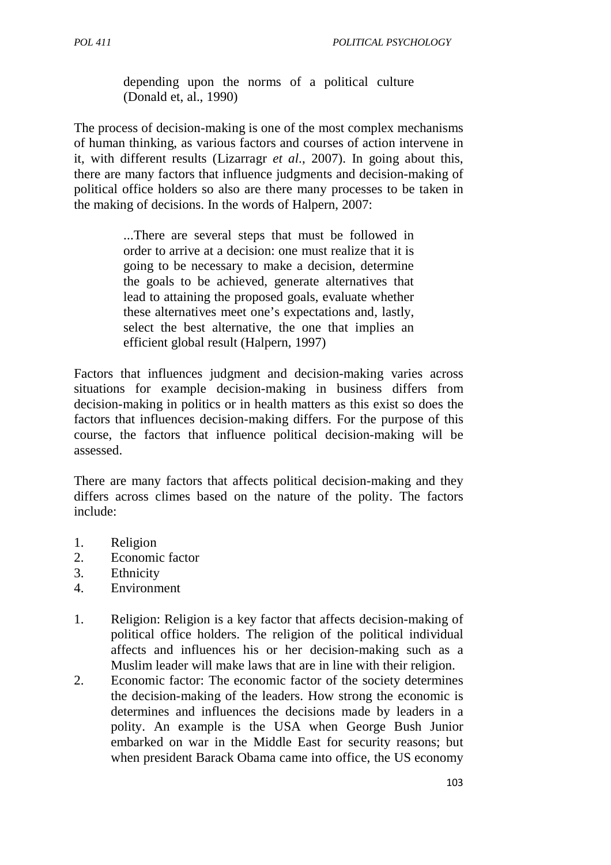*POL 411 POLITICAL PSYCHOLOGY* 

depending upon the norms of a political culture (Donald et, al., 1990)

The process of decision-making is one of the most complex mechanisms of human thinking, as various factors and courses of action intervene in it, with different results (Lizarragr *et al*., 2007). In going about this, there are many factors that influence judgments and decision-making of political office holders so also are there many processes to be taken in the making of decisions. In the words of Halpern, 2007:

> ...There are several steps that must be followed in order to arrive at a decision: one must realize that it is going to be necessary to make a decision, determine the goals to be achieved, generate alternatives that lead to attaining the proposed goals, evaluate whether these alternatives meet one's expectations and, lastly, select the best alternative, the one that implies an efficient global result (Halpern, 1997)

Factors that influences judgment and decision-making varies across situations for example decision-making in business differs from decision-making in politics or in health matters as this exist so does the factors that influences decision-making differs. For the purpose of this course, the factors that influence political decision-making will be assessed.

There are many factors that affects political decision-making and they differs across climes based on the nature of the polity. The factors include:

- 1. Religion
- 2. Economic factor
- 3. Ethnicity
- 4. Environment
- 1. Religion: Religion is a key factor that affects decision-making of political office holders. The religion of the political individual affects and influences his or her decision-making such as a Muslim leader will make laws that are in line with their religion.
- 2. Economic factor: The economic factor of the society determines the decision-making of the leaders. How strong the economic is determines and influences the decisions made by leaders in a polity. An example is the USA when George Bush Junior embarked on war in the Middle East for security reasons; but when president Barack Obama came into office, the US economy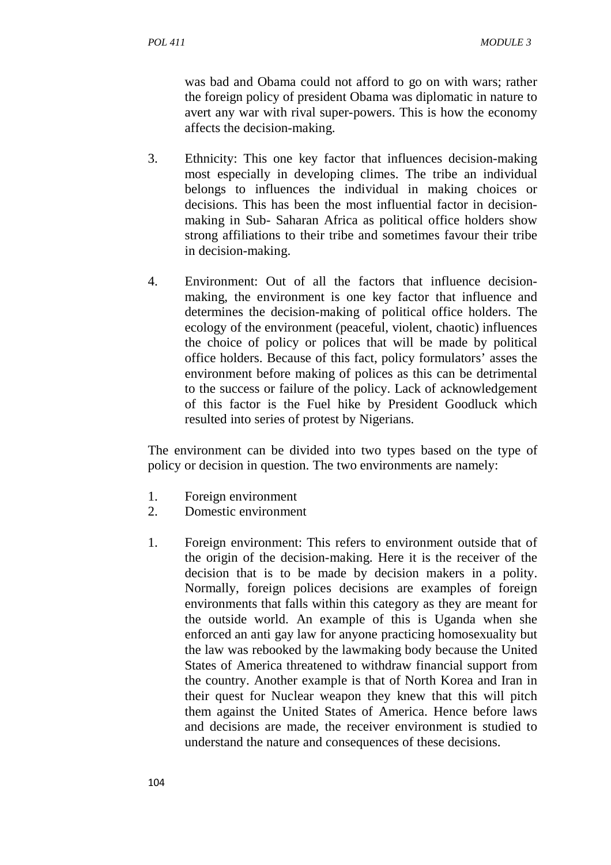was bad and Obama could not afford to go on with wars; rather the foreign policy of president Obama was diplomatic in nature to avert any war with rival super-powers. This is how the economy affects the decision-making.

- 3. Ethnicity: This one key factor that influences decision-making most especially in developing climes. The tribe an individual belongs to influences the individual in making choices or decisions. This has been the most influential factor in decisionmaking in Sub- Saharan Africa as political office holders show strong affiliations to their tribe and sometimes favour their tribe in decision-making.
- 4. Environment: Out of all the factors that influence decisionmaking, the environment is one key factor that influence and determines the decision-making of political office holders. The ecology of the environment (peaceful, violent, chaotic) influences the choice of policy or polices that will be made by political office holders. Because of this fact, policy formulators' asses the environment before making of polices as this can be detrimental to the success or failure of the policy. Lack of acknowledgement of this factor is the Fuel hike by President Goodluck which resulted into series of protest by Nigerians.

The environment can be divided into two types based on the type of policy or decision in question. The two environments are namely:

- 1. Foreign environment
- 2. Domestic environment
- 1. Foreign environment: This refers to environment outside that of the origin of the decision-making. Here it is the receiver of the decision that is to be made by decision makers in a polity. Normally, foreign polices decisions are examples of foreign environments that falls within this category as they are meant for the outside world. An example of this is Uganda when she enforced an anti gay law for anyone practicing homosexuality but the law was rebooked by the lawmaking body because the United States of America threatened to withdraw financial support from the country. Another example is that of North Korea and Iran in their quest for Nuclear weapon they knew that this will pitch them against the United States of America. Hence before laws and decisions are made, the receiver environment is studied to understand the nature and consequences of these decisions.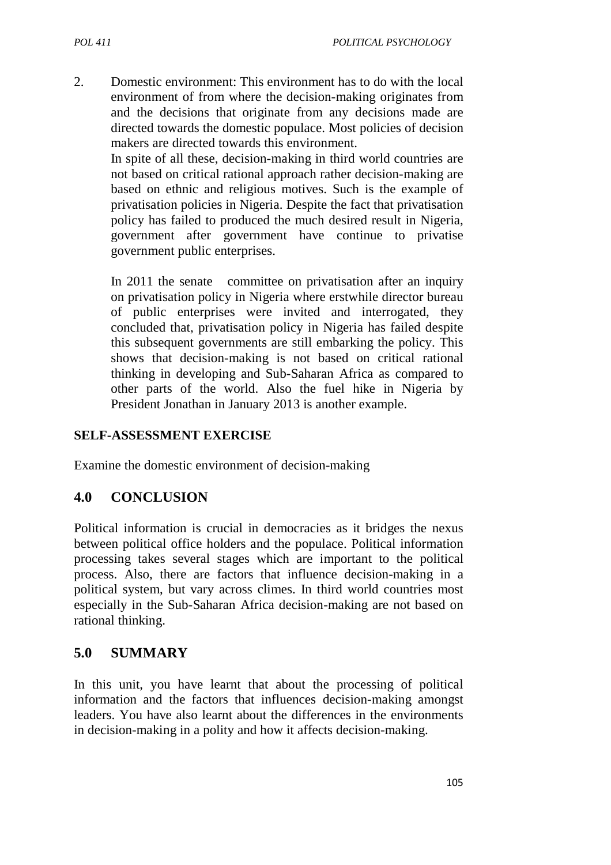2. Domestic environment: This environment has to do with the local environment of from where the decision-making originates from and the decisions that originate from any decisions made are directed towards the domestic populace. Most policies of decision makers are directed towards this environment.

In spite of all these, decision-making in third world countries are not based on critical rational approach rather decision-making are based on ethnic and religious motives. Such is the example of privatisation policies in Nigeria. Despite the fact that privatisation policy has failed to produced the much desired result in Nigeria, government after government have continue to privatise government public enterprises.

In 2011 the senate committee on privatisation after an inquiry on privatisation policy in Nigeria where erstwhile director bureau of public enterprises were invited and interrogated, they concluded that, privatisation policy in Nigeria has failed despite this subsequent governments are still embarking the policy. This shows that decision-making is not based on critical rational thinking in developing and Sub-Saharan Africa as compared to other parts of the world. Also the fuel hike in Nigeria by President Jonathan in January 2013 is another example.

#### **SELF-ASSESSMENT EXERCISE**

Examine the domestic environment of decision-making

### **4.0 CONCLUSION**

Political information is crucial in democracies as it bridges the nexus between political office holders and the populace. Political information processing takes several stages which are important to the political process. Also, there are factors that influence decision-making in a political system, but vary across climes. In third world countries most especially in the Sub-Saharan Africa decision-making are not based on rational thinking.

### **5.0 SUMMARY**

In this unit, you have learnt that about the processing of political information and the factors that influences decision-making amongst leaders. You have also learnt about the differences in the environments in decision-making in a polity and how it affects decision-making.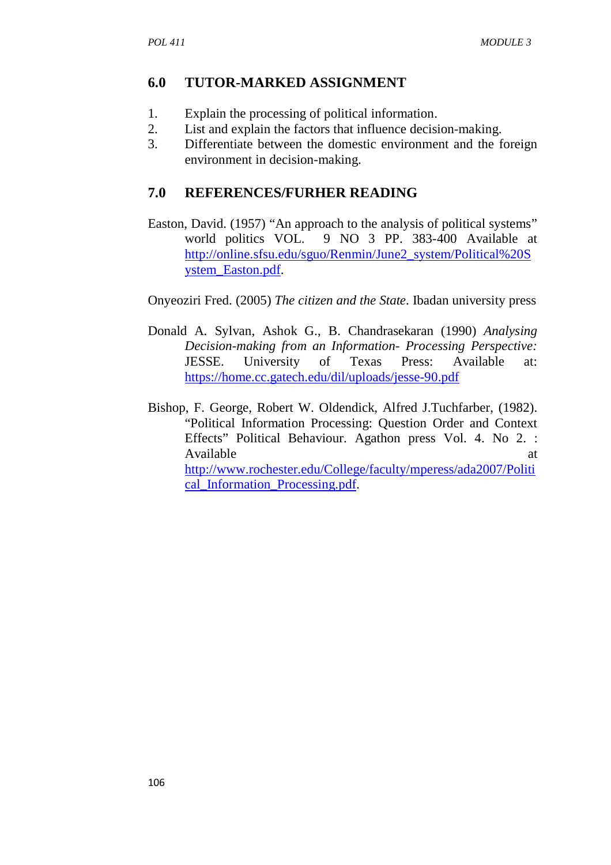### **6.0 TUTOR-MARKED ASSIGNMENT**

- 1. Explain the processing of political information.
- 2. List and explain the factors that influence decision-making.
- 3. Differentiate between the domestic environment and the foreign environment in decision-making.

### **7.0 REFERENCES/FURHER READING**

Easton, David. (1957) "An approach to the analysis of political systems" world politics VOL. 9 NO 3 PP. 383-400 Available at http://online.sfsu.edu/sguo/Renmin/June2\_system/Political%20S ystem\_Easton.pdf.

Onyeoziri Fred. (2005) *The citizen and the State*. Ibadan university press

- Donald A. Sylvan, Ashok G., B. Chandrasekaran (1990) *Analysing Decision-making from an Information- Processing Perspective:* JESSE. University of Texas Press: Available at: https://home.cc.gatech.edu/dil/uploads/jesse-90.pdf
- Bishop, F. George, Robert W. Oldendick, Alfred J.Tuchfarber, (1982). "Political Information Processing: Question Order and Context Effects" Political Behaviour. Agathon press Vol. 4. No 2. : Available at a state of  $\alpha$  at a state of  $\alpha$  at a state of  $\alpha$  at a state of  $\alpha$  at a state of  $\alpha$  at a state of  $\alpha$  at a state of  $\alpha$  at a state of  $\alpha$  at a state of  $\alpha$  at a state of  $\alpha$  at a state of  $\alpha$  at http://www.rochester.edu/College/faculty/mperess/ada2007/Politi cal\_Information\_Processing.pdf.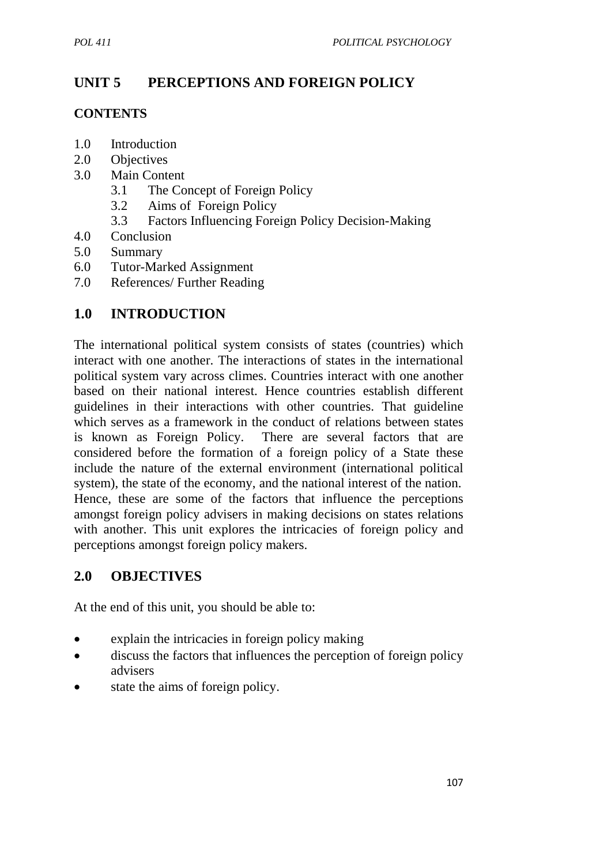# **UNIT 5 PERCEPTIONS AND FOREIGN POLICY**

### **CONTENTS**

- 1.0 Introduction
- 2.0 Objectives
- 3.0 Main Content
	- 3.1 The Concept of Foreign Policy
	- 3.2 Aims of Foreign Policy
	- 3.3 Factors Influencing Foreign Policy Decision-Making
- 4.0 Conclusion
- 5.0 Summary
- 6.0 Tutor-Marked Assignment
- 7.0 References/ Further Reading

## **1.0 INTRODUCTION**

The international political system consists of states (countries) which interact with one another. The interactions of states in the international political system vary across climes. Countries interact with one another based on their national interest. Hence countries establish different guidelines in their interactions with other countries. That guideline which serves as a framework in the conduct of relations between states is known as Foreign Policy. There are several factors that are considered before the formation of a foreign policy of a State these include the nature of the external environment (international political system), the state of the economy, and the national interest of the nation. Hence, these are some of the factors that influence the perceptions amongst foreign policy advisers in making decisions on states relations with another. This unit explores the intricacies of foreign policy and perceptions amongst foreign policy makers.

## **2.0 OBJECTIVES**

At the end of this unit, you should be able to:

- explain the intricacies in foreign policy making
- discuss the factors that influences the perception of foreign policy advisers
- state the aims of foreign policy.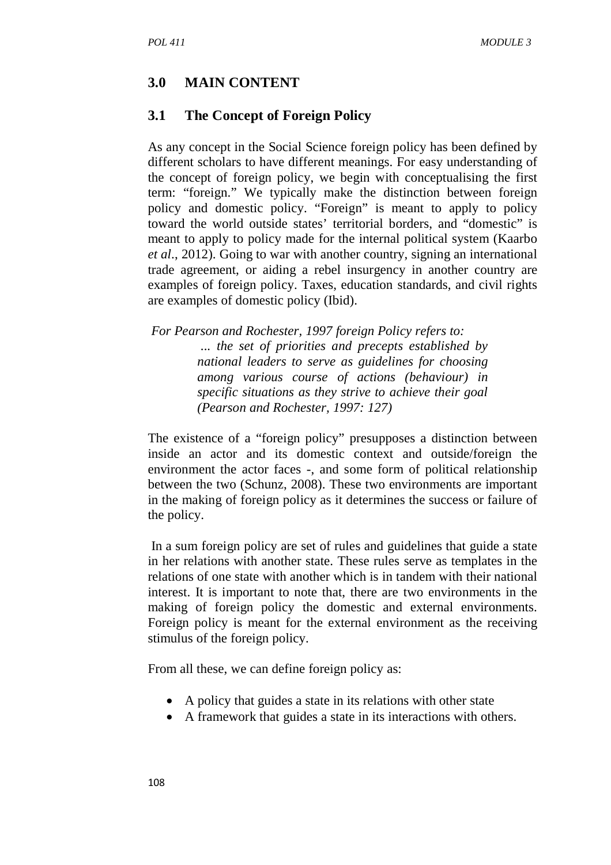## **3.0 MAIN CONTENT**

#### **3.1 The Concept of Foreign Policy**

As any concept in the Social Science foreign policy has been defined by different scholars to have different meanings. For easy understanding of the concept of foreign policy, we begin with conceptualising the first term: "foreign." We typically make the distinction between foreign policy and domestic policy. "Foreign" is meant to apply to policy toward the world outside states' territorial borders, and "domestic" is meant to apply to policy made for the internal political system (Kaarbo *et al*., 2012). Going to war with another country, signing an international trade agreement, or aiding a rebel insurgency in another country are examples of foreign policy. Taxes, education standards, and civil rights are examples of domestic policy (Ibid).

 *For Pearson and Rochester, 1997 foreign Policy refers to: ... the set of priorities and precepts established by national leaders to serve as guidelines for choosing among various course of actions (behaviour) in specific situations as they strive to achieve their goal (Pearson and Rochester, 1997: 127)* 

The existence of a "foreign policy" presupposes a distinction between inside an actor and its domestic context and outside/foreign the environment the actor faces -, and some form of political relationship between the two (Schunz, 2008). These two environments are important in the making of foreign policy as it determines the success or failure of the policy.

 In a sum foreign policy are set of rules and guidelines that guide a state in her relations with another state. These rules serve as templates in the relations of one state with another which is in tandem with their national interest. It is important to note that, there are two environments in the making of foreign policy the domestic and external environments. Foreign policy is meant for the external environment as the receiving stimulus of the foreign policy.

From all these, we can define foreign policy as:

- A policy that guides a state in its relations with other state
- A framework that guides a state in its interactions with others.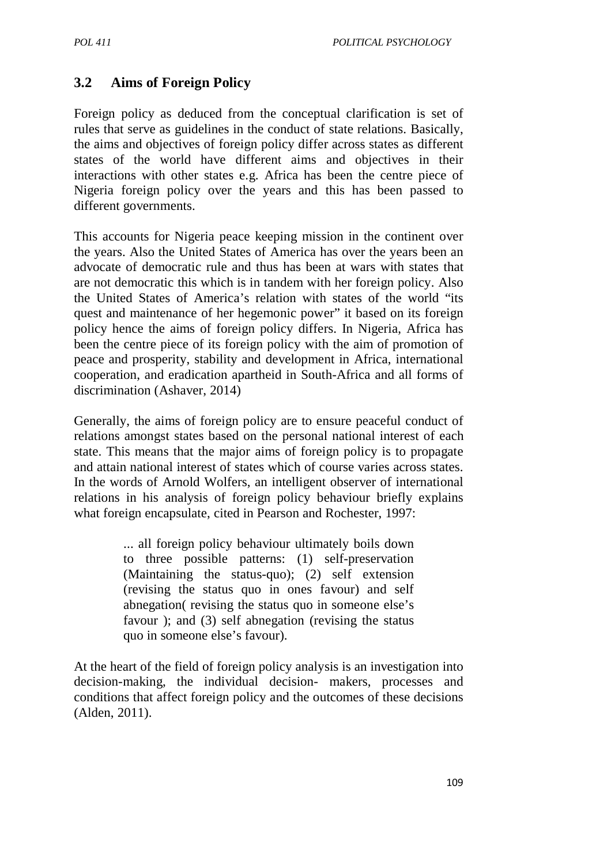# **3.2 Aims of Foreign Policy**

Foreign policy as deduced from the conceptual clarification is set of rules that serve as guidelines in the conduct of state relations. Basically, the aims and objectives of foreign policy differ across states as different states of the world have different aims and objectives in their interactions with other states e.g. Africa has been the centre piece of Nigeria foreign policy over the years and this has been passed to different governments.

This accounts for Nigeria peace keeping mission in the continent over the years. Also the United States of America has over the years been an advocate of democratic rule and thus has been at wars with states that are not democratic this which is in tandem with her foreign policy. Also the United States of America's relation with states of the world "its quest and maintenance of her hegemonic power" it based on its foreign policy hence the aims of foreign policy differs. In Nigeria, Africa has been the centre piece of its foreign policy with the aim of promotion of peace and prosperity, stability and development in Africa, international cooperation, and eradication apartheid in South-Africa and all forms of discrimination (Ashaver, 2014)

Generally, the aims of foreign policy are to ensure peaceful conduct of relations amongst states based on the personal national interest of each state. This means that the major aims of foreign policy is to propagate and attain national interest of states which of course varies across states. In the words of Arnold Wolfers, an intelligent observer of international relations in his analysis of foreign policy behaviour briefly explains what foreign encapsulate, cited in Pearson and Rochester, 1997:

> ... all foreign policy behaviour ultimately boils down to three possible patterns: (1) self-preservation (Maintaining the status-quo); (2) self extension (revising the status quo in ones favour) and self abnegation( revising the status quo in someone else's favour ); and (3) self abnegation (revising the status quo in someone else's favour).

At the heart of the field of foreign policy analysis is an investigation into decision-making, the individual decision- makers, processes and conditions that affect foreign policy and the outcomes of these decisions (Alden, 2011).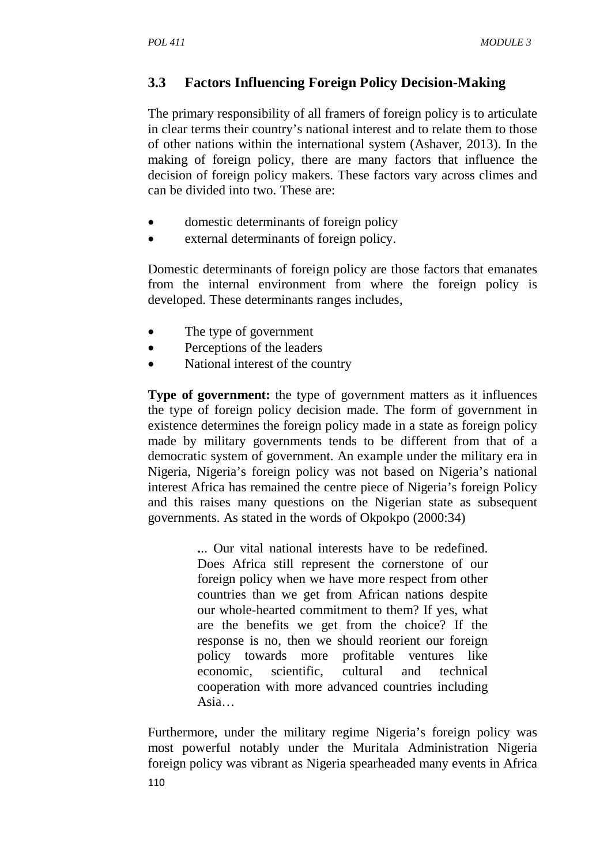# **3.3 Factors Influencing Foreign Policy Decision-Making**

The primary responsibility of all framers of foreign policy is to articulate in clear terms their country's national interest and to relate them to those of other nations within the international system (Ashaver, 2013). In the making of foreign policy, there are many factors that influence the decision of foreign policy makers. These factors vary across climes and can be divided into two. These are:

- domestic determinants of foreign policy
- external determinants of foreign policy.

Domestic determinants of foreign policy are those factors that emanates from the internal environment from where the foreign policy is developed. These determinants ranges includes,

- The type of government
- Perceptions of the leaders
- National interest of the country

**Type of government:** the type of government matters as it influences the type of foreign policy decision made. The form of government in existence determines the foreign policy made in a state as foreign policy made by military governments tends to be different from that of a democratic system of government. An example under the military era in Nigeria, Nigeria's foreign policy was not based on Nigeria's national interest Africa has remained the centre piece of Nigeria's foreign Policy and this raises many questions on the Nigerian state as subsequent governments. As stated in the words of Okpokpo (2000:34)

> **.**.. Our vital national interests have to be redefined. Does Africa still represent the cornerstone of our foreign policy when we have more respect from other countries than we get from African nations despite our whole-hearted commitment to them? If yes, what are the benefits we get from the choice? If the response is no, then we should reorient our foreign policy towards more profitable ventures like economic, scientific, cultural and technical cooperation with more advanced countries including Asia…

Furthermore, under the military regime Nigeria's foreign policy was most powerful notably under the Muritala Administration Nigeria foreign policy was vibrant as Nigeria spearheaded many events in Africa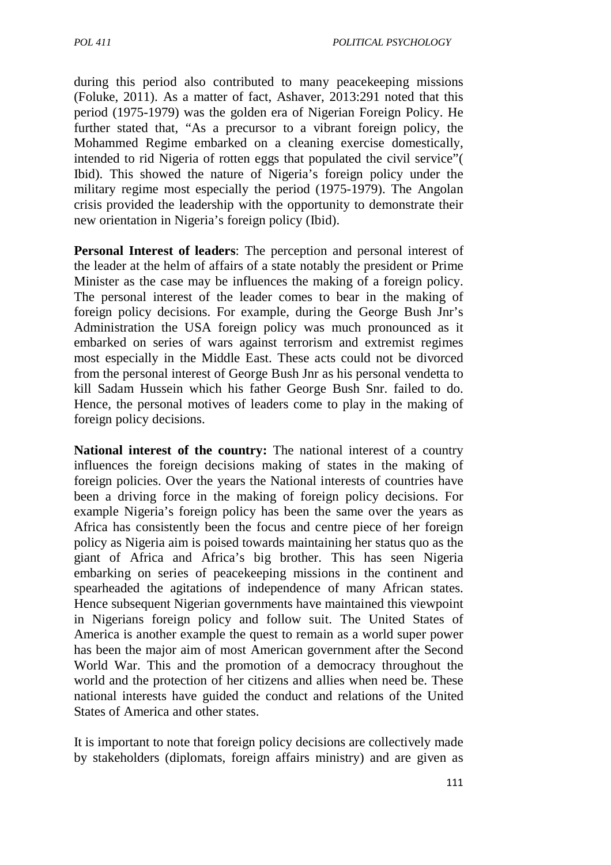during this period also contributed to many peacekeeping missions (Foluke, 2011). As a matter of fact, Ashaver, 2013:291 noted that this period (1975-1979) was the golden era of Nigerian Foreign Policy. He further stated that, "As a precursor to a vibrant foreign policy, the Mohammed Regime embarked on a cleaning exercise domestically, intended to rid Nigeria of rotten eggs that populated the civil service"( Ibid). This showed the nature of Nigeria's foreign policy under the military regime most especially the period (1975-1979). The Angolan crisis provided the leadership with the opportunity to demonstrate their new orientation in Nigeria's foreign policy (Ibid).

**Personal Interest of leaders**: The perception and personal interest of the leader at the helm of affairs of a state notably the president or Prime Minister as the case may be influences the making of a foreign policy. The personal interest of the leader comes to bear in the making of foreign policy decisions. For example, during the George Bush Jnr's Administration the USA foreign policy was much pronounced as it embarked on series of wars against terrorism and extremist regimes most especially in the Middle East. These acts could not be divorced from the personal interest of George Bush Jnr as his personal vendetta to kill Sadam Hussein which his father George Bush Snr. failed to do. Hence, the personal motives of leaders come to play in the making of foreign policy decisions.

**National interest of the country:** The national interest of a country influences the foreign decisions making of states in the making of foreign policies. Over the years the National interests of countries have been a driving force in the making of foreign policy decisions. For example Nigeria's foreign policy has been the same over the years as Africa has consistently been the focus and centre piece of her foreign policy as Nigeria aim is poised towards maintaining her status quo as the giant of Africa and Africa's big brother. This has seen Nigeria embarking on series of peacekeeping missions in the continent and spearheaded the agitations of independence of many African states. Hence subsequent Nigerian governments have maintained this viewpoint in Nigerians foreign policy and follow suit. The United States of America is another example the quest to remain as a world super power has been the major aim of most American government after the Second World War. This and the promotion of a democracy throughout the world and the protection of her citizens and allies when need be. These national interests have guided the conduct and relations of the United States of America and other states.

It is important to note that foreign policy decisions are collectively made by stakeholders (diplomats, foreign affairs ministry) and are given as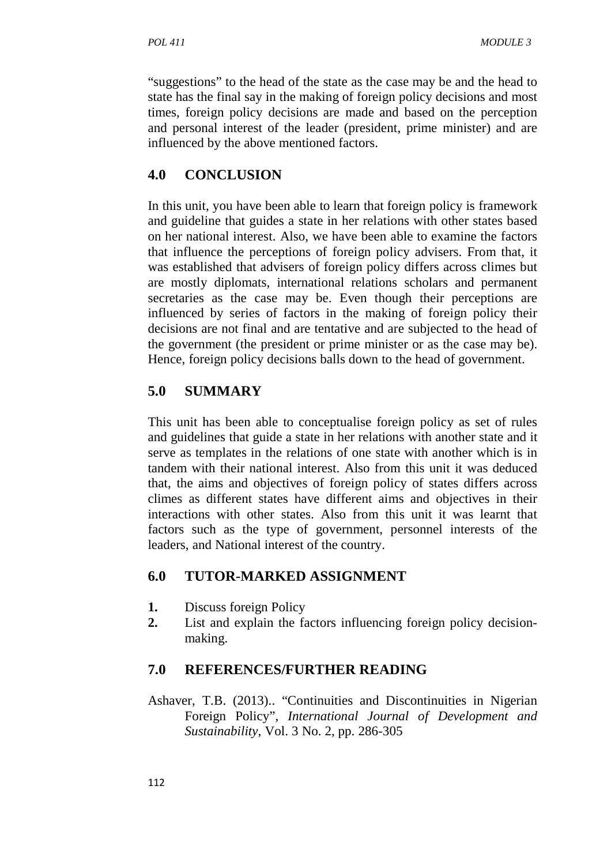"suggestions" to the head of the state as the case may be and the head to state has the final say in the making of foreign policy decisions and most times, foreign policy decisions are made and based on the perception and personal interest of the leader (president, prime minister) and are influenced by the above mentioned factors.

## **4.0 CONCLUSION**

In this unit, you have been able to learn that foreign policy is framework and guideline that guides a state in her relations with other states based on her national interest. Also, we have been able to examine the factors that influence the perceptions of foreign policy advisers. From that, it was established that advisers of foreign policy differs across climes but are mostly diplomats, international relations scholars and permanent secretaries as the case may be. Even though their perceptions are influenced by series of factors in the making of foreign policy their decisions are not final and are tentative and are subjected to the head of the government (the president or prime minister or as the case may be). Hence, foreign policy decisions balls down to the head of government.

## **5.0 SUMMARY**

This unit has been able to conceptualise foreign policy as set of rules and guidelines that guide a state in her relations with another state and it serve as templates in the relations of one state with another which is in tandem with their national interest. Also from this unit it was deduced that, the aims and objectives of foreign policy of states differs across climes as different states have different aims and objectives in their interactions with other states. Also from this unit it was learnt that factors such as the type of government, personnel interests of the leaders, and National interest of the country.

## **6.0 TUTOR-MARKED ASSIGNMENT**

- **1.** Discuss foreign Policy
- **2.** List and explain the factors influencing foreign policy decision making.

## **7.0 REFERENCES/FURTHER READING**

Ashaver, T.B. (2013).. "Continuities and Discontinuities in Nigerian Foreign Policy", *International Journal of Development and Sustainability*, Vol. 3 No. 2, pp. 286-305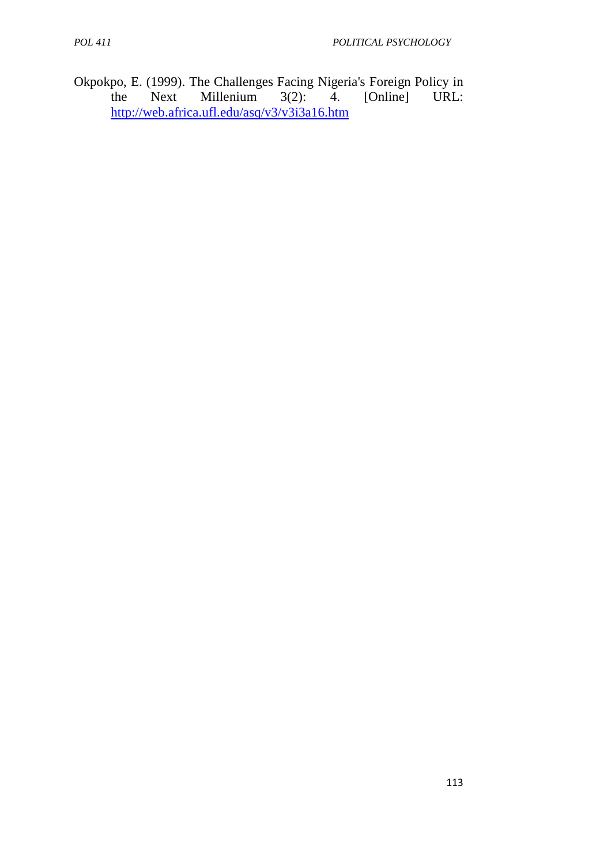Okpokpo, E. (1999). The Challenges Facing Nigeria's Foreign Policy in the Next Millenium 3(2): 4. [Online] URL: Millenium http://web.africa.ufl.edu/asq/v3/v3i3a16.htm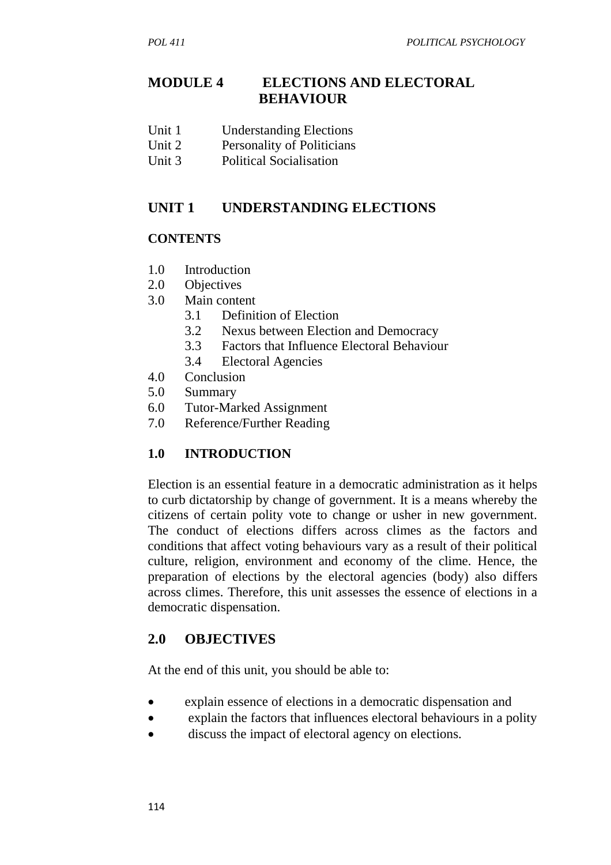# **MODULE 4 ELECTIONS AND ELECTORAL BEHAVIOUR**

- Unit 1 Understanding Elections
- Unit 2 Personality of Politicians
- Unit 3 Political Socialisation

## **UNIT 1 UNDERSTANDING ELECTIONS**

### **CONTENTS**

- 1.0 Introduction
- 2.0 Objectives
- 3.0 Main content
	- 3.1 Definition of Election
	- 3.2 Nexus between Election and Democracy
	- 3.3 Factors that Influence Electoral Behaviour
	- 3.4 Electoral Agencies
- 4.0 Conclusion
- 5.0 Summary
- 6.0 Tutor-Marked Assignment
- 7.0 Reference/Further Reading

## **1.0 INTRODUCTION**

Election is an essential feature in a democratic administration as it helps to curb dictatorship by change of government. It is a means whereby the citizens of certain polity vote to change or usher in new government. The conduct of elections differs across climes as the factors and conditions that affect voting behaviours vary as a result of their political culture, religion, environment and economy of the clime. Hence, the preparation of elections by the electoral agencies (body) also differs across climes. Therefore, this unit assesses the essence of elections in a democratic dispensation.

# **2.0 OBJECTIVES**

At the end of this unit, you should be able to:

- explain essence of elections in a democratic dispensation and
- explain the factors that influences electoral behaviours in a polity
- discuss the impact of electoral agency on elections.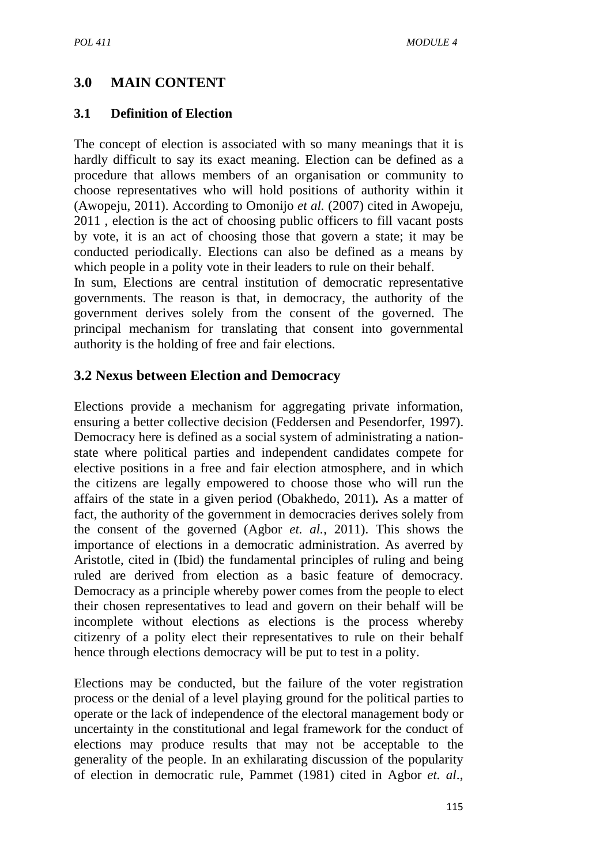# **3.0 MAIN CONTENT**

### **3.1 Definition of Election**

The concept of election is associated with so many meanings that it is hardly difficult to say its exact meaning. Election can be defined as a procedure that allows members of an organisation or community to choose representatives who will hold positions of authority within it (Awopeju, 2011). According to Omonijo *et al.* (2007) cited in Awopeju, 2011 , election is the act of choosing public officers to fill vacant posts by vote, it is an act of choosing those that govern a state; it may be conducted periodically. Elections can also be defined as a means by which people in a polity vote in their leaders to rule on their behalf.

In sum, Elections are central institution of democratic representative governments. The reason is that, in democracy, the authority of the government derives solely from the consent of the governed. The principal mechanism for translating that consent into governmental authority is the holding of free and fair elections.

## **3.2 Nexus between Election and Democracy**

Elections provide a mechanism for aggregating private information, ensuring a better collective decision (Feddersen and Pesendorfer, 1997). Democracy here is defined as a social system of administrating a nationstate where political parties and independent candidates compete for elective positions in a free and fair election atmosphere, and in which the citizens are legally empowered to choose those who will run the affairs of the state in a given period (Obakhedo, 2011)*.* As a matter of fact, the authority of the government in democracies derives solely from the consent of the governed (Agbor *et. al.*, 2011). This shows the importance of elections in a democratic administration. As averred by Aristotle, cited in (Ibid) the fundamental principles of ruling and being ruled are derived from election as a basic feature of democracy. Democracy as a principle whereby power comes from the people to elect their chosen representatives to lead and govern on their behalf will be incomplete without elections as elections is the process whereby citizenry of a polity elect their representatives to rule on their behalf hence through elections democracy will be put to test in a polity.

Elections may be conducted, but the failure of the voter registration process or the denial of a level playing ground for the political parties to operate or the lack of independence of the electoral management body or uncertainty in the constitutional and legal framework for the conduct of elections may produce results that may not be acceptable to the generality of the people. In an exhilarating discussion of the popularity of election in democratic rule, Pammet (1981) cited in Agbor *et. al*.,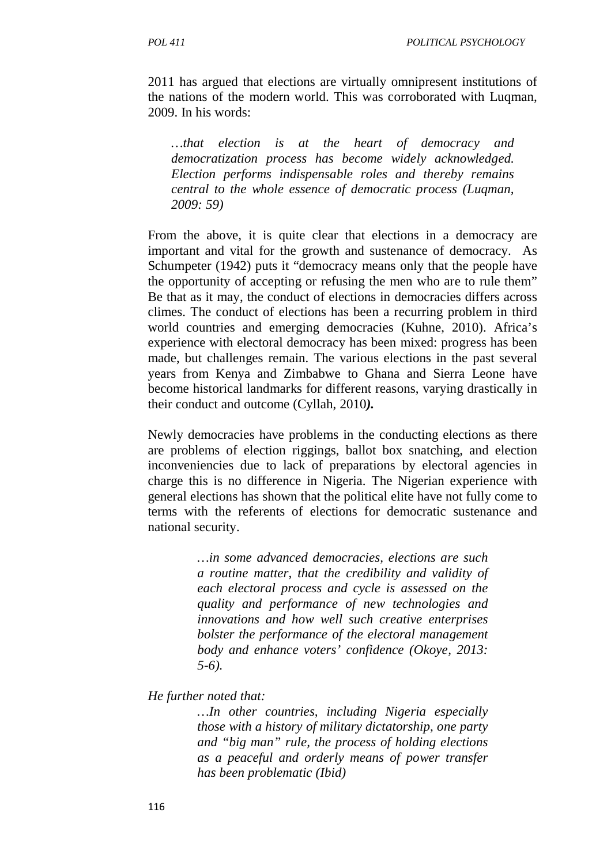2011 has argued that elections are virtually omnipresent institutions of the nations of the modern world. This was corroborated with Luqman, 2009. In his words:

*…that election is at the heart of democracy and democratization process has become widely acknowledged. Election performs indispensable roles and thereby remains central to the whole essence of democratic process (Luqman, 2009: 59)* 

From the above, it is quite clear that elections in a democracy are important and vital for the growth and sustenance of democracy. As Schumpeter (1942) puts it "democracy means only that the people have the opportunity of accepting or refusing the men who are to rule them" Be that as it may, the conduct of elections in democracies differs across climes. The conduct of elections has been a recurring problem in third world countries and emerging democracies (Kuhne, 2010). Africa's experience with electoral democracy has been mixed: progress has been made, but challenges remain. The various elections in the past several years from Kenya and Zimbabwe to Ghana and Sierra Leone have become historical landmarks for different reasons, varying drastically in their conduct and outcome (Cyllah, 2010*).*

Newly democracies have problems in the conducting elections as there are problems of election riggings, ballot box snatching, and election inconveniencies due to lack of preparations by electoral agencies in charge this is no difference in Nigeria. The Nigerian experience with general elections has shown that the political elite have not fully come to terms with the referents of elections for democratic sustenance and national security.

> *…in some advanced democracies, elections are such a routine matter, that the credibility and validity of each electoral process and cycle is assessed on the quality and performance of new technologies and innovations and how well such creative enterprises bolster the performance of the electoral management body and enhance voters' confidence (Okoye, 2013: 5-6).*

#### *He further noted that:*

*…In other countries, including Nigeria especially those with a history of military dictatorship, one party and "big man" rule, the process of holding elections as a peaceful and orderly means of power transfer has been problematic (Ibid)*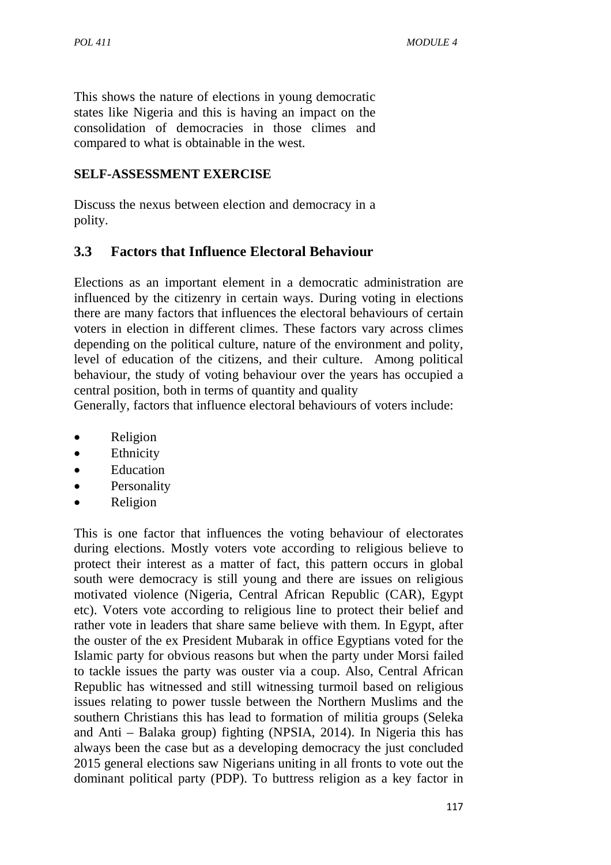This shows the nature of elections in young democratic states like Nigeria and this is having an impact on the consolidation of democracies in those climes and compared to what is obtainable in the west.

## **SELF-ASSESSMENT EXERCISE**

Discuss the nexus between election and democracy in a polity.

## **3.3 Factors that Influence Electoral Behaviour**

Elections as an important element in a democratic administration are influenced by the citizenry in certain ways. During voting in elections there are many factors that influences the electoral behaviours of certain voters in election in different climes. These factors vary across climes depending on the political culture, nature of the environment and polity, level of education of the citizens, and their culture. Among political behaviour, the study of voting behaviour over the years has occupied a central position, both in terms of quantity and quality

Generally, factors that influence electoral behaviours of voters include:

- Religion
- Ethnicity
- Education
- Personality
- Religion

This is one factor that influences the voting behaviour of electorates during elections. Mostly voters vote according to religious believe to protect their interest as a matter of fact, this pattern occurs in global south were democracy is still young and there are issues on religious motivated violence (Nigeria, Central African Republic (CAR), Egypt etc). Voters vote according to religious line to protect their belief and rather vote in leaders that share same believe with them. In Egypt, after the ouster of the ex President Mubarak in office Egyptians voted for the Islamic party for obvious reasons but when the party under Morsi failed to tackle issues the party was ouster via a coup. Also, Central African Republic has witnessed and still witnessing turmoil based on religious issues relating to power tussle between the Northern Muslims and the southern Christians this has lead to formation of militia groups (Seleka and Anti – Balaka group) fighting (NPSIA, 2014). In Nigeria this has always been the case but as a developing democracy the just concluded 2015 general elections saw Nigerians uniting in all fronts to vote out the dominant political party (PDP). To buttress religion as a key factor in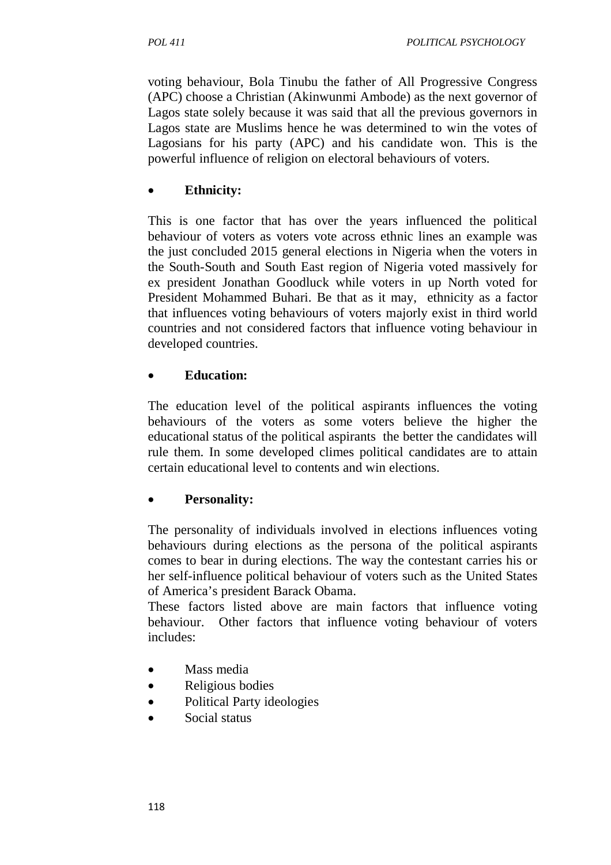voting behaviour, Bola Tinubu the father of All Progressive Congress (APC) choose a Christian (Akinwunmi Ambode) as the next governor of Lagos state solely because it was said that all the previous governors in Lagos state are Muslims hence he was determined to win the votes of Lagosians for his party (APC) and his candidate won. This is the powerful influence of religion on electoral behaviours of voters.

## • **Ethnicity:**

This is one factor that has over the years influenced the political behaviour of voters as voters vote across ethnic lines an example was the just concluded 2015 general elections in Nigeria when the voters in the South-South and South East region of Nigeria voted massively for ex president Jonathan Goodluck while voters in up North voted for President Mohammed Buhari. Be that as it may, ethnicity as a factor that influences voting behaviours of voters majorly exist in third world countries and not considered factors that influence voting behaviour in developed countries.

## • **Education:**

The education level of the political aspirants influences the voting behaviours of the voters as some voters believe the higher the educational status of the political aspirants the better the candidates will rule them. In some developed climes political candidates are to attain certain educational level to contents and win elections.

# • **Personality:**

The personality of individuals involved in elections influences voting behaviours during elections as the persona of the political aspirants comes to bear in during elections. The way the contestant carries his or her self-influence political behaviour of voters such as the United States of America's president Barack Obama.

These factors listed above are main factors that influence voting behaviour. Other factors that influence voting behaviour of voters includes:

- Mass media
- Religious bodies
- Political Party ideologies
- Social status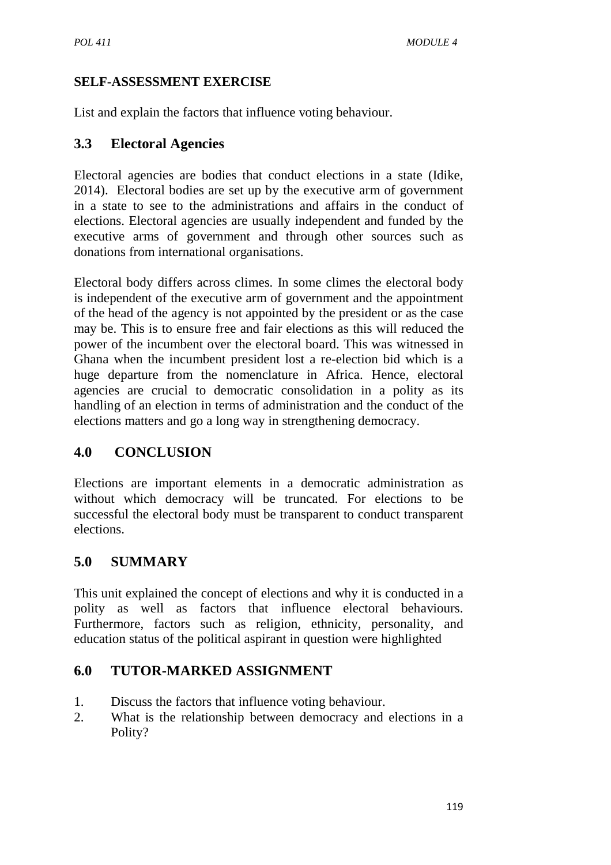## **SELF-ASSESSMENT EXERCISE**

List and explain the factors that influence voting behaviour.

## **3.3 Electoral Agencies**

Electoral agencies are bodies that conduct elections in a state (Idike, 2014). Electoral bodies are set up by the executive arm of government in a state to see to the administrations and affairs in the conduct of elections. Electoral agencies are usually independent and funded by the executive arms of government and through other sources such as donations from international organisations.

Electoral body differs across climes. In some climes the electoral body is independent of the executive arm of government and the appointment of the head of the agency is not appointed by the president or as the case may be. This is to ensure free and fair elections as this will reduced the power of the incumbent over the electoral board. This was witnessed in Ghana when the incumbent president lost a re-election bid which is a huge departure from the nomenclature in Africa. Hence, electoral agencies are crucial to democratic consolidation in a polity as its handling of an election in terms of administration and the conduct of the elections matters and go a long way in strengthening democracy.

## **4.0 CONCLUSION**

Elections are important elements in a democratic administration as without which democracy will be truncated. For elections to be successful the electoral body must be transparent to conduct transparent elections.

## **5.0 SUMMARY**

This unit explained the concept of elections and why it is conducted in a polity as well as factors that influence electoral behaviours. Furthermore, factors such as religion, ethnicity, personality, and education status of the political aspirant in question were highlighted

## **6.0 TUTOR-MARKED ASSIGNMENT**

- 1. Discuss the factors that influence voting behaviour.
- 2. What is the relationship between democracy and elections in a Polity?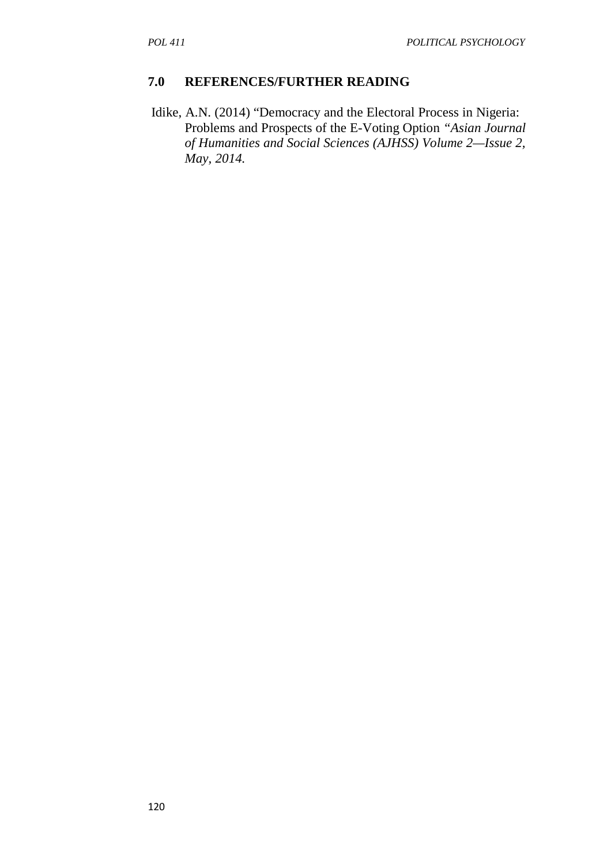### **7.0 REFERENCES/FURTHER READING**

 Idike, A.N. (2014) "Democracy and the Electoral Process in Nigeria: Problems and Prospects of the E-Voting Option *"Asian Journal of Humanities and Social Sciences (AJHSS) Volume 2—Issue 2, May, 2014.*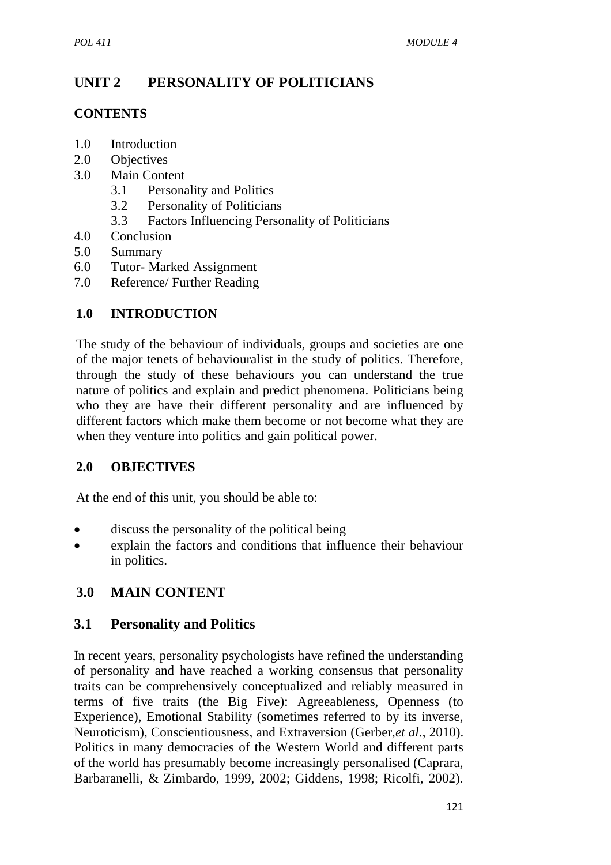# **UNIT 2 PERSONALITY OF POLITICIANS**

## **CONTENTS**

- 1.0 Introduction
- 2.0 Objectives
- 3.0 Main Content
	- 3.1 Personality and Politics
	- 3.2 Personality of Politicians
	- 3.3 Factors Influencing Personality of Politicians
- 4.0 Conclusion
- 5.0 Summary
- 6.0 Tutor- Marked Assignment
- 7.0 Reference/ Further Reading

## **1.0 INTRODUCTION**

The study of the behaviour of individuals, groups and societies are one of the major tenets of behaviouralist in the study of politics. Therefore, through the study of these behaviours you can understand the true nature of politics and explain and predict phenomena. Politicians being who they are have their different personality and are influenced by different factors which make them become or not become what they are when they venture into politics and gain political power.

## **2.0 OBJECTIVES**

At the end of this unit, you should be able to:

- discuss the personality of the political being
- explain the factors and conditions that influence their behaviour in politics.

# **3.0 MAIN CONTENT**

## **3.1 Personality and Politics**

In recent years, personality psychologists have refined the understanding of personality and have reached a working consensus that personality traits can be comprehensively conceptualized and reliably measured in terms of five traits (the Big Five): Agreeableness, Openness (to Experience), Emotional Stability (sometimes referred to by its inverse, Neuroticism), Conscientiousness, and Extraversion (Gerber,*et al*., 2010). Politics in many democracies of the Western World and different parts of the world has presumably become increasingly personalised (Caprara, Barbaranelli, & Zimbardo, 1999, 2002; Giddens, 1998; Ricolfi, 2002).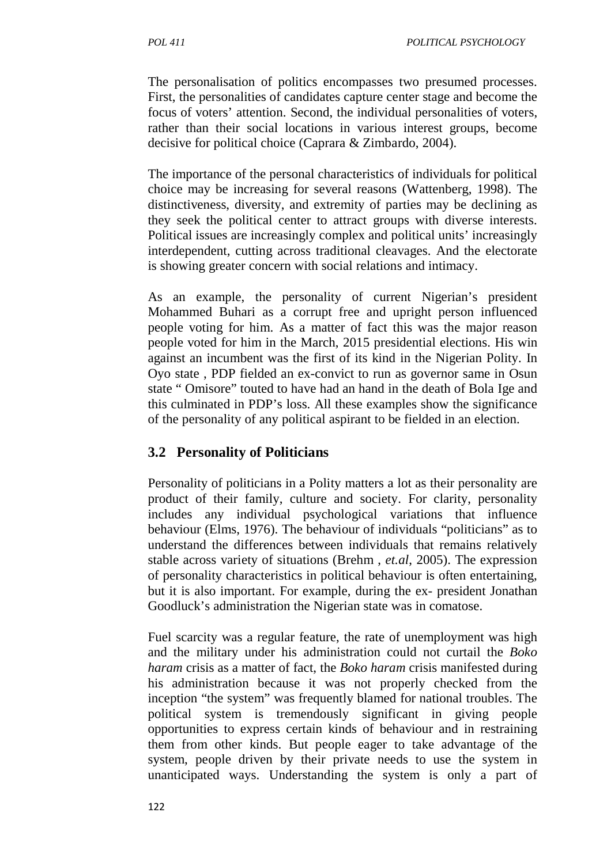The personalisation of politics encompasses two presumed processes. First, the personalities of candidates capture center stage and become the focus of voters' attention. Second, the individual personalities of voters, rather than their social locations in various interest groups, become decisive for political choice (Caprara & Zimbardo, 2004).

The importance of the personal characteristics of individuals for political choice may be increasing for several reasons (Wattenberg, 1998). The distinctiveness, diversity, and extremity of parties may be declining as they seek the political center to attract groups with diverse interests. Political issues are increasingly complex and political units' increasingly interdependent, cutting across traditional cleavages. And the electorate is showing greater concern with social relations and intimacy.

As an example, the personality of current Nigerian's president Mohammed Buhari as a corrupt free and upright person influenced people voting for him. As a matter of fact this was the major reason people voted for him in the March, 2015 presidential elections. His win against an incumbent was the first of its kind in the Nigerian Polity. In Oyo state , PDP fielded an ex-convict to run as governor same in Osun state " Omisore" touted to have had an hand in the death of Bola Ige and this culminated in PDP's loss. All these examples show the significance of the personality of any political aspirant to be fielded in an election.

## **3.2 Personality of Politicians**

Personality of politicians in a Polity matters a lot as their personality are product of their family, culture and society. For clarity, personality includes any individual psychological variations that influence behaviour (Elms, 1976). The behaviour of individuals "politicians" as to understand the differences between individuals that remains relatively stable across variety of situations (Brehm , *et.al*, 2005). The expression of personality characteristics in political behaviour is often entertaining, but it is also important. For example, during the ex- president Jonathan Goodluck's administration the Nigerian state was in comatose.

Fuel scarcity was a regular feature, the rate of unemployment was high and the military under his administration could not curtail the *Boko haram* crisis as a matter of fact, the *Boko haram* crisis manifested during his administration because it was not properly checked from the inception "the system" was frequently blamed for national troubles. The political system is tremendously significant in giving people opportunities to express certain kinds of behaviour and in restraining them from other kinds. But people eager to take advantage of the system, people driven by their private needs to use the system in unanticipated ways. Understanding the system is only a part of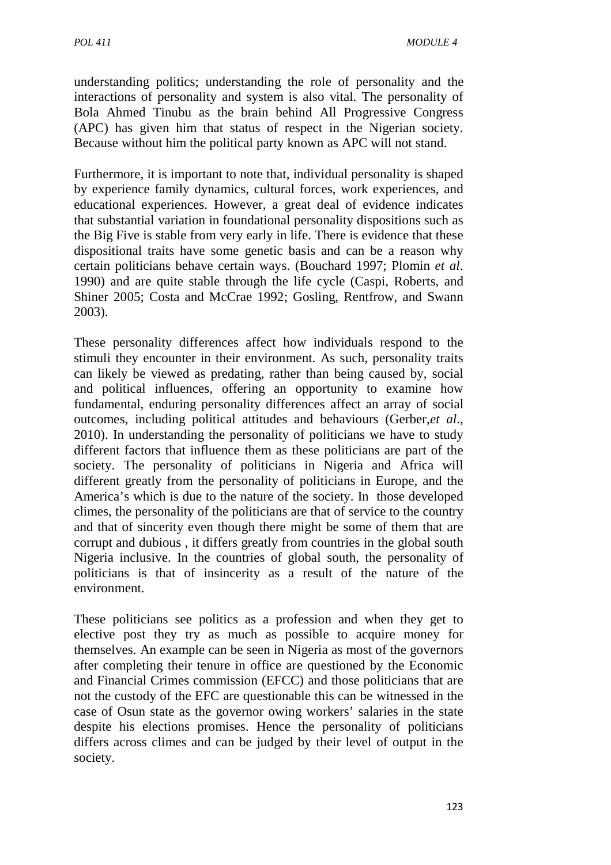understanding politics; understanding the role of personality and the interactions of personality and system is also vital. The personality of Bola Ahmed Tinubu as the brain behind All Progressive Congress (APC) has given him that status of respect in the Nigerian society. Because without him the political party known as APC will not stand.

Furthermore, it is important to note that, individual personality is shaped by experience family dynamics, cultural forces, work experiences, and educational experiences. However, a great deal of evidence indicates that substantial variation in foundational personality dispositions such as the Big Five is stable from very early in life. There is evidence that these dispositional traits have some genetic basis and can be a reason why certain politicians behave certain ways. (Bouchard 1997; Plomin *et al*. 1990) and are quite stable through the life cycle (Caspi, Roberts, and Shiner 2005; Costa and McCrae 1992; Gosling, Rentfrow, and Swann 2003).

These personality differences affect how individuals respond to the stimuli they encounter in their environment. As such, personality traits can likely be viewed as predating, rather than being caused by, social and political influences, offering an opportunity to examine how fundamental, enduring personality differences affect an array of social outcomes, including political attitudes and behaviours (Gerber,*et al*., 2010). In understanding the personality of politicians we have to study different factors that influence them as these politicians are part of the society. The personality of politicians in Nigeria and Africa will different greatly from the personality of politicians in Europe, and the America's which is due to the nature of the society. In those developed climes, the personality of the politicians are that of service to the country and that of sincerity even though there might be some of them that are corrupt and dubious , it differs greatly from countries in the global south Nigeria inclusive. In the countries of global south, the personality of politicians is that of insincerity as a result of the nature of the environment.

These politicians see politics as a profession and when they get to elective post they try as much as possible to acquire money for themselves. An example can be seen in Nigeria as most of the governors after completing their tenure in office are questioned by the Economic and Financial Crimes commission (EFCC) and those politicians that are not the custody of the EFC are questionable this can be witnessed in the case of Osun state as the governor owing workers' salaries in the state despite his elections promises. Hence the personality of politicians differs across climes and can be judged by their level of output in the society.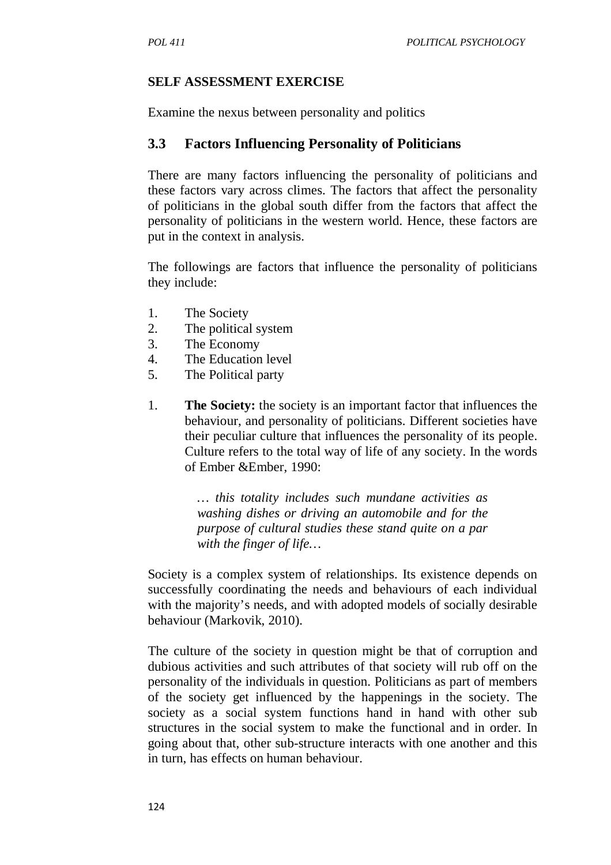### **SELF ASSESSMENT EXERCISE**

Examine the nexus between personality and politics

## **3.3 Factors Influencing Personality of Politicians**

There are many factors influencing the personality of politicians and these factors vary across climes. The factors that affect the personality of politicians in the global south differ from the factors that affect the personality of politicians in the western world. Hence, these factors are put in the context in analysis.

The followings are factors that influence the personality of politicians they include:

- 1. The Society
- 2. The political system
- 3. The Economy
- 4. The Education level
- 5. The Political party
- 1. **The Society:** the society is an important factor that influences the behaviour, and personality of politicians. Different societies have their peculiar culture that influences the personality of its people. Culture refers to the total way of life of any society. In the words of Ember &Ember, 1990:

*… this totality includes such mundane activities as washing dishes or driving an automobile and for the purpose of cultural studies these stand quite on a par with the finger of life…* 

Society is a complex system of relationships. Its existence depends on successfully coordinating the needs and behaviours of each individual with the majority's needs, and with adopted models of socially desirable behaviour (Markovik, 2010).

The culture of the society in question might be that of corruption and dubious activities and such attributes of that society will rub off on the personality of the individuals in question. Politicians as part of members of the society get influenced by the happenings in the society. The society as a social system functions hand in hand with other sub structures in the social system to make the functional and in order. In going about that, other sub-structure interacts with one another and this in turn, has effects on human behaviour.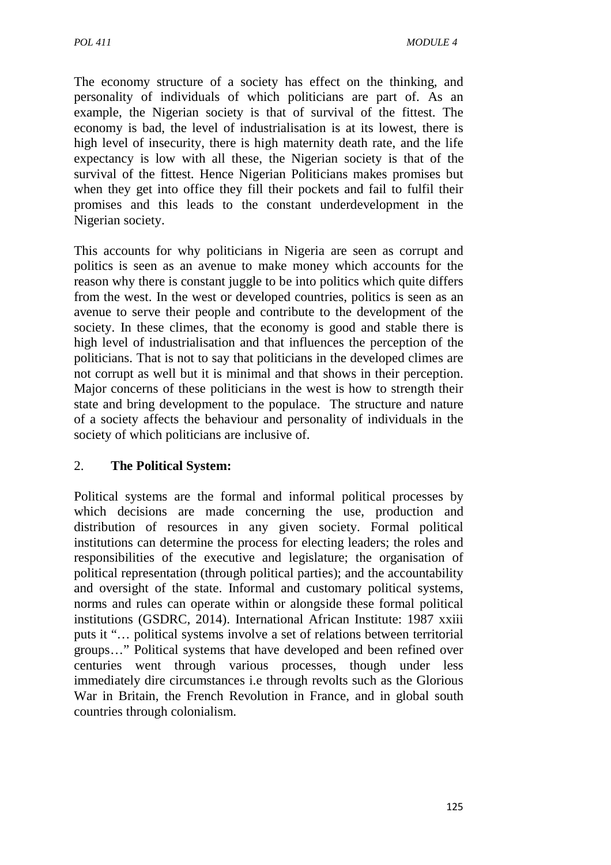The economy structure of a society has effect on the thinking, and personality of individuals of which politicians are part of. As an example, the Nigerian society is that of survival of the fittest. The economy is bad, the level of industrialisation is at its lowest, there is high level of insecurity, there is high maternity death rate, and the life expectancy is low with all these, the Nigerian society is that of the survival of the fittest. Hence Nigerian Politicians makes promises but when they get into office they fill their pockets and fail to fulfil their promises and this leads to the constant underdevelopment in the Nigerian society.

This accounts for why politicians in Nigeria are seen as corrupt and politics is seen as an avenue to make money which accounts for the reason why there is constant juggle to be into politics which quite differs from the west. In the west or developed countries, politics is seen as an avenue to serve their people and contribute to the development of the society. In these climes, that the economy is good and stable there is high level of industrialisation and that influences the perception of the politicians. That is not to say that politicians in the developed climes are not corrupt as well but it is minimal and that shows in their perception. Major concerns of these politicians in the west is how to strength their state and bring development to the populace. The structure and nature of a society affects the behaviour and personality of individuals in the society of which politicians are inclusive of.

### 2. **The Political System:**

Political systems are the formal and informal political processes by which decisions are made concerning the use, production and distribution of resources in any given society. Formal political institutions can determine the process for electing leaders; the roles and responsibilities of the executive and legislature; the organisation of political representation (through political parties); and the accountability and oversight of the state. Informal and customary political systems, norms and rules can operate within or alongside these formal political institutions (GSDRC, 2014). International African Institute: 1987 xxiii puts it "… political systems involve a set of relations between territorial groups…" Political systems that have developed and been refined over centuries went through various processes, though under less immediately dire circumstances i.e through revolts such as the Glorious War in Britain, the French Revolution in France, and in global south countries through colonialism.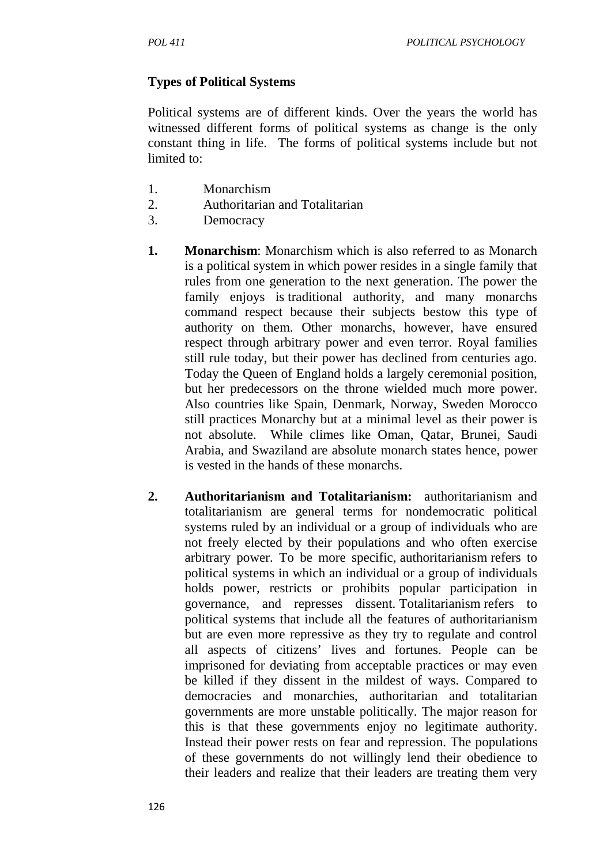### **Types of Political Systems**

Political systems are of different kinds. Over the years the world has witnessed different forms of political systems as change is the only constant thing in life. The forms of political systems include but not limited to:

- 1. Monarchism
- 2. Authoritarian and Totalitarian
- 3. Democracy
- **1. Monarchism**: Monarchism which is also referred to as Monarch is a political system in which power resides in a single family that rules from one generation to the next generation. The power the family enjoys is traditional authority, and many monarchs command respect because their subjects bestow this type of authority on them. Other monarchs, however, have ensured respect through arbitrary power and even terror. Royal families still rule today, but their power has declined from centuries ago. Today the Queen of England holds a largely ceremonial position, but her predecessors on the throne wielded much more power. Also countries like Spain, Denmark, Norway, Sweden Morocco still practices Monarchy but at a minimal level as their power is not absolute. While climes like Oman, Qatar, Brunei, Saudi Arabia, and Swaziland are absolute monarch states hence, power is vested in the hands of these monarchs.
- **2. Authoritarianism and Totalitarianism:** authoritarianism and totalitarianism are general terms for nondemocratic political systems ruled by an individual or a group of individuals who are not freely elected by their populations and who often exercise arbitrary power. To be more specific, authoritarianism refers to political systems in which an individual or a group of individuals holds power, restricts or prohibits popular participation in governance, and represses dissent. Totalitarianism refers to political systems that include all the features of authoritarianism but are even more repressive as they try to regulate and control all aspects of citizens' lives and fortunes. People can be imprisoned for deviating from acceptable practices or may even be killed if they dissent in the mildest of ways. Compared to democracies and monarchies, authoritarian and totalitarian governments are more unstable politically. The major reason for this is that these governments enjoy no legitimate authority. Instead their power rests on fear and repression. The populations of these governments do not willingly lend their obedience to their leaders and realize that their leaders are treating them very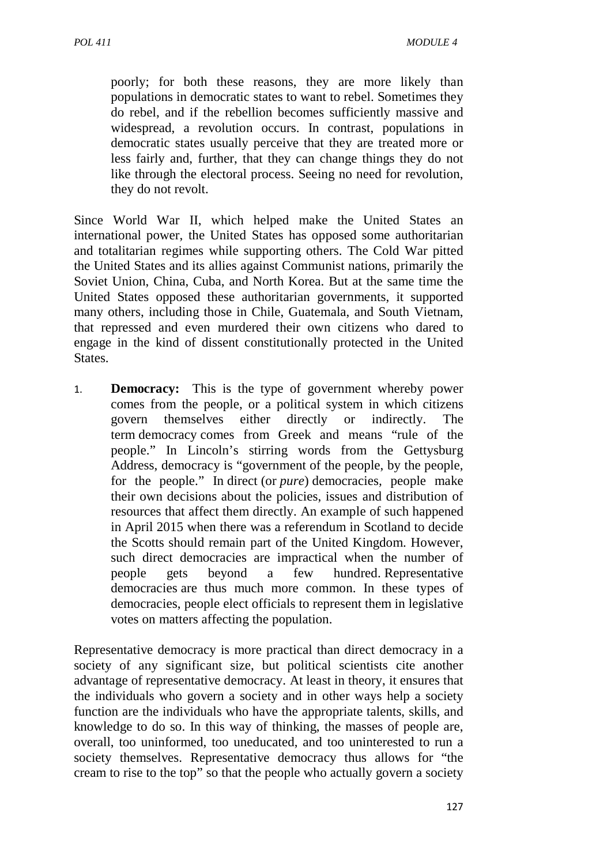poorly; for both these reasons, they are more likely than populations in democratic states to want to rebel. Sometimes they do rebel, and if the rebellion becomes sufficiently massive and widespread, a revolution occurs. In contrast, populations in democratic states usually perceive that they are treated more or less fairly and, further, that they can change things they do not like through the electoral process. Seeing no need for revolution, they do not revolt.

Since World War II, which helped make the United States an international power, the United States has opposed some authoritarian and totalitarian regimes while supporting others. The Cold War pitted the United States and its allies against Communist nations, primarily the Soviet Union, China, Cuba, and North Korea. But at the same time the United States opposed these authoritarian governments, it supported many others, including those in Chile, Guatemala, and South Vietnam, that repressed and even murdered their own citizens who dared to engage in the kind of dissent constitutionally protected in the United States.

1. **Democracy:** This is the type of government whereby power comes from the people, or a political system in which citizens govern themselves either directly or indirectly. The term democracy comes from Greek and means "rule of the people." In Lincoln's stirring words from the Gettysburg Address, democracy is "government of the people, by the people, for the people." In direct (or *pure*) democracies*,* people make their own decisions about the policies, issues and distribution of resources that affect them directly. An example of such happened in April 2015 when there was a referendum in Scotland to decide the Scotts should remain part of the United Kingdom. However, such direct democracies are impractical when the number of people gets beyond a few hundred. Representative democracies are thus much more common. In these types of democracies, people elect officials to represent them in legislative votes on matters affecting the population.

Representative democracy is more practical than direct democracy in a society of any significant size, but political scientists cite another advantage of representative democracy. At least in theory, it ensures that the individuals who govern a society and in other ways help a society function are the individuals who have the appropriate talents, skills, and knowledge to do so. In this way of thinking, the masses of people are, overall, too uninformed, too uneducated, and too uninterested to run a society themselves. Representative democracy thus allows for "the cream to rise to the top" so that the people who actually govern a society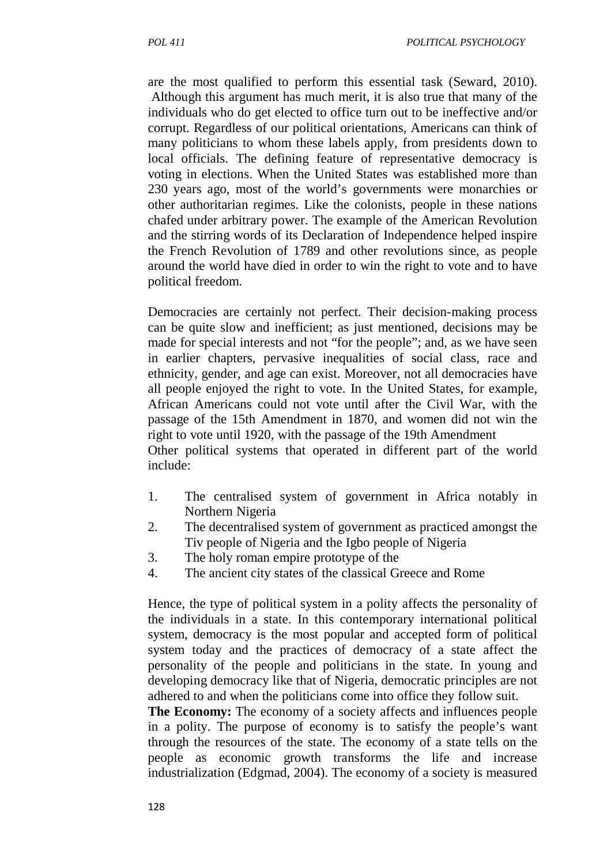are the most qualified to perform this essential task (Seward, 2010). Although this argument has much merit, it is also true that many of the individuals who do get elected to office turn out to be ineffective and/or corrupt. Regardless of our political orientations, Americans can think of many politicians to whom these labels apply, from presidents down to local officials. The defining feature of representative democracy is voting in elections. When the United States was established more than 230 years ago, most of the world's governments were monarchies or other authoritarian regimes. Like the colonists, people in these nations chafed under arbitrary power. The example of the American Revolution and the stirring words of its Declaration of Independence helped inspire the French Revolution of 1789 and other revolutions since, as people around the world have died in order to win the right to vote and to have political freedom.

Democracies are certainly not perfect. Their decision-making process can be quite slow and inefficient; as just mentioned, decisions may be made for special interests and not "for the people"; and, as we have seen in earlier chapters, pervasive inequalities of social class, race and ethnicity, gender, and age can exist. Moreover, not all democracies have all people enjoyed the right to vote. In the United States, for example, African Americans could not vote until after the Civil War, with the passage of the 15th Amendment in 1870, and women did not win the right to vote until 1920, with the passage of the 19th Amendment Other political systems that operated in different part of the world include:

- 1. The centralised system of government in Africa notably in Northern Nigeria
- 2. The decentralised system of government as practiced amongst the Tiv people of Nigeria and the Igbo people of Nigeria
- 3. The holy roman empire prototype of the
- 4. The ancient city states of the classical Greece and Rome

Hence, the type of political system in a polity affects the personality of the individuals in a state. In this contemporary international political system, democracy is the most popular and accepted form of political system today and the practices of democracy of a state affect the personality of the people and politicians in the state. In young and developing democracy like that of Nigeria, democratic principles are not adhered to and when the politicians come into office they follow suit.

**The Economy:** The economy of a society affects and influences people in a polity. The purpose of economy is to satisfy the people's want through the resources of the state. The economy of a state tells on the people as economic growth transforms the life and increase industrialization (Edgmad, 2004). The economy of a society is measured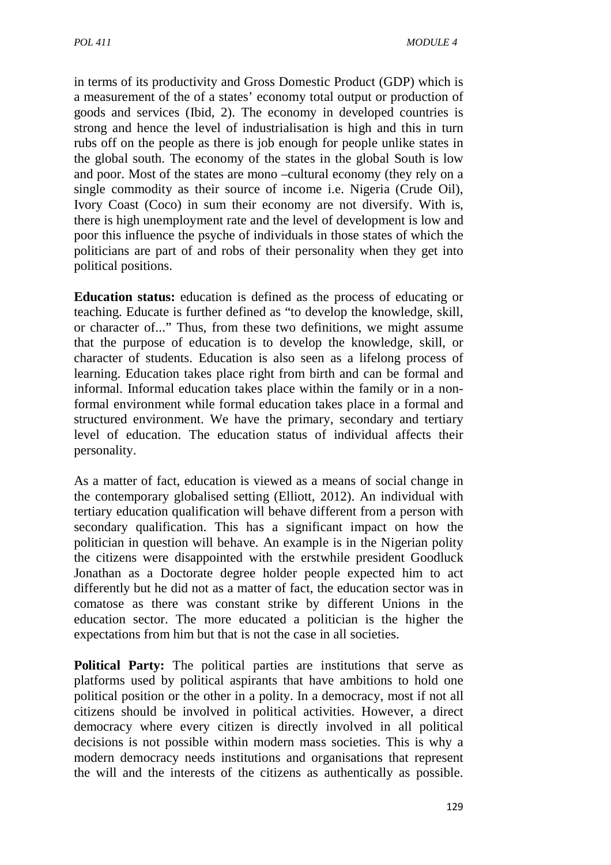in terms of its productivity and Gross Domestic Product (GDP) which is a measurement of the of a states' economy total output or production of goods and services (Ibid, 2). The economy in developed countries is strong and hence the level of industrialisation is high and this in turn rubs off on the people as there is job enough for people unlike states in the global south. The economy of the states in the global South is low and poor. Most of the states are mono –cultural economy (they rely on a single commodity as their source of income i.e. Nigeria (Crude Oil), Ivory Coast (Coco) in sum their economy are not diversify. With is, there is high unemployment rate and the level of development is low and poor this influence the psyche of individuals in those states of which the politicians are part of and robs of their personality when they get into political positions.

**Education status:** education is defined as the process of educating or teaching. Educate is further defined as "to develop the knowledge, skill, or character of..." Thus, from these two definitions, we might assume that the purpose of education is to develop the knowledge, skill, or character of students. Education is also seen as a lifelong process of learning. Education takes place right from birth and can be formal and informal. Informal education takes place within the family or in a nonformal environment while formal education takes place in a formal and structured environment. We have the primary, secondary and tertiary level of education. The education status of individual affects their personality.

As a matter of fact, education is viewed as a means of social change in the contemporary globalised setting (Elliott, 2012). An individual with tertiary education qualification will behave different from a person with secondary qualification. This has a significant impact on how the politician in question will behave. An example is in the Nigerian polity the citizens were disappointed with the erstwhile president Goodluck Jonathan as a Doctorate degree holder people expected him to act differently but he did not as a matter of fact, the education sector was in comatose as there was constant strike by different Unions in the education sector. The more educated a politician is the higher the expectations from him but that is not the case in all societies.

**Political Party:** The political parties are institutions that serve as platforms used by political aspirants that have ambitions to hold one political position or the other in a polity. In a democracy, most if not all citizens should be involved in political activities. However, a direct democracy where every citizen is directly involved in all political decisions is not possible within modern mass societies. This is why a modern democracy needs institutions and organisations that represent the will and the interests of the citizens as authentically as possible.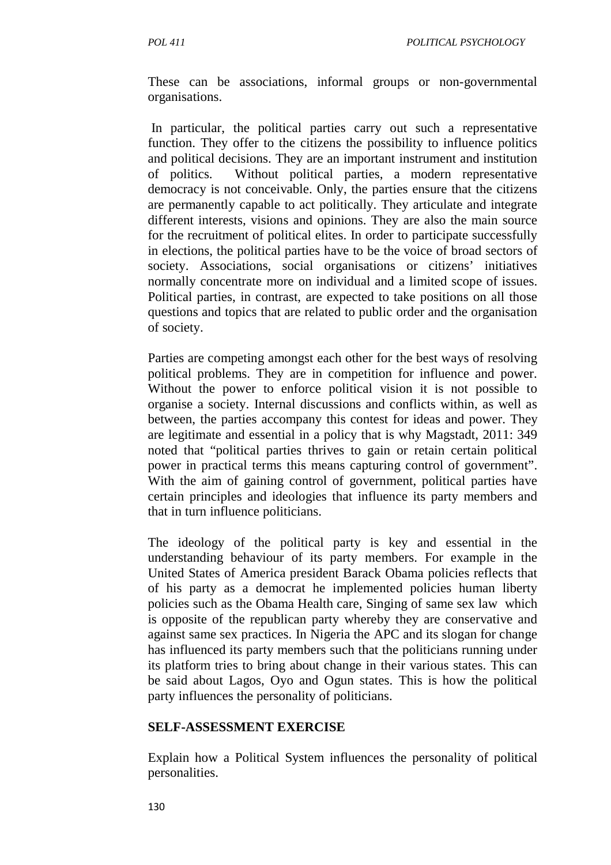These can be associations, informal groups or non-governmental organisations.

 In particular, the political parties carry out such a representative function. They offer to the citizens the possibility to influence politics and political decisions. They are an important instrument and institution of politics. Without political parties, a modern representative democracy is not conceivable. Only, the parties ensure that the citizens are permanently capable to act politically. They articulate and integrate different interests, visions and opinions. They are also the main source for the recruitment of political elites. In order to participate successfully in elections, the political parties have to be the voice of broad sectors of society. Associations, social organisations or citizens' initiatives normally concentrate more on individual and a limited scope of issues. Political parties, in contrast, are expected to take positions on all those questions and topics that are related to public order and the organisation of society.

Parties are competing amongst each other for the best ways of resolving political problems. They are in competition for influence and power. Without the power to enforce political vision it is not possible to organise a society. Internal discussions and conflicts within, as well as between, the parties accompany this contest for ideas and power. They are legitimate and essential in a policy that is why Magstadt, 2011: 349 noted that "political parties thrives to gain or retain certain political power in practical terms this means capturing control of government". With the aim of gaining control of government, political parties have certain principles and ideologies that influence its party members and that in turn influence politicians.

The ideology of the political party is key and essential in the understanding behaviour of its party members. For example in the United States of America president Barack Obama policies reflects that of his party as a democrat he implemented policies human liberty policies such as the Obama Health care, Singing of same sex law which is opposite of the republican party whereby they are conservative and against same sex practices. In Nigeria the APC and its slogan for change has influenced its party members such that the politicians running under its platform tries to bring about change in their various states. This can be said about Lagos, Oyo and Ogun states. This is how the political party influences the personality of politicians.

#### **SELF-ASSESSMENT EXERCISE**

Explain how a Political System influences the personality of political personalities.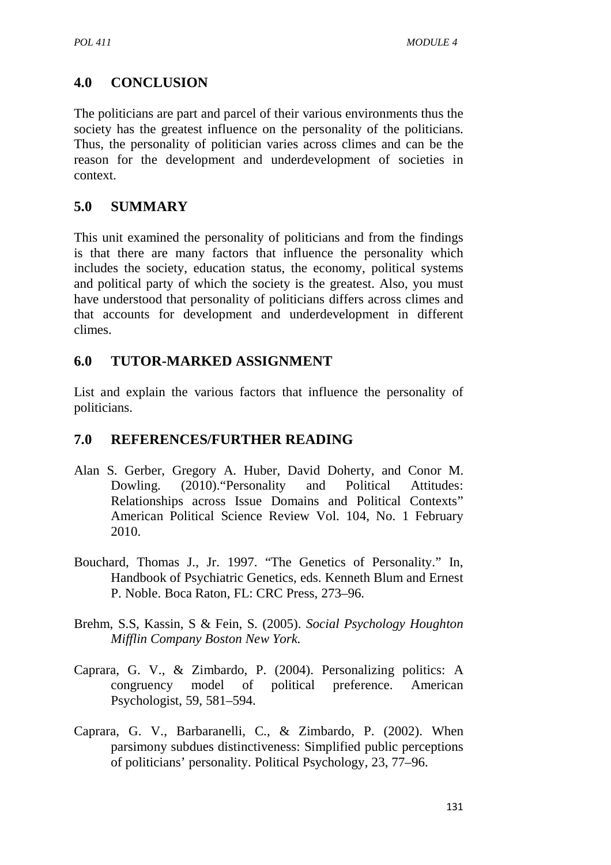# **4.0 CONCLUSION**

The politicians are part and parcel of their various environments thus the society has the greatest influence on the personality of the politicians. Thus, the personality of politician varies across climes and can be the reason for the development and underdevelopment of societies in context.

## **5.0 SUMMARY**

This unit examined the personality of politicians and from the findings is that there are many factors that influence the personality which includes the society, education status, the economy, political systems and political party of which the society is the greatest. Also, you must have understood that personality of politicians differs across climes and that accounts for development and underdevelopment in different climes.

## **6.0 TUTOR-MARKED ASSIGNMENT**

List and explain the various factors that influence the personality of politicians.

# **7.0 REFERENCES/FURTHER READING**

- Alan S. Gerber, Gregory A. Huber, David Doherty, and Conor M. Dowling. (2010). "Personality and Political Attitudes: Relationships across Issue Domains and Political Contexts" American Political Science Review Vol. 104, No. 1 February 2010.
- Bouchard, Thomas J., Jr. 1997. "The Genetics of Personality." In, Handbook of Psychiatric Genetics, eds. Kenneth Blum and Ernest P. Noble. Boca Raton, FL: CRC Press, 273–96.
- Brehm, S.S, Kassin, S & Fein, S. (2005). *Social Psychology Houghton Mifflin Company Boston New York.*
- Caprara, G. V., & Zimbardo, P. (2004). Personalizing politics: A congruency model of political preference. American Psychologist, 59, 581–594.
- Caprara, G. V., Barbaranelli, C., & Zimbardo, P. (2002). When parsimony subdues distinctiveness: Simplified public perceptions of politicians' personality. Political Psychology, 23, 77–96.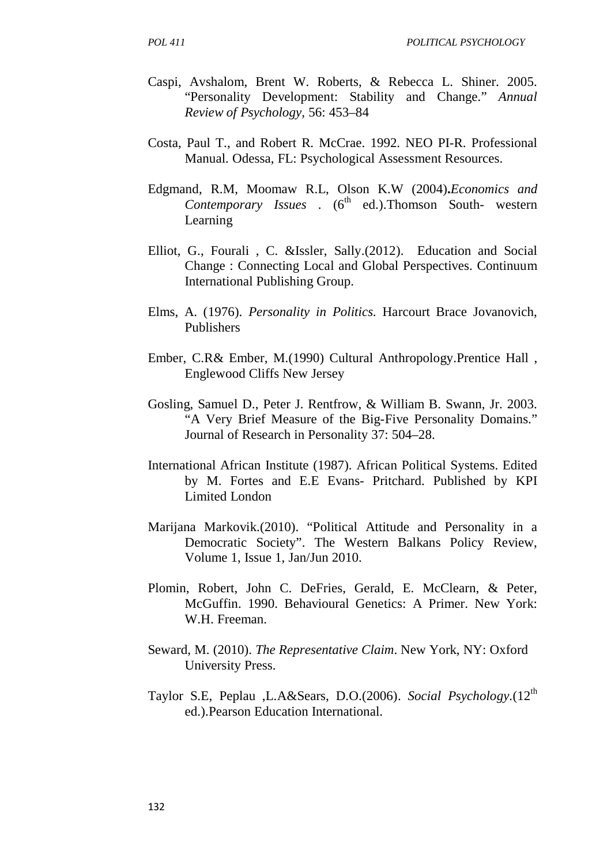- Caspi, Avshalom, Brent W. Roberts, & Rebecca L. Shiner. 2005. "Personality Development: Stability and Change." *Annual Review of Psychology,* 56: 453–84
- Costa, Paul T., and Robert R. McCrae. 1992. NEO PI-R. Professional Manual. Odessa, FL: Psychological Assessment Resources.
- Edgmand, R.M, Moomaw R.L, Olson K.W (2004)**.***Economics and Contemporary Issues* . (6<sup>th</sup> ed.).Thomson South- western Learning
- Elliot, G., Fourali , C. &Issler, Sally.(2012). Education and Social Change : Connecting Local and Global Perspectives. Continuum International Publishing Group.
- Elms, A. (1976). *Personality in Politics.* Harcourt Brace Jovanovich, Publishers
- Ember, C.R& Ember, M.(1990) Cultural Anthropology.Prentice Hall , Englewood Cliffs New Jersey
- Gosling, Samuel D., Peter J. Rentfrow, & William B. Swann, Jr. 2003. "A Very Brief Measure of the Big-Five Personality Domains." Journal of Research in Personality 37: 504–28.
- International African Institute (1987). African Political Systems. Edited by M. Fortes and E.E Evans- Pritchard. Published by KPI Limited London
- Marijana Markovik.(2010). "Political Attitude and Personality in a Democratic Society". The Western Balkans Policy Review, Volume 1, Issue 1, Jan/Jun 2010.
- Plomin, Robert, John C. DeFries, Gerald, E. McClearn, & Peter, McGuffin. 1990. Behavioural Genetics: A Primer. New York: W.H. Freeman.
- Seward, M. (2010). *The Representative Claim*. New York, NY: Oxford University Press.
- Taylor S.E, Peplau ,L.A&Sears, D.O.(2006). *Social Psychology.*(12th ed.).Pearson Education International.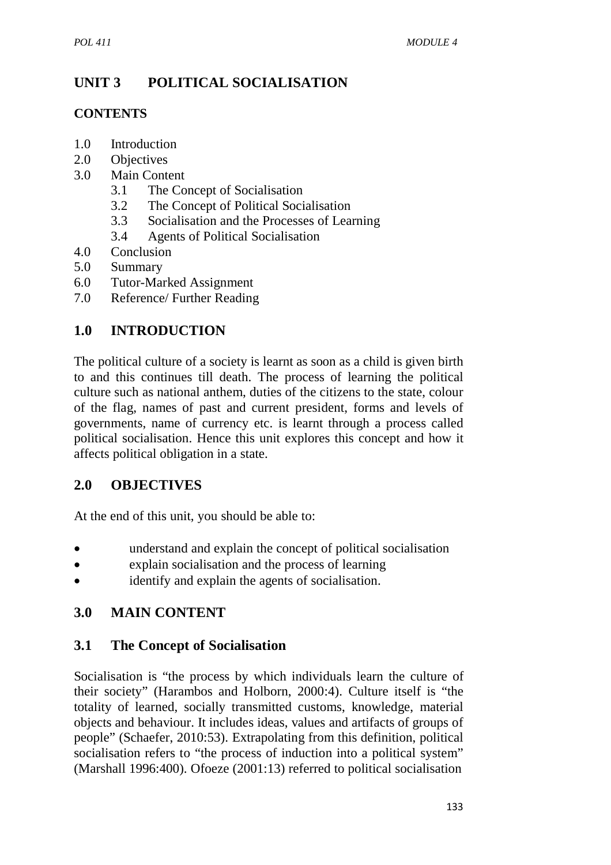# **UNIT 3 POLITICAL SOCIALISATION**

### **CONTENTS**

- 1.0 Introduction
- 2.0 Objectives
- 3.0 Main Content
	- 3.1 The Concept of Socialisation
	- 3.2 The Concept of Political Socialisation
	- 3.3 Socialisation and the Processes of Learning
	- 3.4 Agents of Political Socialisation
- 4.0 Conclusion
- 5.0 Summary
- 6.0 Tutor-Marked Assignment
- 7.0 Reference/ Further Reading

# **1.0 INTRODUCTION**

The political culture of a society is learnt as soon as a child is given birth to and this continues till death. The process of learning the political culture such as national anthem, duties of the citizens to the state, colour of the flag, names of past and current president, forms and levels of governments, name of currency etc. is learnt through a process called political socialisation. Hence this unit explores this concept and how it affects political obligation in a state.

# **2.0 OBJECTIVES**

At the end of this unit, you should be able to:

- understand and explain the concept of political socialisation
- explain socialisation and the process of learning
- identify and explain the agents of socialisation.

# **3.0 MAIN CONTENT**

### **3.1 The Concept of Socialisation**

Socialisation is "the process by which individuals learn the culture of their society" (Harambos and Holborn, 2000:4). Culture itself is "the totality of learned, socially transmitted customs, knowledge, material objects and behaviour. It includes ideas, values and artifacts of groups of people" (Schaefer, 2010:53). Extrapolating from this definition, political socialisation refers to "the process of induction into a political system" (Marshall 1996:400). Ofoeze (2001:13) referred to political socialisation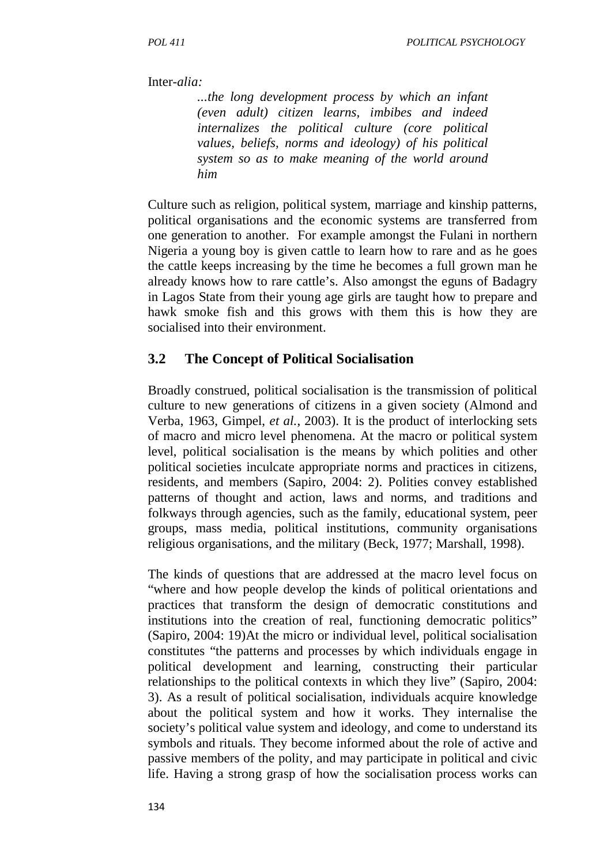#### Inter-*alia:*

*...the long development process by which an infant (even adult) citizen learns, imbibes and indeed internalizes the political culture (core political values, beliefs, norms and ideology) of his political system so as to make meaning of the world around him* 

Culture such as religion, political system, marriage and kinship patterns, political organisations and the economic systems are transferred from one generation to another. For example amongst the Fulani in northern Nigeria a young boy is given cattle to learn how to rare and as he goes the cattle keeps increasing by the time he becomes a full grown man he already knows how to rare cattle's. Also amongst the eguns of Badagry in Lagos State from their young age girls are taught how to prepare and hawk smoke fish and this grows with them this is how they are socialised into their environment.

#### **3.2 The Concept of Political Socialisation**

Broadly construed, political socialisation is the transmission of political culture to new generations of citizens in a given society (Almond and Verba, 1963, Gimpel, *et al.*, 2003). It is the product of interlocking sets of macro and micro level phenomena. At the macro or political system level, political socialisation is the means by which polities and other political societies inculcate appropriate norms and practices in citizens, residents, and members (Sapiro, 2004: 2). Polities convey established patterns of thought and action, laws and norms, and traditions and folkways through agencies, such as the family, educational system, peer groups, mass media, political institutions, community organisations religious organisations, and the military (Beck, 1977; Marshall, 1998).

The kinds of questions that are addressed at the macro level focus on "where and how people develop the kinds of political orientations and practices that transform the design of democratic constitutions and institutions into the creation of real, functioning democratic politics" (Sapiro, 2004: 19)At the micro or individual level, political socialisation constitutes "the patterns and processes by which individuals engage in political development and learning, constructing their particular relationships to the political contexts in which they live" (Sapiro, 2004: 3). As a result of political socialisation, individuals acquire knowledge about the political system and how it works. They internalise the society's political value system and ideology, and come to understand its symbols and rituals. They become informed about the role of active and passive members of the polity, and may participate in political and civic life. Having a strong grasp of how the socialisation process works can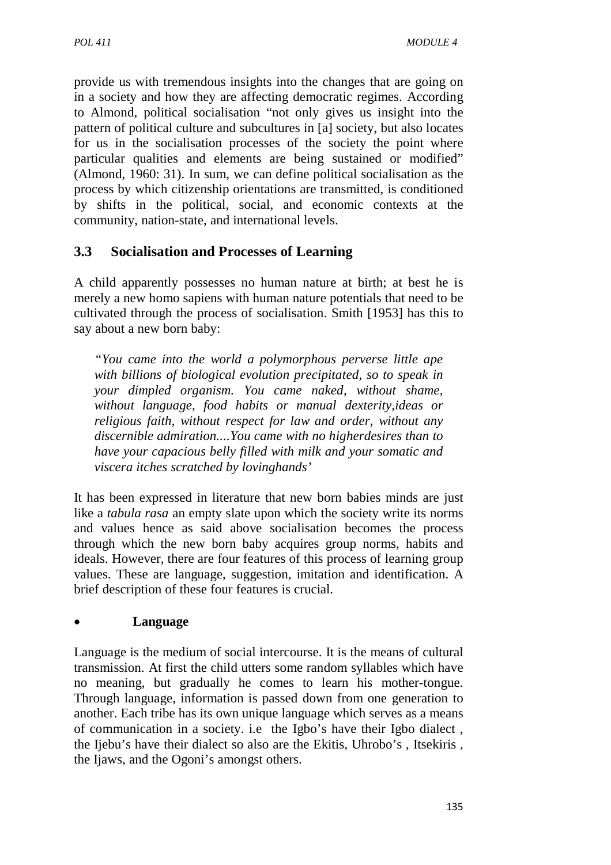provide us with tremendous insights into the changes that are going on in a society and how they are affecting democratic regimes. According to Almond, political socialisation "not only gives us insight into the pattern of political culture and subcultures in [a] society, but also locates for us in the socialisation processes of the society the point where particular qualities and elements are being sustained or modified" (Almond, 1960: 31). In sum, we can define political socialisation as the process by which citizenship orientations are transmitted, is conditioned by shifts in the political, social, and economic contexts at the community, nation-state, and international levels.

## **3.3 Socialisation and Processes of Learning**

A child apparently possesses no human nature at birth; at best he is merely a new homo sapiens with human nature potentials that need to be cultivated through the process of socialisation. Smith [1953] has this to say about a new born baby:

*"You came into the world a polymorphous perverse little ape with billions of biological evolution precipitated, so to speak in your dimpled organism. You came naked, without shame, without language, food habits or manual dexterity,ideas or religious faith, without respect for law and order, without any discernible admiration....You came with no higherdesires than to have your capacious belly filled with milk and your somatic and viscera itches scratched by lovinghands'* 

It has been expressed in literature that new born babies minds are just like a *tabula rasa* an empty slate upon which the society write its norms and values hence as said above socialisation becomes the process through which the new born baby acquires group norms, habits and ideals. However, there are four features of this process of learning group values. These are language, suggestion, imitation and identification. A brief description of these four features is crucial.

### • **Language**

Language is the medium of social intercourse. It is the means of cultural transmission. At first the child utters some random syllables which have no meaning, but gradually he comes to learn his mother-tongue. Through language, information is passed down from one generation to another. Each tribe has its own unique language which serves as a means of communication in a society. i.e the Igbo's have their Igbo dialect , the Ijebu's have their dialect so also are the Ekitis, Uhrobo's , Itsekiris , the Ijaws, and the Ogoni's amongst others.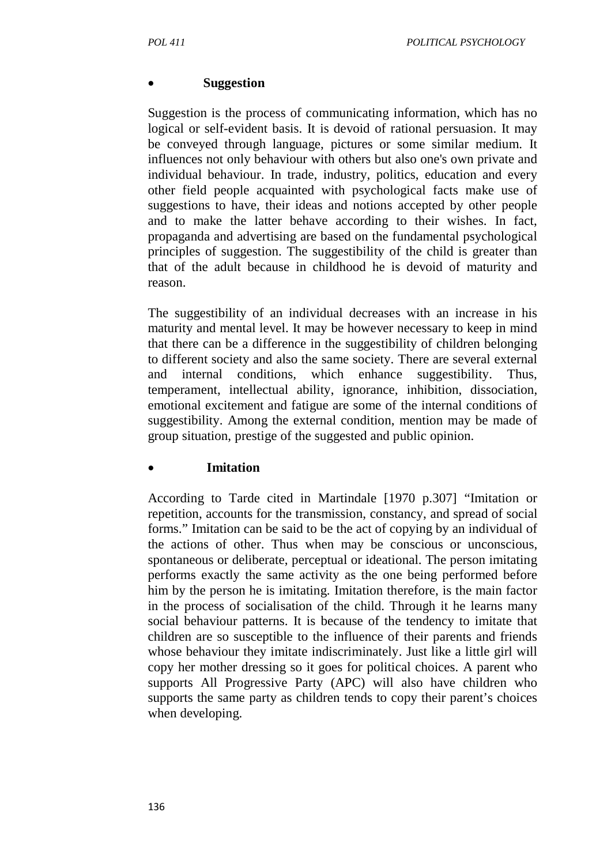### • **Suggestion**

Suggestion is the process of communicating information, which has no logical or self-evident basis. It is devoid of rational persuasion. It may be conveyed through language, pictures or some similar medium. It influences not only behaviour with others but also one's own private and individual behaviour. In trade, industry, politics, education and every other field people acquainted with psychological facts make use of suggestions to have, their ideas and notions accepted by other people and to make the latter behave according to their wishes. In fact, propaganda and advertising are based on the fundamental psychological principles of suggestion. The suggestibility of the child is greater than that of the adult because in childhood he is devoid of maturity and reason.

The suggestibility of an individual decreases with an increase in his maturity and mental level. It may be however necessary to keep in mind that there can be a difference in the suggestibility of children belonging to different society and also the same society. There are several external and internal conditions, which enhance suggestibility. Thus, temperament, intellectual ability, ignorance, inhibition, dissociation, emotional excitement and fatigue are some of the internal conditions of suggestibility. Among the external condition, mention may be made of group situation, prestige of the suggested and public opinion.

#### • **Imitation**

According to Tarde cited in Martindale [1970 p.307] "Imitation or repetition, accounts for the transmission, constancy, and spread of social forms." Imitation can be said to be the act of copying by an individual of the actions of other. Thus when may be conscious or unconscious, spontaneous or deliberate, perceptual or ideational. The person imitating performs exactly the same activity as the one being performed before him by the person he is imitating. Imitation therefore, is the main factor in the process of socialisation of the child. Through it he learns many social behaviour patterns. It is because of the tendency to imitate that children are so susceptible to the influence of their parents and friends whose behaviour they imitate indiscriminately. Just like a little girl will copy her mother dressing so it goes for political choices. A parent who supports All Progressive Party (APC) will also have children who supports the same party as children tends to copy their parent's choices when developing.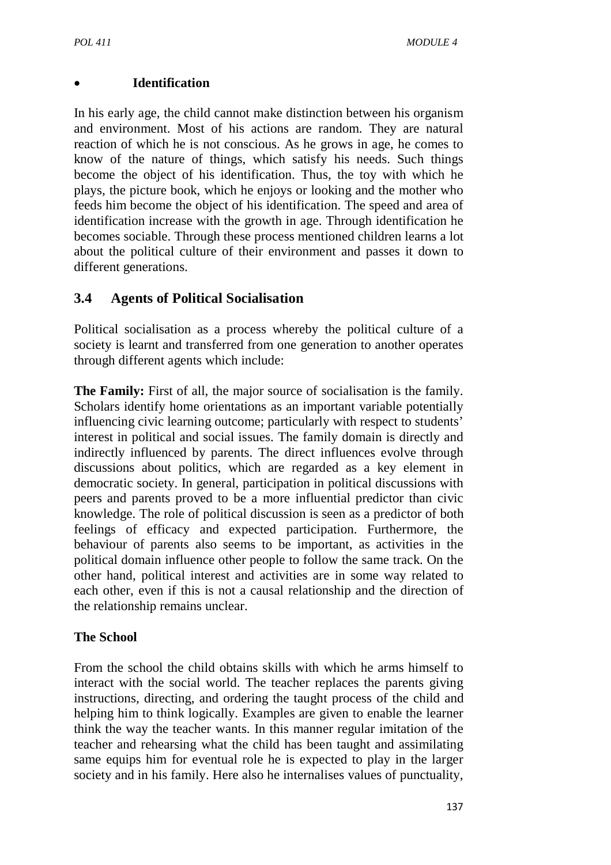#### • **Identification**

In his early age, the child cannot make distinction between his organism and environment. Most of his actions are random. They are natural reaction of which he is not conscious. As he grows in age, he comes to know of the nature of things, which satisfy his needs. Such things become the object of his identification. Thus, the toy with which he plays, the picture book, which he enjoys or looking and the mother who feeds him become the object of his identification. The speed and area of identification increase with the growth in age. Through identification he becomes sociable. Through these process mentioned children learns a lot about the political culture of their environment and passes it down to different generations.

## **3.4 Agents of Political Socialisation**

Political socialisation as a process whereby the political culture of a society is learnt and transferred from one generation to another operates through different agents which include:

**The Family:** First of all, the major source of socialisation is the family. Scholars identify home orientations as an important variable potentially influencing civic learning outcome; particularly with respect to students' interest in political and social issues. The family domain is directly and indirectly influenced by parents. The direct influences evolve through discussions about politics, which are regarded as a key element in democratic society. In general, participation in political discussions with peers and parents proved to be a more influential predictor than civic knowledge. The role of political discussion is seen as a predictor of both feelings of efficacy and expected participation. Furthermore, the behaviour of parents also seems to be important, as activities in the political domain influence other people to follow the same track. On the other hand, political interest and activities are in some way related to each other, even if this is not a causal relationship and the direction of the relationship remains unclear.

### **The School**

From the school the child obtains skills with which he arms himself to interact with the social world. The teacher replaces the parents giving instructions, directing, and ordering the taught process of the child and helping him to think logically. Examples are given to enable the learner think the way the teacher wants. In this manner regular imitation of the teacher and rehearsing what the child has been taught and assimilating same equips him for eventual role he is expected to play in the larger society and in his family. Here also he internalises values of punctuality,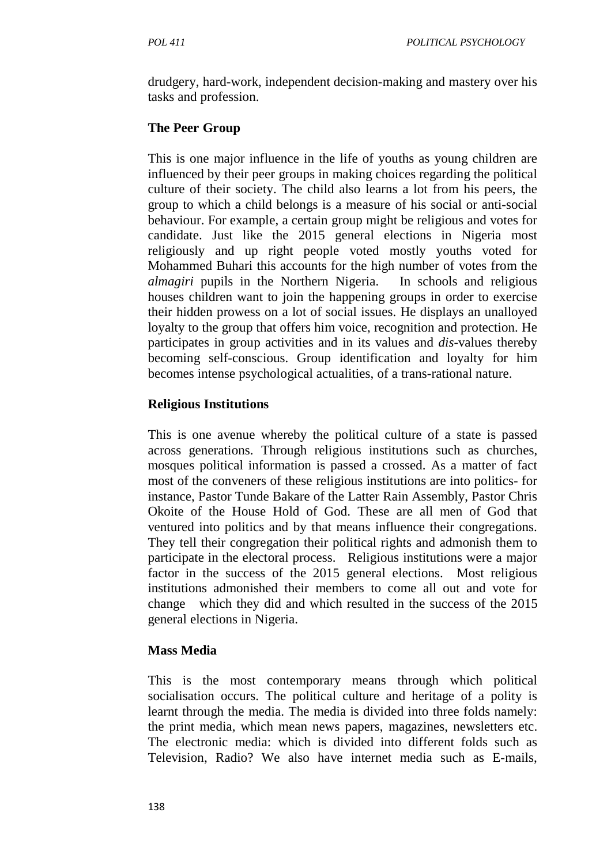drudgery, hard-work, independent decision-making and mastery over his tasks and profession.

## **The Peer Group**

This is one major influence in the life of youths as young children are influenced by their peer groups in making choices regarding the political culture of their society. The child also learns a lot from his peers, the group to which a child belongs is a measure of his social or anti-social behaviour. For example, a certain group might be religious and votes for candidate. Just like the 2015 general elections in Nigeria most religiously and up right people voted mostly youths voted for Mohammed Buhari this accounts for the high number of votes from the *almagiri* pupils in the Northern Nigeria. In schools and religious houses children want to join the happening groups in order to exercise their hidden prowess on a lot of social issues. He displays an unalloyed loyalty to the group that offers him voice, recognition and protection. He participates in group activities and in its values and *dis*-values thereby becoming self-conscious. Group identification and loyalty for him becomes intense psychological actualities, of a trans-rational nature.

### **Religious Institutions**

This is one avenue whereby the political culture of a state is passed across generations. Through religious institutions such as churches, mosques political information is passed a crossed. As a matter of fact most of the conveners of these religious institutions are into politics- for instance, Pastor Tunde Bakare of the Latter Rain Assembly, Pastor Chris Okoite of the House Hold of God. These are all men of God that ventured into politics and by that means influence their congregations. They tell their congregation their political rights and admonish them to participate in the electoral process. Religious institutions were a major factor in the success of the 2015 general elections. Most religious institutions admonished their members to come all out and vote for change which they did and which resulted in the success of the 2015 general elections in Nigeria.

### **Mass Media**

This is the most contemporary means through which political socialisation occurs. The political culture and heritage of a polity is learnt through the media. The media is divided into three folds namely: the print media, which mean news papers, magazines, newsletters etc. The electronic media: which is divided into different folds such as Television, Radio? We also have internet media such as E-mails,